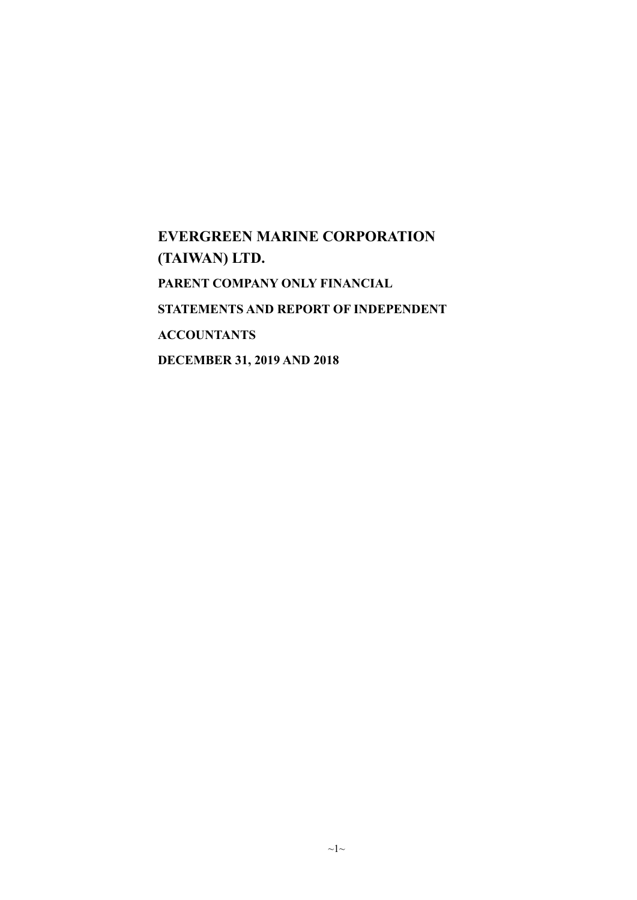**EVERGREEN MARINE CORPORATION (TAIWAN) LTD. PARENT COMPANY ONLY FINANCIAL STATEMENTS AND REPORT OF INDEPENDENT ACCOUNTANTS DECEMBER 31, 2019 AND 2018**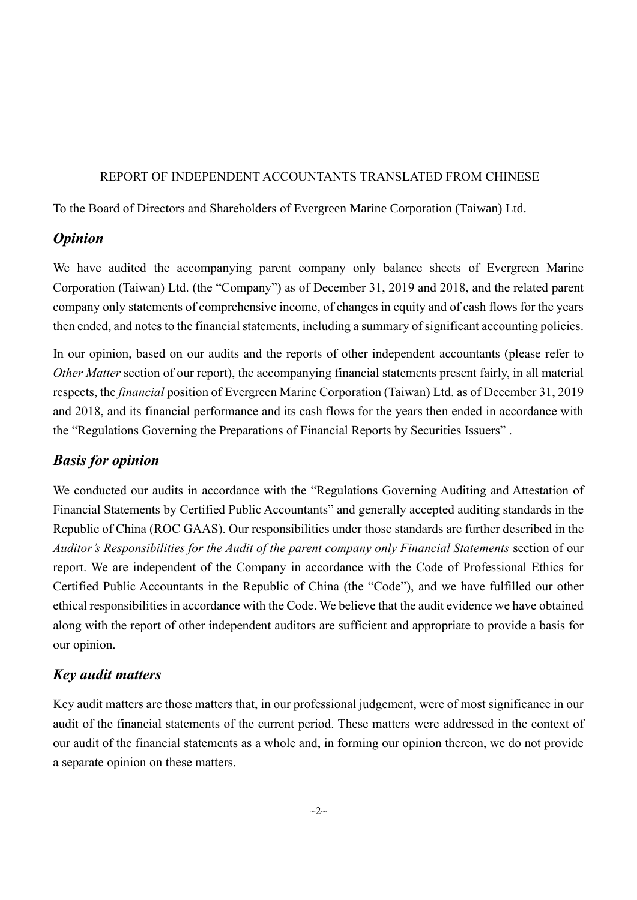#### REPORT OF INDEPENDENT ACCOUNTANTS TRANSLATED FROM CHINESE

To the Board of Directors and Shareholders of Evergreen Marine Corporation (Taiwan) Ltd.

# *Opinion*

We have audited the accompanying parent company only balance sheets of Evergreen Marine Corporation (Taiwan) Ltd. (the "Company") as of December 31, 2019 and 2018, and the related parent company only statements of comprehensive income, of changes in equity and of cash flows for the years then ended, and notes to the financial statements, including a summary of significant accounting policies.

In our opinion, based on our audits and the reports of other independent accountants (please refer to *Other Matter* section of our report), the accompanying financial statements present fairly, in all material respects, the *financial* position of Evergreen Marine Corporation (Taiwan) Ltd. as of December 31, 2019 and 2018, and its financial performance and its cash flows for the years then ended in accordance with the "Regulations Governing the Preparations of Financial Reports by Securities Issuers" .

# *Basis for opinion*

We conducted our audits in accordance with the "Regulations Governing Auditing and Attestation of Financial Statements by Certified Public Accountants" and generally accepted auditing standards in the Republic of China (ROC GAAS). Our responsibilities under those standards are further described in the *Auditor's Responsibilities for the Audit of the parent company only Financial Statements* section of our report. We are independent of the Company in accordance with the Code of Professional Ethics for Certified Public Accountants in the Republic of China (the "Code"), and we have fulfilled our other ethical responsibilities in accordance with the Code. We believe that the audit evidence we have obtained along with the report of other independent auditors are sufficient and appropriate to provide a basis for our opinion.

# *Key audit matters*

Key audit matters are those matters that, in our professional judgement, were of most significance in our audit of the financial statements of the current period. These matters were addressed in the context of our audit of the financial statements as a whole and, in forming our opinion thereon, we do not provide a separate opinion on these matters.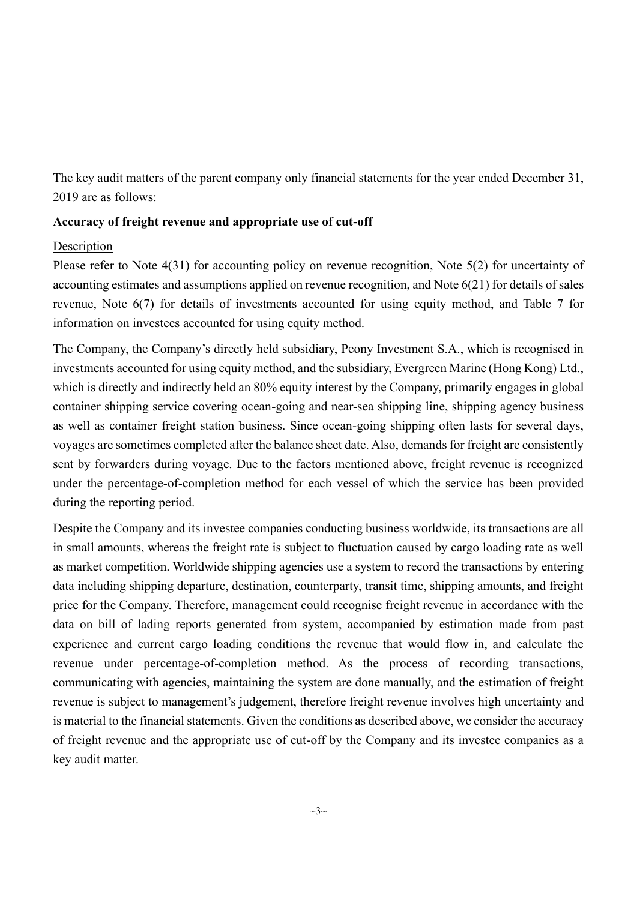The key audit matters of the parent company only financial statements for the year ended December 31, 2019 are as follows:

#### **Accuracy of freight revenue and appropriate use of cut-off**

#### Description

Please refer to Note 4(31) for accounting policy on revenue recognition, Note 5(2) for uncertainty of accounting estimates and assumptions applied on revenue recognition, and Note 6(21) for details of sales revenue, Note 6(7) for details of investments accounted for using equity method, and Table 7 for information on investees accounted for using equity method.

The Company, the Company's directly held subsidiary, Peony Investment S.A., which is recognised in investments accounted for using equity method, and the subsidiary, Evergreen Marine (Hong Kong) Ltd., which is directly and indirectly held an 80% equity interest by the Company, primarily engages in global container shipping service covering ocean-going and near-sea shipping line, shipping agency business as well as container freight station business. Since ocean-going shipping often lasts for several days, voyages are sometimes completed after the balance sheet date. Also, demands for freight are consistently sent by forwarders during voyage. Due to the factors mentioned above, freight revenue is recognized under the percentage-of-completion method for each vessel of which the service has been provided during the reporting period.

Despite the Company and its investee companies conducting business worldwide, its transactions are all in small amounts, whereas the freight rate is subject to fluctuation caused by cargo loading rate as well as market competition. Worldwide shipping agencies use a system to record the transactions by entering data including shipping departure, destination, counterparty, transit time, shipping amounts, and freight price for the Company. Therefore, management could recognise freight revenue in accordance with the data on bill of lading reports generated from system, accompanied by estimation made from past experience and current cargo loading conditions the revenue that would flow in, and calculate the revenue under percentage-of-completion method. As the process of recording transactions, communicating with agencies, maintaining the system are done manually, and the estimation of freight revenue is subject to management's judgement, therefore freight revenue involves high uncertainty and is material to the financial statements. Given the conditions as described above, we consider the accuracy of freight revenue and the appropriate use of cut-off by the Company and its investee companies as a key audit matter.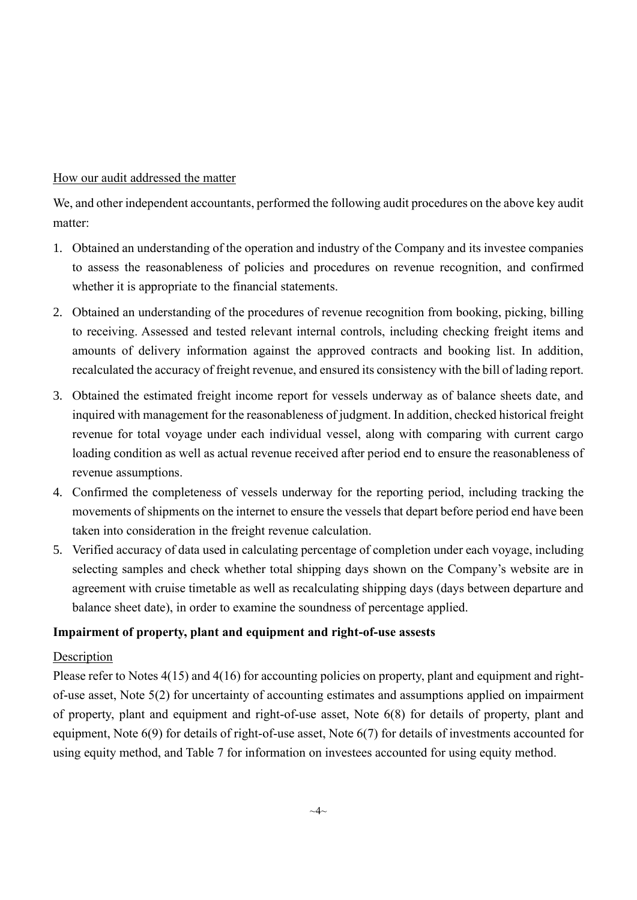#### How our audit addressed the matter

We, and other independent accountants, performed the following audit procedures on the above key audit matter:

- 1. Obtained an understanding of the operation and industry of the Company and its investee companies to assess the reasonableness of policies and procedures on revenue recognition, and confirmed whether it is appropriate to the financial statements.
- 2. Obtained an understanding of the procedures of revenue recognition from booking, picking, billing to receiving. Assessed and tested relevant internal controls, including checking freight items and amounts of delivery information against the approved contracts and booking list. In addition, recalculated the accuracy of freight revenue, and ensured its consistency with the bill of lading report.
- 3. Obtained the estimated freight income report for vessels underway as of balance sheets date, and inquired with management for the reasonableness of judgment. In addition, checked historical freight revenue for total voyage under each individual vessel, along with comparing with current cargo loading condition as well as actual revenue received after period end to ensure the reasonableness of revenue assumptions.
- 4. Confirmed the completeness of vessels underway for the reporting period, including tracking the movements of shipments on the internet to ensure the vessels that depart before period end have been taken into consideration in the freight revenue calculation.
- 5. Verified accuracy of data used in calculating percentage of completion under each voyage, including selecting samples and check whether total shipping days shown on the Company's website are in agreement with cruise timetable as well as recalculating shipping days (days between departure and balance sheet date), in order to examine the soundness of percentage applied.

### **Impairment of property, plant and equipment and right-of-use assests**

### **Description**

Please refer to Notes 4(15) and 4(16) for accounting policies on property, plant and equipment and rightof-use asset, Note 5(2) for uncertainty of accounting estimates and assumptions applied on impairment of property, plant and equipment and right-of-use asset, Note 6(8) for details of property, plant and equipment, Note 6(9) for details of right-of-use asset, Note 6(7) for details of investments accounted for using equity method, and Table 7 for information on investees accounted for using equity method.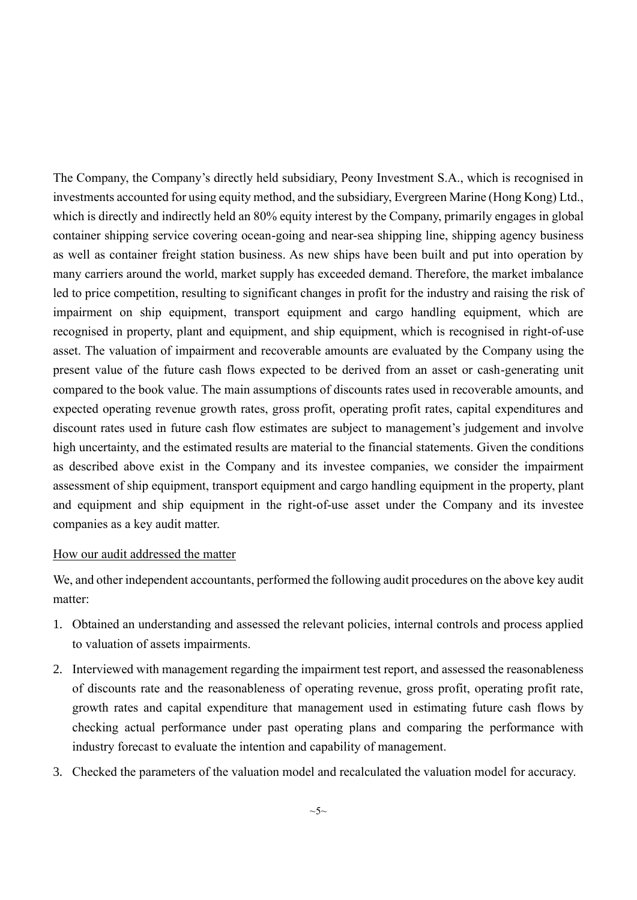The Company, the Company's directly held subsidiary, Peony Investment S.A., which is recognised in investments accounted for using equity method, and the subsidiary, Evergreen Marine (Hong Kong) Ltd., which is directly and indirectly held an 80% equity interest by the Company, primarily engages in global container shipping service covering ocean-going and near-sea shipping line, shipping agency business as well as container freight station business. As new ships have been built and put into operation by many carriers around the world, market supply has exceeded demand. Therefore, the market imbalance led to price competition, resulting to significant changes in profit for the industry and raising the risk of impairment on ship equipment, transport equipment and cargo handling equipment, which are recognised in property, plant and equipment, and ship equipment, which is recognised in right-of-use asset. The valuation of impairment and recoverable amounts are evaluated by the Company using the present value of the future cash flows expected to be derived from an asset or cash-generating unit compared to the book value. The main assumptions of discounts rates used in recoverable amounts, and expected operating revenue growth rates, gross profit, operating profit rates, capital expenditures and discount rates used in future cash flow estimates are subject to management's judgement and involve high uncertainty, and the estimated results are material to the financial statements. Given the conditions as described above exist in the Company and its investee companies, we consider the impairment assessment of ship equipment, transport equipment and cargo handling equipment in the property, plant and equipment and ship equipment in the right-of-use asset under the Company and its investee companies as a key audit matter.

#### How our audit addressed the matter

We, and other independent accountants, performed the following audit procedures on the above key audit matter:

- 1. Obtained an understanding and assessed the relevant policies, internal controls and process applied to valuation of assets impairments.
- 2. Interviewed with management regarding the impairment test report, and assessed the reasonableness of discounts rate and the reasonableness of operating revenue, gross profit, operating profit rate, growth rates and capital expenditure that management used in estimating future cash flows by checking actual performance under past operating plans and comparing the performance with industry forecast to evaluate the intention and capability of management.
- 3. Checked the parameters of the valuation model and recalculated the valuation model for accuracy.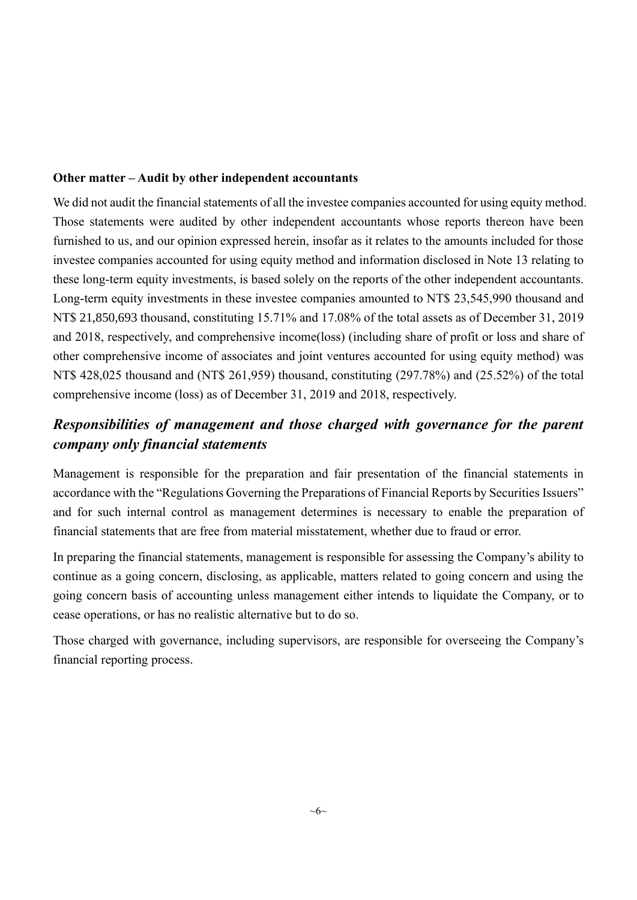#### **Other matter – Audit by other independent accountants**

We did not audit the financial statements of all the investee companies accounted for using equity method. Those statements were audited by other independent accountants whose reports thereon have been furnished to us, and our opinion expressed herein, insofar as it relates to the amounts included for those investee companies accounted for using equity method and information disclosed in Note 13 relating to these long-term equity investments, is based solely on the reports of the other independent accountants. Long-term equity investments in these investee companies amounted to NT\$ 23,545,990 thousand and NT\$ 21,850,693 thousand, constituting 15.71% and 17.08% of the total assets as of December 31, 2019 and 2018, respectively, and comprehensive income(loss) (including share of profit or loss and share of other comprehensive income of associates and joint ventures accounted for using equity method) was NT\$ 428,025 thousand and (NT\$ 261,959) thousand, constituting (297.78%) and (25.52%) of the total comprehensive income (loss) as of December 31, 2019 and 2018, respectively.

# *Responsibilities of management and those charged with governance for the parent company only financial statements*

Management is responsible for the preparation and fair presentation of the financial statements in accordance with the "Regulations Governing the Preparations of Financial Reports by Securities Issuers" and for such internal control as management determines is necessary to enable the preparation of financial statements that are free from material misstatement, whether due to fraud or error.

In preparing the financial statements, management is responsible for assessing the Company's ability to continue as a going concern, disclosing, as applicable, matters related to going concern and using the going concern basis of accounting unless management either intends to liquidate the Company, or to cease operations, or has no realistic alternative but to do so.

Those charged with governance, including supervisors, are responsible for overseeing the Company's financial reporting process.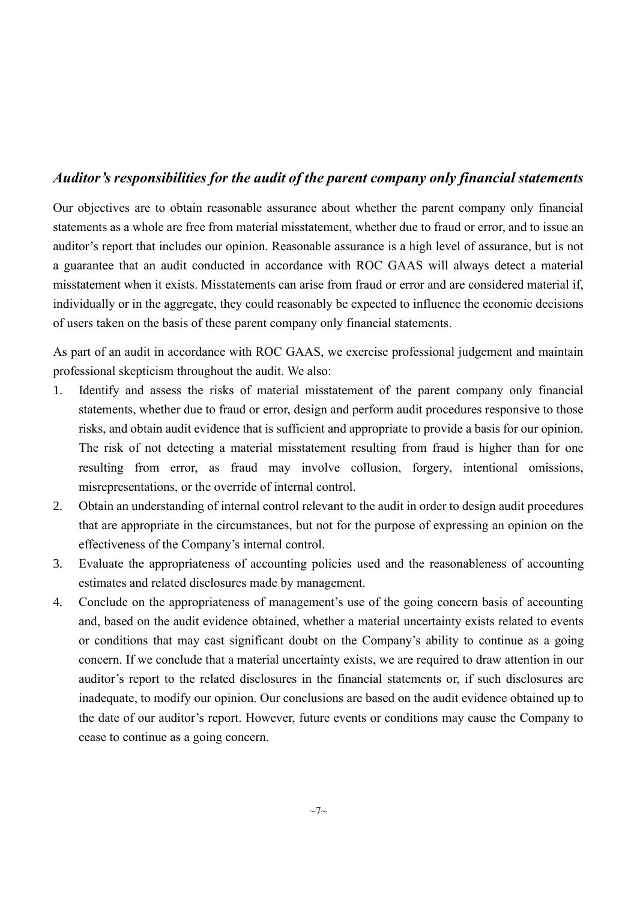## *Auditor's responsibilities for the audit of the parent company only financial statements*

Our objectives are to obtain reasonable assurance about whether the parent company only financial statements as a whole are free from material misstatement, whether due to fraud or error, and to issue an auditor's report that includes our opinion. Reasonable assurance is a high level of assurance, but is not a guarantee that an audit conducted in accordance with ROC GAAS will always detect a material misstatement when it exists. Misstatements can arise from fraud or error and are considered material if, individually or in the aggregate, they could reasonably be expected to influence the economic decisions of users taken on the basis of these parent company only financial statements.

As part of an audit in accordance with ROC GAAS, we exercise professional judgement and maintain professional skepticism throughout the audit. We also:

- 1. Identify and assess the risks of material misstatement of the parent company only financial statements, whether due to fraud or error, design and perform audit procedures responsive to those risks, and obtain audit evidence that is sufficient and appropriate to provide a basis for our opinion. The risk of not detecting a material misstatement resulting from fraud is higher than for one resulting from error, as fraud may involve collusion, forgery, intentional omissions, misrepresentations, or the override of internal control.
- 2. Obtain an understanding of internal control relevant to the audit in order to design audit procedures that are appropriate in the circumstances, but not for the purpose of expressing an opinion on the effectiveness of the Company's internal control.
- 3. Evaluate the appropriateness of accounting policies used and the reasonableness of accounting estimates and related disclosures made by management.
- 4. Conclude on the appropriateness of management's use of the going concern basis of accounting and, based on the audit evidence obtained, whether a material uncertainty exists related to events or conditions that may cast significant doubt on the Company's ability to continue as a going concern. If we conclude that a material uncertainty exists, we are required to draw attention in our auditor's report to the related disclosures in the financial statements or, if such disclosures are inadequate, to modify our opinion. Our conclusions are based on the audit evidence obtained up to the date of our auditor's report. However, future events or conditions may cause the Company to cease to continue as a going concern.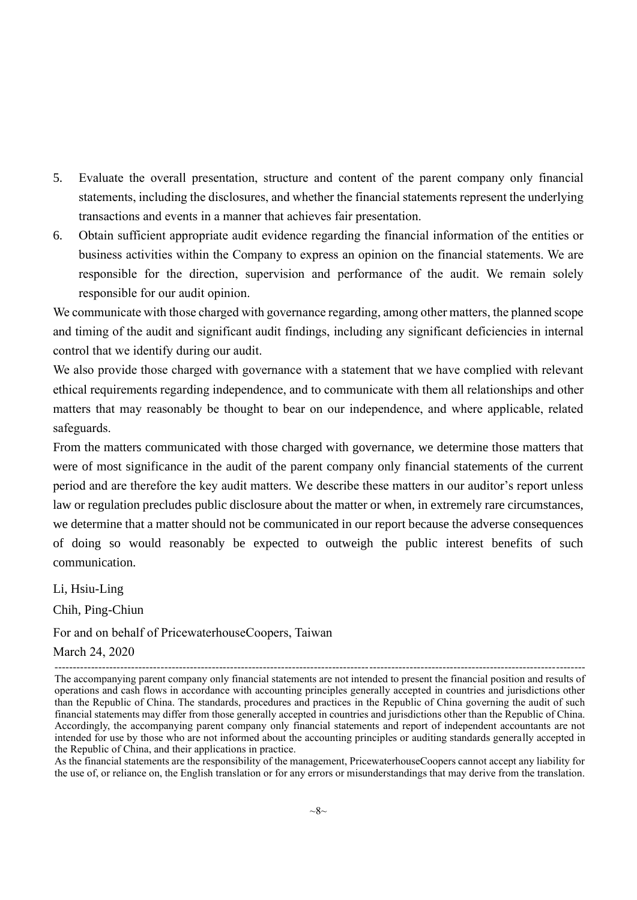- 5. Evaluate the overall presentation, structure and content of the parent company only financial statements, including the disclosures, and whether the financial statements represent the underlying transactions and events in a manner that achieves fair presentation.
- 6. Obtain sufficient appropriate audit evidence regarding the financial information of the entities or business activities within the Company to express an opinion on the financial statements. We are responsible for the direction, supervision and performance of the audit. We remain solely responsible for our audit opinion.

We communicate with those charged with governance regarding, among other matters, the planned scope and timing of the audit and significant audit findings, including any significant deficiencies in internal control that we identify during our audit.

We also provide those charged with governance with a statement that we have complied with relevant ethical requirements regarding independence, and to communicate with them all relationships and other matters that may reasonably be thought to bear on our independence, and where applicable, related safeguards.

From the matters communicated with those charged with governance, we determine those matters that were of most significance in the audit of the parent company only financial statements of the current period and are therefore the key audit matters. We describe these matters in our auditor's report unless law or regulation precludes public disclosure about the matter or when, in extremely rare circumstances, we determine that a matter should not be communicated in our report because the adverse consequences of doing so would reasonably be expected to outweigh the public interest benefits of such communication.

Li, Hsiu-Ling Chih, Ping-Chiun

For and on behalf of PricewaterhouseCoopers, Taiwan

March 24, 2020

As the financial statements are the responsibility of the management, PricewaterhouseCoopers cannot accept any liability for the use of, or reliance on, the English translation or for any errors or misunderstandings that may derive from the translation.

<sup>-------------------------------------------------------------------------------------------------------------------------------------------------</sup> The accompanying parent company only financial statements are not intended to present the financial position and results of operations and cash flows in accordance with accounting principles generally accepted in countries and jurisdictions other than the Republic of China. The standards, procedures and practices in the Republic of China governing the audit of such financial statements may differ from those generally accepted in countries and jurisdictions other than the Republic of China. Accordingly, the accompanying parent company only financial statements and report of independent accountants are not intended for use by those who are not informed about the accounting principles or auditing standards generally accepted in the Republic of China, and their applications in practice.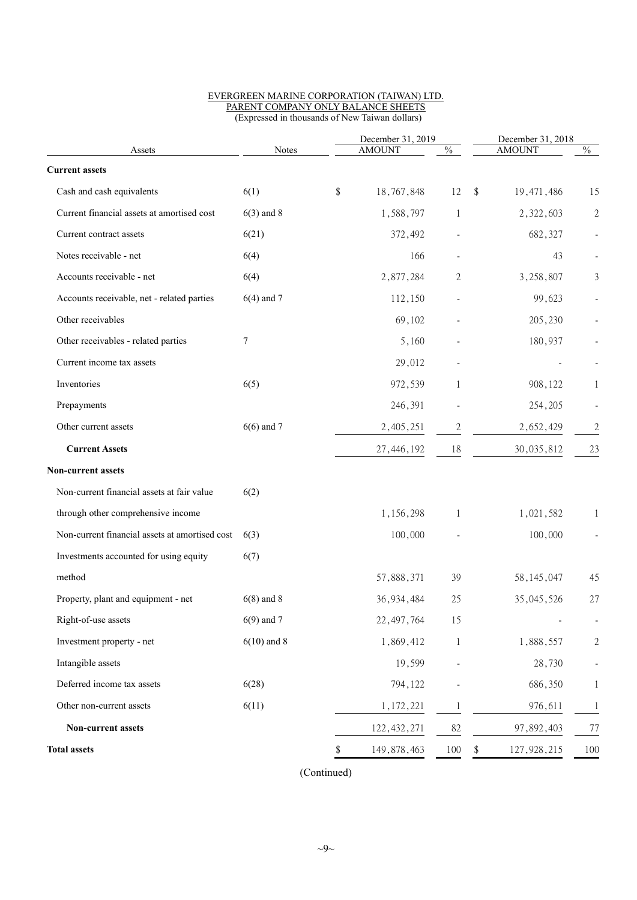| Assets                                         | <b>Notes</b>  | December 31, 2019<br><b>AMOUNT</b><br>$\%$ |     |            | December 31, 2018<br><b>AMOUNT</b><br>$\frac{0}{6}$ |                |  |
|------------------------------------------------|---------------|--------------------------------------------|-----|------------|-----------------------------------------------------|----------------|--|
| <b>Current assets</b>                          |               |                                            |     |            |                                                     |                |  |
| Cash and cash equivalents                      | 6(1)          | \$<br>18,767,848                           | 12  | $\sqrt{3}$ | 19,471,486                                          | 15             |  |
| Current financial assets at amortised cost     | $6(3)$ and 8  | 1,588,797                                  | 1   |            | 2,322,603                                           | $\mathbf{c}$   |  |
| Current contract assets                        | 6(21)         | 372,492                                    |     |            | 682,327                                             |                |  |
| Notes receivable - net                         | 6(4)          | 166                                        |     |            | 43                                                  |                |  |
| Accounts receivable - net                      | 6(4)          | 2,877,284                                  | 2   |            | 3,258,807                                           | 3              |  |
| Accounts receivable, net - related parties     | $6(4)$ and 7  | 112,150                                    |     |            | 99,623                                              |                |  |
| Other receivables                              |               | 69,102                                     |     |            | 205,230                                             |                |  |
| Other receivables - related parties            | 7             | 5,160                                      |     |            | 180,937                                             |                |  |
| Current income tax assets                      |               | 29,012                                     |     |            |                                                     |                |  |
| Inventories                                    | 6(5)          | 972,539                                    | 1   |            | 908,122                                             |                |  |
| Prepayments                                    |               | 246,391                                    |     |            | 254,205                                             |                |  |
| Other current assets                           |               |                                            |     |            |                                                     |                |  |
|                                                | $6(6)$ and 7  | 2,405,251                                  | 2   |            | 2,652,429                                           | $\overline{c}$ |  |
| <b>Current Assets</b>                          |               | 27, 446, 192                               | 18  |            | 30,035,812                                          | 23             |  |
| Non-current assets                             |               |                                            |     |            |                                                     |                |  |
| Non-current financial assets at fair value     | 6(2)          |                                            |     |            |                                                     |                |  |
| through other comprehensive income             |               | 1,156,298                                  | 1   |            | 1,021,582                                           | 1              |  |
| Non-current financial assets at amortised cost | 6(3)          | 100,000                                    |     |            | 100,000                                             |                |  |
| Investments accounted for using equity         | 6(7)          |                                            |     |            |                                                     |                |  |
| method                                         |               | 57,888,371                                 | 39  |            | 58, 145, 047                                        | 45             |  |
| Property, plant and equipment - net            | $6(8)$ and 8  | 36, 934, 484                               | 25  |            | 35,045,526                                          | 27             |  |
| Right-of-use assets                            | $6(9)$ and 7  | 22, 497, 764                               | 15  |            |                                                     |                |  |
| Investment property - net                      | $6(10)$ and 8 | 1,869,412                                  | 1   |            | 1,888,557                                           | 2              |  |
| Intangible assets                              |               | 19,599                                     |     |            | 28,730                                              |                |  |
| Deferred income tax assets                     | 6(28)         | 794,122                                    |     |            | 686,350                                             |                |  |
| Other non-current assets                       | 6(11)         | 1,172,221                                  |     |            | 976,611                                             |                |  |
| Non-current assets                             |               | 122, 432, 271                              | 82  |            | 97,892,403                                          | 77             |  |
| <b>Total assets</b>                            |               | \$<br>149,878,463                          | 100 | \$         | 127, 928, 215                                       | 100            |  |

#### EVERGREEN MARINE CORPORATION (TAIWAN) LTD. PARENT COMPANY ONLY BALANCE SHEETS (Expressed in thousands of New Taiwan dollars)

(Continued)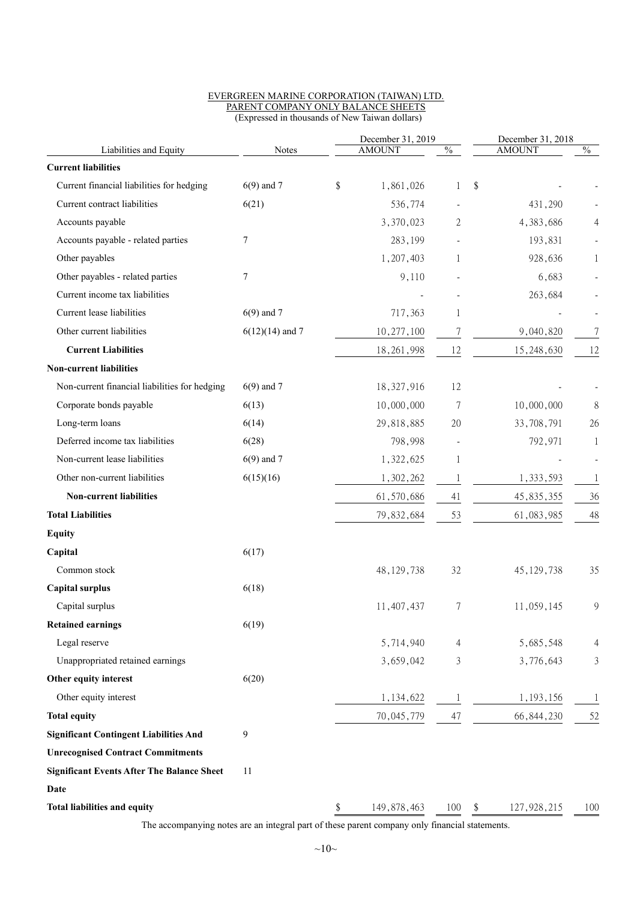|                                                   |                   | December 31, 2019 |               |                  |     | December 31, 2018 |               |  |
|---------------------------------------------------|-------------------|-------------------|---------------|------------------|-----|-------------------|---------------|--|
| Liabilities and Equity                            | Notes             |                   | <b>AMOUNT</b> | $\frac{0}{0}$    |     | <b>AMOUNT</b>     | $\frac{0}{6}$ |  |
| <b>Current liabilities</b>                        |                   |                   |               |                  |     |                   |               |  |
| Current financial liabilities for hedging         | $6(9)$ and 7      | \$                | 1,861,026     | 1                | \$  |                   |               |  |
| Current contract liabilities                      | 6(21)             |                   | 536,774       |                  |     | 431,290           |               |  |
| Accounts payable                                  |                   |                   | 3,370,023     | 2                |     | 4,383,686         |               |  |
| Accounts payable - related parties                | 7                 |                   | 283,199       |                  |     | 193,831           |               |  |
| Other payables                                    |                   |                   | 1,207,403     | 1                |     | 928,636           | 1             |  |
| Other payables - related parties                  | 7                 |                   | 9,110         |                  |     | 6,683             |               |  |
| Current income tax liabilities                    |                   |                   |               |                  |     | 263,684           |               |  |
| Current lease liabilities                         | $6(9)$ and 7      |                   | 717,363       | 1                |     |                   |               |  |
| Other current liabilities                         | $6(12)(14)$ and 7 |                   | 10,277,100    |                  |     | 9,040,820         | 7             |  |
| <b>Current Liabilities</b>                        |                   |                   | 18, 261, 998  | 12               |     | 15,248,630        | 12            |  |
| <b>Non-current liabilities</b>                    |                   |                   |               |                  |     |                   |               |  |
| Non-current financial liabilities for hedging     | $6(9)$ and 7      |                   | 18,327,916    | 12               |     |                   |               |  |
| Corporate bonds payable                           | 6(13)             |                   | 10,000,000    | 7                |     | 10,000,000        | 8             |  |
| Long-term loans                                   | 6(14)             |                   | 29,818,885    | 20               |     | 33,708,791        | 26            |  |
| Deferred income tax liabilities                   | 6(28)             |                   | 798,998       |                  |     | 792,971           | 1             |  |
| Non-current lease liabilities                     | $6(9)$ and 7      |                   | 1,322,625     | -1               |     |                   |               |  |
| Other non-current liabilities                     | 6(15)(16)         |                   | 1,302,262     | -1               |     | 1,333,593         | 1             |  |
| <b>Non-current liabilities</b>                    |                   |                   | 61,570,686    | 41               |     | 45, 835, 355      | 36            |  |
| <b>Total Liabilities</b>                          |                   |                   | 79,832,684    | 53               |     | 61,083,985        | 48            |  |
| <b>Equity</b>                                     |                   |                   |               |                  |     |                   |               |  |
| Capital                                           | 6(17)             |                   |               |                  |     |                   |               |  |
| Common stock                                      |                   |                   | 48, 129, 738  | 32               |     | 45, 129, 738      | 35            |  |
| <b>Capital surplus</b>                            | 6(18)             |                   |               |                  |     |                   |               |  |
| Capital surplus                                   |                   |                   | 11,407,437    | $\boldsymbol{7}$ |     | 11,059,145        | 9             |  |
| <b>Retained earnings</b>                          | 6(19)             |                   |               |                  |     |                   |               |  |
| Legal reserve                                     |                   |                   | 5,714,940     | 4                |     | 5,685,548         |               |  |
| Unappropriated retained earnings                  |                   |                   | 3,659,042     | 3                |     | 3,776,643         | 3             |  |
| Other equity interest                             | 6(20)             |                   |               |                  |     |                   |               |  |
| Other equity interest                             |                   |                   | 1,134,622     |                  |     | 1,193,156         |               |  |
| <b>Total equity</b>                               |                   |                   | 70,045,779    | 47               |     | 66, 844, 230      | 52            |  |
| <b>Significant Contingent Liabilities And</b>     | 9                 |                   |               |                  |     |                   |               |  |
|                                                   |                   |                   |               |                  |     |                   |               |  |
| <b>Unrecognised Contract Commitments</b>          |                   |                   |               |                  |     |                   |               |  |
| <b>Significant Events After The Balance Sheet</b> | 11                |                   |               |                  |     |                   |               |  |
| Date                                              |                   |                   |               |                  |     |                   |               |  |
| <b>Total liabilities and equity</b>               |                   | \$                | 149,878,463   | 100              | -\$ | 127, 928, 215     | 100           |  |

#### EVERGREEN MARINE CORPORATION (TAIWAN) LTD. PARENT COMPANY ONLY BALANCE SHEETS (Expressed in thousands of New Taiwan dollars)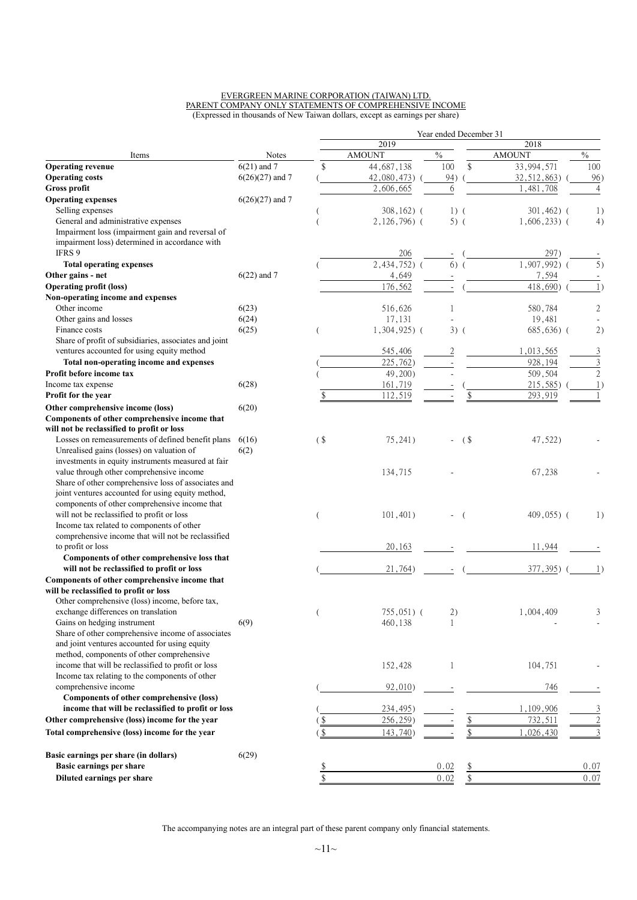#### EVERGREEN MARINE CORPORATION (TAIWAN) LTD. PARENT COMPANY ONLY STATEMENTS OF COMPREHENSIVE INCOME (Expressed in thousands of New Taiwan dollars, except as earnings per share)

|                                                                                                |                   | Year ended December 31 |                    |                |            |                   |                         |  |
|------------------------------------------------------------------------------------------------|-------------------|------------------------|--------------------|----------------|------------|-------------------|-------------------------|--|
|                                                                                                |                   |                        | 2019               |                |            | 2018              |                         |  |
| Items                                                                                          | Notes             |                        | <b>AMOUNT</b>      | $\frac{0}{0}$  |            | <b>AMOUNT</b>     | $\frac{0}{0}$           |  |
| <b>Operating revenue</b>                                                                       | $6(21)$ and 7     | \$                     | 44, 687, 138       | 100            | \$         | 33,994,571        | 100                     |  |
| <b>Operating costs</b>                                                                         | $6(26)(27)$ and 7 |                        | 42,080,473)        | 94)            |            | 32, 512, 863      | 96)                     |  |
| Gross profit                                                                                   |                   |                        | 2,606,665          | 6              |            | , 481, 708        | $\overline{4}$          |  |
| <b>Operating expenses</b>                                                                      | $6(26)(27)$ and 7 |                        |                    |                |            |                   |                         |  |
| Selling expenses                                                                               |                   |                        | $308, 162)$ (      | $1)$ (         |            | $301,462)$ (      | 1)                      |  |
| General and administrative expenses                                                            |                   | $\overline{(}$         | $2,126,796$ (      | $5)$ (         |            | $1,606,233$ ) (   | 4)                      |  |
| Impairment loss (impairment gain and reversal of                                               |                   |                        |                    |                |            |                   |                         |  |
| impairment loss) determined in accordance with                                                 |                   |                        |                    |                |            |                   |                         |  |
| IFRS 9                                                                                         |                   |                        | 206                |                |            | 297)              |                         |  |
| <b>Total operating expenses</b>                                                                |                   |                        | $2,434,752$ (      | $6)$ $($       |            | 1,907,992) (      | 5)                      |  |
| Other gains - net                                                                              | $6(22)$ and 7     |                        | 4,649              |                |            | 7,594<br>418,690) | 1)                      |  |
| <b>Operating profit (loss)</b>                                                                 |                   |                        | 176,562            |                |            |                   |                         |  |
| Non-operating income and expenses<br>Other income                                              |                   |                        |                    |                |            |                   |                         |  |
| Other gains and losses                                                                         | 6(23)<br>6(24)    |                        | 516,626<br>17,131  | 1              |            | 580,784           | $\mathfrak{2}$          |  |
| Finance costs                                                                                  | 6(25)             |                        |                    | $3)$ (         |            | 19,481            | 2)                      |  |
| Share of profit of subsidiaries, associates and joint                                          |                   |                        | 1,304,925) (       |                |            | $685,636$ ) (     |                         |  |
| ventures accounted for using equity method                                                     |                   |                        | 545,406            | $\overline{c}$ |            | 1,013,565         | $\mathfrak{Z}$          |  |
| Total non-operating income and expenses                                                        |                   |                        | 225,762)           |                |            | 928,194           | $\overline{\mathbf{3}}$ |  |
| Profit before income tax                                                                       |                   |                        | 49,200)            |                |            | 509,504           | $\overline{c}$          |  |
| Income tax expense                                                                             | 6(28)             |                        |                    |                |            | 215,585)          | $\left  \right $        |  |
| Profit for the year                                                                            |                   |                        | 161,719<br>112,519 |                | \$         | 293,919           |                         |  |
|                                                                                                |                   |                        |                    |                |            |                   |                         |  |
| Other comprehensive income (loss)                                                              | 6(20)             |                        |                    |                |            |                   |                         |  |
| Components of other comprehensive income that                                                  |                   |                        |                    |                |            |                   |                         |  |
| will not be reclassified to profit or loss                                                     |                   |                        |                    |                |            |                   |                         |  |
| Losses on remeasurements of defined benefit plans                                              | 6(16)             | $($ \$                 | 75,241)            |                | (\$        | 47,522)           |                         |  |
| Unrealised gains (losses) on valuation of                                                      | 6(2)              |                        |                    |                |            |                   |                         |  |
| investments in equity instruments measured at fair<br>value through other comprehensive income |                   |                        |                    |                |            |                   |                         |  |
| Share of other comprehensive loss of associates and                                            |                   |                        | 134,715            |                |            | 67,238            |                         |  |
| joint ventures accounted for using equity method,                                              |                   |                        |                    |                |            |                   |                         |  |
| components of other comprehensive income that                                                  |                   |                        |                    |                |            |                   |                         |  |
| will not be reclassified to profit or loss                                                     |                   | $\overline{(}$         | 101,401)           |                | $\sqrt{2}$ | $409,055$ ) (     | 1)                      |  |
| Income tax related to components of other                                                      |                   |                        |                    |                |            |                   |                         |  |
| comprehensive income that will not be reclassified                                             |                   |                        |                    |                |            |                   |                         |  |
| to profit or loss                                                                              |                   |                        | 20,163             |                |            | 11,944            |                         |  |
| Components of other comprehensive loss that                                                    |                   |                        |                    |                |            |                   |                         |  |
| will not be reclassified to profit or loss                                                     |                   |                        | 21,764)            |                |            | 377, 395)         |                         |  |
| Components of other comprehensive income that                                                  |                   |                        |                    |                |            |                   |                         |  |
| will be reclassified to profit or loss                                                         |                   |                        |                    |                |            |                   |                         |  |
| Other comprehensive (loss) income, before tax,                                                 |                   |                        |                    |                |            |                   |                         |  |
| exchange differences on translation                                                            |                   |                        | 755,051) (         | 2)             |            | 1,004,409         |                         |  |
| Gains on hedging instrument                                                                    | 6(9)              |                        | 460,138            | 1              |            |                   |                         |  |
| Share of other comprehensive income of associates                                              |                   |                        |                    |                |            |                   |                         |  |
| and joint ventures accounted for using equity                                                  |                   |                        |                    |                |            |                   |                         |  |
| method, components of other comprehensive                                                      |                   |                        |                    |                |            |                   |                         |  |
| income that will be reclassified to profit or loss                                             |                   |                        | 152,428            | 1              |            | 104,751           |                         |  |
| Income tax relating to the components of other                                                 |                   |                        |                    |                |            |                   |                         |  |
| comprehensive income                                                                           |                   |                        | 92,010)            |                |            | 746               |                         |  |
| Components of other comprehensive (loss)                                                       |                   |                        |                    |                |            |                   |                         |  |
| income that will be reclassified to profit or loss                                             |                   |                        | 234, 495)          |                |            | 1,109,906         | 3                       |  |
| Other comprehensive (loss) income for the year                                                 |                   |                        | 256,259)           |                |            | 732,511           | $\overline{2}$          |  |
| Total comprehensive (loss) income for the year                                                 |                   | (\$                    | 143,740)           |                |            | 1,026,430         | 3                       |  |
|                                                                                                |                   |                        |                    |                |            |                   |                         |  |
| Basic earnings per share (in dollars)                                                          | 6(29)             |                        |                    |                |            |                   |                         |  |
| Basic earnings per share                                                                       |                   |                        |                    | 0.02           |            |                   | 0.07                    |  |
| Diluted earnings per share                                                                     |                   |                        |                    | 0.02           |            |                   |                         |  |
|                                                                                                |                   |                        |                    |                |            |                   | 0.07                    |  |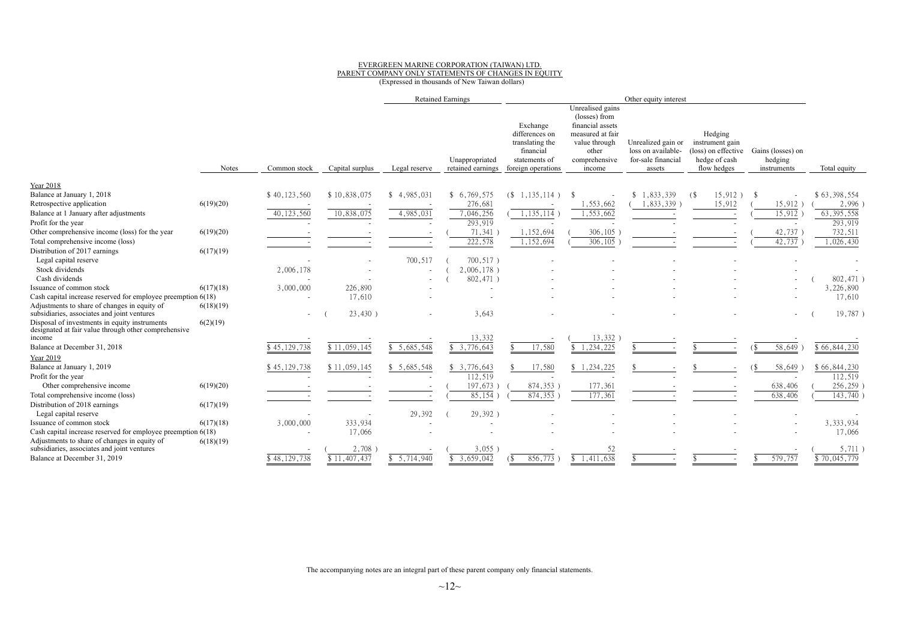#### EVERGREEN MARINE CORPORATION (TAIWAN) LTD. PARENT COMPANY ONLY STATEMENTS OF CHANGES IN EQUITY (Expressed in thousands of New Taiwan dollars)

|                                                                                                                 |              |              |                 | <b>Retained Earnings</b><br>Other equity interest |                                     |                                                                                                   |                                                                                                                                |                                                                          |                                                                                   |                                             |                          |
|-----------------------------------------------------------------------------------------------------------------|--------------|--------------|-----------------|---------------------------------------------------|-------------------------------------|---------------------------------------------------------------------------------------------------|--------------------------------------------------------------------------------------------------------------------------------|--------------------------------------------------------------------------|-----------------------------------------------------------------------------------|---------------------------------------------|--------------------------|
|                                                                                                                 | <b>Notes</b> | Common stock | Capital surplus | Legal reserve                                     | Unappropriated<br>retained earnings | Exchange<br>differences on<br>translating the<br>financial<br>statements of<br>foreign operations | Unrealised gains<br>(losses) from<br>financial assets<br>measured at fair<br>value through<br>other<br>comprehensive<br>income | Unrealized gain or<br>loss on available-<br>for-sale financial<br>assets | Hedging<br>instrument gain<br>(loss) on effective<br>hedge of cash<br>flow hedges | Gains (losses) on<br>hedging<br>instruments | Total equity             |
| Year 2018                                                                                                       |              |              |                 |                                                   |                                     |                                                                                                   |                                                                                                                                |                                                                          |                                                                                   |                                             |                          |
| Balance at January 1, 2018                                                                                      |              | \$40,123,560 | \$10,838,075    | \$4,985,031                                       | \$6,769,575                         | $($ \$ 1,135,114)                                                                                 | -S                                                                                                                             | \$1,833,339                                                              | $15,912$ ) \$<br>(                                                                |                                             | \$63,398,554             |
| Retrospective application                                                                                       | 6(19)(20)    |              |                 |                                                   | 276,681                             |                                                                                                   | 1,553,662                                                                                                                      | 1,833,339                                                                | 15,912                                                                            | 15,912                                      | 2,996                    |
| Balance at 1 January after adjustments                                                                          |              | 40, 123, 560 | 10,838,075      | 4,985,031                                         | 7,046,256                           | 1,135,114                                                                                         | 1,553,662                                                                                                                      |                                                                          |                                                                                   | 15,912                                      | 63, 395, 558             |
| Profit for the year                                                                                             |              |              |                 |                                                   | 293,919                             |                                                                                                   |                                                                                                                                |                                                                          |                                                                                   |                                             | 293,919                  |
| Other comprehensive income (loss) for the year                                                                  | 6(19)(20)    |              |                 |                                                   | 71,341                              | 1,152,694                                                                                         | 306,105                                                                                                                        |                                                                          |                                                                                   | 42,737                                      | 732,511                  |
| Total comprehensive income (loss)                                                                               |              |              |                 |                                                   | 222,578                             | 1,152,694                                                                                         | 306,105                                                                                                                        |                                                                          |                                                                                   | 42,737                                      | 1,026,430                |
| Distribution of 2017 earnings                                                                                   | 6(17)(19)    |              |                 |                                                   |                                     |                                                                                                   |                                                                                                                                |                                                                          |                                                                                   |                                             |                          |
| Legal capital reserve                                                                                           |              |              |                 | 700,517                                           | 700,517                             |                                                                                                   |                                                                                                                                |                                                                          |                                                                                   |                                             |                          |
| Stock dividends                                                                                                 |              | 2,006,178    |                 |                                                   | 2,006,178                           |                                                                                                   |                                                                                                                                |                                                                          |                                                                                   |                                             |                          |
| Cash dividends                                                                                                  |              |              |                 |                                                   | 802,471                             |                                                                                                   |                                                                                                                                |                                                                          |                                                                                   |                                             | 802,471                  |
| Issuance of common stock                                                                                        | 6(17)(18)    | 3,000,000    | 226,890         |                                                   |                                     |                                                                                                   |                                                                                                                                |                                                                          |                                                                                   |                                             | 3,226,890                |
| Cash capital increase reserved for employee preemption 6(18)                                                    |              |              | 17.610          |                                                   |                                     |                                                                                                   |                                                                                                                                |                                                                          |                                                                                   |                                             | 17,610                   |
| Adjustments to share of changes in equity of<br>subsidiaries, associates and joint ventures                     | 6(18)(19)    |              | 23,430)         |                                                   | 3,643                               |                                                                                                   |                                                                                                                                |                                                                          |                                                                                   |                                             | 19,787                   |
| Disposal of investments in equity instruments<br>designated at fair value through other comprehensive<br>income | 6(2)(19)     |              |                 |                                                   | 13,332                              |                                                                                                   |                                                                                                                                |                                                                          |                                                                                   |                                             |                          |
| Balance at December 31, 2018                                                                                    |              | \$45,129,738 | \$11,059,145    | 5,685,548                                         | 3,776,643                           | 17,580                                                                                            | 13,332<br>1,234,225                                                                                                            |                                                                          |                                                                                   | 58,649                                      | \$66,844,230             |
|                                                                                                                 |              |              |                 |                                                   |                                     |                                                                                                   |                                                                                                                                |                                                                          |                                                                                   |                                             |                          |
| Year 2019<br>Balance at January 1, 2019                                                                         |              | \$45,129,738 | \$11,059,145    | \$5,685,548                                       |                                     | 17,580                                                                                            | 1,234,225                                                                                                                      |                                                                          |                                                                                   | $\left( \frac{4}{3} \right)$                | \$66,844,230             |
| Profit for the year                                                                                             |              |              |                 |                                                   | 3,776,643<br>112,519                |                                                                                                   |                                                                                                                                |                                                                          |                                                                                   | 58,649                                      | 112,519                  |
| Other comprehensive income                                                                                      | 6(19)(20)    |              |                 |                                                   | 197,673                             | 874,353                                                                                           | 177,361                                                                                                                        |                                                                          |                                                                                   | 638,406                                     | 256,259                  |
| Total comprehensive income (loss)                                                                               |              |              |                 |                                                   | 85,154                              | 874,353                                                                                           | 177,361                                                                                                                        |                                                                          |                                                                                   | 638,406                                     | 143,740                  |
| Distribution of 2018 earnings                                                                                   | 6(17)(19)    |              |                 |                                                   |                                     |                                                                                                   |                                                                                                                                |                                                                          |                                                                                   |                                             |                          |
| Legal capital reserve                                                                                           |              |              |                 | 29,392                                            | 29,392                              |                                                                                                   |                                                                                                                                |                                                                          |                                                                                   |                                             |                          |
| Issuance of common stock                                                                                        | 6(17)(18)    | 3,000,000    | 333,934         |                                                   |                                     |                                                                                                   |                                                                                                                                |                                                                          |                                                                                   | $\sim$                                      | 3,333,934                |
| Cash capital increase reserved for employee preemption $6(18)$                                                  |              |              | 17,066          |                                                   |                                     |                                                                                                   |                                                                                                                                |                                                                          |                                                                                   |                                             | 17,066                   |
| Adjustments to share of changes in equity of<br>subsidiaries, associates and joint ventures                     | 6(18)(19)    |              | 2,708           |                                                   | 3,055                               |                                                                                                   |                                                                                                                                |                                                                          |                                                                                   |                                             | 5,711                    |
| Balance at December 31, 2019                                                                                    |              | \$48,129,738 | \$11,407,437    | 5,714,940                                         | $\overline{3,659,042}$              | 856,773                                                                                           | $\frac{1}{411,638}$                                                                                                            |                                                                          |                                                                                   | 579,757                                     | $\overline{$}70,045,779$ |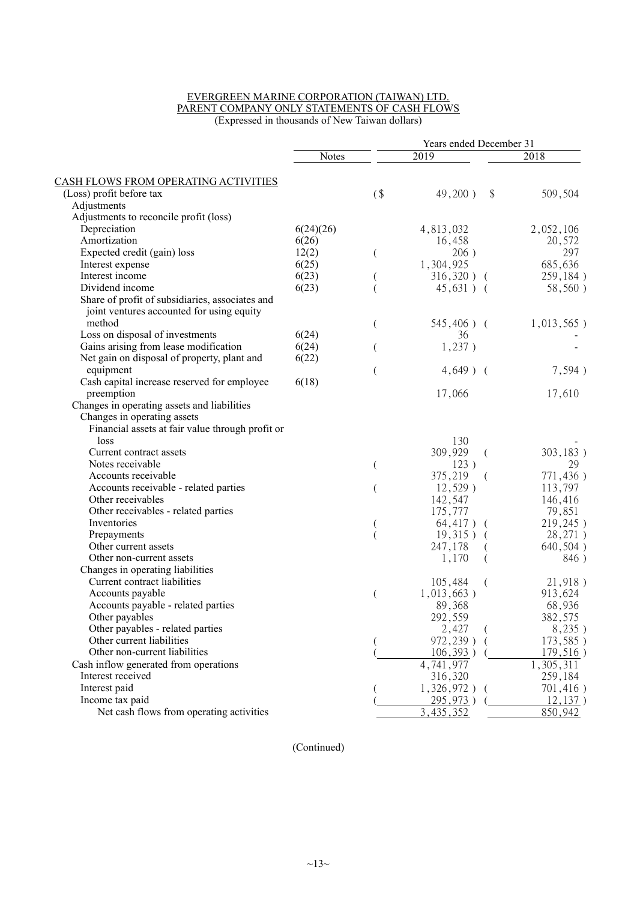#### EVERGREEN MARINE CORPORATION (TAIWAN) LTD. PARENT COMPANY ONLY STATEMENTS OF CASH FLOWS (Expressed in thousands of New Taiwan dollars)

|                                                                                              |              |                  | Years ended December 31 |               |  |  |
|----------------------------------------------------------------------------------------------|--------------|------------------|-------------------------|---------------|--|--|
|                                                                                              | <b>Notes</b> |                  | 2019                    | 2018          |  |  |
| CASH FLOWS FROM OPERATING ACTIVITIES                                                         |              |                  |                         |               |  |  |
| (Loss) profit before tax                                                                     |              | $($ \$           | \$<br>49,200)           | 509,504       |  |  |
| Adjustments                                                                                  |              |                  |                         |               |  |  |
| Adjustments to reconcile profit (loss)                                                       |              |                  |                         |               |  |  |
| Depreciation                                                                                 | 6(24)(26)    |                  | 4,813,032               | 2,052,106     |  |  |
| Amortization                                                                                 | 6(26)        |                  | 16,458                  | 20,572        |  |  |
| Expected credit (gain) loss                                                                  | 12(2)        | $\overline{(\ }$ | 206)                    | 297           |  |  |
| Interest expense                                                                             | 6(25)        |                  | 1,304,925               | 685,636       |  |  |
| Interest income                                                                              | 6(23)        |                  | $316,320$ ) (           | 259,184)      |  |  |
| Dividend income                                                                              | 6(23)        |                  | $45,631$ ) (            | 58,560)       |  |  |
| Share of profit of subsidiaries, associates and<br>joint ventures accounted for using equity |              |                  |                         |               |  |  |
| method                                                                                       |              | $\left($         | $545,406$ ) (           | $1,013,565$ ) |  |  |
| Loss on disposal of investments                                                              | 6(24)        |                  | 36                      |               |  |  |
| Gains arising from lease modification                                                        | 6(24)        |                  | 1,237)                  |               |  |  |
| Net gain on disposal of property, plant and                                                  | 6(22)        |                  |                         |               |  |  |
| equipment                                                                                    |              | (                | $4,649$ ) (             | 7,594)        |  |  |
| Cash capital increase reserved for employee                                                  | 6(18)        |                  |                         |               |  |  |
| preemption                                                                                   |              |                  | 17,066                  | 17,610        |  |  |
| Changes in operating assets and liabilities                                                  |              |                  |                         |               |  |  |
| Changes in operating assets                                                                  |              |                  |                         |               |  |  |
| Financial assets at fair value through profit or<br>loss                                     |              |                  | 130                     |               |  |  |
| Current contract assets                                                                      |              |                  | 309,929<br>$\left($     | 303, 183)     |  |  |
| Notes receivable                                                                             |              |                  | 123)                    | 29            |  |  |
| Accounts receivable                                                                          |              |                  | 375,219<br>$\left($     | 771,436)      |  |  |
| Accounts receivable - related parties                                                        |              |                  | $12,529$ )              | 113,797       |  |  |
| Other receivables                                                                            |              |                  | 142,547                 | 146,416       |  |  |
| Other receivables - related parties                                                          |              |                  | 175,777                 | 79,851        |  |  |
| Inventories                                                                                  |              |                  | $64,417$ ) (            | 219,245)      |  |  |
| Prepayments                                                                                  |              |                  | $19,315$ ) (            | 28,271)       |  |  |
| Other current assets                                                                         |              |                  | 247,178                 | 640,504)      |  |  |
| Other non-current assets                                                                     |              |                  | 1,170                   | 846)          |  |  |
| Changes in operating liabilities                                                             |              |                  |                         |               |  |  |
| Current contract liabilities                                                                 |              |                  | 105,484<br>$\left($     | $21,918$ )    |  |  |
| Accounts payable                                                                             |              | $\overline{(}$   | 1,013,663)              | 913,624       |  |  |
| Accounts payable - related parties                                                           |              |                  | 89,368                  | 68,936        |  |  |
| Other payables                                                                               |              |                  | 292,559                 | 382,575       |  |  |
| Other payables - related parties                                                             |              |                  | 2,427                   | 8,235)        |  |  |
| Other current liabilities                                                                    |              |                  | 972,239)                | 173,585)      |  |  |
| Other non-current liabilities                                                                |              |                  | 106,393)                | 179,516)      |  |  |
| Cash inflow generated from operations                                                        |              |                  | 4,741,977               | 1,305,311     |  |  |
| Interest received                                                                            |              |                  | 316,320                 | 259,184       |  |  |
| Interest paid                                                                                |              |                  | 1,326,972)              | 701,416)      |  |  |
| Income tax paid                                                                              |              |                  | 295,973)                | 12,137)       |  |  |
| Net cash flows from operating activities                                                     |              |                  | 3,435,352               | 850,942       |  |  |

(Continued)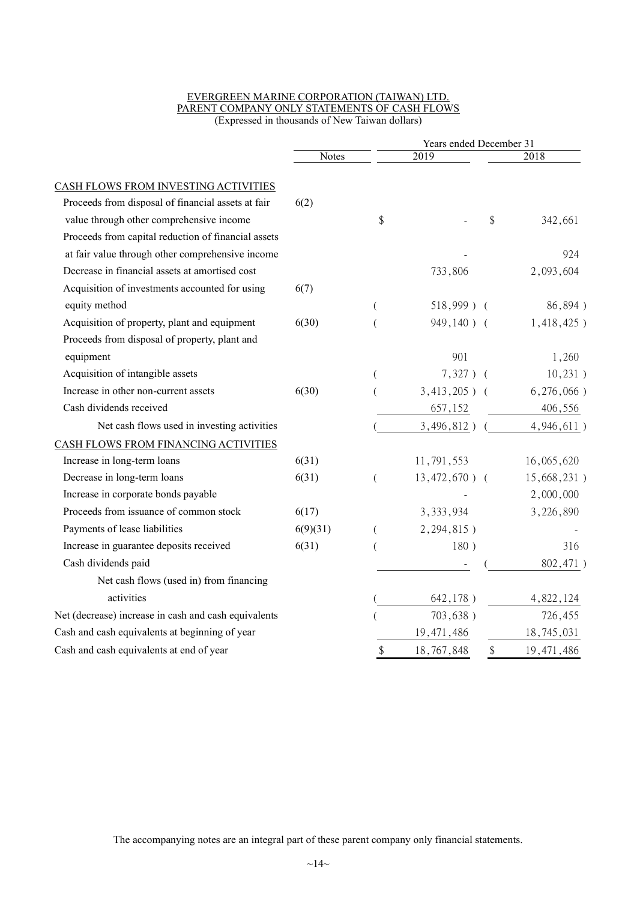## EVERGREEN MARINE CORPORATION (TAIWAN) LTD. PARENT COMPANY ONLY STATEMENTS OF CASH FLOWS

(Expressed in thousands of New Taiwan dollars)

|                                                      |              |                  | Years ended December 31 |    |               |  |  |
|------------------------------------------------------|--------------|------------------|-------------------------|----|---------------|--|--|
|                                                      | <b>Notes</b> |                  | $\overline{2019}$       |    | 2018          |  |  |
| CASH FLOWS FROM INVESTING ACTIVITIES                 |              |                  |                         |    |               |  |  |
| Proceeds from disposal of financial assets at fair   | 6(2)         |                  |                         |    |               |  |  |
| value through other comprehensive income             |              | \$               |                         | \$ | 342,661       |  |  |
| Proceeds from capital reduction of financial assets  |              |                  |                         |    |               |  |  |
| at fair value through other comprehensive income     |              |                  |                         |    | 924           |  |  |
| Decrease in financial assets at amortised cost       |              |                  | 733,806                 |    | 2,093,604     |  |  |
| Acquisition of investments accounted for using       | 6(7)         |                  |                         |    |               |  |  |
| equity method                                        |              | (                | $518,999$ ) (           |    | 86,894)       |  |  |
| Acquisition of property, plant and equipment         | 6(30)        |                  | 949,140) (              |    | 1,418,425)    |  |  |
| Proceeds from disposal of property, plant and        |              |                  |                         |    |               |  |  |
| equipment                                            |              |                  | 901                     |    | 1,260         |  |  |
| Acquisition of intangible assets                     |              |                  | $7,327$ ) (             |    | 10,231)       |  |  |
| Increase in other non-current assets                 | 6(30)        |                  | $3,413,205$ ) (         |    | $6,276,066$ ) |  |  |
| Cash dividends received                              |              |                  | 657,152                 |    | 406,556       |  |  |
| Net cash flows used in investing activities          |              |                  | 3,496,812)              |    | 4,946,611)    |  |  |
| CASH FLOWS FROM FINANCING ACTIVITIES                 |              |                  |                         |    |               |  |  |
| Increase in long-term loans                          | 6(31)        |                  | 11,791,553              |    | 16,065,620    |  |  |
| Decrease in long-term loans                          | 6(31)        | (                | $13,472,670$ ) (        |    | 15,668,231)   |  |  |
| Increase in corporate bonds payable                  |              |                  |                         |    | 2,000,000     |  |  |
| Proceeds from issuance of common stock               | 6(17)        |                  | 3, 333, 934             |    | 3,226,890     |  |  |
| Payments of lease liabilities                        | 6(9)(31)     | $\overline{(\ }$ | 2,294,815)              |    |               |  |  |
| Increase in guarantee deposits received              | 6(31)        |                  | 180)                    |    | 316           |  |  |
| Cash dividends paid                                  |              |                  |                         |    | 802,471)      |  |  |
| Net cash flows (used in) from financing              |              |                  |                         |    |               |  |  |
| activities                                           |              |                  | 642,178)                |    | 4,822,124     |  |  |
| Net (decrease) increase in cash and cash equivalents |              |                  | 703,638)                |    | 726,455       |  |  |
| Cash and cash equivalents at beginning of year       |              |                  | 19,471,486              |    | 18,745,031    |  |  |
| Cash and cash equivalents at end of year             |              | \$               | 18,767,848              | \$ | 19, 471, 486  |  |  |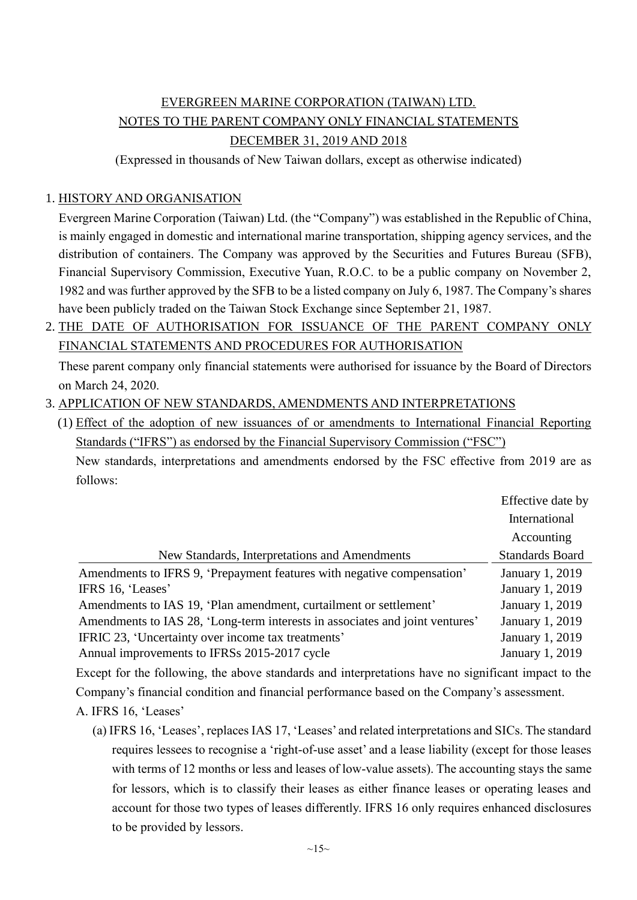# EVERGREEN MARINE CORPORATION (TAIWAN) LTD. NOTES TO THE PARENT COMPANY ONLY FINANCIAL STATEMENTS DECEMBER 31, 2019 AND 2018

(Expressed in thousands of New Taiwan dollars, except as otherwise indicated)

### 1. HISTORY AND ORGANISATION

Evergreen Marine Corporation (Taiwan) Ltd. (the "Company") was established in the Republic of China, is mainly engaged in domestic and international marine transportation, shipping agency services, and the distribution of containers. The Company was approved by the Securities and Futures Bureau (SFB), Financial Supervisory Commission, Executive Yuan, R.O.C. to be a public company on November 2, 1982 and was further approved by the SFB to be a listed company on July 6, 1987. The Company's shares have been publicly traded on the Taiwan Stock Exchange since September 21, 1987.

# 2. THE DATE OF AUTHORISATION FOR ISSUANCE OF THE PARENT COMPANY ONLY FINANCIAL STATEMENTS AND PROCEDURES FOR AUTHORISATION

These parent company only financial statements were authorised for issuance by the Board of Directors on March 24, 2020.

- 3. APPLICATION OF NEW STANDARDS, AMENDMENTS AND INTERPRETATIONS
	- (1) Effect of the adoption of new issuances of or amendments to International Financial Reporting Standards ("IFRS") as endorsed by the Financial Supervisory Commission ("FSC") New standards, interpretations and amendments endorsed by the FSC effective from 2019 are as follows:

|                                                                              | Effective date by      |
|------------------------------------------------------------------------------|------------------------|
|                                                                              | International          |
|                                                                              | Accounting             |
| New Standards, Interpretations and Amendments                                | <b>Standards Board</b> |
| Amendments to IFRS 9, 'Prepayment features with negative compensation'       | January 1, 2019        |
| IFRS 16, 'Leases'                                                            | January 1, 2019        |
| Amendments to IAS 19, 'Plan amendment, curtailment or settlement'            | January 1, 2019        |
| Amendments to IAS 28, 'Long-term interests in associates and joint ventures' | January 1, 2019        |
| IFRIC 23, 'Uncertainty over income tax treatments'                           | January 1, 2019        |
| Annual improvements to IFRSs 2015-2017 cycle                                 | January 1, 2019        |

Except for the following, the above standards and interpretations have no significant impact to the Company's financial condition and financial performance based on the Company's assessment.

A. IFRS 16, 'Leases'

(a) IFRS 16, 'Leases', replaces IAS 17, 'Leases' and related interpretations and SICs. The standard requires lessees to recognise a 'right-of-use asset' and a lease liability (except for those leases with terms of 12 months or less and leases of low-value assets). The accounting stays the same for lessors, which is to classify their leases as either finance leases or operating leases and account for those two types of leases differently. IFRS 16 only requires enhanced disclosures to be provided by lessors.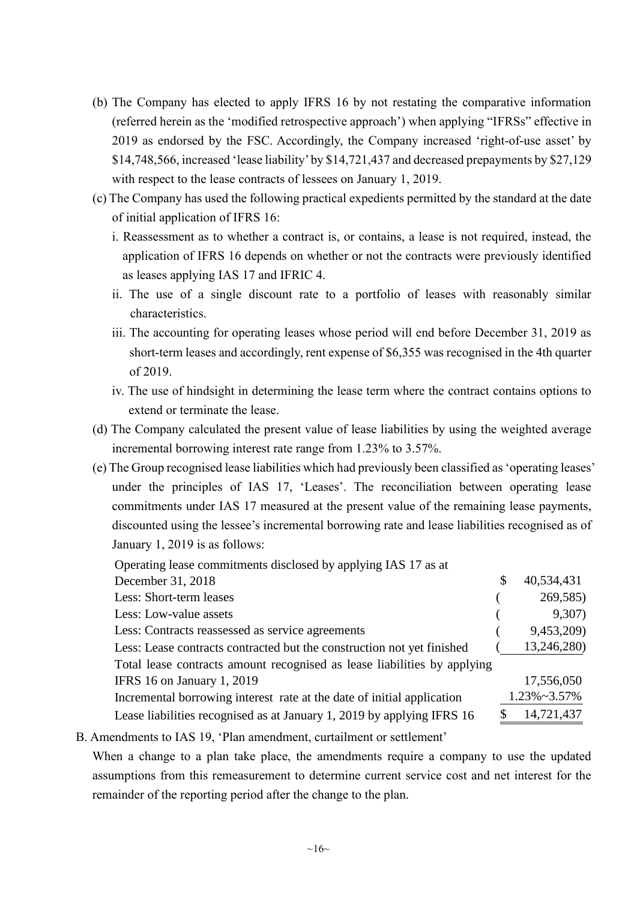- (b) The Company has elected to apply IFRS 16 by not restating the comparative information (referred herein as the 'modified retrospective approach') when applying "IFRSs" effective in 2019 as endorsed by the FSC. Accordingly, the Company increased 'right-of-use asset' by \$14,748,566, increased 'lease liability' by \$14,721,437 and decreased prepayments by \$27,129 with respect to the lease contracts of lessees on January 1, 2019.
- (c) The Company has used the following practical expedients permitted by the standard at the date of initial application of IFRS 16:
	- i. Reassessment as to whether a contract is, or contains, a lease is not required, instead, the application of IFRS 16 depends on whether or not the contracts were previously identified as leases applying IAS 17 and IFRIC 4.
	- ii. The use of a single discount rate to a portfolio of leases with reasonably similar characteristics.
	- iii. The accounting for operating leases whose period will end before December 31, 2019 as short-term leases and accordingly, rent expense of \$6,355 was recognised in the 4th quarter of 2019.
	- iv. The use of hindsight in determining the lease term where the contract contains options to extend or terminate the lease.
- (d) The Company calculated the present value of lease liabilities by using the weighted average incremental borrowing interest rate range from 1.23% to 3.57%.
- (e) The Group recognised lease liabilities which had previously been classified as 'operating leases' under the principles of IAS 17, 'Leases'. The reconciliation between operating lease commitments under IAS 17 measured at the present value of the remaining lease payments, discounted using the lessee's incremental borrowing rate and lease liabilities recognised as of January 1, 2019 is as follows:

| Operating lease commitments disclosed by applying IAS 17 as at           |                      |
|--------------------------------------------------------------------------|----------------------|
| December 31, 2018                                                        | \$<br>40,534,431     |
| Less: Short-term leases                                                  | 269,585)             |
| Less: Low-value assets                                                   | 9,307)               |
| Less: Contracts reassessed as service agreements                         | 9,453,209)           |
| Less: Lease contracts contracted but the construction not yet finished   | 13,246,280)          |
| Total lease contracts amount recognised as lease liabilities by applying |                      |
| IFRS 16 on January 1, 2019                                               | 17,556,050           |
| Incremental borrowing interest rate at the date of initial application   | $1.23\% \sim 3.57\%$ |
| Lease liabilities recognised as at January 1, 2019 by applying IFRS 16   | 14,721,437           |
|                                                                          |                      |

B. Amendments to IAS 19, 'Plan amendment, curtailment or settlement'

When a change to a plan take place, the amendments require a company to use the updated assumptions from this remeasurement to determine current service cost and net interest for the remainder of the reporting period after the change to the plan.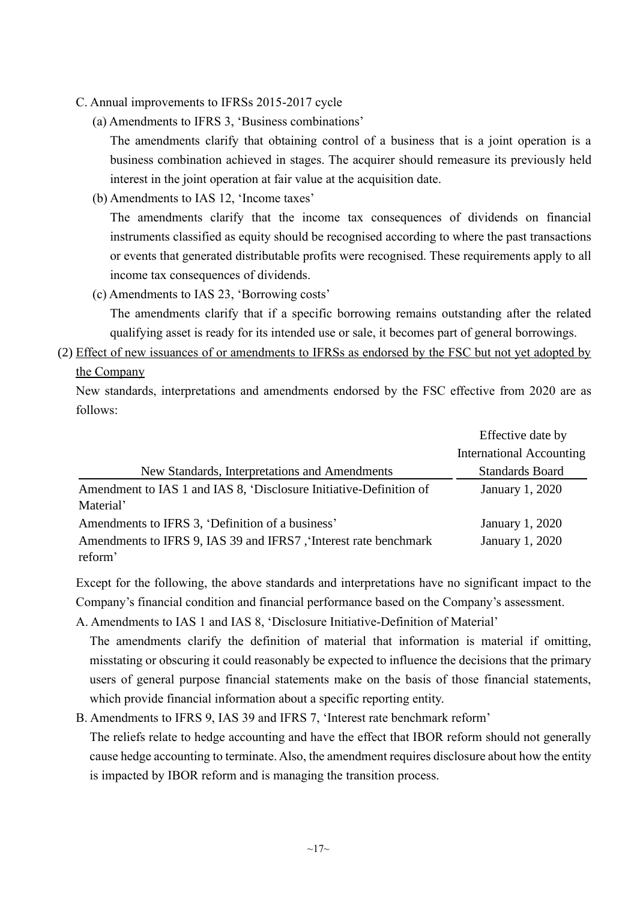#### C. Annual improvements to IFRSs 2015-2017 cycle

(a) Amendments to IFRS 3, 'Business combinations'

The amendments clarify that obtaining control of a business that is a joint operation is a business combination achieved in stages. The acquirer should remeasure its previously held interest in the joint operation at fair value at the acquisition date.

(b) Amendments to IAS 12, 'Income taxes'

The amendments clarify that the income tax consequences of dividends on financial instruments classified as equity should be recognised according to where the past transactions or events that generated distributable profits were recognised. These requirements apply to all income tax consequences of dividends.

(c) Amendments to IAS 23, 'Borrowing costs'

The amendments clarify that if a specific borrowing remains outstanding after the related qualifying asset is ready for its intended use or sale, it becomes part of general borrowings.

(2) Effect of new issuances of or amendments to IFRSs as endorsed by the FSC but not yet adopted by the Company

New standards, interpretations and amendments endorsed by the FSC effective from 2020 are as follows:

|                                                                    | Effective date by               |
|--------------------------------------------------------------------|---------------------------------|
|                                                                    | <b>International Accounting</b> |
| New Standards, Interpretations and Amendments                      | <b>Standards Board</b>          |
| Amendment to IAS 1 and IAS 8, 'Disclosure Initiative-Definition of | January 1, 2020                 |
| Material'                                                          |                                 |
| Amendments to IFRS 3, 'Definition of a business'                   | January 1, 2020                 |
| Amendments to IFRS 9, IAS 39 and IFRS7, 'Interest rate benchmark   | January 1, 2020                 |
| reform'                                                            |                                 |

Except for the following, the above standards and interpretations have no significant impact to the Company's financial condition and financial performance based on the Company's assessment.

A. Amendments to IAS 1 and IAS 8, 'Disclosure Initiative-Definition of Material'

The amendments clarify the definition of material that information is material if omitting, misstating or obscuring it could reasonably be expected to influence the decisions that the primary users of general purpose financial statements make on the basis of those financial statements, which provide financial information about a specific reporting entity.

B. Amendments to IFRS 9, IAS 39 and IFRS 7, 'Interest rate benchmark reform'

The reliefs relate to hedge accounting and have the effect that IBOR reform should not generally cause hedge accounting to terminate. Also, the amendment requires disclosure about how the entity is impacted by IBOR reform and is managing the transition process.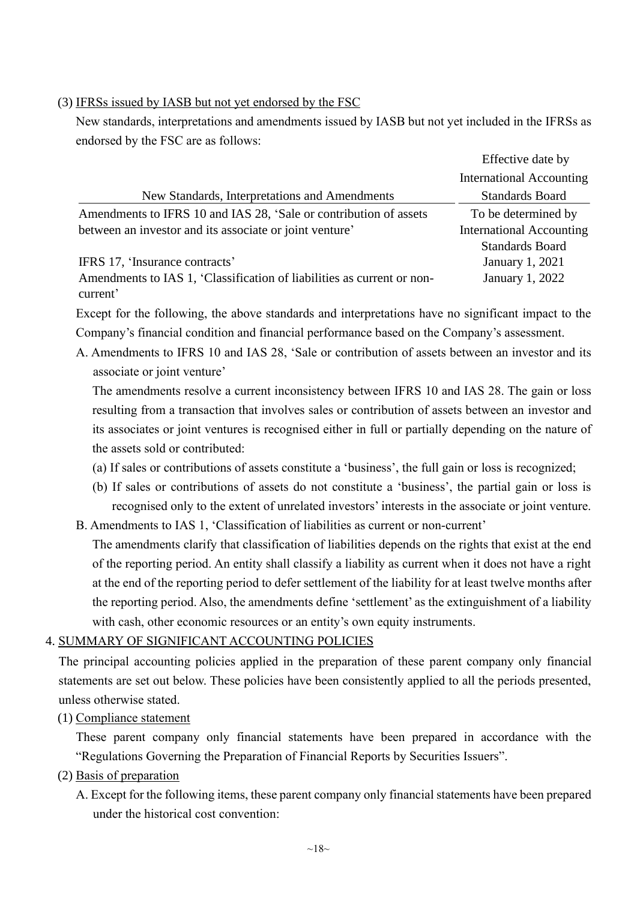#### (3) IFRSs issued by IASB but not yet endorsed by the FSC

New standards, interpretations and amendments issued by IASB but not yet included in the IFRSs as endorsed by the FSC are as follows:

|                                                                        | Effective date by               |
|------------------------------------------------------------------------|---------------------------------|
|                                                                        | <b>International Accounting</b> |
| New Standards, Interpretations and Amendments                          | <b>Standards Board</b>          |
| Amendments to IFRS 10 and IAS 28, 'Sale or contribution of assets      | To be determined by             |
| between an investor and its associate or joint venture'                | <b>International Accounting</b> |
|                                                                        | <b>Standards Board</b>          |
| IFRS 17, 'Insurance contracts'                                         | January 1, 2021                 |
| Amendments to IAS 1, 'Classification of liabilities as current or non- | January 1, 2022                 |
| current'                                                               |                                 |

Except for the following, the above standards and interpretations have no significant impact to the Company's financial condition and financial performance based on the Company's assessment.

A. Amendments to IFRS 10 and IAS 28, 'Sale or contribution of assets between an investor and its associate or joint venture'

The amendments resolve a current inconsistency between IFRS 10 and IAS 28. The gain or loss resulting from a transaction that involves sales or contribution of assets between an investor and its associates or joint ventures is recognised either in full or partially depending on the nature of the assets sold or contributed:

- (a) If sales or contributions of assets constitute a 'business', the full gain or loss is recognized;
- (b) If sales or contributions of assets do not constitute a 'business', the partial gain or loss is recognised only to the extent of unrelated investors' interests in the associate or joint venture.
- B. Amendments to IAS 1, 'Classification of liabilities as current or non-current'

The amendments clarify that classification of liabilities depends on the rights that exist at the end of the reporting period. An entity shall classify a liability as current when it does not have a right at the end of the reporting period to defer settlement of the liability for at least twelve months after the reporting period. Also, the amendments define 'settlement' as the extinguishment of a liability with cash, other economic resources or an entity's own equity instruments.

# 4. SUMMARY OF SIGNIFICANT ACCOUNTING POLICIES

The principal accounting policies applied in the preparation of these parent company only financial statements are set out below. These policies have been consistently applied to all the periods presented, unless otherwise stated.

### (1) Compliance statement

These parent company only financial statements have been prepared in accordance with the "Regulations Governing the Preparation of Financial Reports by Securities Issuers".

### (2) Basis of preparation

A. Except for the following items, these parent company only financial statements have been prepared under the historical cost convention: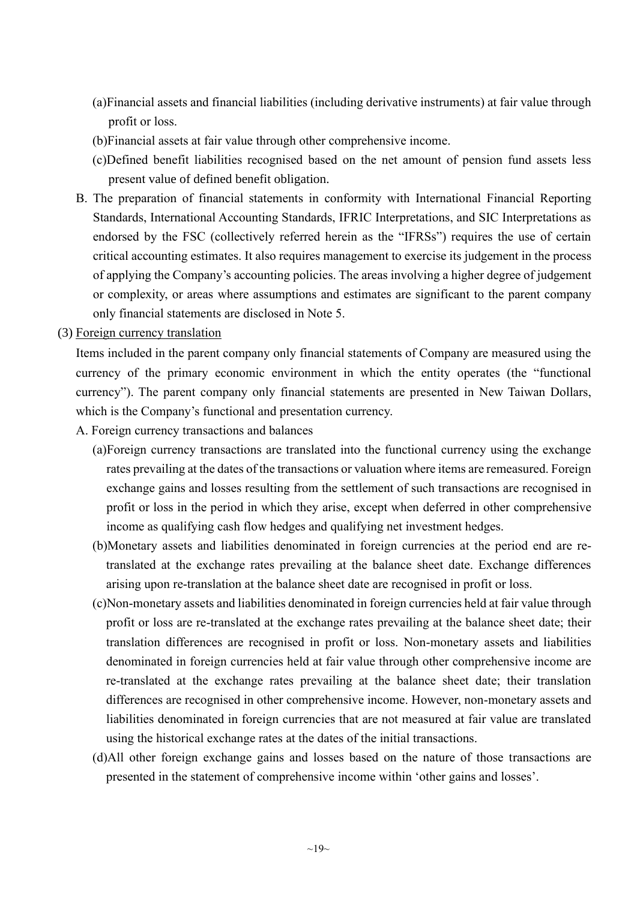- (a)Financial assets and financial liabilities (including derivative instruments) at fair value through profit or loss.
- (b)Financial assets at fair value through other comprehensive income.
- (c)Defined benefit liabilities recognised based on the net amount of pension fund assets less present value of defined benefit obligation.
- B. The preparation of financial statements in conformity with International Financial Reporting Standards, International Accounting Standards, IFRIC Interpretations, and SIC Interpretations as endorsed by the FSC (collectively referred herein as the "IFRSs") requires the use of certain critical accounting estimates. It also requires management to exercise its judgement in the process of applying the Company's accounting policies. The areas involving a higher degree of judgement or complexity, or areas where assumptions and estimates are significant to the parent company only financial statements are disclosed in Note 5.
- (3) Foreign currency translation

Items included in the parent company only financial statements of Company are measured using the currency of the primary economic environment in which the entity operates (the "functional currency"). The parent company only financial statements are presented in New Taiwan Dollars, which is the Company's functional and presentation currency.

- A. Foreign currency transactions and balances
	- (a)Foreign currency transactions are translated into the functional currency using the exchange rates prevailing at the dates of the transactions or valuation where items are remeasured. Foreign exchange gains and losses resulting from the settlement of such transactions are recognised in profit or loss in the period in which they arise, except when deferred in other comprehensive income as qualifying cash flow hedges and qualifying net investment hedges.
	- (b)Monetary assets and liabilities denominated in foreign currencies at the period end are retranslated at the exchange rates prevailing at the balance sheet date. Exchange differences arising upon re-translation at the balance sheet date are recognised in profit or loss.
	- (c)Non-monetary assets and liabilities denominated in foreign currencies held at fair value through profit or loss are re-translated at the exchange rates prevailing at the balance sheet date; their translation differences are recognised in profit or loss. Non-monetary assets and liabilities denominated in foreign currencies held at fair value through other comprehensive income are re-translated at the exchange rates prevailing at the balance sheet date; their translation differences are recognised in other comprehensive income. However, non-monetary assets and liabilities denominated in foreign currencies that are not measured at fair value are translated using the historical exchange rates at the dates of the initial transactions.
	- (d)All other foreign exchange gains and losses based on the nature of those transactions are presented in the statement of comprehensive income within 'other gains and losses'.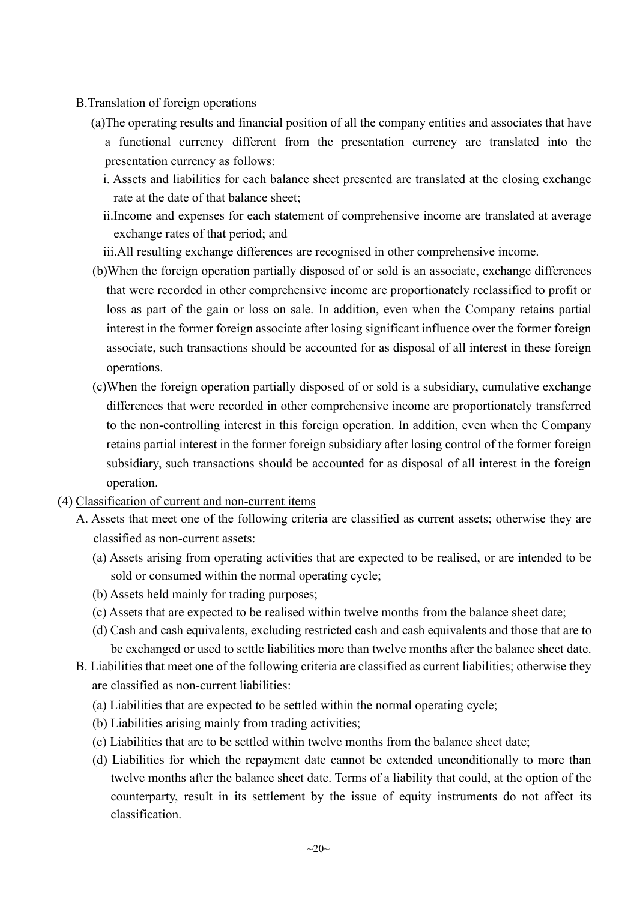- B.Translation of foreign operations
	- (a)The operating results and financial position of all the company entities and associates that have a functional currency different from the presentation currency are translated into the presentation currency as follows:
		- i. Assets and liabilities for each balance sheet presented are translated at the closing exchange rate at the date of that balance sheet;
		- ii.Income and expenses for each statement of comprehensive income are translated at average exchange rates of that period; and
		- iii.All resulting exchange differences are recognised in other comprehensive income.
	- (b)When the foreign operation partially disposed of or sold is an associate, exchange differences that were recorded in other comprehensive income are proportionately reclassified to profit or loss as part of the gain or loss on sale. In addition, even when the Company retains partial interest in the former foreign associate after losing significant influence over the former foreign associate, such transactions should be accounted for as disposal of all interest in these foreign operations.
	- (c)When the foreign operation partially disposed of or sold is a subsidiary, cumulative exchange differences that were recorded in other comprehensive income are proportionately transferred to the non-controlling interest in this foreign operation. In addition, even when the Company retains partial interest in the former foreign subsidiary after losing control of the former foreign subsidiary, such transactions should be accounted for as disposal of all interest in the foreign operation.
- (4) Classification of current and non-current items
	- A. Assets that meet one of the following criteria are classified as current assets; otherwise they are classified as non-current assets:
		- (a) Assets arising from operating activities that are expected to be realised, or are intended to be sold or consumed within the normal operating cycle;
		- (b) Assets held mainly for trading purposes;
		- (c) Assets that are expected to be realised within twelve months from the balance sheet date;
		- (d) Cash and cash equivalents, excluding restricted cash and cash equivalents and those that are to be exchanged or used to settle liabilities more than twelve months after the balance sheet date.
	- B. Liabilities that meet one of the following criteria are classified as current liabilities; otherwise they are classified as non-current liabilities:
		- (a) Liabilities that are expected to be settled within the normal operating cycle;
		- (b) Liabilities arising mainly from trading activities;
		- (c) Liabilities that are to be settled within twelve months from the balance sheet date;
		- (d) Liabilities for which the repayment date cannot be extended unconditionally to more than twelve months after the balance sheet date. Terms of a liability that could, at the option of the counterparty, result in its settlement by the issue of equity instruments do not affect its classification.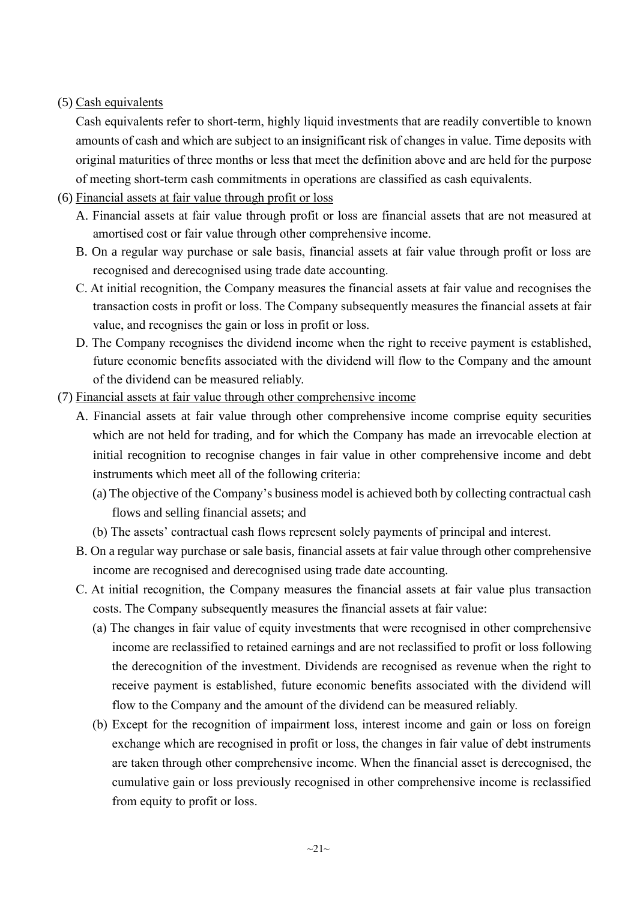### (5) Cash equivalents

Cash equivalents refer to short-term, highly liquid investments that are readily convertible to known amounts of cash and which are subject to an insignificant risk of changes in value. Time deposits with original maturities of three months or less that meet the definition above and are held for the purpose of meeting short-term cash commitments in operations are classified as cash equivalents.

### (6) Financial assets at fair value through profit or loss

- A. Financial assets at fair value through profit or loss are financial assets that are not measured at amortised cost or fair value through other comprehensive income.
- B. On a regular way purchase or sale basis, financial assets at fair value through profit or loss are recognised and derecognised using trade date accounting.
- C. At initial recognition, the Company measures the financial assets at fair value and recognises the transaction costs in profit or loss. The Company subsequently measures the financial assets at fair value, and recognises the gain or loss in profit or loss.
- D. The Company recognises the dividend income when the right to receive payment is established, future economic benefits associated with the dividend will flow to the Company and the amount of the dividend can be measured reliably.
- (7) Financial assets at fair value through other comprehensive income
	- A. Financial assets at fair value through other comprehensive income comprise equity securities which are not held for trading, and for which the Company has made an irrevocable election at initial recognition to recognise changes in fair value in other comprehensive income and debt instruments which meet all of the following criteria:
		- (a) The objective of the Company's business model is achieved both by collecting contractual cash flows and selling financial assets; and
		- (b) The assets' contractual cash flows represent solely payments of principal and interest.
	- B. On a regular way purchase or sale basis, financial assets at fair value through other comprehensive income are recognised and derecognised using trade date accounting.
	- C. At initial recognition, the Company measures the financial assets at fair value plus transaction costs. The Company subsequently measures the financial assets at fair value:
		- (a) The changes in fair value of equity investments that were recognised in other comprehensive income are reclassified to retained earnings and are not reclassified to profit or loss following the derecognition of the investment. Dividends are recognised as revenue when the right to receive payment is established, future economic benefits associated with the dividend will flow to the Company and the amount of the dividend can be measured reliably.
		- (b) Except for the recognition of impairment loss, interest income and gain or loss on foreign exchange which are recognised in profit or loss, the changes in fair value of debt instruments are taken through other comprehensive income. When the financial asset is derecognised, the cumulative gain or loss previously recognised in other comprehensive income is reclassified from equity to profit or loss.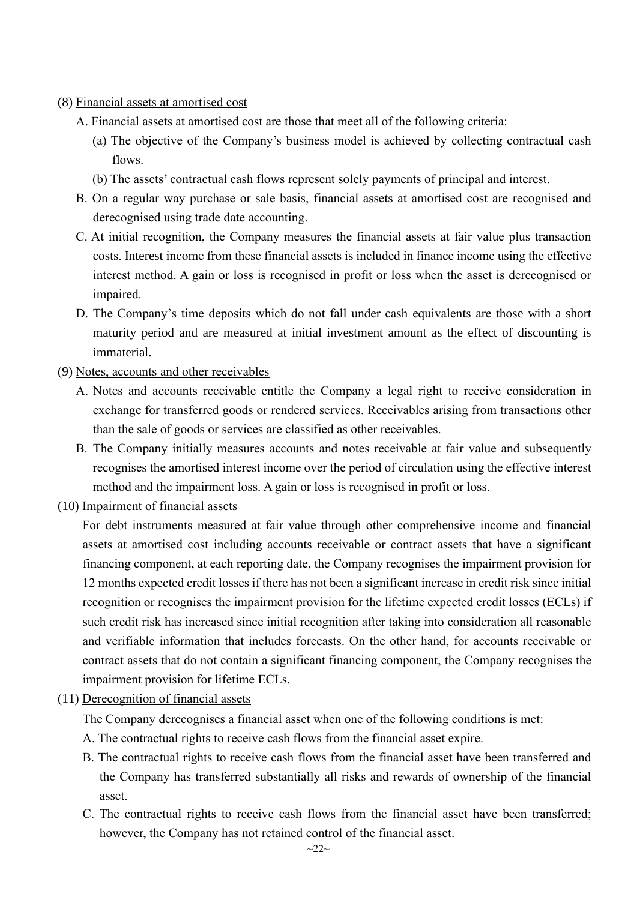#### (8) Financial assets at amortised cost

- A. Financial assets at amortised cost are those that meet all of the following criteria:
	- (a) The objective of the Company's business model is achieved by collecting contractual cash flows.
	- (b) The assets' contractual cash flows represent solely payments of principal and interest.
- B. On a regular way purchase or sale basis, financial assets at amortised cost are recognised and derecognised using trade date accounting.
- C. At initial recognition, the Company measures the financial assets at fair value plus transaction costs. Interest income from these financial assets is included in finance income using the effective interest method. A gain or loss is recognised in profit or loss when the asset is derecognised or impaired.
- D. The Company's time deposits which do not fall under cash equivalents are those with a short maturity period and are measured at initial investment amount as the effect of discounting is immaterial.
- (9) Notes, accounts and other receivables
	- A. Notes and accounts receivable entitle the Company a legal right to receive consideration in exchange for transferred goods or rendered services. Receivables arising from transactions other than the sale of goods or services are classified as other receivables.
	- B. The Company initially measures accounts and notes receivable at fair value and subsequently recognises the amortised interest income over the period of circulation using the effective interest method and the impairment loss. A gain or loss is recognised in profit or loss.
- (10) Impairment of financial assets

For debt instruments measured at fair value through other comprehensive income and financial assets at amortised cost including accounts receivable or contract assets that have a significant financing component, at each reporting date, the Company recognises the impairment provision for 12 months expected credit losses if there has not been a significant increase in credit risk since initial recognition or recognises the impairment provision for the lifetime expected credit losses (ECLs) if such credit risk has increased since initial recognition after taking into consideration all reasonable and verifiable information that includes forecasts. On the other hand, for accounts receivable or contract assets that do not contain a significant financing component, the Company recognises the impairment provision for lifetime ECLs.

(11) Derecognition of financial assets

The Company derecognises a financial asset when one of the following conditions is met:

- A. The contractual rights to receive cash flows from the financial asset expire.
- B. The contractual rights to receive cash flows from the financial asset have been transferred and the Company has transferred substantially all risks and rewards of ownership of the financial asset.
- C. The contractual rights to receive cash flows from the financial asset have been transferred; however, the Company has not retained control of the financial asset.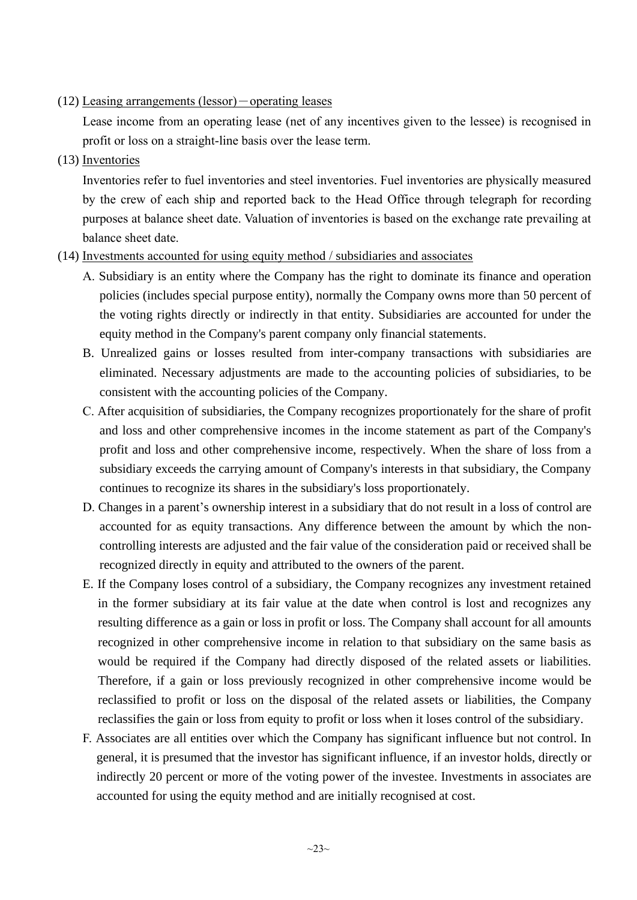$(12)$  Leasing arrangements  $(lessor)$  - operating leases

Lease income from an operating lease (net of any incentives given to the lessee) is recognised in profit or loss on a straight-line basis over the lease term.

(13) Inventories

Inventories refer to fuel inventories and steel inventories. Fuel inventories are physically measured by the crew of each ship and reported back to the Head Office through telegraph for recording purposes at balance sheet date. Valuation of inventories is based on the exchange rate prevailing at balance sheet date.

- (14) Investments accounted for using equity method / subsidiaries and associates
	- A. Subsidiary is an entity where the Company has the right to dominate its finance and operation policies (includes special purpose entity), normally the Company owns more than 50 percent of the voting rights directly or indirectly in that entity. Subsidiaries are accounted for under the equity method in the Company's parent company only financial statements.
	- B. Unrealized gains or losses resulted from inter-company transactions with subsidiaries are eliminated. Necessary adjustments are made to the accounting policies of subsidiaries, to be consistent with the accounting policies of the Company.
	- C. After acquisition of subsidiaries, the Company recognizes proportionately for the share of profit and loss and other comprehensive incomes in the income statement as part of the Company's profit and loss and other comprehensive income, respectively. When the share of loss from a subsidiary exceeds the carrying amount of Company's interests in that subsidiary, the Company continues to recognize its shares in the subsidiary's loss proportionately.
	- D. Changes in a parent's ownership interest in a subsidiary that do not result in a loss of control are accounted for as equity transactions. Any difference between the amount by which the noncontrolling interests are adjusted and the fair value of the consideration paid or received shall be recognized directly in equity and attributed to the owners of the parent.
	- E. If the Company loses control of a subsidiary, the Company recognizes any investment retained in the former subsidiary at its fair value at the date when control is lost and recognizes any resulting difference as a gain or loss in profit or loss. The Company shall account for all amounts recognized in other comprehensive income in relation to that subsidiary on the same basis as would be required if the Company had directly disposed of the related assets or liabilities. Therefore, if a gain or loss previously recognized in other comprehensive income would be reclassified to profit or loss on the disposal of the related assets or liabilities, the Company reclassifies the gain or loss from equity to profit or loss when it loses control of the subsidiary.
	- F. Associates are all entities over which the Company has significant influence but not control. In general, it is presumed that the investor has significant influence, if an investor holds, directly or indirectly 20 percent or more of the voting power of the investee. Investments in associates are accounted for using the equity method and are initially recognised at cost.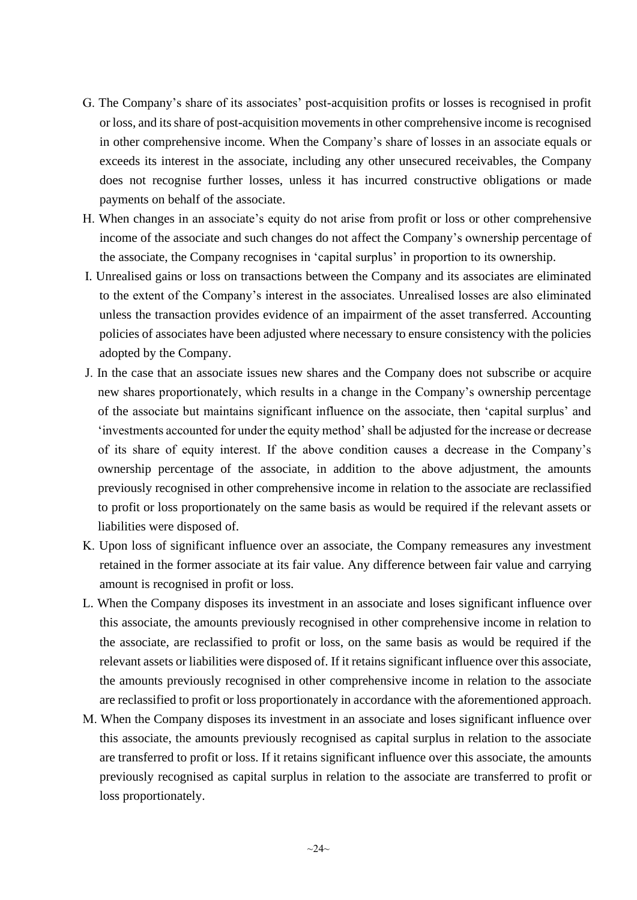- G. The Company's share of its associates' post-acquisition profits or losses is recognised in profit or loss, and its share of post-acquisition movements in other comprehensive income is recognised in other comprehensive income. When the Company's share of losses in an associate equals or exceeds its interest in the associate, including any other unsecured receivables, the Company does not recognise further losses, unless it has incurred constructive obligations or made payments on behalf of the associate.
- H. When changes in an associate's equity do not arise from profit or loss or other comprehensive income of the associate and such changes do not affect the Company's ownership percentage of the associate, the Company recognises in 'capital surplus' in proportion to its ownership.
- I. Unrealised gains or loss on transactions between the Company and its associates are eliminated to the extent of the Company's interest in the associates. Unrealised losses are also eliminated unless the transaction provides evidence of an impairment of the asset transferred. Accounting policies of associates have been adjusted where necessary to ensure consistency with the policies adopted by the Company.
- J. In the case that an associate issues new shares and the Company does not subscribe or acquire new shares proportionately, which results in a change in the Company's ownership percentage of the associate but maintains significant influence on the associate, then 'capital surplus' and 'investments accounted for under the equity method' shall be adjusted for the increase or decrease of its share of equity interest. If the above condition causes a decrease in the Company's ownership percentage of the associate, in addition to the above adjustment, the amounts previously recognised in other comprehensive income in relation to the associate are reclassified to profit or loss proportionately on the same basis as would be required if the relevant assets or liabilities were disposed of.
- K. Upon loss of significant influence over an associate, the Company remeasures any investment retained in the former associate at its fair value. Any difference between fair value and carrying amount is recognised in profit or loss.
- L. When the Company disposes its investment in an associate and loses significant influence over this associate, the amounts previously recognised in other comprehensive income in relation to the associate, are reclassified to profit or loss, on the same basis as would be required if the relevant assets or liabilities were disposed of. If it retains significant influence over this associate, the amounts previously recognised in other comprehensive income in relation to the associate are reclassified to profit or loss proportionately in accordance with the aforementioned approach.
- M. When the Company disposes its investment in an associate and loses significant influence over this associate, the amounts previously recognised as capital surplus in relation to the associate are transferred to profit or loss. If it retains significant influence over this associate, the amounts previously recognised as capital surplus in relation to the associate are transferred to profit or loss proportionately.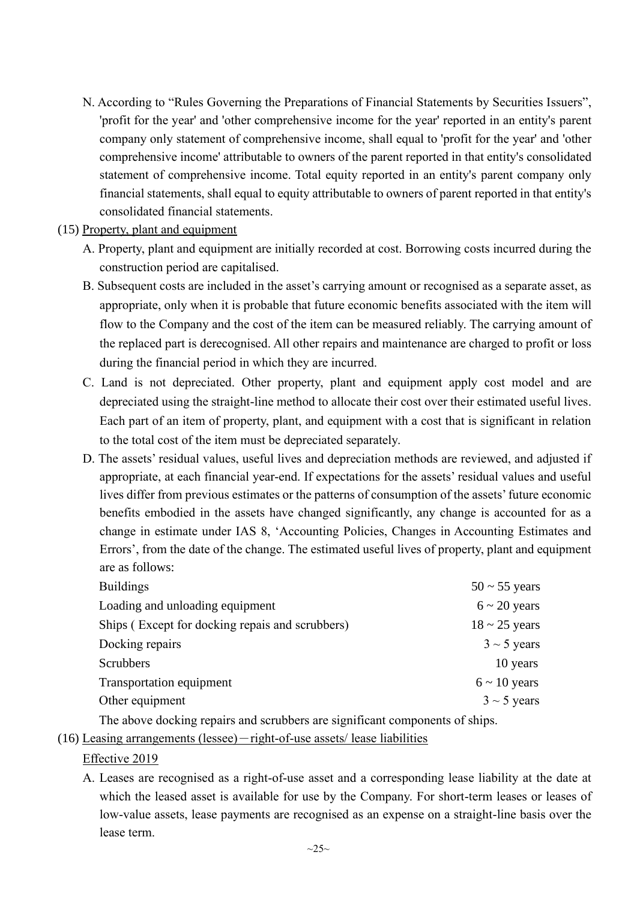- N. According to "Rules Governing the Preparations of Financial Statements by Securities Issuers", 'profit for the year' and 'other comprehensive income for the year' reported in an entity's parent company only statement of comprehensive income, shall equal to 'profit for the year' and 'other comprehensive income' attributable to owners of the parent reported in that entity's consolidated statement of comprehensive income. Total equity reported in an entity's parent company only financial statements, shall equal to equity attributable to owners of parent reported in that entity's consolidated financial statements.
- (15) Property, plant and equipment
	- A. Property, plant and equipment are initially recorded at cost. Borrowing costs incurred during the construction period are capitalised.
	- B. Subsequent costs are included in the asset's carrying amount or recognised as a separate asset, as appropriate, only when it is probable that future economic benefits associated with the item will flow to the Company and the cost of the item can be measured reliably. The carrying amount of the replaced part is derecognised. All other repairs and maintenance are charged to profit or loss during the financial period in which they are incurred.
	- C. Land is not depreciated. Other property, plant and equipment apply cost model and are depreciated using the straight-line method to allocate their cost over their estimated useful lives. Each part of an item of property, plant, and equipment with a cost that is significant in relation to the total cost of the item must be depreciated separately.
	- D. The assets' residual values, useful lives and depreciation methods are reviewed, and adjusted if appropriate, at each financial year-end. If expectations for the assets' residual values and useful lives differ from previous estimates or the patterns of consumption of the assets' future economic benefits embodied in the assets have changed significantly, any change is accounted for as a change in estimate under IAS 8, 'Accounting Policies, Changes in Accounting Estimates and Errors', from the date of the change. The estimated useful lives of property, plant and equipment are as follows:

| <b>Buildings</b>                                | $50 \sim 55$ years |
|-------------------------------------------------|--------------------|
| Loading and unloading equipment                 | $6 \sim 20$ years  |
| Ships (Except for docking repais and scrubbers) | $18 \sim 25$ years |
| Docking repairs                                 | $3 \sim 5$ years   |
| <b>Scrubbers</b>                                | 10 years           |
| <b>Transportation equipment</b>                 | $6 \sim 10$ years  |
| Other equipment                                 | $3 \sim 5$ years   |
|                                                 |                    |

The above docking repairs and scrubbers are significant components of ships.

 $(16)$  Leasing arrangements (lessee) - right-of-use assets/ lease liabilities

### Effective 2019

A. Leases are recognised as a right-of-use asset and a corresponding lease liability at the date at which the leased asset is available for use by the Company. For short-term leases or leases of low-value assets, lease payments are recognised as an expense on a straight-line basis over the lease term.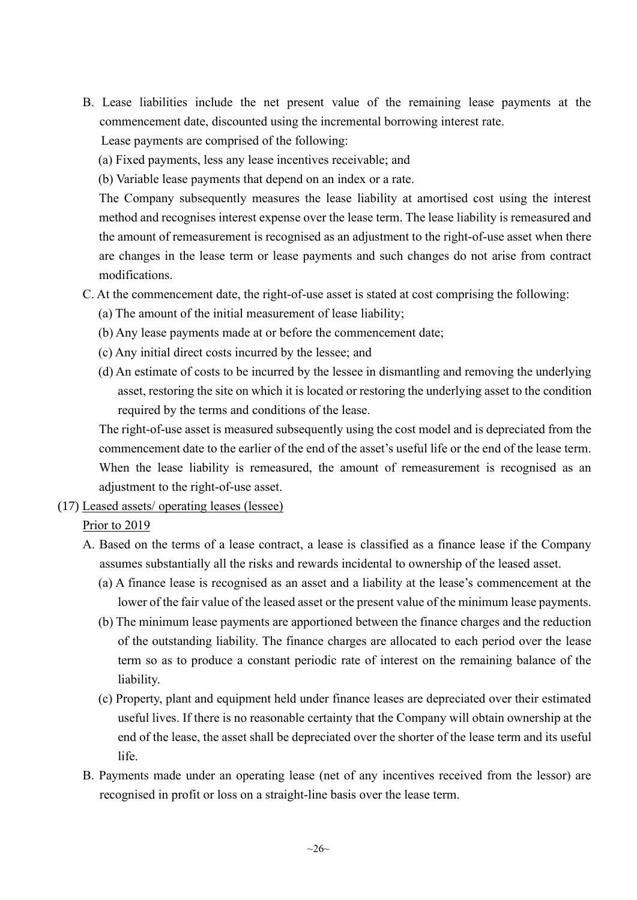B. Lease liabilities include the net present value of the remaining lease payments at the commencement date, discounted using the incremental borrowing interest rate.

Lease payments are comprised of the following:

- (a) Fixed payments, less any lease incentives receivable; and
- (b) Variable lease payments that depend on an index or a rate.

The Company subsequently measures the lease liability at amortised cost using the interest method and recognises interest expense over the lease term. The lease liability is remeasured and the amount of remeasurement is recognised as an adjustment to the right-of-use asset when there are changes in the lease term or lease payments and such changes do not arise from contract modifications.

- C. At the commencement date, the right-of-use asset is stated at cost comprising the following:
	- (a) The amount of the initial measurement of lease liability;
	- (b) Any lease payments made at or before the commencement date;
	- (c) Any initial direct costs incurred by the lessee; and
	- (d) An estimate of costs to be incurred by the lessee in dismantling and removing the underlying asset, restoring the site on which it is located or restoring the underlying asset to the condition required by the terms and conditions of the lease.

The right-of-use asset is measured subsequently using the cost model and is depreciated from the commencement date to the earlier of the end of the asset's useful life or the end of the lease term. When the lease liability is remeasured, the amount of remeasurement is recognised as an adjustment to the right-of-use asset.

- (17) Leased assets/ operating leases (lessee)
	- Prior to 2019
	- A. Based on the terms of a lease contract, a lease is classified as a finance lease if the Company assumes substantially all the risks and rewards incidental to ownership of the leased asset.
		- (a) A finance lease is recognised as an asset and a liability at the lease's commencement at the lower of the fair value of the leased asset or the present value of the minimum lease payments.
		- (b) The minimum lease payments are apportioned between the finance charges and the reduction of the outstanding liability. The finance charges are allocated to each period over the lease term so as to produce a constant periodic rate of interest on the remaining balance of the liability.
		- (c) Property, plant and equipment held under finance leases are depreciated over their estimated useful lives. If there is no reasonable certainty that the Company will obtain ownership at the end of the lease, the asset shall be depreciated over the shorter of the lease term and its useful life.
	- B. Payments made under an operating lease (net of any incentives received from the lessor) are recognised in profit or loss on a straight-line basis over the lease term.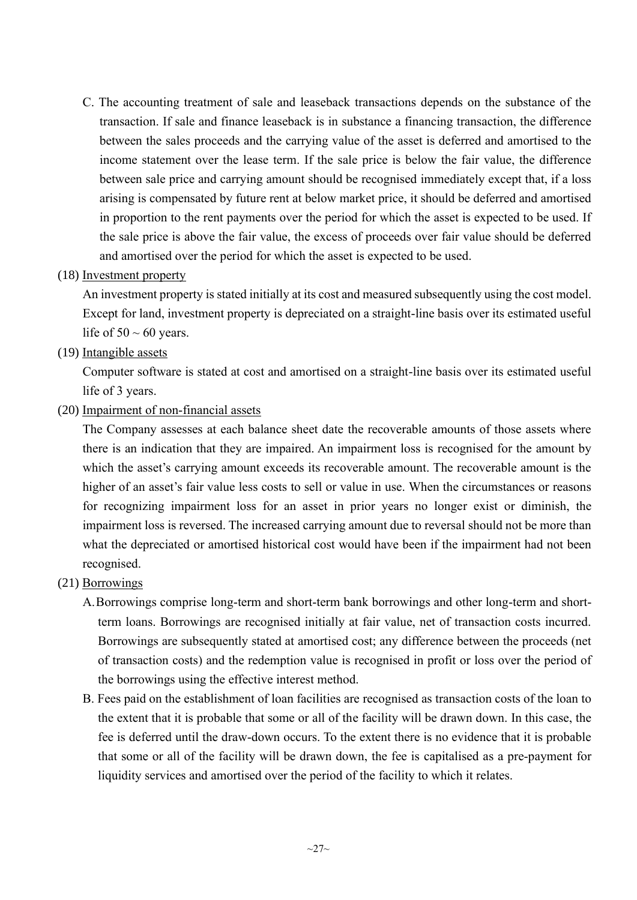C. The accounting treatment of sale and leaseback transactions depends on the substance of the transaction. If sale and finance leaseback is in substance a financing transaction, the difference between the sales proceeds and the carrying value of the asset is deferred and amortised to the income statement over the lease term. If the sale price is below the fair value, the difference between sale price and carrying amount should be recognised immediately except that, if a loss arising is compensated by future rent at below market price, it should be deferred and amortised in proportion to the rent payments over the period for which the asset is expected to be used. If the sale price is above the fair value, the excess of proceeds over fair value should be deferred and amortised over the period for which the asset is expected to be used.

### (18) Investment property

An investment property is stated initially at its cost and measured subsequently using the cost model. Except for land, investment property is depreciated on a straight-line basis over its estimated useful life of  $50 \sim 60$  years.

#### (19) Intangible assets

Computer software is stated at cost and amortised on a straight-line basis over its estimated useful life of 3 years.

#### (20) Impairment of non-financial assets

The Company assesses at each balance sheet date the recoverable amounts of those assets where there is an indication that they are impaired. An impairment loss is recognised for the amount by which the asset's carrying amount exceeds its recoverable amount. The recoverable amount is the higher of an asset's fair value less costs to sell or value in use. When the circumstances or reasons for recognizing impairment loss for an asset in prior years no longer exist or diminish, the impairment loss is reversed. The increased carrying amount due to reversal should not be more than what the depreciated or amortised historical cost would have been if the impairment had not been recognised.

#### (21) Borrowings

- A.Borrowings comprise long-term and short-term bank borrowings and other long-term and shortterm loans. Borrowings are recognised initially at fair value, net of transaction costs incurred. Borrowings are subsequently stated at amortised cost; any difference between the proceeds (net of transaction costs) and the redemption value is recognised in profit or loss over the period of the borrowings using the effective interest method.
- B. Fees paid on the establishment of loan facilities are recognised as transaction costs of the loan to the extent that it is probable that some or all of the facility will be drawn down. In this case, the fee is deferred until the draw-down occurs. To the extent there is no evidence that it is probable that some or all of the facility will be drawn down, the fee is capitalised as a pre-payment for liquidity services and amortised over the period of the facility to which it relates.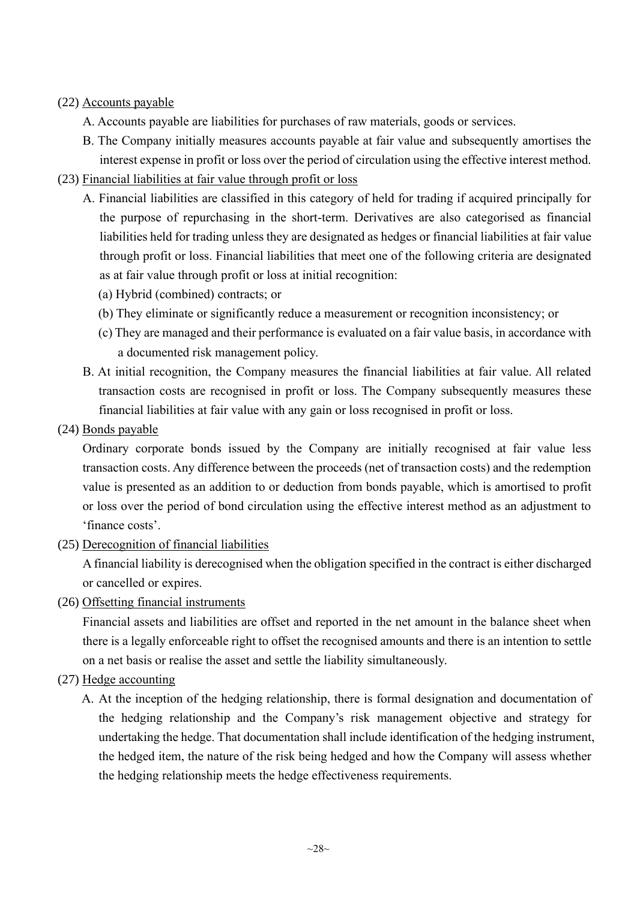### (22) Accounts payable

- A. Accounts payable are liabilities for purchases of raw materials, goods or services.
- B. The Company initially measures accounts payable at fair value and subsequently amortises the interest expense in profit or loss over the period of circulation using the effective interest method.
- (23) Financial liabilities at fair value through profit or loss
	- A. Financial liabilities are classified in this category of held for trading if acquired principally for the purpose of repurchasing in the short-term. Derivatives are also categorised as financial liabilities held for trading unless they are designated as hedges or financial liabilities at fair value through profit or loss. Financial liabilities that meet one of the following criteria are designated as at fair value through profit or loss at initial recognition:
		- (a) Hybrid (combined) contracts; or
		- (b) They eliminate or significantly reduce a measurement or recognition inconsistency; or
		- (c) They are managed and their performance is evaluated on a fair value basis, in accordance with a documented risk management policy.
	- B. At initial recognition, the Company measures the financial liabilities at fair value. All related transaction costs are recognised in profit or loss. The Company subsequently measures these financial liabilities at fair value with any gain or loss recognised in profit or loss.

# (24) Bonds payable

Ordinary corporate bonds issued by the Company are initially recognised at fair value less transaction costs. Any difference between the proceeds (net of transaction costs) and the redemption value is presented as an addition to or deduction from bonds payable, which is amortised to profit or loss over the period of bond circulation using the effective interest method as an adjustment to 'finance costs'.

(25) Derecognition of financial liabilities

A financial liability is derecognised when the obligation specified in the contract is either discharged or cancelled or expires.

(26) Offsetting financial instruments

Financial assets and liabilities are offset and reported in the net amount in the balance sheet when there is a legally enforceable right to offset the recognised amounts and there is an intention to settle on a net basis or realise the asset and settle the liability simultaneously.

- (27) Hedge accounting
	- A. At the inception of the hedging relationship, there is formal designation and documentation of the hedging relationship and the Company's risk management objective and strategy for undertaking the hedge. That documentation shall include identification of the hedging instrument, the hedged item, the nature of the risk being hedged and how the Company will assess whether the hedging relationship meets the hedge effectiveness requirements.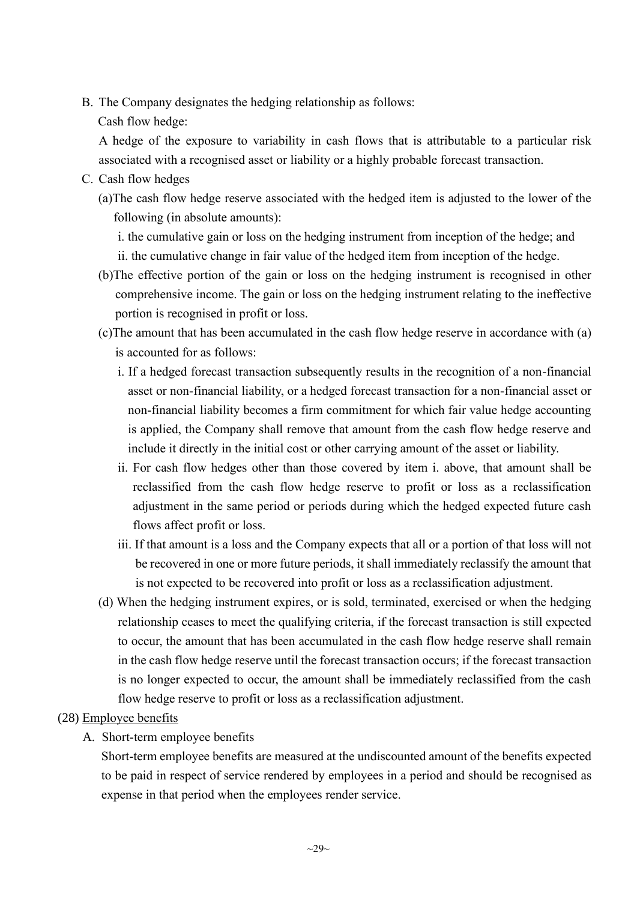B. The Company designates the hedging relationship as follows: Cash flow hedge:

A hedge of the exposure to variability in cash flows that is attributable to a particular risk associated with a recognised asset or liability or a highly probable forecast transaction.

- C. Cash flow hedges
	- (a)The cash flow hedge reserve associated with the hedged item is adjusted to the lower of the following (in absolute amounts):

i. the cumulative gain or loss on the hedging instrument from inception of the hedge; and

- ii. the cumulative change in fair value of the hedged item from inception of the hedge.
- (b)The effective portion of the gain or loss on the hedging instrument is recognised in other comprehensive income. The gain or loss on the hedging instrument relating to the ineffective portion is recognised in profit or loss.
- (c)The amount that has been accumulated in the cash flow hedge reserve in accordance with (a) is accounted for as follows:
	- i. If a hedged forecast transaction subsequently results in the recognition of a non-financial asset or non-financial liability, or a hedged forecast transaction for a non-financial asset or non-financial liability becomes a firm commitment for which fair value hedge accounting is applied, the Company shall remove that amount from the cash flow hedge reserve and include it directly in the initial cost or other carrying amount of the asset or liability.
	- ii. For cash flow hedges other than those covered by item i. above, that amount shall be reclassified from the cash flow hedge reserve to profit or loss as a reclassification adjustment in the same period or periods during which the hedged expected future cash flows affect profit or loss.
	- iii. If that amount is a loss and the Company expects that all or a portion of that loss will not be recovered in one or more future periods, it shall immediately reclassify the amount that is not expected to be recovered into profit or loss as a reclassification adjustment.
- (d) When the hedging instrument expires, or is sold, terminated, exercised or when the hedging relationship ceases to meet the qualifying criteria, if the forecast transaction is still expected to occur, the amount that has been accumulated in the cash flow hedge reserve shall remain in the cash flow hedge reserve until the forecast transaction occurs; if the forecast transaction is no longer expected to occur, the amount shall be immediately reclassified from the cash flow hedge reserve to profit or loss as a reclassification adjustment.

### (28) Employee benefits

### A. Short-term employee benefits

Short-term employee benefits are measured at the undiscounted amount of the benefits expected to be paid in respect of service rendered by employees in a period and should be recognised as expense in that period when the employees render service.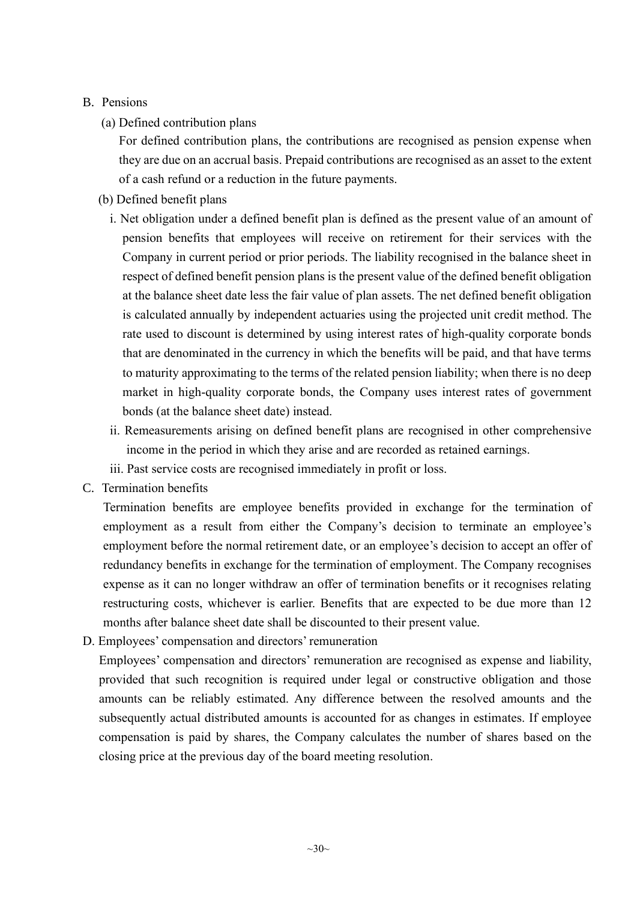#### B. Pensions

- (a) Defined contribution plans
	- For defined contribution plans, the contributions are recognised as pension expense when they are due on an accrual basis. Prepaid contributions are recognised as an asset to the extent of a cash refund or a reduction in the future payments.
- (b) Defined benefit plans
	- i. Net obligation under a defined benefit plan is defined as the present value of an amount of pension benefits that employees will receive on retirement for their services with the Company in current period or prior periods. The liability recognised in the balance sheet in respect of defined benefit pension plans is the present value of the defined benefit obligation at the balance sheet date less the fair value of plan assets. The net defined benefit obligation is calculated annually by independent actuaries using the projected unit credit method. The rate used to discount is determined by using interest rates of high-quality corporate bonds that are denominated in the currency in which the benefits will be paid, and that have terms to maturity approximating to the terms of the related pension liability; when there is no deep market in high-quality corporate bonds, the Company uses interest rates of government bonds (at the balance sheet date) instead.
	- ii. Remeasurements arising on defined benefit plans are recognised in other comprehensive income in the period in which they arise and are recorded as retained earnings.
	- iii. Past service costs are recognised immediately in profit or loss.
- C. Termination benefits

Termination benefits are employee benefits provided in exchange for the termination of employment as a result from either the Company's decision to terminate an employee's employment before the normal retirement date, or an employee's decision to accept an offer of redundancy benefits in exchange for the termination of employment. The Company recognises expense as it can no longer withdraw an offer of termination benefits or it recognises relating restructuring costs, whichever is earlier. Benefits that are expected to be due more than 12 months after balance sheet date shall be discounted to their present value.

D. Employees' compensation and directors' remuneration

Employees' compensation and directors' remuneration are recognised as expense and liability, provided that such recognition is required under legal or constructive obligation and those amounts can be reliably estimated. Any difference between the resolved amounts and the subsequently actual distributed amounts is accounted for as changes in estimates. If employee compensation is paid by shares, the Company calculates the number of shares based on the closing price at the previous day of the board meeting resolution.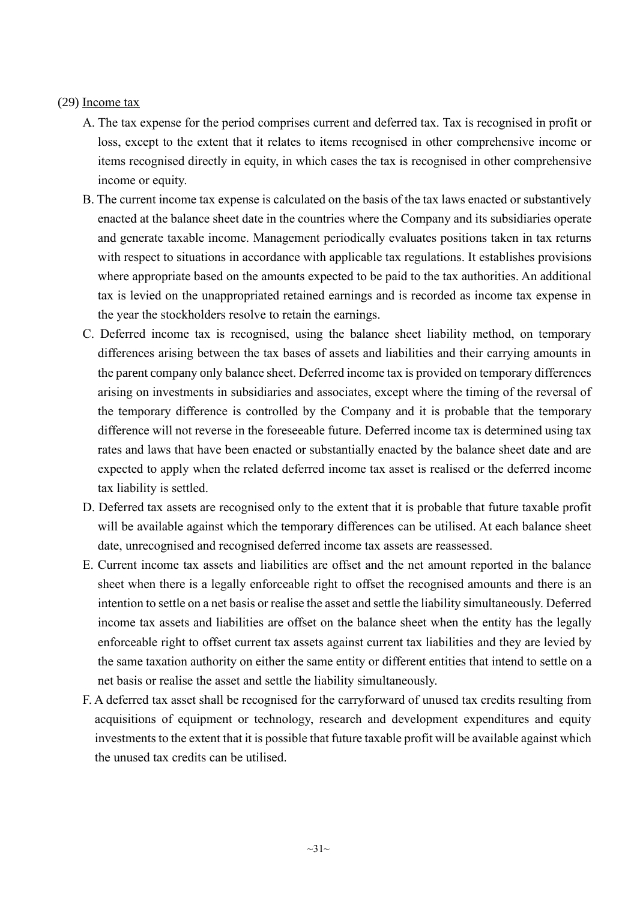#### (29) Income tax

- A. The tax expense for the period comprises current and deferred tax. Tax is recognised in profit or loss, except to the extent that it relates to items recognised in other comprehensive income or items recognised directly in equity, in which cases the tax is recognised in other comprehensive income or equity.
- B. The current income tax expense is calculated on the basis of the tax laws enacted or substantively enacted at the balance sheet date in the countries where the Company and its subsidiaries operate and generate taxable income. Management periodically evaluates positions taken in tax returns with respect to situations in accordance with applicable tax regulations. It establishes provisions where appropriate based on the amounts expected to be paid to the tax authorities. An additional tax is levied on the unappropriated retained earnings and is recorded as income tax expense in the year the stockholders resolve to retain the earnings.
- C. Deferred income tax is recognised, using the balance sheet liability method, on temporary differences arising between the tax bases of assets and liabilities and their carrying amounts in the parent company only balance sheet. Deferred income tax is provided on temporary differences arising on investments in subsidiaries and associates, except where the timing of the reversal of the temporary difference is controlled by the Company and it is probable that the temporary difference will not reverse in the foreseeable future. Deferred income tax is determined using tax rates and laws that have been enacted or substantially enacted by the balance sheet date and are expected to apply when the related deferred income tax asset is realised or the deferred income tax liability is settled.
- D. Deferred tax assets are recognised only to the extent that it is probable that future taxable profit will be available against which the temporary differences can be utilised. At each balance sheet date, unrecognised and recognised deferred income tax assets are reassessed.
- E. Current income tax assets and liabilities are offset and the net amount reported in the balance sheet when there is a legally enforceable right to offset the recognised amounts and there is an intention to settle on a net basis or realise the asset and settle the liability simultaneously. Deferred income tax assets and liabilities are offset on the balance sheet when the entity has the legally enforceable right to offset current tax assets against current tax liabilities and they are levied by the same taxation authority on either the same entity or different entities that intend to settle on a net basis or realise the asset and settle the liability simultaneously.
- F. A deferred tax asset shall be recognised for the carryforward of unused tax credits resulting from acquisitions of equipment or technology, research and development expenditures and equity investments to the extent that it is possible that future taxable profit will be available against which the unused tax credits can be utilised.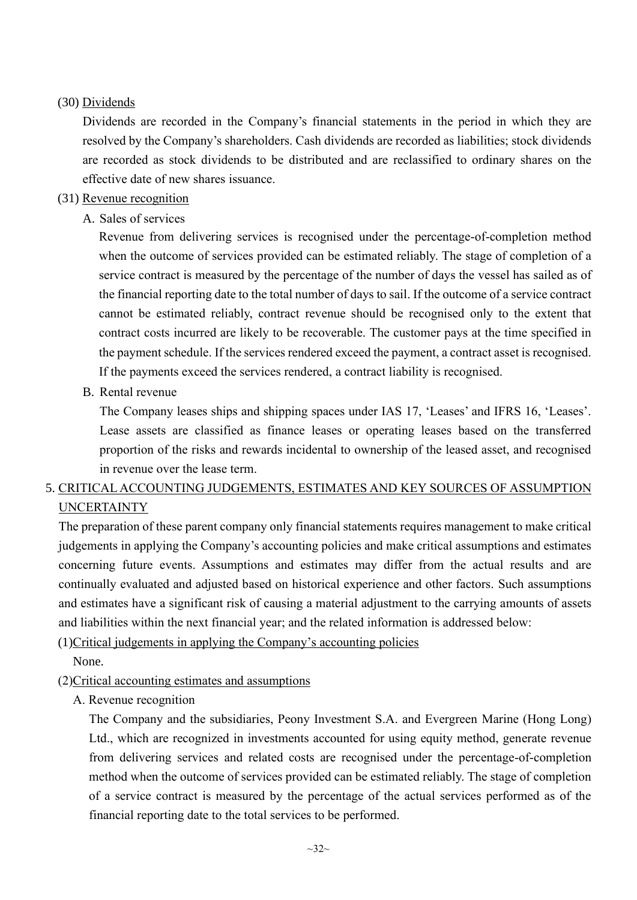### (30) Dividends

Dividends are recorded in the Company's financial statements in the period in which they are resolved by the Company's shareholders. Cash dividends are recorded as liabilities; stock dividends are recorded as stock dividends to be distributed and are reclassified to ordinary shares on the effective date of new shares issuance.

#### (31) Revenue recognition

A. Sales of services

Revenue from delivering services is recognised under the percentage-of-completion method when the outcome of services provided can be estimated reliably. The stage of completion of a service contract is measured by the percentage of the number of days the vessel has sailed as of the financial reporting date to the total number of days to sail. If the outcome of a service contract cannot be estimated reliably, contract revenue should be recognised only to the extent that contract costs incurred are likely to be recoverable. The customer pays at the time specified in the payment schedule. If the services rendered exceed the payment, a contract asset is recognised. If the payments exceed the services rendered, a contract liability is recognised.

B. Rental revenue

The Company leases ships and shipping spaces under IAS 17, 'Leases' and IFRS 16, 'Leases'. Lease assets are classified as finance leases or operating leases based on the transferred proportion of the risks and rewards incidental to ownership of the leased asset, and recognised in revenue over the lease term.

# 5. CRITICAL ACCOUNTING JUDGEMENTS, ESTIMATES AND KEY SOURCES OF ASSUMPTION UNCERTAINTY

The preparation of these parent company only financial statements requires management to make critical judgements in applying the Company's accounting policies and make critical assumptions and estimates concerning future events. Assumptions and estimates may differ from the actual results and are continually evaluated and adjusted based on historical experience and other factors. Such assumptions and estimates have a significant risk of causing a material adjustment to the carrying amounts of assets and liabilities within the next financial year; and the related information is addressed below:

(1)Critical judgements in applying the Company's accounting policies

None.

# (2)Critical accounting estimates and assumptions

A. Revenue recognition

The Company and the subsidiaries, Peony Investment S.A. and Evergreen Marine (Hong Long) Ltd., which are recognized in investments accounted for using equity method, generate revenue from delivering services and related costs are recognised under the percentage-of-completion method when the outcome of services provided can be estimated reliably. The stage of completion of a service contract is measured by the percentage of the actual services performed as of the financial reporting date to the total services to be performed.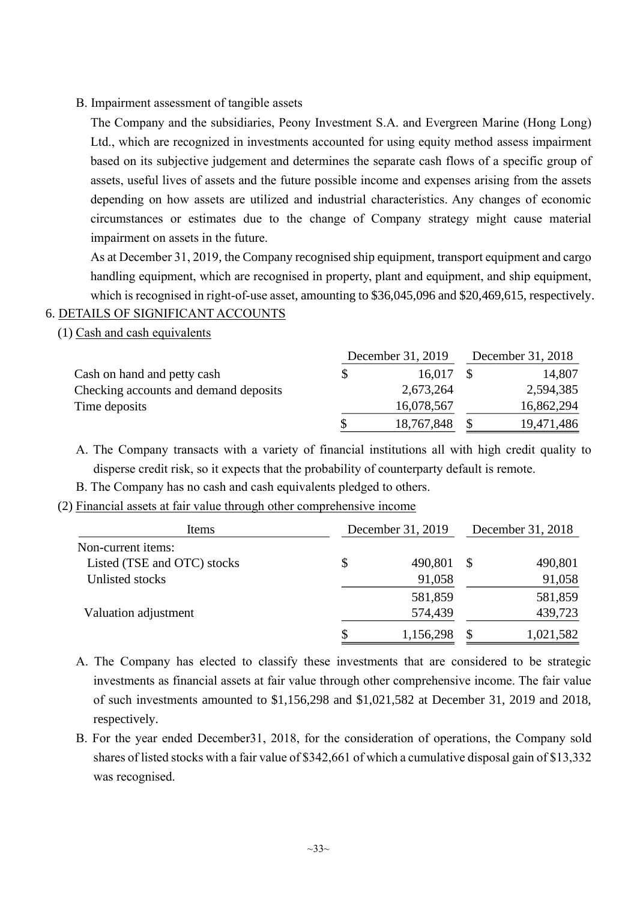B. Impairment assessment of tangible assets

The Company and the subsidiaries, Peony Investment S.A. and Evergreen Marine (Hong Long) Ltd., which are recognized in investments accounted for using equity method assess impairment based on its subjective judgement and determines the separate cash flows of a specific group of assets, useful lives of assets and the future possible income and expenses arising from the assets depending on how assets are utilized and industrial characteristics. Any changes of economic circumstances or estimates due to the change of Company strategy might cause material impairment on assets in the future.

As at December 31, 2019, the Company recognised ship equipment, transport equipment and cargo handling equipment, which are recognised in property, plant and equipment, and ship equipment, which is recognised in right-of-use asset, amounting to \$36,045,096 and \$20,469,615, respectively.

# 6. DETAILS OF SIGNIFICANT ACCOUNTS

(1) Cash and cash equivalents

|                                       |    | December 31, 2019 | December 31, 2018 |            |  |
|---------------------------------------|----|-------------------|-------------------|------------|--|
| Cash on hand and petty cash           | S. | 16.017 \$         |                   | 14,807     |  |
| Checking accounts and demand deposits |    | 2,673,264         |                   | 2,594,385  |  |
| Time deposits                         |    | 16,078,567        |                   | 16,862,294 |  |
|                                       |    | 18,767,848 \$     |                   | 19,471,486 |  |

A. The Company transacts with a variety of financial institutions all with high credit quality to disperse credit risk, so it expects that the probability of counterparty default is remote.

- B. The Company has no cash and cash equivalents pledged to others.
- (2) Financial assets at fair value through other comprehensive income

| Items                       | December 31, 2019 | December 31, 2018 |           |  |
|-----------------------------|-------------------|-------------------|-----------|--|
| Non-current items:          |                   |                   |           |  |
| Listed (TSE and OTC) stocks | \$<br>490,801     | <sup>\$</sup>     | 490,801   |  |
| Unlisted stocks             | 91,058            |                   | 91,058    |  |
|                             | 581,859           |                   | 581,859   |  |
| Valuation adjustment        | 574,439           |                   | 439,723   |  |
|                             | 1,156,298         |                   | 1,021,582 |  |

- A. The Company has elected to classify these investments that are considered to be strategic investments as financial assets at fair value through other comprehensive income. The fair value of such investments amounted to \$1,156,298 and \$1,021,582 at December 31, 2019 and 2018, respectively.
- B. For the year ended December31, 2018, for the consideration of operations, the Company sold shares of listed stocks with a fair value of \$342,661 of which a cumulative disposal gain of \$13,332 was recognised.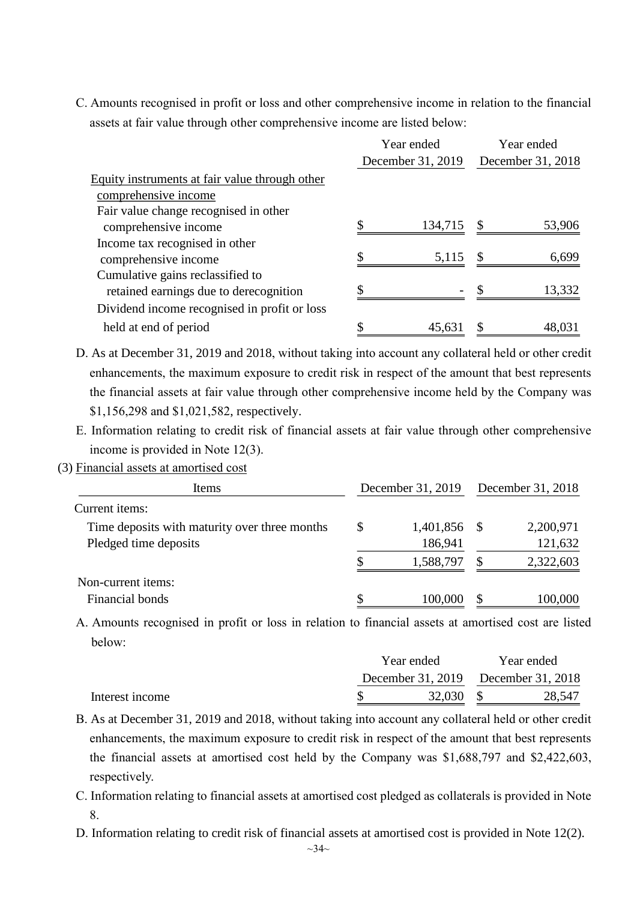C. Amounts recognised in profit or loss and other comprehensive income in relation to the financial assets at fair value through other comprehensive income are listed below:

|                                                | Year ended |                   | Year ended |                   |
|------------------------------------------------|------------|-------------------|------------|-------------------|
|                                                |            | December 31, 2019 |            | December 31, 2018 |
| Equity instruments at fair value through other |            |                   |            |                   |
| comprehensive income                           |            |                   |            |                   |
| Fair value change recognised in other          |            |                   |            |                   |
| comprehensive income                           |            | 134,715           |            | 53,906            |
| Income tax recognised in other                 |            |                   |            |                   |
| comprehensive income                           |            | 5,115             |            | 6,699             |
| Cumulative gains reclassified to               |            |                   |            |                   |
| retained earnings due to derecognition         |            |                   |            | 13,332            |
| Dividend income recognised in profit or loss   |            |                   |            |                   |
| held at end of period                          |            | 45,631            |            | 48,031            |

- D. As at December 31, 2019 and 2018, without taking into account any collateral held or other credit enhancements, the maximum exposure to credit risk in respect of the amount that best represents the financial assets at fair value through other comprehensive income held by the Company was \$1,156,298 and \$1,021,582, respectively.
- E. Information relating to credit risk of financial assets at fair value through other comprehensive income is provided in Note 12(3).
- (3) Financial assets at amortised cost

| <b>Items</b>                                  |    | December 31, 2019 | December 31, 2018 |           |
|-----------------------------------------------|----|-------------------|-------------------|-----------|
| Current items:                                |    |                   |                   |           |
| Time deposits with maturity over three months | \$ | 1,401,856         |                   | 2,200,971 |
| Pledged time deposits                         |    | 186,941           |                   | 121,632   |
|                                               | S  | 1,588,797         |                   | 2,322,603 |
| Non-current items:                            |    |                   |                   |           |
| Financial bonds                               |    | 100,000           |                   | 100,000   |

A. Amounts recognised in profit or loss in relation to financial assets at amortised cost are listed below:

|                 | Year ended |  | Year ended                          |  |
|-----------------|------------|--|-------------------------------------|--|
|                 |            |  | December 31, 2019 December 31, 2018 |  |
| Interest income | 32,030     |  | 28,547                              |  |

- B. As at December 31, 2019 and 2018, without taking into account any collateral held or other credit enhancements, the maximum exposure to credit risk in respect of the amount that best represents the financial assets at amortised cost held by the Company was \$1,688,797 and \$2,422,603, respectively.
- C. Information relating to financial assets at amortised cost pledged as collaterals is provided in Note 8.
- D. Information relating to credit risk of financial assets at amortised cost is provided in Note 12(2).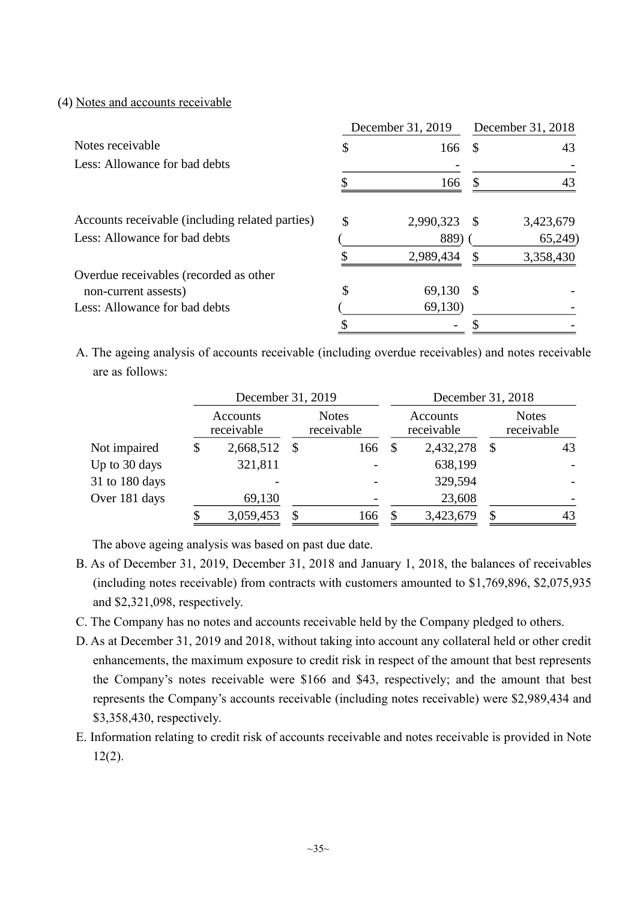(4) Notes and accounts receivable

|                                                 | December 31, 2019 |           |     | December 31, 2018 |  |
|-------------------------------------------------|-------------------|-----------|-----|-------------------|--|
| Notes receivable                                | \$                | 166       | -8  | 43                |  |
| Less: Allowance for bad debts                   |                   |           |     |                   |  |
|                                                 |                   | 166       | S   | 43                |  |
| Accounts receivable (including related parties) | \$                | 2,990,323 | - S | 3,423,679         |  |
| Less: Allowance for bad debts                   |                   | 889)      |     | 65,249            |  |
|                                                 |                   | 2,989,434 |     | 3,358,430         |  |
| Overdue receivables (recorded as other          |                   |           |     |                   |  |
| non-current assests)                            | \$                | 69,130    | -8  |                   |  |
| Less: Allowance for bad debts                   |                   | 69,130    |     |                   |  |
|                                                 |                   |           |     |                   |  |

A. The ageing analysis of accounts receivable (including overdue receivables) and notes receivable are as follows:

|                | December 31, 2019      |    |                            | December 31, 2018 |                        |               |                            |
|----------------|------------------------|----|----------------------------|-------------------|------------------------|---------------|----------------------------|
|                | Accounts<br>receivable |    | <b>Notes</b><br>receivable |                   | Accounts<br>receivable |               | <b>Notes</b><br>receivable |
| Not impaired   | \$<br>2,668,512        | -S | 166                        |                   | 2,432,278              | $\mathcal{S}$ | 43                         |
| Up to 30 days  | 321,811                |    |                            |                   | 638,199                |               |                            |
| 31 to 180 days |                        |    |                            |                   | 329,594                |               |                            |
| Over 181 days  | 69,130                 |    |                            |                   | 23,608                 |               |                            |
|                | 3,059,453              |    | 166                        |                   | 3,423,679              | \$.           | 43                         |

The above ageing analysis was based on past due date.

- B. As of December 31, 2019, December 31, 2018 and January 1, 2018, the balances of receivables (including notes receivable) from contracts with customers amounted to \$1,769,896, \$2,075,935 and \$2,321,098, respectively.
- C. The Company has no notes and accounts receivable held by the Company pledged to others.
- D. As at December 31, 2019 and 2018, without taking into account any collateral held or other credit enhancements, the maximum exposure to credit risk in respect of the amount that best represents the Company's notes receivable were \$166 and \$43, respectively; and the amount that best represents the Company's accounts receivable (including notes receivable) were \$2,989,434 and \$3,358,430, respectively.
- E. Information relating to credit risk of accounts receivable and notes receivable is provided in Note 12(2).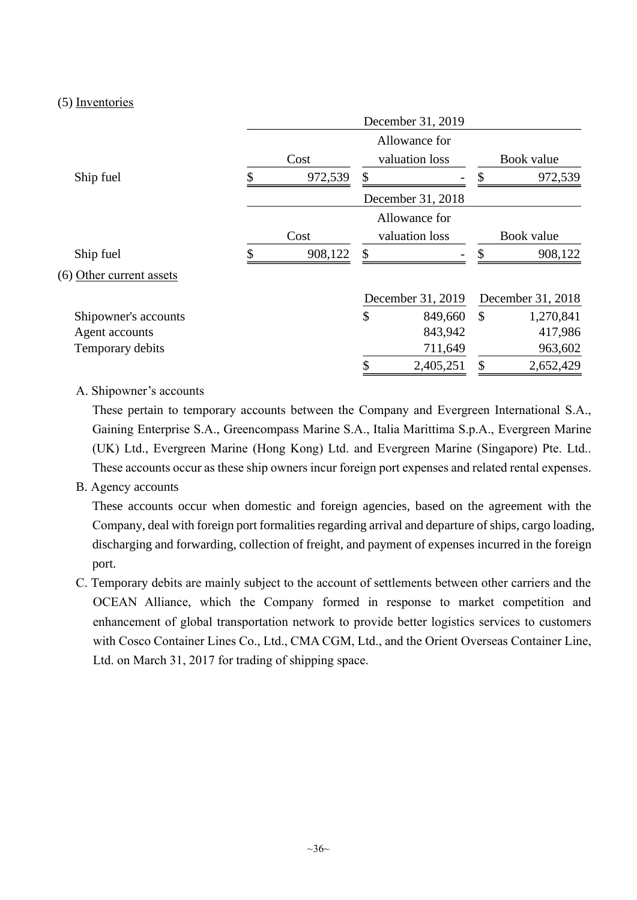### (5) Inventories

|                          |         | December 31, 2019 |                            |
|--------------------------|---------|-------------------|----------------------------|
|                          |         | Allowance for     |                            |
|                          | Cost    | valuation loss    | Book value                 |
| Ship fuel                | 972,539 | \$                | \$<br>972,539              |
|                          |         | December 31, 2018 |                            |
|                          |         | Allowance for     |                            |
|                          | Cost    | valuation loss    | Book value                 |
| Ship fuel                | 908,122 | \$                | 908,122                    |
| (6) Other current assets |         |                   |                            |
|                          |         | December 31, 2019 | December 31, 2018          |
| Shipowner's accounts     |         | \$<br>849,660     | $\mathcal{S}$<br>1,270,841 |
| Agent accounts           |         | 843,942           | 417,986                    |
| Temporary debits         |         | 711,649           | 963,602                    |
|                          |         | \$<br>2,405,251   | 2,652,429<br>\$            |

A. Shipowner's accounts

These pertain to temporary accounts between the Company and Evergreen International S.A., Gaining Enterprise S.A., Greencompass Marine S.A., Italia Marittima S.p.A., Evergreen Marine (UK) Ltd., Evergreen Marine (Hong Kong) Ltd. and Evergreen Marine (Singapore) Pte. Ltd.. These accounts occur as these ship owners incur foreign port expenses and related rental expenses.

B. Agency accounts

These accounts occur when domestic and foreign agencies, based on the agreement with the Company, deal with foreign port formalities regarding arrival and departure of ships, cargo loading, discharging and forwarding, collection of freight, and payment of expenses incurred in the foreign port.

C. Temporary debits are mainly subject to the account of settlements between other carriers and the OCEAN Alliance, which the Company formed in response to market competition and enhancement of global transportation network to provide better logistics services to customers with Cosco Container Lines Co., Ltd., CMA CGM, Ltd., and the Orient Overseas Container Line, Ltd. on March 31, 2017 for trading of shipping space.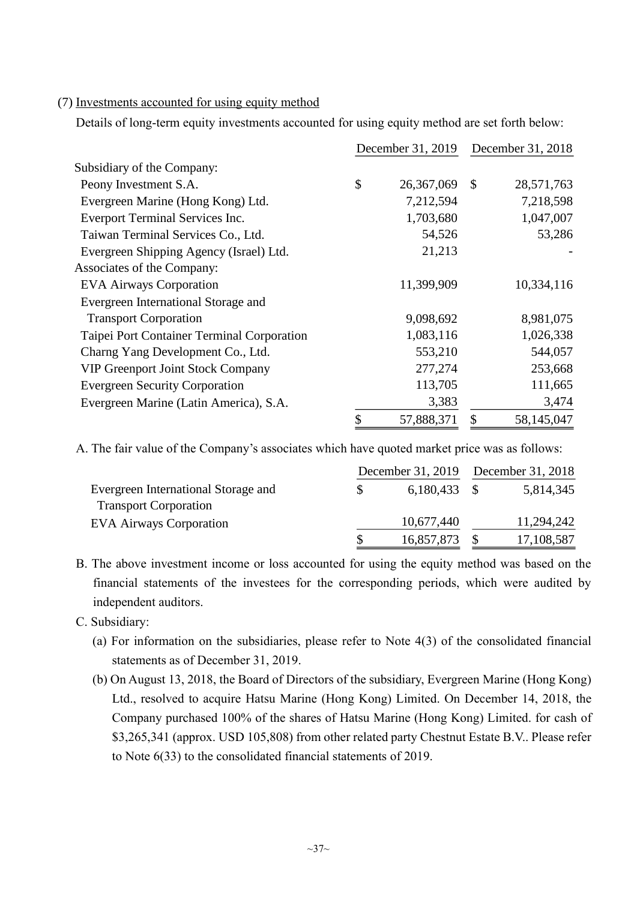#### (7) Investments accounted for using equity method

Details of long-term equity investments accounted for using equity method are set forth below:

|                                            | December 31, 2019 |              | December 31, 2018 |
|--------------------------------------------|-------------------|--------------|-------------------|
| Subsidiary of the Company:                 |                   |              |                   |
| Peony Investment S.A.                      | \$<br>26,367,069  | $\mathbb{S}$ | 28,571,763        |
| Evergreen Marine (Hong Kong) Ltd.          | 7,212,594         |              | 7,218,598         |
| Everport Terminal Services Inc.            | 1,703,680         |              | 1,047,007         |
| Taiwan Terminal Services Co., Ltd.         | 54,526            |              | 53,286            |
| Evergreen Shipping Agency (Israel) Ltd.    | 21,213            |              |                   |
| Associates of the Company:                 |                   |              |                   |
| <b>EVA Airways Corporation</b>             | 11,399,909        |              | 10,334,116        |
| Evergreen International Storage and        |                   |              |                   |
| <b>Transport Corporation</b>               | 9,098,692         |              | 8,981,075         |
| Taipei Port Container Terminal Corporation | 1,083,116         |              | 1,026,338         |
| Charng Yang Development Co., Ltd.          | 553,210           |              | 544,057           |
| <b>VIP Greenport Joint Stock Company</b>   | 277,274           |              | 253,668           |
| <b>Evergreen Security Corporation</b>      | 113,705           |              | 111,665           |
| Evergreen Marine (Latin America), S.A.     | 3,383             |              | 3,474             |
|                                            | \$<br>57,888,371  | \$           | 58,145,047        |

A. The fair value of the Company's associates which have quoted market price was as follows:

|                                     | December 31, 2019 | December 31, 2018 |
|-------------------------------------|-------------------|-------------------|
| Evergreen International Storage and | 6,180,433         | 5,814,345         |
| <b>Transport Corporation</b>        |                   |                   |
| <b>EVA Airways Corporation</b>      | 10,677,440        | 11,294,242        |
|                                     | 16,857,873        | 17,108,587        |

B. The above investment income or loss accounted for using the equity method was based on the financial statements of the investees for the corresponding periods, which were audited by independent auditors.

C. Subsidiary:

- (a) For information on the subsidiaries, please refer to Note 4(3) of the consolidated financial statements as of December 31, 2019.
- (b) On August 13, 2018, the Board of Directors of the subsidiary, Evergreen Marine (Hong Kong) Ltd., resolved to acquire Hatsu Marine (Hong Kong) Limited. On December 14, 2018, the Company purchased 100% of the shares of Hatsu Marine (Hong Kong) Limited. for cash of \$3,265,341 (approx. USD 105,808) from other related party Chestnut Estate B.V.. Please refer to Note 6(33) to the consolidated financial statements of 2019.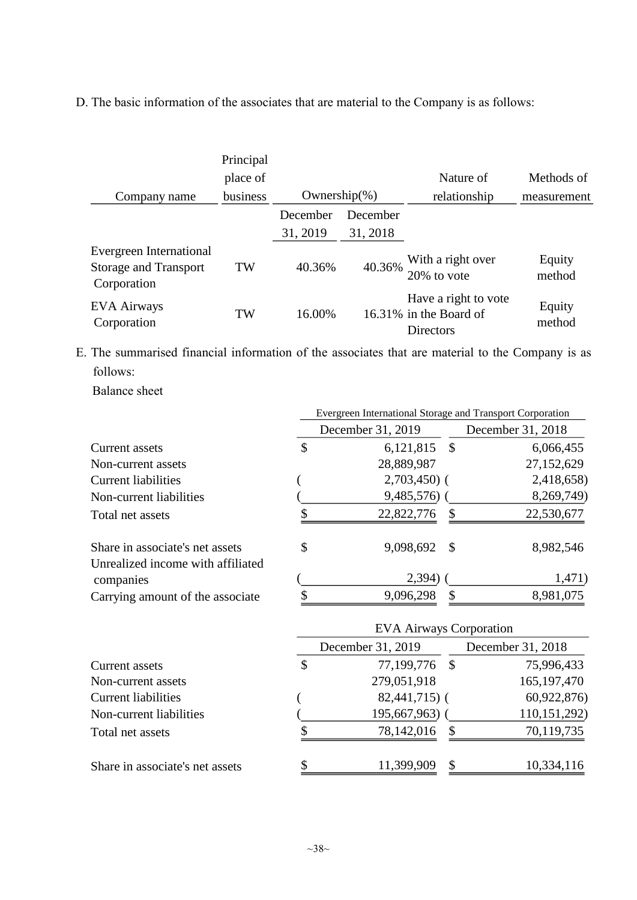D. The basic information of the associates that are material to the Company is as follows:

| Company name                                                           | Principal<br>place of<br>business | Ownership $(\%)$     |                      | Nature of<br>relationship                                   | Methods of<br>measurement |
|------------------------------------------------------------------------|-----------------------------------|----------------------|----------------------|-------------------------------------------------------------|---------------------------|
|                                                                        |                                   | December<br>31, 2019 | December<br>31, 2018 |                                                             |                           |
| Evergreen International<br><b>Storage and Transport</b><br>Corporation | TW                                | 40.36%               | 40.36%               | With a right over<br>20% to vote                            | Equity<br>method          |
| <b>EVA Airways</b><br>Corporation                                      | TW                                | 16.00%               |                      | Have a right to vote<br>16.31% in the Board of<br>Directors | Equity<br>method          |

E. The summarised financial information of the associates that are material to the Company is as follows: Balance sheet

|                                                                      |                   |      | Evergreen International Storage and Transport Corporation |
|----------------------------------------------------------------------|-------------------|------|-----------------------------------------------------------|
|                                                                      | December 31, 2019 |      | December 31, 2018                                         |
| Current assets                                                       | \$<br>6,121,815   | - \$ | 6,066,455                                                 |
| Non-current assets                                                   | 28,889,987        |      | 27,152,629                                                |
| <b>Current liabilities</b>                                           | $2,703,450$ (     |      | 2,418,658)                                                |
| Non-current liabilities                                              | 9,485,576         |      | 8,269,749)                                                |
| Total net assets                                                     | 22,822,776        | \$   | 22,530,677                                                |
| Share in associate's net assets<br>Unrealized income with affiliated | \$<br>9,098,692   | -\$  | 8,982,546                                                 |
| companies                                                            | 2,394)            |      | 1,471)                                                    |
| Carrying amount of the associate                                     | 9,096,298         | \$   | 8,981,075                                                 |

|                                 | <b>EVA Airways Corporation</b> |                   |    |                   |  |  |  |  |
|---------------------------------|--------------------------------|-------------------|----|-------------------|--|--|--|--|
|                                 |                                | December 31, 2019 |    | December 31, 2018 |  |  |  |  |
| Current assets                  | \$                             | 77,199,776 \$     |    | 75,996,433        |  |  |  |  |
| Non-current assets              |                                | 279,051,918       |    | 165, 197, 470     |  |  |  |  |
| <b>Current liabilities</b>      |                                | 82,441,715) (     |    | 60,922,876)       |  |  |  |  |
| Non-current liabilities         |                                | 195,667,963)      |    | 110,151,292)      |  |  |  |  |
| Total net assets                |                                | 78,142,016        | -S | 70,119,735        |  |  |  |  |
| Share in associate's net assets | \$                             | 11,399,909        | \$ | 10,334,116        |  |  |  |  |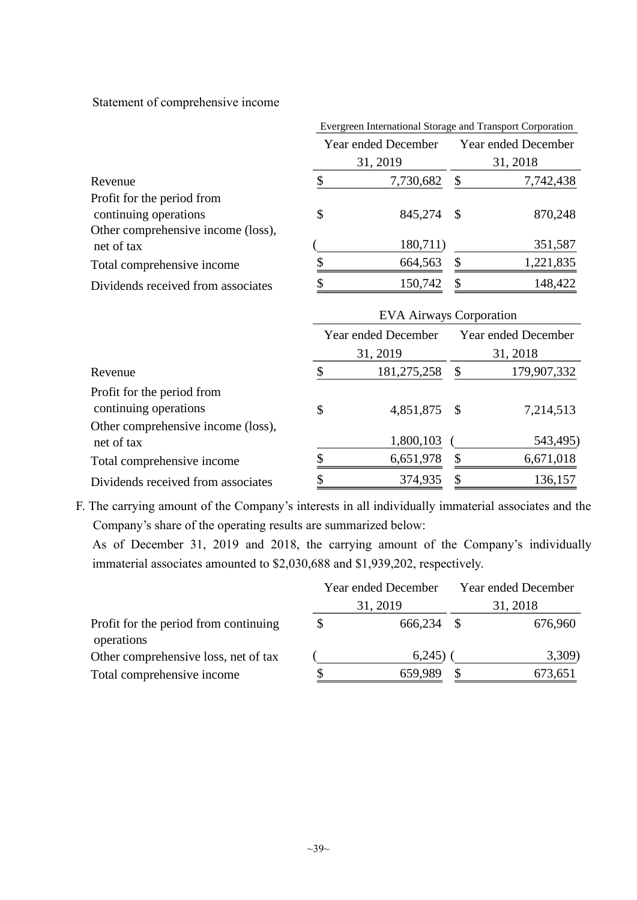Statement of comprehensive income

|                                    |                                | Evergreen International Storage and Transport Corporation |    |                     |  |  |  |  |  |
|------------------------------------|--------------------------------|-----------------------------------------------------------|----|---------------------|--|--|--|--|--|
|                                    |                                | Year ended December                                       |    | Year ended December |  |  |  |  |  |
|                                    |                                | 31, 2019                                                  |    | 31, 2018            |  |  |  |  |  |
| Revenue                            | \$                             | 7,730,682                                                 | \$ | 7,742,438           |  |  |  |  |  |
| Profit for the period from         |                                |                                                           |    |                     |  |  |  |  |  |
| continuing operations              | \$                             | 845,274                                                   | \$ | 870,248             |  |  |  |  |  |
| Other comprehensive income (loss), |                                |                                                           |    |                     |  |  |  |  |  |
| net of tax                         |                                | 180,711)                                                  |    | 351,587             |  |  |  |  |  |
| Total comprehensive income         |                                | 664,563                                                   | \$ | 1,221,835           |  |  |  |  |  |
| Dividends received from associates | S                              | 150,742                                                   | \$ | 148,422             |  |  |  |  |  |
|                                    | <b>EVA Airways Corporation</b> |                                                           |    |                     |  |  |  |  |  |
|                                    |                                | Year ended December                                       |    | Year ended December |  |  |  |  |  |
|                                    |                                | 31, 2019                                                  |    | 31, 2018            |  |  |  |  |  |
| Revenue                            | \$                             | 181,275,258                                               | \$ | 179,907,332         |  |  |  |  |  |
| Profit for the period from         |                                |                                                           |    |                     |  |  |  |  |  |
| continuing operations              | \$                             | 4,851,875                                                 | \$ | 7,214,513           |  |  |  |  |  |
| Other comprehensive income (loss), |                                |                                                           |    |                     |  |  |  |  |  |
| net of tax                         |                                | 1,800,103                                                 |    | 543,495)            |  |  |  |  |  |
| Total comprehensive income         |                                | 6,651,978                                                 | \$ | 6,671,018           |  |  |  |  |  |
|                                    |                                |                                                           |    |                     |  |  |  |  |  |

F. The carrying amount of the Company's interests in all individually immaterial associates and the Company's share of the operating results are summarized below:

Dividends received from associates  $\qquad$  \$ 374,935 \$ 136,157

As of December 31, 2019 and 2018, the carrying amount of the Company's individually immaterial associates amounted to \$2,030,688 and \$1,939,202, respectively.

|                                                     |   | Year ended December<br>31, 2019 | Year ended December<br>31, 2018 |         |  |  |
|-----------------------------------------------------|---|---------------------------------|---------------------------------|---------|--|--|
| Profit for the period from continuing<br>operations | S | 666,234 \$                      |                                 | 676,960 |  |  |
| Other comprehensive loss, net of tax                |   | 6,245)                          |                                 | 3,309)  |  |  |
| Total comprehensive income                          |   | 659,989                         |                                 | 673,651 |  |  |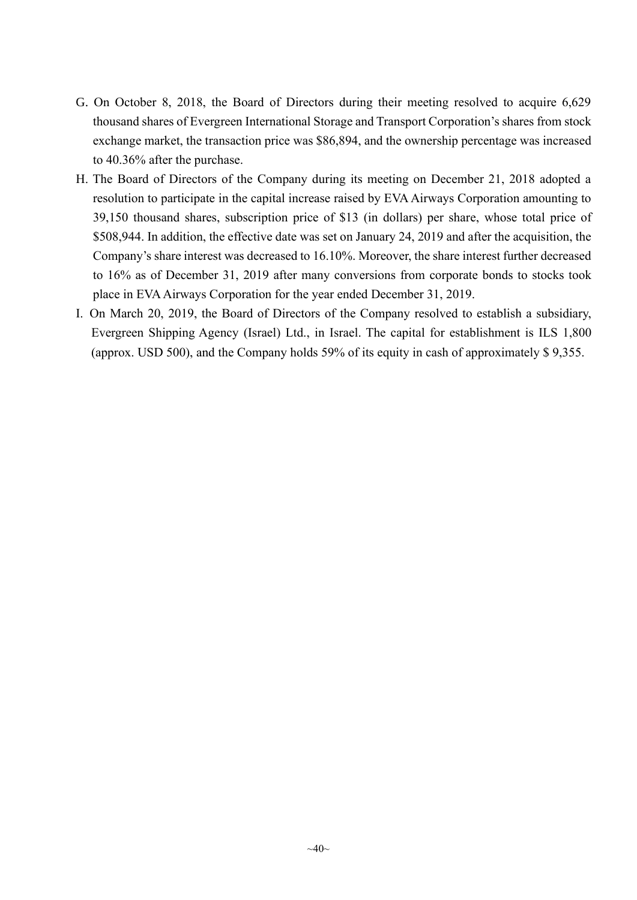- G. On October 8, 2018, the Board of Directors during their meeting resolved to acquire 6,629 thousand shares of Evergreen International Storage and Transport Corporation's shares from stock exchange market, the transaction price was \$86,894, and the ownership percentage was increased to 40.36% after the purchase.
- H. The Board of Directors of the Company during its meeting on December 21, 2018 adopted a resolution to participate in the capital increase raised by EVA Airways Corporation amounting to 39,150 thousand shares, subscription price of \$13 (in dollars) per share, whose total price of \$508,944. In addition, the effective date was set on January 24, 2019 and after the acquisition, the Company's share interest was decreased to 16.10%. Moreover, the share interest further decreased to 16% as of December 31, 2019 after many conversions from corporate bonds to stocks took place in EVA Airways Corporation for the year ended December 31, 2019.
- I. On March 20, 2019, the Board of Directors of the Company resolved to establish a subsidiary, Evergreen Shipping Agency (Israel) Ltd., in Israel. The capital for establishment is ILS 1,800 (approx. USD 500), and the Company holds 59% of its equity in cash of approximately \$ 9,355.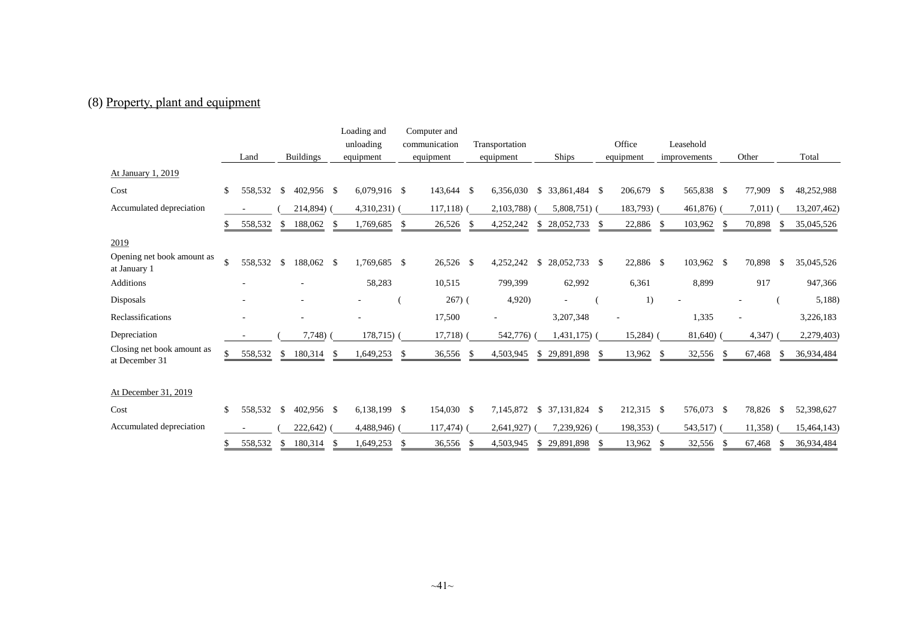## (8) Property, plant and equipment

|                                              |    |            |    |                  |               | Loading and  |               | Computer and  |               |                |    |                 |    |            |      |              |    |                |               |             |
|----------------------------------------------|----|------------|----|------------------|---------------|--------------|---------------|---------------|---------------|----------------|----|-----------------|----|------------|------|--------------|----|----------------|---------------|-------------|
|                                              |    |            |    |                  |               | unloading    |               | communication |               | Transportation |    |                 |    | Office     |      | Leasehold    |    |                |               |             |
|                                              |    | Land       |    | <b>Buildings</b> |               | equipment    |               | equipment     |               | equipment      |    | <b>Ships</b>    |    | equipment  |      | improvements |    | Other          |               | Total       |
| At January 1, 2019                           |    |            |    |                  |               |              |               |               |               |                |    |                 |    |            |      |              |    |                |               |             |
| Cost                                         | \$ | 558,532    | \$ | 402,956 \$       |               | 6,079,916 \$ |               | 143,644 \$    |               | 6,356,030      | S  | 33,861,484 \$   |    | 206,679 \$ |      | 565,838 \$   |    | 77,909         | -S            | 48,252,988  |
| Accumulated depreciation                     |    |            |    | 214,894)         |               | 4,310,231) ( |               | 117,118)      |               | 2,103,788)     |    | $5,808,751$ (   |    | 183,793)   |      | 461,876) (   |    | $7,011)$ (     |               | 13,207,462) |
|                                              | S  | 558,532    | \$ | 188,062          | \$            | 1,769,685    | -S            | 26,526        | <sup>\$</sup> | 4,252,242      | S  | 28,052,733      | -S | 22,886     | - \$ | 103,962      | \$ | 70,898         | -S            | 35,045,526  |
| 2019                                         |    |            |    |                  |               |              |               |               |               |                |    |                 |    |            |      |              |    |                |               |             |
| Opening net book amount as<br>at January 1   | \$ | 558,532 \$ |    | 188,062 \$       |               | 1,769,685 \$ |               | 26,526 \$     |               | 4,252,242      | S. | 28,052,733 \$   |    | 22,886 \$  |      | 103,962 \$   |    | 70,898<br>- \$ |               | 35,045,526  |
| Additions                                    |    |            |    |                  |               | 58,283       |               | 10,515        |               | 799,399        |    | 62,992          |    | 6,361      |      | 8,899        |    | 917            |               | 947,366     |
| Disposals                                    |    |            |    |                  |               |              |               | $267)$ (      |               | 4,920          |    |                 |    | 1)         |      |              |    |                |               | 5,188)      |
| Reclassifications                            |    |            |    |                  |               |              |               | 17,500        |               |                |    | 3,207,348       |    |            |      | 1,335        |    |                |               | 3,226,183   |
| Depreciation                                 |    |            |    | 7,748)           |               | $178,715$ )  |               | $17,718$ ) (  |               | 542,776)       |    | 1,431,175)      |    | 15,284)    |      | 81,640)      |    | 4,347)         |               | 2,279,403)  |
| Closing net book amount as<br>at December 31 | \$ | 558,532    | \$ | 180,314          | <sup>\$</sup> | 1,649,253    | -S            | 36,556        | -S            | 4,503,945      | S  | 29,891,898      | -S | 13,962     | -\$  | 32,556       | \$ | 67,468         | <sup>\$</sup> | 36,934,484  |
| At December 31, 2019                         |    |            |    |                  |               |              |               |               |               |                |    |                 |    |            |      |              |    |                |               |             |
| Cost                                         | \$ | 558,532    | -S | 402,956 \$       |               | 6,138,199 \$ |               | 154,030 \$    |               | 7,145,872      | S. | 37, 131, 824 \$ |    | 212,315 \$ |      | 576,073 \$   |    | 78,826<br>- \$ |               | 52,398,627  |
| Accumulated depreciation                     |    |            |    | 222,642)         |               | 4,488,946)   |               | $117,474)$ (  |               | 2,641,927)     |    | 7,239,926)      |    | 198,353)   |      | 543,517)     |    | 11,358)        |               | 15,464,143) |
|                                              | \$ | 558,532    | \$ | 180.314          | <sup>\$</sup> | 1,649,253    | <sup>\$</sup> | 36,556        | -S            | 4,503,945      | S. | 29.891.898      | S  | 13,962     | -S   | 32,556       | -S | 67,468         | -S            | 36,934,484  |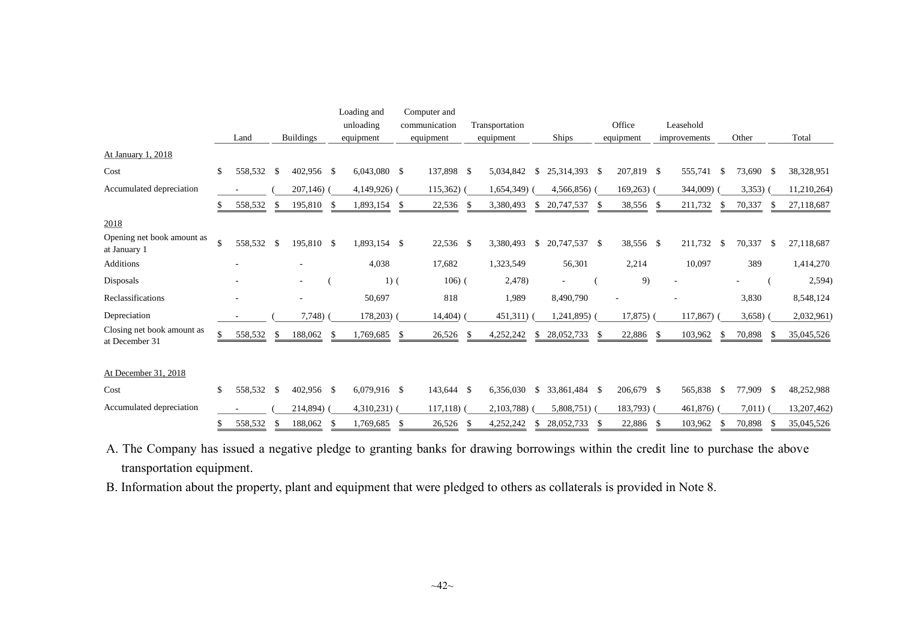|                                              |     | Land       |      | <b>Buildings</b> |    | Loading and<br>unloading<br>equipment |               | Computer and<br>communication<br>equipment |               | Transportation<br>equipment |               | <b>Ships</b>  |               | Office<br>equipment |     | Leasehold<br>improvements |               | Other                  | Total       |
|----------------------------------------------|-----|------------|------|------------------|----|---------------------------------------|---------------|--------------------------------------------|---------------|-----------------------------|---------------|---------------|---------------|---------------------|-----|---------------------------|---------------|------------------------|-------------|
| At January 1, 2018                           |     |            |      |                  |    |                                       |               |                                            |               |                             |               |               |               |                     |     |                           |               |                        |             |
| Cost                                         |     | 558,532    | - \$ | 402,956 \$       |    | 6,043,080 \$                          |               | 137,898                                    | - \$          | 5,034,842                   | \$            | 25,314,393 \$ |               | 207,819 \$          |     | 555,741                   | <sup>\$</sup> | 73,690 \$              | 38,328,951  |
| Accumulated depreciation                     |     |            |      | 207,146          |    | 4,149,926)                            |               | 115,362)                                   |               | 1,654,349)                  |               | 4,566,856)    |               | 169,263)            |     | 344,009)                  |               | 3,353)                 | 11,210,264) |
|                                              |     | 558,532    | -S   | 195,810          | -S | 1,893,154                             | -S            | 22,536                                     | -S            | 3,380,493                   | S             | 20,747,537    | <sup>\$</sup> | 38,556              | -S  | 211,732                   | \$            | 70,337<br>-S           | 27,118,687  |
| 2018                                         |     |            |      |                  |    |                                       |               |                                            |               |                             |               |               |               |                     |     |                           |               |                        |             |
| Opening net book amount as<br>at January 1   |     | 558,532 \$ |      | 195,810 \$       |    | 1,893,154 \$                          |               | 22,536 \$                                  |               | 3,380,493                   | <sup>\$</sup> | 20,747,537 \$ |               | 38,556 \$           |     | 211,732                   | <sup>\$</sup> | 70,337<br>- \$         | 27,118,687  |
| <b>Additions</b>                             |     |            |      |                  |    | 4,038                                 |               | 17,682                                     |               | 1,323,549                   |               | 56,301        |               | 2,214               |     | 10,097                    |               | 389                    | 1,414,270   |
| Disposals                                    |     |            |      | ٠                |    | $1)$ (                                |               | $106)$ (                                   |               | 2,478)                      |               | ٠             |               | 9)                  |     |                           |               |                        | 2,594)      |
| Reclassifications                            |     |            |      |                  |    | 50,697                                |               | 818                                        |               | 1,989                       |               | 8,490,790     |               |                     |     |                           |               | 3,830                  | 8,548,124   |
| Depreciation                                 |     |            |      | 7,748)           |    | 178,203)                              |               | 14,404)                                    |               | 451,311)                    |               | 1,241,895)    |               | 17,875)             |     | 117,867)                  |               | 3,658                  | 2,032,961)  |
| Closing net book amount as<br>at December 31 |     | 558,532    | -S   | 188,062          | -S | 1,769,685                             | \$            | 26,526                                     | <sup>\$</sup> | 4,252,242                   | S             | 28,052,733    | -S            | 22,886              | -\$ | 103,962                   | -S            | 70,898<br>-S           | 35,045,526  |
| At December 31, 2018                         |     |            |      |                  |    |                                       |               |                                            |               |                             |               |               |               |                     |     |                           |               |                        |             |
| Cost                                         | \$. | 558,532 \$ |      | 402,956 \$       |    | $6,079,916$ \$                        |               | 143,644 \$                                 |               | 6,356,030                   | <sup>\$</sup> | 33,861,484 \$ |               | 206,679 \$          |     | 565,838                   | <sup>\$</sup> | 77,909<br>- \$         | 48,252,988  |
| Accumulated depreciation                     |     |            |      | 214,894)         |    | 4,310,231)                            |               | $117,118$ ) (                              |               | 2,103,788)                  |               | 5,808,751)    |               | 183,793)            |     | 461,876)                  |               | 7,011)                 | 13,207,462) |
|                                              |     | 558,532    |      | 188,062          | -S | 1,769,685                             | <sup>\$</sup> | 26,526                                     | -S            | 4,252,242                   |               | 28,052,733    |               | 22,886              | S   | 103,962                   | -S            | 70,898<br><sup>8</sup> | 35,045,526  |

A. The Company has issued a negative pledge to granting banks for drawing borrowings within the credit line to purchase the above transportation equipment.

B. Information about the property, plant and equipment that were pledged to others as collaterals is provided in Note 8.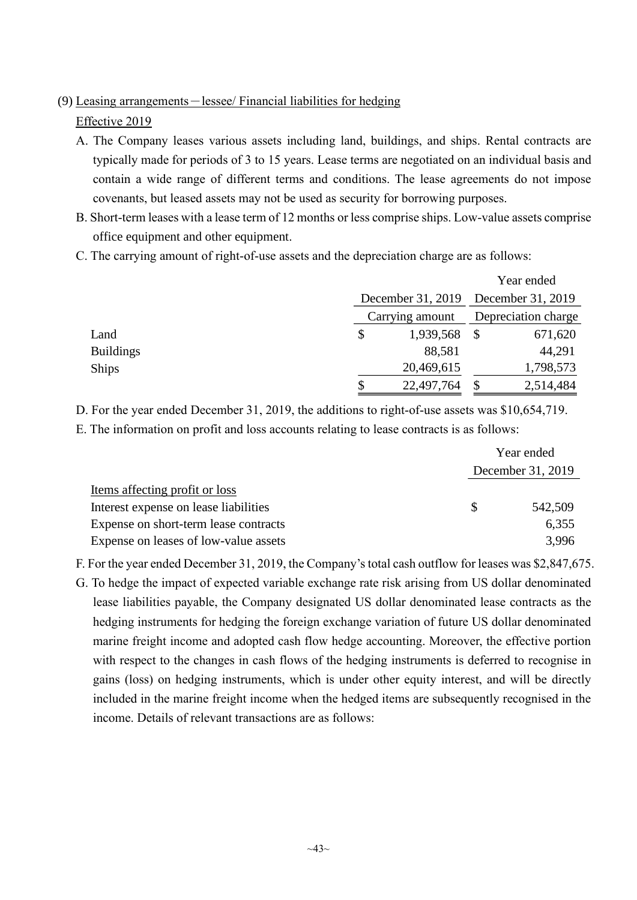### $(9)$  Leasing arrangements  $-$  lessee/ Financial liabilities for hedging Effective 2019

- A. The Company leases various assets including land, buildings, and ships. Rental contracts are typically made for periods of 3 to 15 years. Lease terms are negotiated on an individual basis and contain a wide range of different terms and conditions. The lease agreements do not impose covenants, but leased assets may not be used as security for borrowing purposes.
- B. Short-term leases with a lease term of 12 months or less comprise ships. Low-value assets comprise office equipment and other equipment.
- C. The carrying amount of right-of-use assets and the depreciation charge are as follows:

|                  |                 |                   |   | Year ended          |
|------------------|-----------------|-------------------|---|---------------------|
|                  |                 | December 31, 2019 |   | December 31, 2019   |
|                  | Carrying amount |                   |   | Depreciation charge |
| Land             | \$              | 1,939,568         | S | 671,620             |
| <b>Buildings</b> |                 | 88,581            |   | 44,291              |
| <b>Ships</b>     |                 | 20,469,615        |   | 1,798,573           |
|                  |                 | 22,497,764        |   | 2,514,484           |

D. For the year ended December 31, 2019, the additions to right-of-use assets was \$10,654,719.

E. The information on profit and loss accounts relating to lease contracts is as follows:

|                                       | Year ended |                   |  |
|---------------------------------------|------------|-------------------|--|
|                                       |            | December 31, 2019 |  |
| Items affecting profit or loss        |            |                   |  |
| Interest expense on lease liabilities | -S         | 542,509           |  |
| Expense on short-term lease contracts |            | 6,355             |  |
| Expense on leases of low-value assets |            | 3.996             |  |

F. For the year ended December 31, 2019, the Company's total cash outflow for leases was \$2,847,675.

G. To hedge the impact of expected variable exchange rate risk arising from US dollar denominated lease liabilities payable, the Company designated US dollar denominated lease contracts as the hedging instruments for hedging the foreign exchange variation of future US dollar denominated marine freight income and adopted cash flow hedge accounting. Moreover, the effective portion with respect to the changes in cash flows of the hedging instruments is deferred to recognise in gains (loss) on hedging instruments, which is under other equity interest, and will be directly included in the marine freight income when the hedged items are subsequently recognised in the income. Details of relevant transactions are as follows: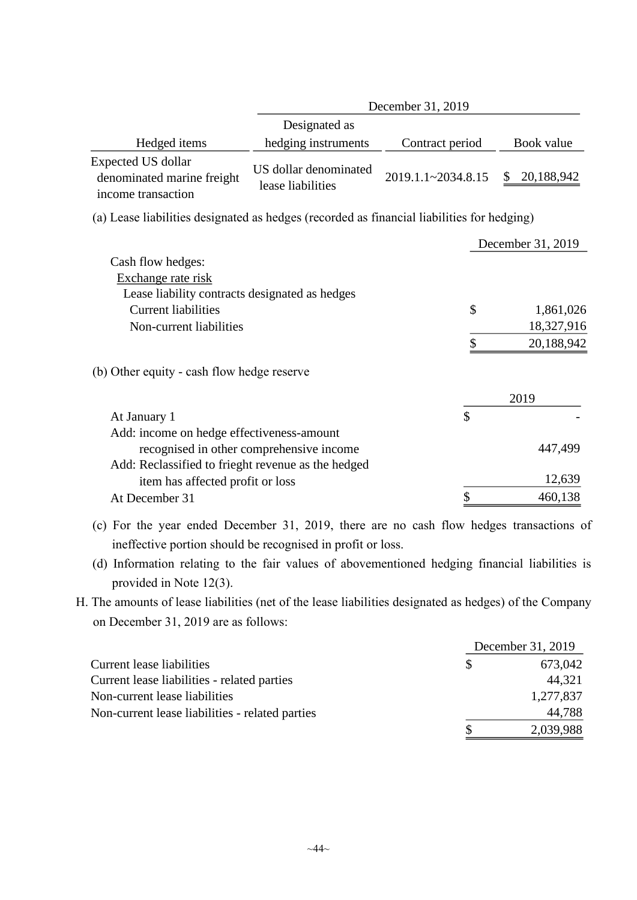|                                                                                                                                                    |                                            | December 31, 2019  |                                       |
|----------------------------------------------------------------------------------------------------------------------------------------------------|--------------------------------------------|--------------------|---------------------------------------|
|                                                                                                                                                    | Designated as                              |                    |                                       |
| Hedged items                                                                                                                                       | hedging instruments                        | Contract period    | Book value                            |
| Expected US dollar<br>denominated marine freight<br>income transaction                                                                             | US dollar denominated<br>lease liabilities | 2019.1.1~2034.8.15 | 20,188,942                            |
| (a) Lease liabilities designated as hedges (recorded as financial liabilities for hedging)                                                         |                                            |                    |                                       |
|                                                                                                                                                    |                                            |                    | December 31, 2019                     |
| Cash flow hedges:<br>Exchange rate risk<br>Lease liability contracts designated as hedges<br><b>Current liabilities</b><br>Non-current liabilities |                                            | $\mathcal{S}$      | 1,861,026<br>18,327,916<br>20,188,942 |
| (b) Other equity - cash flow hedge reserve                                                                                                         |                                            |                    |                                       |
|                                                                                                                                                    |                                            |                    | 2019                                  |
| At January 1<br>Add: income on hedge effectiveness-amount                                                                                          |                                            | \$                 |                                       |
|                                                                                                                                                    | recognised in other comprehensive income   |                    | 447,499                               |
| Add: Reclassified to frieght revenue as the hedged<br>item has affected profit or loss                                                             |                                            |                    | 12,639                                |
| At December 31                                                                                                                                     |                                            | \$                 | 460,138                               |
|                                                                                                                                                    |                                            |                    |                                       |

(c) For the year ended December 31, 2019, there are no cash flow hedges transactions of ineffective portion should be recognised in profit or loss.

(d) Information relating to the fair values of abovementioned hedging financial liabilities is provided in Note 12(3).

H. The amounts of lease liabilities (net of the lease liabilities designated as hedges) of the Company on December 31, 2019 are as follows:

|                                                 | December 31, 2019 |
|-------------------------------------------------|-------------------|
| Current lease liabilities                       | 673,042           |
| Current lease liabilities - related parties     | 44,321            |
| Non-current lease liabilities                   | 1,277,837         |
| Non-current lease liabilities - related parties | 44,788            |
|                                                 | 2,039,988         |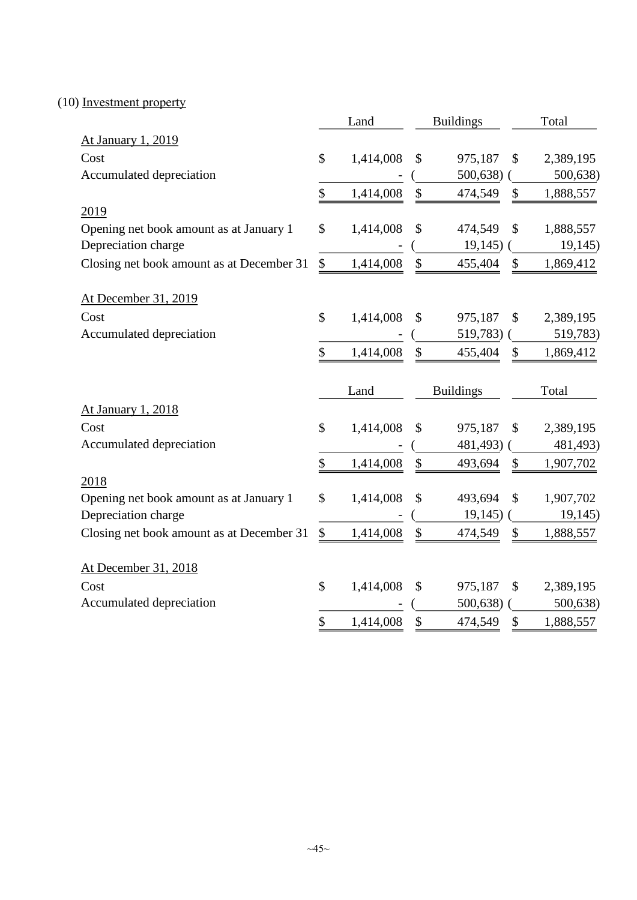(10) Investment property

|                                           | Land<br><b>Buildings</b> |           | Total            |               |           |
|-------------------------------------------|--------------------------|-----------|------------------|---------------|-----------|
| At January 1, 2019                        |                          |           |                  |               |           |
| Cost                                      | \$                       | 1,414,008 | \$<br>975,187    | \$            | 2,389,195 |
| Accumulated depreciation                  |                          |           | 500,638)         |               | 500,638)  |
|                                           | \$                       | 1,414,008 | \$<br>474,549    | \$            | 1,888,557 |
| 2019                                      |                          |           |                  |               |           |
| Opening net book amount as at January 1   | \$                       | 1,414,008 | \$<br>474,549    | \$            | 1,888,557 |
| Depreciation charge                       |                          |           | 19,145)          |               | 19,145)   |
| Closing net book amount as at December 31 | \$                       | 1,414,008 | \$<br>455,404    | \$            | 1,869,412 |
| At December 31, 2019                      |                          |           |                  |               |           |
| Cost                                      | \$                       | 1,414,008 | \$<br>975,187    | $\mathcal{S}$ | 2,389,195 |
| Accumulated depreciation                  |                          |           | 519,783)         |               | 519,783)  |
|                                           | \$                       | 1,414,008 | \$<br>455,404    | \$            | 1,869,412 |
|                                           |                          | Land      | <b>Buildings</b> |               | Total     |
| At January 1, 2018                        |                          |           |                  |               |           |
| Cost                                      | \$                       | 1,414,008 | \$<br>975,187    | \$            | 2,389,195 |
| Accumulated depreciation                  |                          |           | 481,493)         |               | 481,493)  |
|                                           | \$                       | 1,414,008 | \$<br>493,694    | \$            | 1,907,702 |
| 2018                                      |                          |           |                  |               |           |
| Opening net book amount as at January 1   | \$                       | 1,414,008 | \$<br>493,694    | \$            | 1,907,702 |
| Depreciation charge                       |                          |           | 19,145)          |               | 19,145)   |
| Closing net book amount as at December 31 | \$                       | 1,414,008 | \$<br>474,549    | \$            | 1,888,557 |
| At December 31, 2018                      |                          |           |                  |               |           |
| Cost                                      | $\mathcal{S}$            | 1,414,008 | \$<br>975,187    | $\mathcal{S}$ | 2,389,195 |
| Accumulated depreciation                  |                          |           | 500,638)         |               | 500,638)  |
|                                           | $\mathcal{S}$            | 1,414,008 | \$<br>474,549    | $\mathcal{S}$ | 1,888,557 |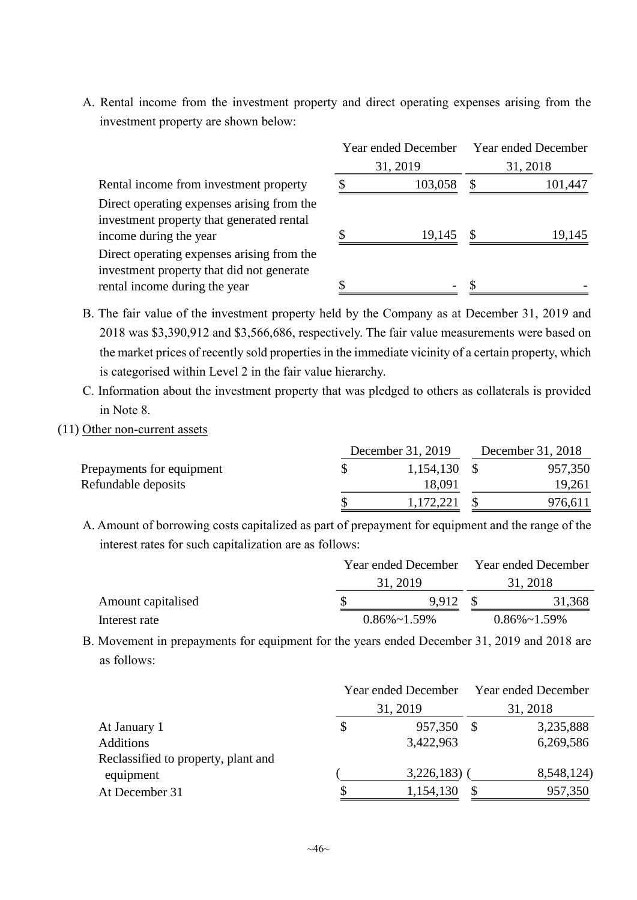A. Rental income from the investment property and direct operating expenses arising from the investment property are shown below:

|                                                                                         | Year ended December<br>31, 2019 |         |          | <b>Year ended December</b> |
|-----------------------------------------------------------------------------------------|---------------------------------|---------|----------|----------------------------|
|                                                                                         |                                 |         | 31, 2018 |                            |
| Rental income from investment property                                                  |                                 | 103,058 |          | 101,447                    |
| Direct operating expenses arising from the<br>investment property that generated rental |                                 |         |          |                            |
| income during the year                                                                  |                                 | 19,145  |          | 19,145                     |
| Direct operating expenses arising from the<br>investment property that did not generate |                                 |         |          |                            |
| rental income during the year                                                           |                                 | -       |          |                            |

B. The fair value of the investment property held by the Company as at December 31, 2019 and 2018 was \$3,390,912 and \$3,566,686, respectively. The fair value measurements were based on the market prices of recently sold properties in the immediate vicinity of a certain property, which is categorised within Level 2 in the fair value hierarchy.

C. Information about the investment property that was pledged to others as collaterals is provided in Note 8.

#### (11) Other non-current assets

|                           | December 31, 2019 | December 31, 2018 |         |  |
|---------------------------|-------------------|-------------------|---------|--|
| Prepayments for equipment | $1,154,130$ \$    |                   | 957,350 |  |
| Refundable deposits       | 18.091            |                   | 19,261  |  |
|                           | 1,172,221         |                   | 976,611 |  |

A. Amount of borrowing costs capitalized as part of prepayment for equipment and the range of the interest rates for such capitalization are as follows:

|                    | Year ended December | <b>Year ended December</b> |  |                      |
|--------------------|---------------------|----------------------------|--|----------------------|
|                    | 31, 2019            |                            |  | 31, 2018             |
| Amount capitalised |                     | 9.912                      |  | 31,368               |
| Interest rate      |                     | $0.86\% \sim 1.59\%$       |  | $0.86\% \sim 1.59\%$ |

B. Movement in prepayments for equipment for the years ended December 31, 2019 and 2018 are as follows:

|                                     | Year ended December |          | <b>Year ended December</b> |  |
|-------------------------------------|---------------------|----------|----------------------------|--|
|                                     | 31, 2019            | 31, 2018 |                            |  |
| At January 1                        | 957,350             |          | 3,235,888                  |  |
| <b>Additions</b>                    | 3,422,963           |          | 6,269,586                  |  |
| Reclassified to property, plant and |                     |          |                            |  |
| equipment                           | 3,226,183           |          | 8,548,124)                 |  |
| At December 31                      | 1,154,130           |          | 957,350                    |  |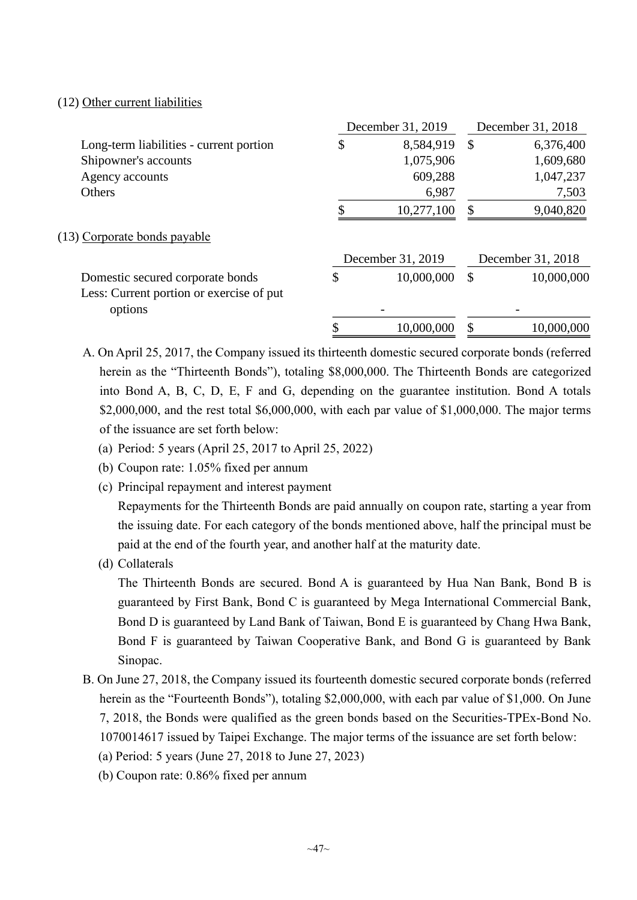#### (12) Other current liabilities

|                                          | December 31, 2019 | December 31, 2018 |                   |
|------------------------------------------|-------------------|-------------------|-------------------|
| Long-term liabilities - current portion  | \$<br>8,584,919   | $\mathcal{S}$     | 6,376,400         |
| Shipowner's accounts                     | 1,075,906         |                   | 1,609,680         |
| Agency accounts                          | 609,288           |                   | 1,047,237         |
| Others                                   | 6,987             |                   | 7,503             |
|                                          | 10,277,100        | \$                | 9,040,820         |
| (13) Corporate bonds payable             |                   |                   |                   |
|                                          | December 31, 2019 |                   | December 31, 2018 |
| Domestic secured corporate bonds         | \$<br>10,000,000  | $\mathbb{S}$      | 10,000,000        |
| Less: Current portion or exercise of put |                   |                   |                   |
| options                                  |                   |                   |                   |
|                                          | 10,000,000        | \$                | 10,000,000        |
|                                          |                   |                   |                   |

A. On April 25, 2017, the Company issued its thirteenth domestic secured corporate bonds (referred herein as the "Thirteenth Bonds"), totaling \$8,000,000. The Thirteenth Bonds are categorized into Bond A, B, C, D, E, F and G, depending on the guarantee institution. Bond A totals \$2,000,000, and the rest total \$6,000,000, with each par value of \$1,000,000. The major terms of the issuance are set forth below:

- (a) Period: 5 years (April 25, 2017 to April 25, 2022)
- (b) Coupon rate: 1.05% fixed per annum
- (c) Principal repayment and interest payment

Repayments for the Thirteenth Bonds are paid annually on coupon rate, starting a year from the issuing date. For each category of the bonds mentioned above, half the principal must be paid at the end of the fourth year, and another half at the maturity date.

(d) Collaterals

The Thirteenth Bonds are secured. Bond A is guaranteed by Hua Nan Bank, Bond B is guaranteed by First Bank, Bond C is guaranteed by Mega International Commercial Bank, Bond D is guaranteed by Land Bank of Taiwan, Bond E is guaranteed by Chang Hwa Bank, Bond F is guaranteed by Taiwan Cooperative Bank, and Bond G is guaranteed by Bank Sinopac.

- B. On June 27, 2018, the Company issued its fourteenth domestic secured corporate bonds (referred herein as the "Fourteenth Bonds"), totaling \$2,000,000, with each par value of \$1,000. On June 7, 2018, the Bonds were qualified as the green bonds based on the Securities-TPEx-Bond No. 1070014617 issued by Taipei Exchange. The major terms of the issuance are set forth below:
	- (a) Period: 5 years (June 27, 2018 to June 27, 2023)
	- (b) Coupon rate: 0.86% fixed per annum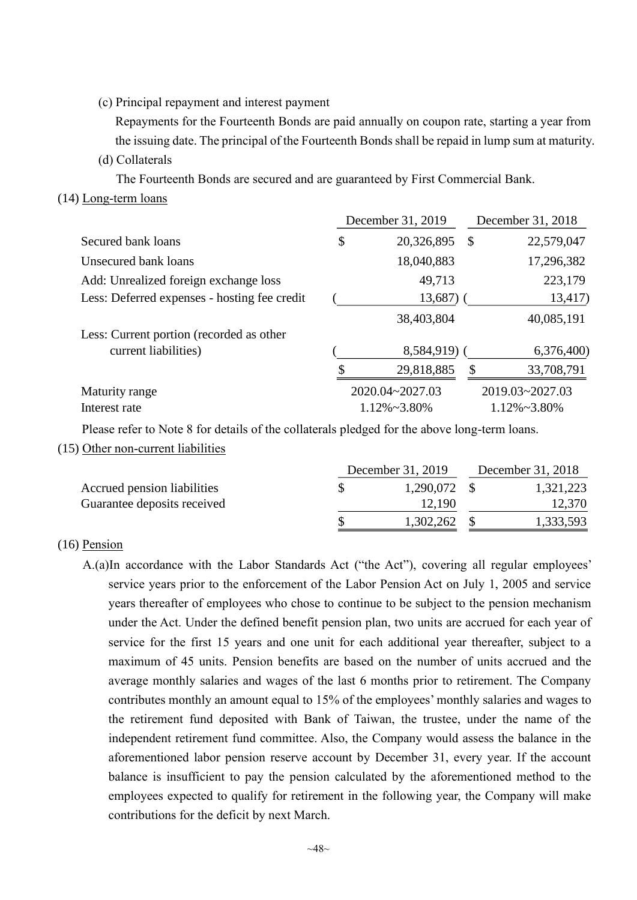(c) Principal repayment and interest payment

Repayments for the Fourteenth Bonds are paid annually on coupon rate, starting a year from the issuing date. The principal of the Fourteenth Bonds shall be repaid in lump sum at maturity.

(d) Collaterals

The Fourteenth Bonds are secured and are guaranteed by First Commercial Bank.

(14) Long-term loans

|                                              | December 31, 2019    |    | December 31, 2018    |
|----------------------------------------------|----------------------|----|----------------------|
| Secured bank loans                           | \$<br>20,326,895     | \$ | 22,579,047           |
| Unsecured bank loans                         | 18,040,883           |    | 17,296,382           |
| Add: Unrealized foreign exchange loss        | 49,713               |    | 223,179              |
| Less: Deferred expenses - hosting fee credit | $13,687$ )           |    | 13,417)              |
|                                              | 38,403,804           |    | 40,085,191           |
| Less: Current portion (recorded as other     |                      |    |                      |
| current liabilities)                         | 8,584,919) (         |    | 6,376,400)           |
|                                              | \$<br>29,818,885     | \$ | 33,708,791           |
| Maturity range                               | 2020.04~2027.03      |    | 2019.03~2027.03      |
| Interest rate                                | $1.12\% \sim 3.80\%$ |    | $1.12\% \sim 3.80\%$ |

Please refer to Note 8 for details of the collaterals pledged for the above long-term loans.

(15) Other non-current liabilities

|                             | December 31, 2019 | December 31, 2018 |           |  |
|-----------------------------|-------------------|-------------------|-----------|--|
| Accrued pension liabilities | $1,290,072$ \$    |                   | 1,321,223 |  |
| Guarantee deposits received | 12.190            |                   | 12,370    |  |
|                             | 1,302,262         |                   | 1,333,593 |  |

#### (16) Pension

A.(a)In accordance with the Labor Standards Act ("the Act"), covering all regular employees' service years prior to the enforcement of the Labor Pension Act on July 1, 2005 and service years thereafter of employees who chose to continue to be subject to the pension mechanism under the Act. Under the defined benefit pension plan, two units are accrued for each year of service for the first 15 years and one unit for each additional year thereafter, subject to a maximum of 45 units. Pension benefits are based on the number of units accrued and the average monthly salaries and wages of the last 6 months prior to retirement. The Company contributes monthly an amount equal to 15% of the employees' monthly salaries and wages to the retirement fund deposited with Bank of Taiwan, the trustee, under the name of the independent retirement fund committee. Also, the Company would assess the balance in the aforementioned labor pension reserve account by December 31, every year. If the account balance is insufficient to pay the pension calculated by the aforementioned method to the employees expected to qualify for retirement in the following year, the Company will make contributions for the deficit by next March.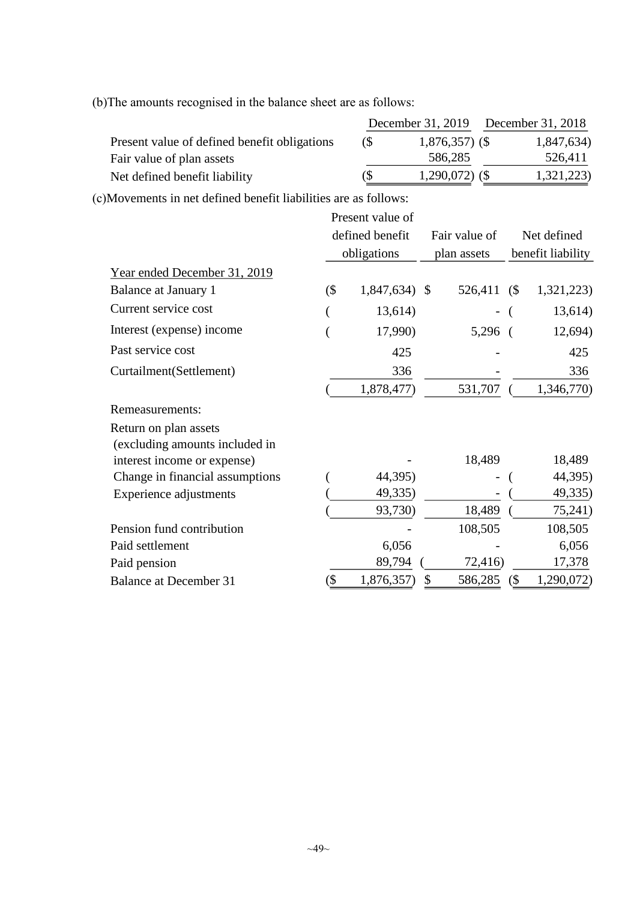(b)The amounts recognised in the balance sheet are as follows:

|                                              |            | December 31, 2019 December 31, 2018 |            |
|----------------------------------------------|------------|-------------------------------------|------------|
| Present value of defined benefit obligations | (S         | $1,876,357$ (\$)                    | 1,847,634) |
| Fair value of plan assets                    |            | 586,285                             | 526,411    |
| Net defined benefit liability                | <b>(\$</b> | $1,290,072)$ (\$                    | 1,321,223) |

(c)Movements in net defined benefit liabilities are as follows:

|                                 |                 | Present value of |               |             |             |                   |  |
|---------------------------------|-----------------|------------------|---------------|-------------|-------------|-------------------|--|
|                                 | defined benefit |                  | Fair value of |             | Net defined |                   |  |
|                                 |                 | obligations      |               | plan assets |             | benefit liability |  |
| Year ended December 31, 2019    |                 |                  |               |             |             |                   |  |
| <b>Balance at January 1</b>     | $($ \$          | $1,847,634$ \$   |               | 526,411 (\$ |             | 1,321,223)        |  |
| Current service cost            |                 | 13,614)          |               |             |             | 13,614)           |  |
| Interest (expense) income       |                 | 17,990)          |               | $5,296$ (   |             | 12,694)           |  |
| Past service cost               |                 | 425              |               |             |             | 425               |  |
| Curtailment(Settlement)         |                 | 336              |               |             |             | 336               |  |
|                                 |                 | 1,878,477)       |               | 531,707     |             | 1,346,770)        |  |
| Remeasurements:                 |                 |                  |               |             |             |                   |  |
| Return on plan assets           |                 |                  |               |             |             |                   |  |
| (excluding amounts included in  |                 |                  |               |             |             |                   |  |
| interest income or expense)     |                 |                  |               | 18,489      |             | 18,489            |  |
| Change in financial assumptions |                 | 44,395)          |               |             |             | 44,395)           |  |
| Experience adjustments          |                 | 49,335)          |               |             |             | 49,335)           |  |
|                                 |                 | 93,730)          |               | 18,489      |             | 75,241)           |  |
| Pension fund contribution       |                 |                  |               | 108,505     |             | 108,505           |  |
| Paid settlement                 |                 | 6,056            |               |             |             | 6,056             |  |
| Paid pension                    |                 | 89,794           |               | 72,416)     |             | 17,378            |  |
| <b>Balance at December 31</b>   | $($ \$          | 1,876,357)       | \$            | 586,285     | (           | 1,290,072)        |  |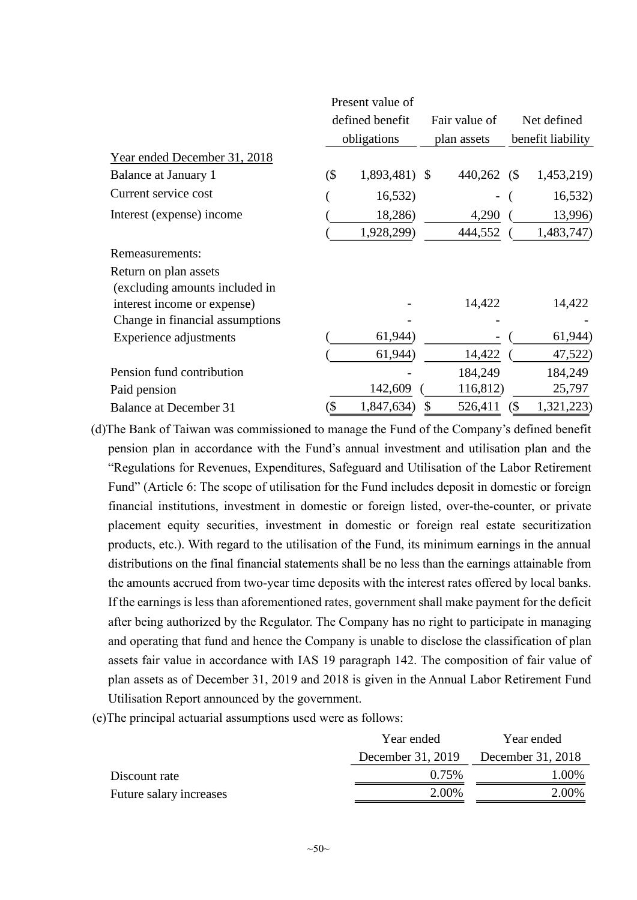|                                 |                 | Present value of |               |                            |                   |  |
|---------------------------------|-----------------|------------------|---------------|----------------------------|-------------------|--|
|                                 | defined benefit |                  | Fair value of |                            | Net defined       |  |
|                                 |                 | obligations      | plan assets   |                            | benefit liability |  |
| Year ended December 31, 2018    |                 |                  |               |                            |                   |  |
| Balance at January 1            | $($ \$          | 1,893,481) \$    | 440,262 (\$   |                            | 1,453,219)        |  |
| Current service cost            |                 | 16,532)          |               |                            | 16,532)           |  |
| Interest (expense) income       |                 | 18,286)          | 4,290         |                            | 13,996)           |  |
|                                 |                 | 1,928,299)       | 444,552       |                            | 1,483,747)        |  |
| Remeasurements:                 |                 |                  |               |                            |                   |  |
| Return on plan assets           |                 |                  |               |                            |                   |  |
| (excluding amounts included in  |                 |                  |               |                            |                   |  |
| interest income or expense)     |                 |                  | 14,422        |                            | 14,422            |  |
| Change in financial assumptions |                 |                  |               |                            |                   |  |
| Experience adjustments          |                 | 61,944)          |               |                            | 61,944)           |  |
|                                 |                 | 61,944)          | 14,422        |                            | 47,522)           |  |
| Pension fund contribution       |                 |                  | 184,249       |                            | 184,249           |  |
| Paid pension                    |                 | 142,609          | 116,812)      |                            | 25,797            |  |
| <b>Balance at December 31</b>   | (\$             | 1,847,634)       | \$<br>526,411 | $\left( \text{\$} \right)$ | 1,321,223)        |  |

- (d)The Bank of Taiwan was commissioned to manage the Fund of the Company's defined benefit pension plan in accordance with the Fund's annual investment and utilisation plan and the "Regulations for Revenues, Expenditures, Safeguard and Utilisation of the Labor Retirement Fund" (Article 6: The scope of utilisation for the Fund includes deposit in domestic or foreign financial institutions, investment in domestic or foreign listed, over-the-counter, or private placement equity securities, investment in domestic or foreign real estate securitization products, etc.). With regard to the utilisation of the Fund, its minimum earnings in the annual distributions on the final financial statements shall be no less than the earnings attainable from the amounts accrued from two-year time deposits with the interest rates offered by local banks. If the earnings is less than aforementioned rates, government shall make payment for the deficit after being authorized by the Regulator. The Company has no right to participate in managing and operating that fund and hence the Company is unable to disclose the classification of plan assets fair value in accordance with IAS 19 paragraph 142. The composition of fair value of plan assets as of December 31, 2019 and 2018 is given in the Annual Labor Retirement Fund Utilisation Report announced by the government.
- (e)The principal actuarial assumptions used were as follows:

|                         | Year ended        | Year ended        |
|-------------------------|-------------------|-------------------|
|                         | December 31, 2019 | December 31, 2018 |
| Discount rate           | 0.75%             | 1.00%             |
| Future salary increases | 2.00%             | 2.00%             |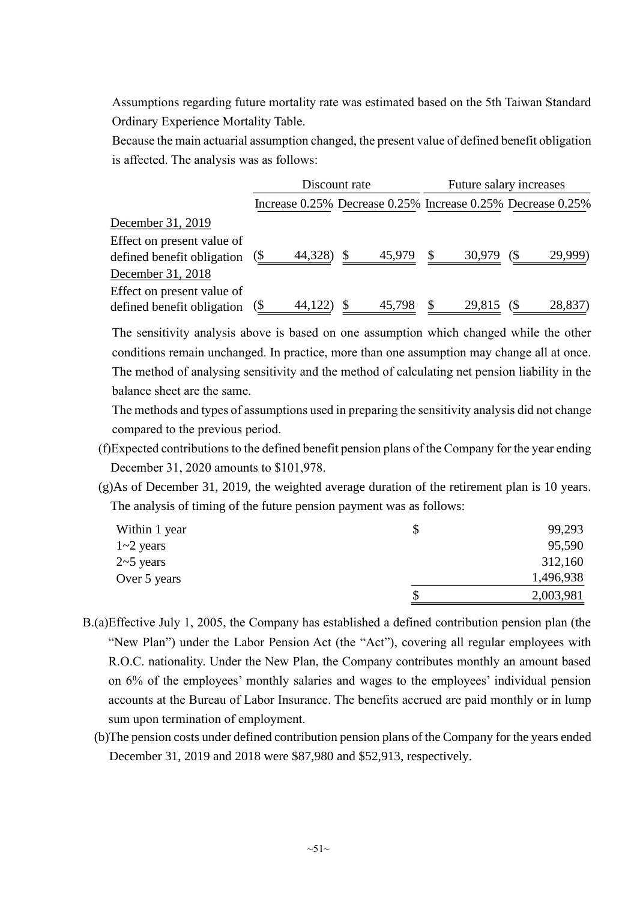Assumptions regarding future mortality rate was estimated based on the 5th Taiwan Standard Ordinary Experience Mortality Table.

Because the main actuarial assumption changed, the present value of defined benefit obligation is affected. The analysis was as follows:

|                                                                               |         | Discount rate                                               | Future salary increases |        |  |  |  |
|-------------------------------------------------------------------------------|---------|-------------------------------------------------------------|-------------------------|--------|--|--|--|
|                                                                               |         | Increase 0.25% Decrease 0.25% Increase 0.25% Decrease 0.25% |                         |        |  |  |  |
| December 31, 2019                                                             |         |                                                             |                         |        |  |  |  |
| Effect on present value of<br>defined benefit obligation                      | 44,328) | 45,979                                                      | 30,979                  | 29,999 |  |  |  |
| December 31, 2018<br>Effect on present value of<br>defined benefit obligation | 44,122  | 45,798                                                      | <b>S</b><br>29,815      | 28,837 |  |  |  |

The sensitivity analysis above is based on one assumption which changed while the other conditions remain unchanged. In practice, more than one assumption may change all at once. The method of analysing sensitivity and the method of calculating net pension liability in the balance sheet are the same.

The methods and types of assumptions used in preparing the sensitivity analysis did not change compared to the previous period.

- (f)Expected contributions to the defined benefit pension plans of the Company for the year ending December 31, 2020 amounts to \$101,978.
- (g)As of December 31, 2019, the weighted average duration of the retirement plan is 10 years. The analysis of timing of the future pension payment was as follows:

| Within 1 year    | 99,293    |
|------------------|-----------|
| $1 - 2$ years    | 95,590    |
| $2 \sim 5$ years | 312,160   |
| Over 5 years     | 1,496,938 |
|                  | 2,003,981 |

- B.(a)Effective July 1, 2005, the Company has established a defined contribution pension plan (the "New Plan") under the Labor Pension Act (the "Act"), covering all regular employees with R.O.C. nationality. Under the New Plan, the Company contributes monthly an amount based on 6% of the employees' monthly salaries and wages to the employees' individual pension accounts at the Bureau of Labor Insurance. The benefits accrued are paid monthly or in lump sum upon termination of employment.
	- (b)The pension costs under defined contribution pension plans of the Company for the years ended December 31, 2019 and 2018 were \$87,980 and \$52,913, respectively.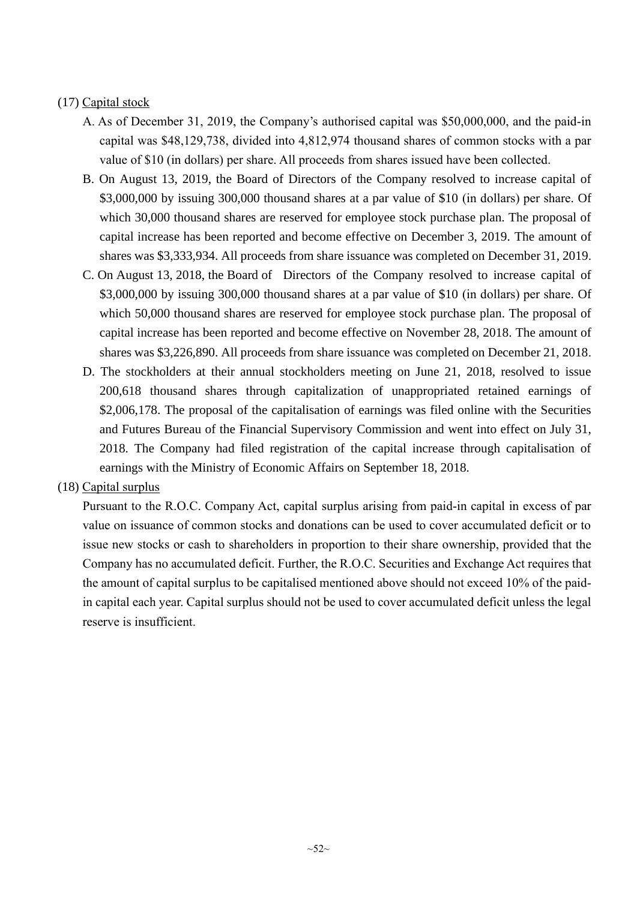#### (17) Capital stock

- A. As of December 31, 2019, the Company's authorised capital was \$50,000,000, and the paid-in capital was \$48,129,738, divided into 4,812,974 thousand shares of common stocks with a par value of \$10 (in dollars) per share. All proceeds from shares issued have been collected.
- B. On August 13, 2019, the Board of Directors of the Company resolved to increase capital of \$3,000,000 by issuing 300,000 thousand shares at a par value of \$10 (in dollars) per share. Of which 30,000 thousand shares are reserved for employee stock purchase plan. The proposal of capital increase has been reported and become effective on December 3, 2019. The amount of shares was \$3,333,934. All proceeds from share issuance was completed on December 31, 2019.
- C. On August 13, 2018, the Board of Directors of the Company resolved to increase capital of \$3,000,000 by issuing 300,000 thousand shares at a par value of \$10 (in dollars) per share. Of which 50,000 thousand shares are reserved for employee stock purchase plan. The proposal of capital increase has been reported and become effective on November 28, 2018. The amount of shares was \$3,226,890. All proceeds from share issuance was completed on December 21, 2018.
- D. The stockholders at their annual stockholders meeting on June 21, 2018, resolved to issue 200,618 thousand shares through capitalization of unappropriated retained earnings of \$2,006,178. The proposal of the capitalisation of earnings was filed online with the Securities and Futures Bureau of the Financial Supervisory Commission and went into effect on July 31, 2018. The Company had filed registration of the capital increase through capitalisation of earnings with the Ministry of Economic Affairs on September 18, 2018.

#### (18) Capital surplus

Pursuant to the R.O.C. Company Act, capital surplus arising from paid-in capital in excess of par value on issuance of common stocks and donations can be used to cover accumulated deficit or to issue new stocks or cash to shareholders in proportion to their share ownership, provided that the Company has no accumulated deficit. Further, the R.O.C. Securities and Exchange Act requires that the amount of capital surplus to be capitalised mentioned above should not exceed 10% of the paidin capital each year. Capital surplus should not be used to cover accumulated deficit unless the legal reserve is insufficient.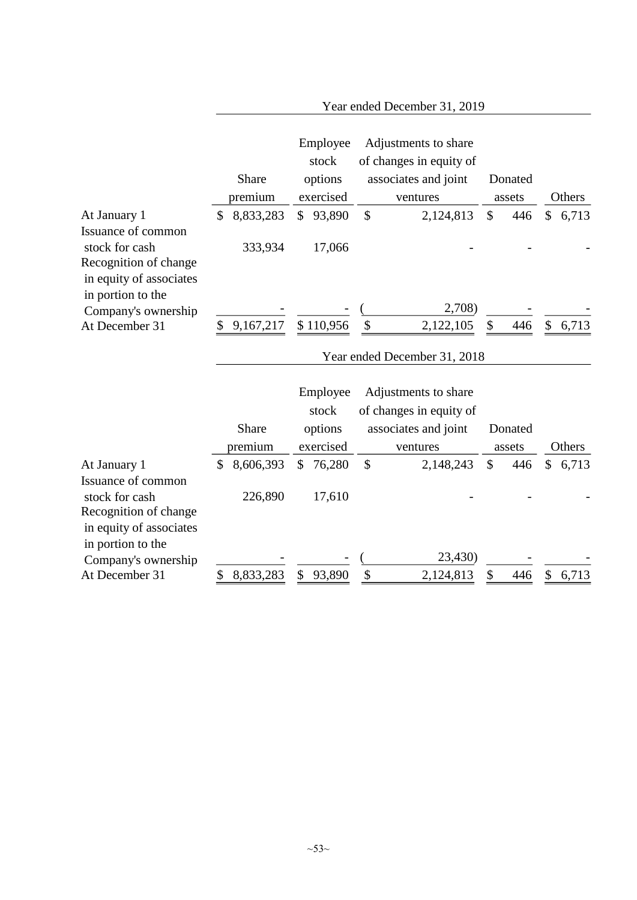|                                                                                          | <b>Share</b><br>premium | Employee<br>stock<br>options<br>exercised | Adjustments to share<br>of changes in equity of<br>associates and joint<br>ventures |    | Donated<br>assets | Others      |
|------------------------------------------------------------------------------------------|-------------------------|-------------------------------------------|-------------------------------------------------------------------------------------|----|-------------------|-------------|
| At January 1                                                                             | \$<br>8,833,283         | \$<br>93,890                              | \$<br>2,124,813                                                                     | \$ | 446               | \$<br>6,713 |
| Issuance of common<br>stock for cash<br>Recognition of change<br>in equity of associates | 333,934                 | 17,066                                    |                                                                                     |    |                   |             |
| in portion to the<br>Company's ownership                                                 |                         |                                           | 2,708)                                                                              |    |                   |             |
| At December 31                                                                           | 9,167,217               | \$110,956                                 | \$<br>2,122,105                                                                     | S  | 446               | \$<br>6,713 |
|                                                                                          |                         |                                           | Year ended December 31, 2018                                                        |    |                   |             |

Year ended December 31, 2019

|                                              |                 |    | Employee  | Adjustments to share    |    |         |   |        |
|----------------------------------------------|-----------------|----|-----------|-------------------------|----|---------|---|--------|
|                                              |                 |    | stock     | of changes in equity of |    |         |   |        |
|                                              | <b>Share</b>    |    | options   | associates and joint    |    | Donated |   |        |
|                                              | premium         |    | exercised | ventures                |    | assets  |   | Others |
| At January 1                                 | \$<br>8,606,393 | S. | 76,280    | \$<br>2,148,243         | S  | 446     | S | 6,713  |
| Issuance of common<br>stock for cash         | 226,890         |    | 17,610    |                         |    |         |   |        |
| Recognition of change                        |                 |    |           |                         |    |         |   |        |
| in equity of associates<br>in portion to the |                 |    |           |                         |    |         |   |        |
| Company's ownership                          |                 |    |           | 23,430)                 |    |         |   |        |
| At December 31                               | 8,833,283       | \$ | 93,890    | \$<br>2,124,813         | \$ | 446     |   | 6,713  |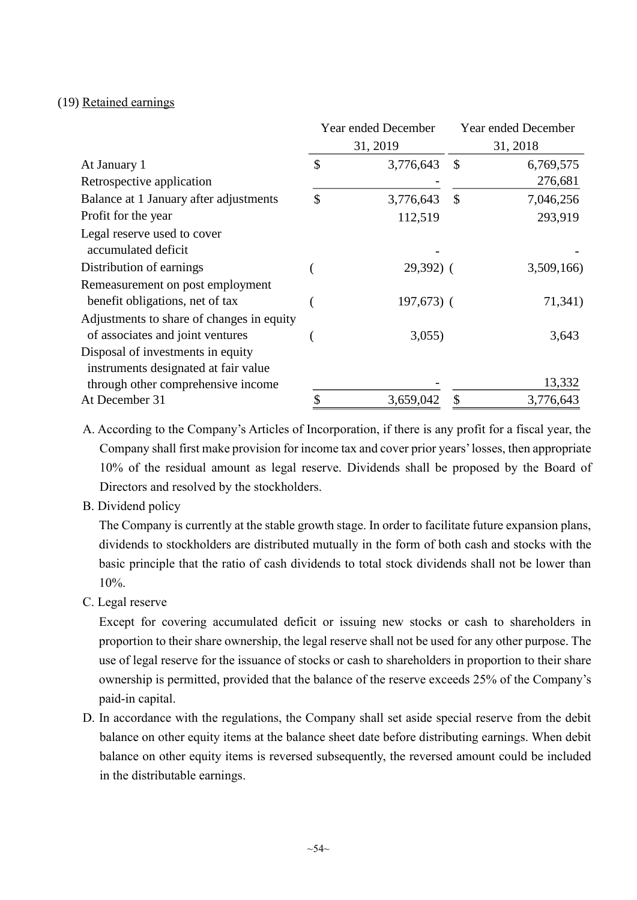#### (19) Retained earnings

|                                                                               |    | Year ended December |               | Year ended December |  |
|-------------------------------------------------------------------------------|----|---------------------|---------------|---------------------|--|
|                                                                               |    | 31, 2019            | 31, 2018      |                     |  |
| At January 1                                                                  | \$ | 3,776,643           | $\mathcal{S}$ | 6,769,575           |  |
| Retrospective application                                                     |    |                     |               | 276,681             |  |
| Balance at 1 January after adjustments                                        | \$ | 3,776,643           | $\mathcal{S}$ | 7,046,256           |  |
| Profit for the year                                                           |    | 112,519             |               | 293,919             |  |
| Legal reserve used to cover<br>accumulated deficit                            |    |                     |               |                     |  |
| Distribution of earnings                                                      |    | $29,392)$ (         |               | 3,509,166)          |  |
| Remeasurement on post employment                                              |    |                     |               |                     |  |
| benefit obligations, net of tax                                               |    | 197,673) (          |               | 71,341)             |  |
| Adjustments to share of changes in equity<br>of associates and joint ventures |    | 3,055               |               | 3,643               |  |
| Disposal of investments in equity                                             |    |                     |               |                     |  |
| instruments designated at fair value                                          |    |                     |               |                     |  |
| through other comprehensive income                                            |    |                     |               | 13,332              |  |
| At December 31                                                                |    | 3,659,042           | $\mathcal{S}$ | 3,776,643           |  |

A. According to the Company's Articles of Incorporation, if there is any profit for a fiscal year, the Company shall first make provision for income tax and cover prior years' losses, then appropriate 10% of the residual amount as legal reserve. Dividends shall be proposed by the Board of Directors and resolved by the stockholders.

B. Dividend policy

The Company is currently at the stable growth stage. In order to facilitate future expansion plans, dividends to stockholders are distributed mutually in the form of both cash and stocks with the basic principle that the ratio of cash dividends to total stock dividends shall not be lower than 10%.

C. Legal reserve

Except for covering accumulated deficit or issuing new stocks or cash to shareholders in proportion to their share ownership, the legal reserve shall not be used for any other purpose. The use of legal reserve for the issuance of stocks or cash to shareholders in proportion to their share ownership is permitted, provided that the balance of the reserve exceeds 25% of the Company's paid-in capital.

D. In accordance with the regulations, the Company shall set aside special reserve from the debit balance on other equity items at the balance sheet date before distributing earnings. When debit balance on other equity items is reversed subsequently, the reversed amount could be included in the distributable earnings.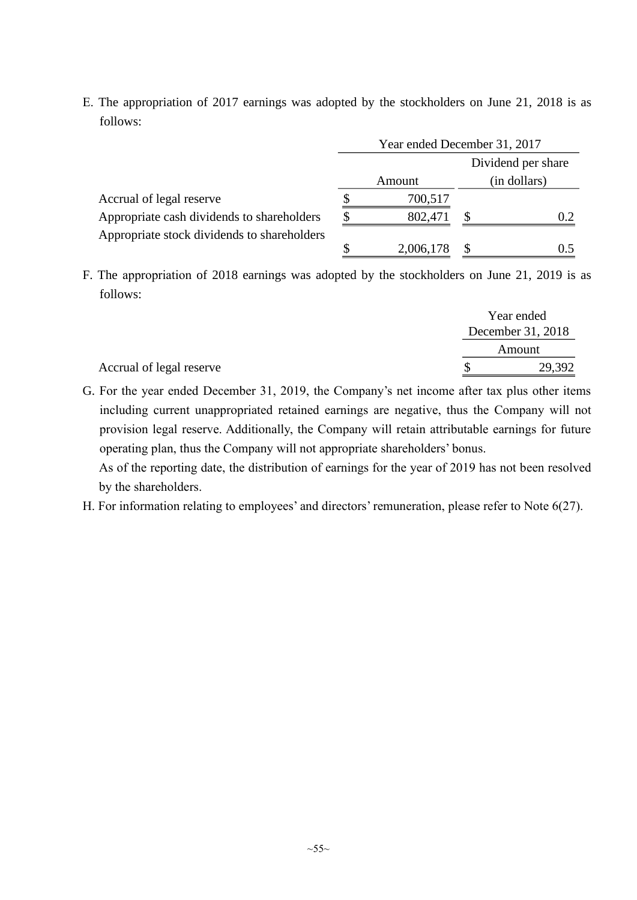E. The appropriation of 2017 earnings was adopted by the stockholders on June 21, 2018 is as follows:

|                                             | Year ended December 31, 2017 |           |  |                    |  |  |
|---------------------------------------------|------------------------------|-----------|--|--------------------|--|--|
|                                             |                              |           |  | Dividend per share |  |  |
|                                             |                              | Amount    |  | (in dollars)       |  |  |
| Accrual of legal reserve                    |                              | 700,517   |  |                    |  |  |
| Appropriate cash dividends to shareholders  |                              | 802,471   |  | 0.2                |  |  |
| Appropriate stock dividends to shareholders |                              |           |  |                    |  |  |
|                                             |                              | 2,006,178 |  | () 5               |  |  |

F. The appropriation of 2018 earnings was adopted by the stockholders on June 21, 2019 is as follows:

|                          | Year ended        |
|--------------------------|-------------------|
|                          | December 31, 2018 |
|                          | Amount            |
| Accrual of legal reserve | 29,392            |

G. For the year ended December 31, 2019, the Company's net income after tax plus other items including current unappropriated retained earnings are negative, thus the Company will not provision legal reserve. Additionally, the Company will retain attributable earnings for future operating plan, thus the Company will not appropriate shareholders' bonus.

As of the reporting date, the distribution of earnings for the year of 2019 has not been resolved by the shareholders.

H. For information relating to employees' and directors' remuneration, please refer to Note 6(27).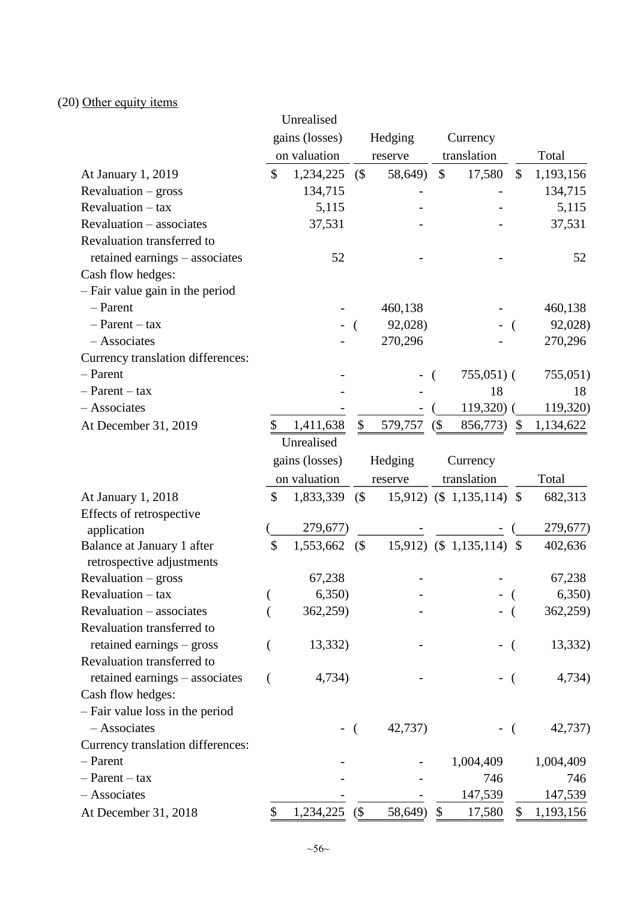# (20) Other equity items

|                                                         |              | Unrealised     |          |         |               |                           |               |           |
|---------------------------------------------------------|--------------|----------------|----------|---------|---------------|---------------------------|---------------|-----------|
|                                                         |              | gains (losses) |          | Hedging |               | Currency                  |               |           |
|                                                         |              | on valuation   |          | reserve |               | translation               |               | Total     |
| At January 1, 2019                                      | \$           | 1,234,225      | $($ \$   | 58,649) | $\frac{1}{2}$ | 17,580                    | \$            | 1,193,156 |
| $Revaluation - gross$                                   |              | 134,715        |          |         |               |                           |               | 134,715   |
| Revaluation – tax                                       |              | 5,115          |          |         |               |                           |               | 5,115     |
| Revaluation – associates                                |              | 37,531         |          |         |               |                           |               | 37,531    |
| Revaluation transferred to                              |              |                |          |         |               |                           |               |           |
| retained earnings - associates                          |              | 52             |          |         |               |                           |               | 52        |
| Cash flow hedges:                                       |              |                |          |         |               |                           |               |           |
| - Fair value gain in the period                         |              |                |          |         |               |                           |               |           |
| $-$ Parent                                              |              |                |          | 460,138 |               |                           |               | 460,138   |
| $-$ Parent $-$ tax                                      |              |                |          | 92,028) |               |                           |               | 92,028)   |
| - Associates                                            |              |                |          | 270,296 |               |                           |               | 270,296   |
| Currency translation differences:                       |              |                |          |         |               |                           |               |           |
| $-$ Parent                                              |              |                |          |         |               | $755,051$ (               |               | 755,051)  |
| $-$ Parent $-$ tax                                      |              |                |          |         |               | 18                        |               | 18        |
| - Associates                                            |              |                |          |         |               | 119,320)                  |               | 119,320)  |
| At December 31, 2019                                    | \$           | 1,411,638      | \$       | 579,757 | $($ \$        | 856,773)                  | $\mathcal{S}$ | 1,134,622 |
|                                                         |              | Unrealised     |          |         |               |                           |               |           |
|                                                         |              | gains (losses) |          | Hedging |               | Currency                  |               |           |
|                                                         |              | on valuation   |          | reserve |               | translation               |               | Total     |
| At January 1, 2018                                      | \$           | 1,833,339      | $($ \$   |         |               | 15,912) (\$ 1,135,114) \$ |               | 682,313   |
| Effects of retrospective                                |              |                |          |         |               |                           |               |           |
| application                                             |              | 279,677)       |          |         |               |                           |               | 279,677)  |
| Balance at January 1 after<br>retrospective adjustments | \$           | 1,553,662      | (        |         |               | 15,912) (\$ 1,135,114) \$ |               | 402,636   |
| $Revaluation - gross$                                   |              | 67,238         |          |         |               |                           |               | 67,238    |
| $Revaluation - tax$                                     | $\epsilon$   | 6,350)         |          |         |               | $\left($                  |               | 6,350)    |
| Revaluation – associates                                |              | 362,259)       |          |         |               |                           |               | 362,259)  |
| Revaluation transferred to                              |              |                |          |         |               |                           |               |           |
| retained earnings - gross                               |              | 13,332)        |          |         |               |                           |               | 13,332)   |
| Revaluation transferred to                              |              |                |          |         |               |                           |               |           |
| retained earnings - associates                          |              | 4,734)         |          |         |               | $\left($                  |               | 4,734)    |
| Cash flow hedges:                                       |              |                |          |         |               |                           |               |           |
| - Fair value loss in the period                         |              |                |          |         |               |                           |               |           |
| - Associates                                            |              |                | $\left($ | 42,737) |               |                           |               | 42,737)   |
| Currency translation differences:                       |              |                |          |         |               |                           |               |           |
| $-$ Parent                                              |              |                |          |         |               | 1,004,409                 |               | 1,004,409 |
| $-$ Parent $-$ tax                                      |              |                |          |         |               | 746                       |               | 746       |
| - Associates                                            |              |                |          |         |               | 147,539                   |               | 147,539   |
| At December 31, 2018                                    | $\mathbb{S}$ | 1,234,225 (\$) |          | 58,649) | $\mathcal{S}$ | 17,580                    | \$            | 1,193,156 |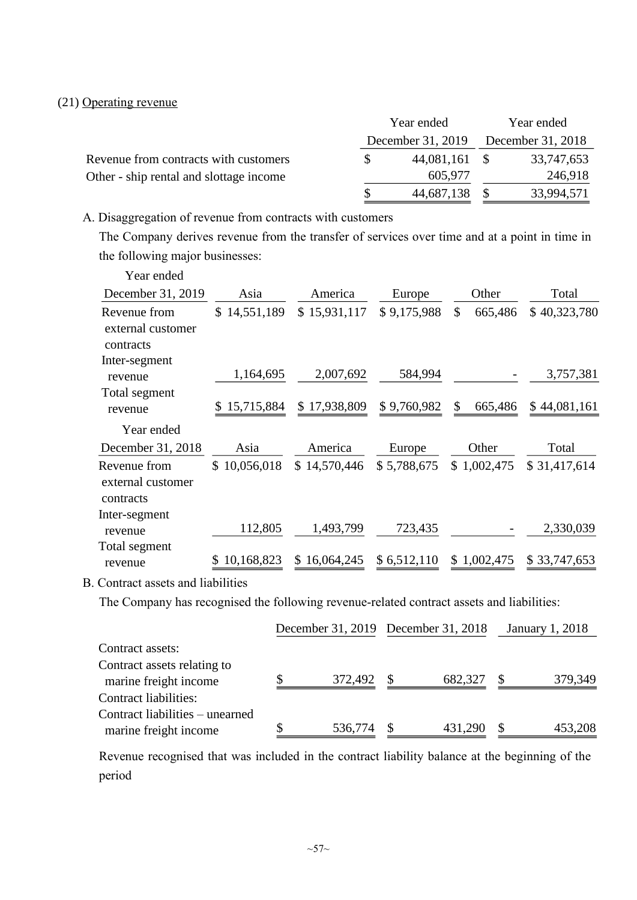#### (21) Operating revenue

|                                         |     | Year ended        |  | Year ended        |
|-----------------------------------------|-----|-------------------|--|-------------------|
|                                         |     | December 31, 2019 |  | December 31, 2018 |
| Revenue from contracts with customers   | SS. | 44,081,161        |  | 33,747,653        |
| Other - ship rental and slottage income |     | 605,977           |  | 246,918           |
|                                         |     | 44,687,138        |  | 33,994,571        |

### A. Disaggregation of revenue from contracts with customers

The Company derives revenue from the transfer of services over time and at a point in time in the following major businesses:

| Year ended                                     |                  |                  |             |                                      |              |
|------------------------------------------------|------------------|------------------|-------------|--------------------------------------|--------------|
| December 31, 2019                              | Asia             | America          | Europe      | Other                                | Total        |
| Revenue from<br>external customer<br>contracts | \$14,551,189     | \$15,931,117     | \$9,175,988 | $\boldsymbol{\mathsf{S}}$<br>665,486 | \$40,323,780 |
| Inter-segment<br>revenue<br>Total segment      | 1,164,695        | 2,007,692        | 584,994     |                                      | 3,757,381    |
| revenue                                        | 15,715,884       | \$17,938,809     | \$9,760,982 | 665,486<br>S                         | \$44,081,161 |
| Year ended                                     |                  |                  |             |                                      |              |
| December 31, 2018                              | Asia             | America          | Europe      | Other                                | Total        |
| Revenue from<br>external customer<br>contracts | \$10,056,018     | \$14,570,446     | \$5,788,675 | \$1,002,475                          | \$31,417,614 |
| Inter-segment<br>revenue                       | 112,805          | 1,493,799        | 723,435     |                                      | 2,330,039    |
| Total segment<br>revenue                       | 10,168,823<br>S. | 16,064,245<br>\$ | \$6,512,110 | \$1,002,475                          | \$33,747,653 |

B. Contract assets and liabilities

The Company has recognised the following revenue-related contract assets and liabilities:

|                                                          | December 31, 2019 December 31, 2018 |         |         | January 1, 2018 |         |  |
|----------------------------------------------------------|-------------------------------------|---------|---------|-----------------|---------|--|
| Contract assets:                                         |                                     |         |         |                 |         |  |
| Contract assets relating to<br>marine freight income     |                                     | 372,492 | 682,327 |                 | 379,349 |  |
| Contract liabilities:                                    |                                     |         |         |                 |         |  |
| Contract liabilities – unearned<br>marine freight income |                                     | 536,774 | 431,290 | S               | 453,208 |  |

Revenue recognised that was included in the contract liability balance at the beginning of the period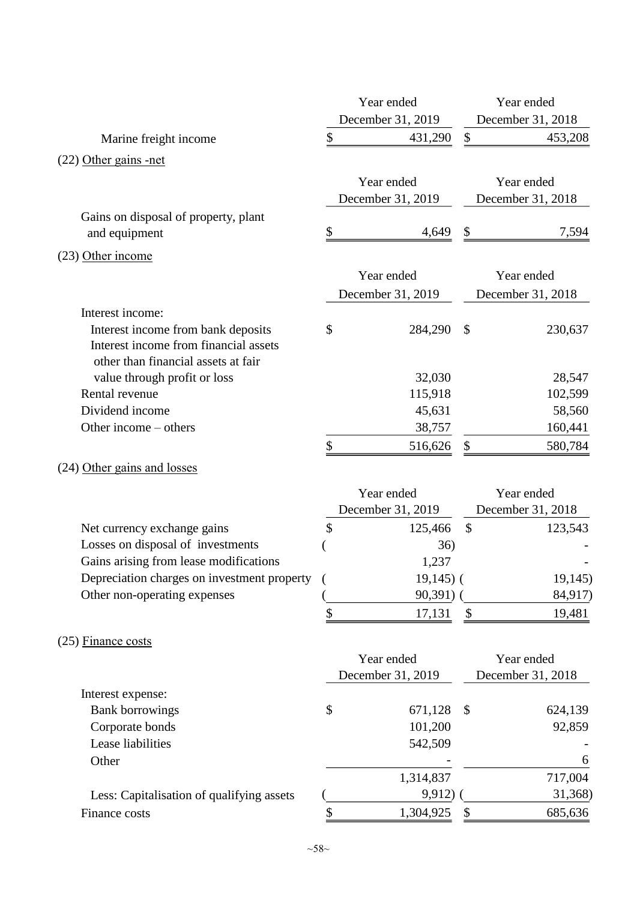|                                             | Year ended        |                           | Year ended        |
|---------------------------------------------|-------------------|---------------------------|-------------------|
|                                             | December 31, 2019 |                           | December 31, 2018 |
| Marine freight income                       | \$<br>431,290     | \$                        | 453,208           |
| $(22)$ Other gains -net                     |                   |                           |                   |
|                                             | Year ended        |                           | Year ended        |
|                                             | December 31, 2019 |                           | December 31, 2018 |
| Gains on disposal of property, plant        |                   |                           |                   |
| and equipment                               | \$<br>4,649       | \$                        | 7,594             |
| $(23)$ Other income                         |                   |                           |                   |
|                                             | Year ended        |                           | Year ended        |
|                                             | December 31, 2019 |                           | December 31, 2018 |
| Interest income:                            |                   |                           |                   |
| Interest income from bank deposits          | \$<br>284,290     | $\mathcal{S}$             | 230,637           |
| Interest income from financial assets       |                   |                           |                   |
| other than financial assets at fair         |                   |                           |                   |
| value through profit or loss                | 32,030            |                           | 28,547            |
| Rental revenue                              | 115,918           |                           | 102,599           |
| Dividend income                             | 45,631            |                           | 58,560            |
| Other income – others                       | 38,757            |                           | 160,441           |
|                                             | \$<br>516,626     | \$                        | 580,784           |
| (24) Other gains and losses                 |                   |                           |                   |
|                                             | Year ended        |                           | Year ended        |
|                                             | December 31, 2019 |                           | December 31, 2018 |
| Net currency exchange gains                 | \$<br>125,466     | \$                        | 123,543           |
| Losses on disposal of investments           | 36)               |                           |                   |
| Gains arising from lease modifications      | 1,237             |                           |                   |
| Depreciation charges on investment property | $19,145$ ) (      |                           | 19,145)           |
| Other non-operating expenses                | 90,391)           |                           | 84,917)           |
|                                             | \$<br>17,131      | \$                        | 19,481            |
| $(25)$ Finance costs                        |                   |                           |                   |
|                                             | Year ended        |                           | Year ended        |
|                                             | December 31, 2019 |                           | December 31, 2018 |
| Interest expense:                           |                   |                           |                   |
| <b>Bank borrowings</b>                      | \$<br>671,128     | $\boldsymbol{\mathsf{S}}$ | 624,139           |
| Corporate bonds                             | 101,200           |                           | 92,859            |
| Lease liabilities                           | 542,509           |                           |                   |
| Other                                       |                   |                           | 6                 |
|                                             | 1,314,837         |                           | 717,004           |
| Less: Capitalisation of qualifying assets   | 9,912)            |                           | 31,368)           |
| Finance costs                               | \$<br>1,304,925   |                           | 685,636           |
|                                             |                   |                           |                   |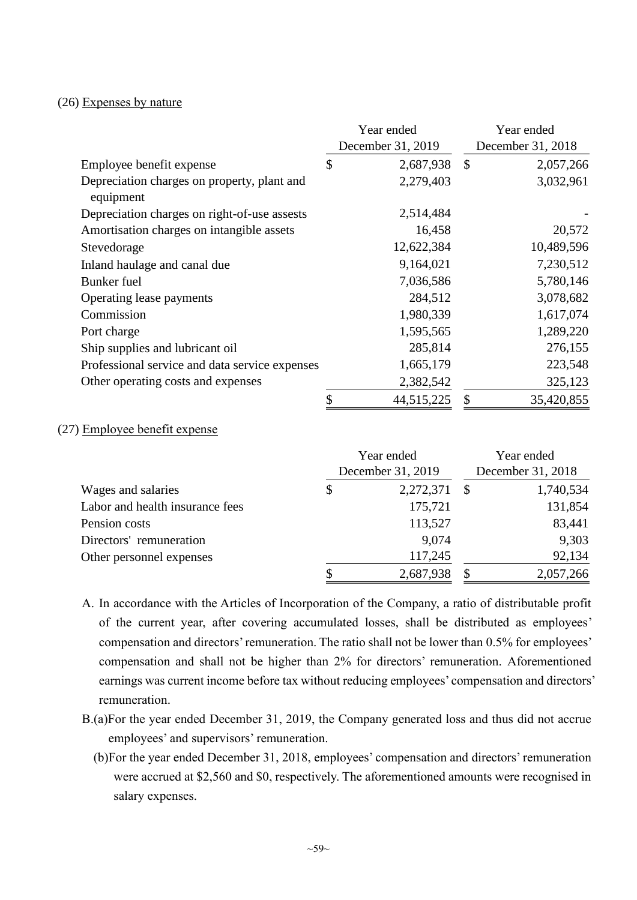#### (26) Expenses by nature

|                                                          | Year ended        |               | Year ended        |
|----------------------------------------------------------|-------------------|---------------|-------------------|
|                                                          | December 31, 2019 |               | December 31, 2018 |
| Employee benefit expense                                 | \$<br>2,687,938   | $\mathcal{S}$ | 2,057,266         |
| Depreciation charges on property, plant and<br>equipment | 2,279,403         |               | 3,032,961         |
| Depreciation charges on right-of-use assests             | 2,514,484         |               |                   |
| Amortisation charges on intangible assets                | 16,458            |               | 20,572            |
| Stevedorage                                              | 12,622,384        |               | 10,489,596        |
| Inland haulage and canal due                             | 9,164,021         |               | 7,230,512         |
| Bunker fuel                                              | 7,036,586         |               | 5,780,146         |
| Operating lease payments                                 | 284,512           |               | 3,078,682         |
| Commission                                               | 1,980,339         |               | 1,617,074         |
| Port charge                                              | 1,595,565         |               | 1,289,220         |
| Ship supplies and lubricant oil                          | 285,814           |               | 276,155           |
| Professional service and data service expenses           | 1,665,179         |               | 223,548           |
| Other operating costs and expenses                       | 2,382,542         |               | 325,123           |
|                                                          | \$<br>44,515,225  | \$            | 35,420,855        |

#### (27) Employee benefit expense

|                                 | Year ended        |                   | Year ended |  |
|---------------------------------|-------------------|-------------------|------------|--|
|                                 | December 31, 2019 | December 31, 2018 |            |  |
| Wages and salaries              | \$<br>2,272,371   | - S               | 1,740,534  |  |
| Labor and health insurance fees | 175,721           |                   | 131,854    |  |
| Pension costs                   | 113,527           |                   | 83,441     |  |
| Directors' remuneration         | 9,074             |                   | 9,303      |  |
| Other personnel expenses        | 117,245           |                   | 92,134     |  |
|                                 | \$<br>2,687,938   |                   | 2,057,266  |  |

A. In accordance with the Articles of Incorporation of the Company, a ratio of distributable profit of the current year, after covering accumulated losses, shall be distributed as employees' compensation and directors' remuneration. The ratio shall not be lower than 0.5% for employees' compensation and shall not be higher than 2% for directors' remuneration. Aforementioned earnings was current income before tax without reducing employees' compensation and directors' remuneration.

- B.(a)For the year ended December 31, 2019, the Company generated loss and thus did not accrue employees' and supervisors' remuneration.
	- (b)For the year ended December 31, 2018, employees' compensation and directors' remuneration were accrued at \$2,560 and \$0, respectively. The aforementioned amounts were recognised in salary expenses.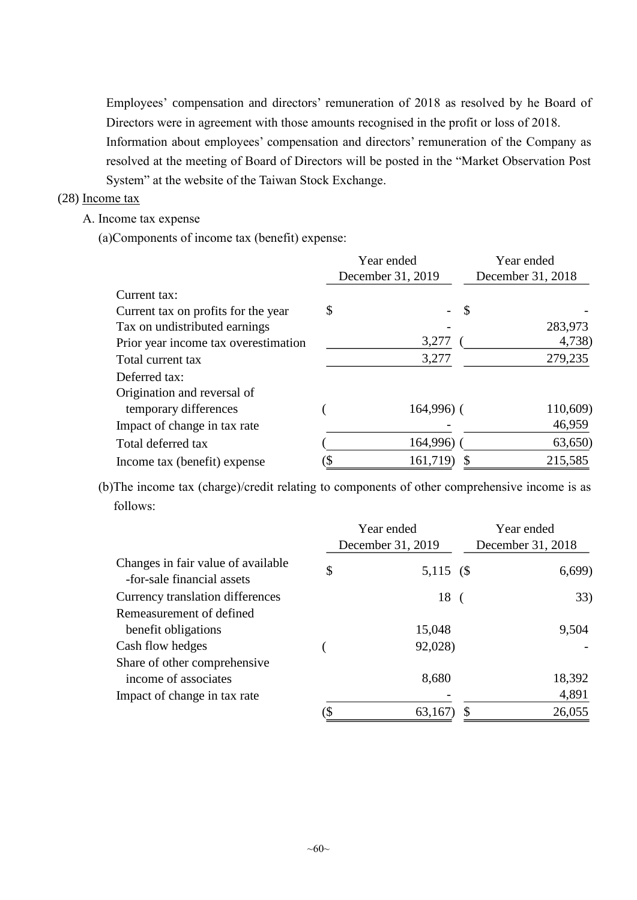Employees' compensation and directors' remuneration of 2018 as resolved by he Board of Directors were in agreement with those amounts recognised in the profit or loss of 2018.

Information about employees' compensation and directors' remuneration of the Company as resolved at the meeting of Board of Directors will be posted in the "Market Observation Post System" at the website of the Taiwan Stock Exchange.

#### (28) Income tax

#### A. Income tax expense

(a)Components of income tax (benefit) expense:

|                                      | Year ended        |                           | Year ended        |
|--------------------------------------|-------------------|---------------------------|-------------------|
|                                      | December 31, 2019 |                           | December 31, 2018 |
| Current tax:                         |                   |                           |                   |
| Current tax on profits for the year  | \$                | $\boldsymbol{\mathsf{S}}$ |                   |
| Tax on undistributed earnings        |                   |                           | 283,973           |
| Prior year income tax overestimation | 3,277             |                           | 4,738)            |
| Total current tax                    | 3,277             |                           | 279,235           |
| Deferred tax:                        |                   |                           |                   |
| Origination and reversal of          |                   |                           |                   |
| temporary differences                | $164,996$ (       |                           | 110,609)          |
| Impact of change in tax rate         |                   |                           | 46,959            |
| Total deferred tax                   | 164,996)          |                           | 63,650            |
| Income tax (benefit) expense         | 161,719)          |                           | 215,585           |

(b)The income tax (charge)/credit relating to components of other comprehensive income is as follows:

|                                                                  | Year ended        | Year ended        |
|------------------------------------------------------------------|-------------------|-------------------|
|                                                                  | December 31, 2019 | December 31, 2018 |
| Changes in fair value of available<br>-for-sale financial assets | \$<br>5,115 $$$   | 6,699             |
| Currency translation differences                                 | 18 (              | 33)               |
| Remeasurement of defined                                         |                   |                   |
| benefit obligations                                              | 15,048            | 9,504             |
| Cash flow hedges                                                 | 92,028)           |                   |
| Share of other comprehensive                                     |                   |                   |
| income of associates                                             | 8,680             | 18,392            |
| Impact of change in tax rate                                     |                   | 4,891             |
|                                                                  | 63,167            | 26,055            |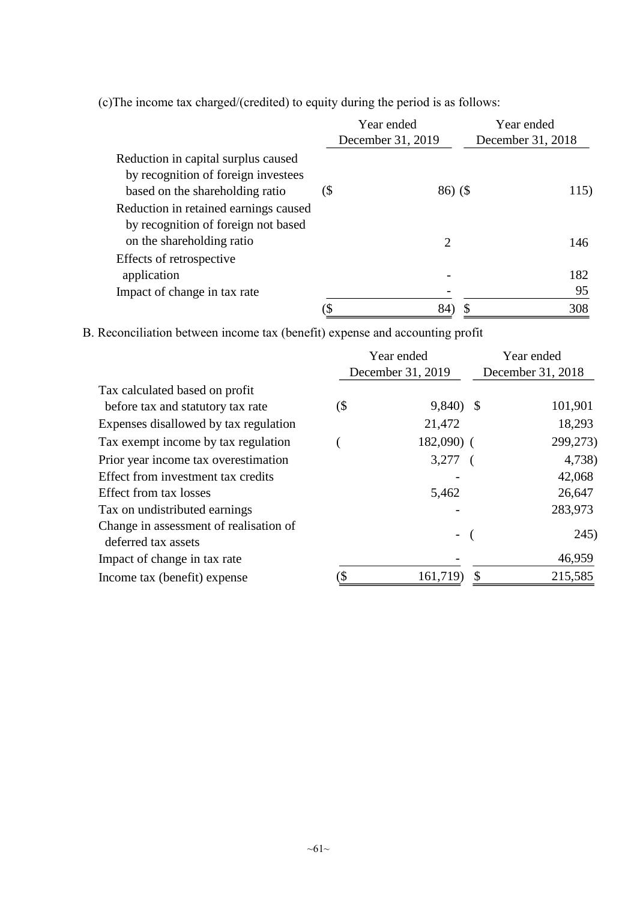|                                       |     | Year ended<br>December 31, 2019 | Year ended<br>December 31, 2018 |
|---------------------------------------|-----|---------------------------------|---------------------------------|
| Reduction in capital surplus caused   |     |                                 |                                 |
| by recognition of foreign investees   |     |                                 |                                 |
| based on the shareholding ratio       | (\$ | 86) (\$                         | 115)                            |
| Reduction in retained earnings caused |     |                                 |                                 |
| by recognition of foreign not based   |     |                                 |                                 |
| on the shareholding ratio             |     | 2                               | 146                             |
| Effects of retrospective              |     |                                 |                                 |
| application                           |     |                                 | 182                             |
| Impact of change in tax rate          |     |                                 | 95                              |
|                                       | S   |                                 | 308                             |

(c)The income tax charged/(credited) to equity during the period is as follows:

B. Reconciliation between income tax (benefit) expense and accounting profit

|                                                               |        | Year ended               | Year ended        |  |
|---------------------------------------------------------------|--------|--------------------------|-------------------|--|
|                                                               |        | December 31, 2019        | December 31, 2018 |  |
| Tax calculated based on profit                                |        |                          |                   |  |
| before tax and statutory tax rate                             | $($ \$ | $9,840$ \$               | 101,901           |  |
| Expenses disallowed by tax regulation                         |        | 21,472                   | 18,293            |  |
| Tax exempt income by tax regulation                           |        | $182,090$ (              | 299,273)          |  |
| Prior year income tax overestimation                          |        | 3,277                    | 4,738)            |  |
| Effect from investment tax credits                            |        |                          | 42,068            |  |
| <b>Effect from tax losses</b>                                 |        | 5,462                    | 26,647            |  |
| Tax on undistributed earnings                                 |        |                          | 283,973           |  |
| Change in assessment of realisation of<br>deferred tax assets |        | $\overline{\phantom{0}}$ | 245)              |  |
| Impact of change in tax rate                                  |        |                          | 46,959            |  |
| Income tax (benefit) expense                                  |        | 161,719)                 | 215,585           |  |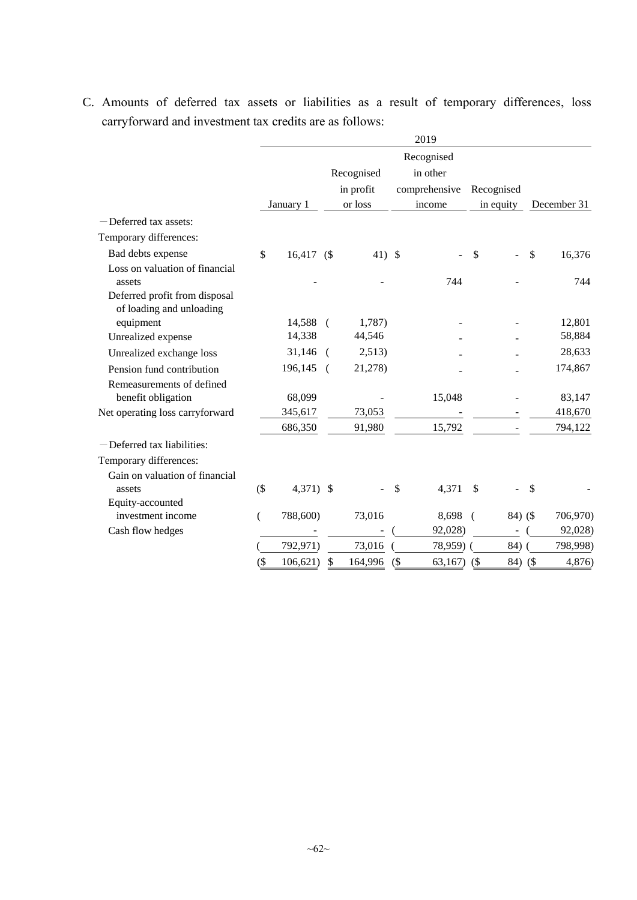|                                                           |        |            |               |                |    | 2019          |               |            |               |             |
|-----------------------------------------------------------|--------|------------|---------------|----------------|----|---------------|---------------|------------|---------------|-------------|
|                                                           |        |            |               |                |    | Recognised    |               |            |               |             |
|                                                           |        |            |               | Recognised     |    | in other      |               |            |               |             |
|                                                           |        |            |               | in profit      |    | comprehensive |               | Recognised |               |             |
|                                                           |        | January 1  |               | or loss        |    | income        |               | in equity  |               | December 31 |
| -Deferred tax assets:                                     |        |            |               |                |    |               |               |            |               |             |
| Temporary differences:                                    |        |            |               |                |    |               |               |            |               |             |
| Bad debts expense                                         | \$     | 16,417 (\$ |               | 41) $\sqrt{s}$ |    |               | \$            |            | $\mathcal{S}$ | 16,376      |
| Loss on valuation of financial                            |        |            |               |                |    |               |               |            |               |             |
| assets                                                    |        |            |               |                |    | 744           |               |            |               | 744         |
| Deferred profit from disposal<br>of loading and unloading |        |            |               |                |    |               |               |            |               |             |
| equipment                                                 |        | 14,588     | $\left($      | 1,787)         |    |               |               |            |               | 12,801      |
| Unrealized expense                                        |        | 14,338     |               | 44,546         |    |               |               |            |               | 58,884      |
| Unrealized exchange loss                                  |        | 31,146     | (             | 2,513)         |    |               |               |            |               | 28,633      |
| Pension fund contribution                                 |        | 196,145    | $\left($      | 21,278)        |    |               |               |            |               | 174,867     |
| Remeasurements of defined<br>benefit obligation           |        | 68,099     |               |                |    | 15,048        |               |            |               | 83,147      |
| Net operating loss carryforward                           |        | 345,617    |               | 73,053         |    |               |               |            |               | 418,670     |
|                                                           |        | 686,350    |               | 91,980         |    | 15,792        |               |            |               | 794,122     |
| -Deferred tax liabilities:                                |        |            |               |                |    |               |               |            |               |             |
| Temporary differences:                                    |        |            |               |                |    |               |               |            |               |             |
| Gain on valuation of financial                            |        |            |               |                |    |               |               |            |               |             |
| assets                                                    | $($ \$ | $4,371$ \$ |               |                | \$ | 4,371         | <sup>\$</sup> |            | \$            |             |
| Equity-accounted                                          |        |            |               |                |    |               |               |            |               |             |
| investment income                                         | €      | 788,600)   |               | 73,016         |    | 8,698         | $\sqrt{ }$    | $84)$ (\$  |               | 706,970)    |
| Cash flow hedges                                          |        |            |               |                |    | 92,028)       |               |            |               | 92,028)     |
|                                                           |        | 792,971)   |               | 73,016         |    | 78,959)       |               | 84)        |               | 798,998)    |
|                                                           | $($ \$ | 106,621)   | $\mathcal{S}$ | 164,996        | (  | $63,167)$ (\$ |               | 84) (\$    |               | 4,876)      |

C. Amounts of deferred tax assets or liabilities as a result of temporary differences, loss carryforward and investment tax credits are as follows: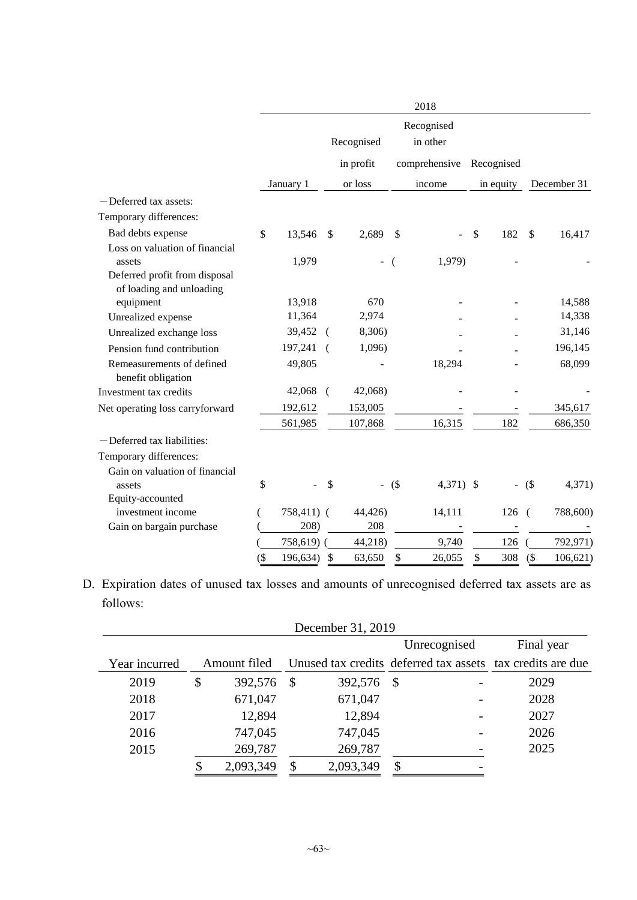|                                                 |        |              |               |                          |        | 2018          |               |          |             |
|-------------------------------------------------|--------|--------------|---------------|--------------------------|--------|---------------|---------------|----------|-------------|
|                                                 |        |              |               |                          |        | Recognised    |               |          |             |
|                                                 |        |              |               | Recognised               |        | in other      |               |          |             |
|                                                 |        |              |               | in profit                |        | comprehensive | Recognised    |          |             |
|                                                 |        | January 1    |               | or loss                  |        | income        | in equity     |          | December 31 |
| -Deferred tax assets:                           |        |              |               |                          |        |               |               |          |             |
| Temporary differences:                          |        |              |               |                          |        |               |               |          |             |
| Bad debts expense                               | \$     | 13,546       | \$            | 2,689                    | \$     |               | \$<br>182     | \$       | 16,417      |
| Loss on valuation of financial                  |        |              |               |                          |        |               |               |          |             |
| assets                                          |        | 1,979        |               |                          |        | 1,979)        |               |          |             |
| Deferred profit from disposal                   |        |              |               |                          |        |               |               |          |             |
| of loading and unloading                        |        |              |               |                          |        |               |               |          |             |
| equipment                                       |        | 13,918       |               | 670                      |        |               |               |          | 14,588      |
| Unrealized expense                              |        | 11,364       |               | 2,974                    |        |               |               |          | 14,338      |
| Unrealized exchange loss                        |        | 39,452 (     |               | 8,306)                   |        |               |               |          | 31,146      |
| Pension fund contribution                       |        | 197,241      |               | 1,096)                   |        |               |               |          | 196,145     |
| Remeasurements of defined<br>benefit obligation |        | 49,805       |               |                          |        | 18,294        |               |          | 68,099      |
| Investment tax credits                          |        | 42,068       |               | 42,068)                  |        |               |               |          |             |
| Net operating loss carryforward                 |        | 192,612      |               | 153,005                  |        |               |               |          | 345,617     |
|                                                 |        | 561,985      |               | 107,868                  |        | 16,315        | 182           |          | 686,350     |
| -Deferred tax liabilities:                      |        |              |               |                          |        |               |               |          |             |
| Temporary differences:                          |        |              |               |                          |        |               |               |          |             |
| Gain on valuation of financial                  |        |              |               |                          |        |               |               |          |             |
| assets                                          | \$     |              | \$            | $\overline{\phantom{a}}$ | $($ \$ | $4,371$ \$    | $\frac{1}{2}$ | $($ \$   | 4,371)      |
| Equity-accounted                                |        |              |               |                          |        |               |               |          |             |
| investment income                               |        | $758,411)$ ( |               | 44,426)                  |        | 14,111        | 126           | $\left($ | 788,600)    |
| Gain on bargain purchase                        |        | 208)         |               | 208                      |        |               |               |          |             |
|                                                 |        | 758,619)     |               | 44,218)                  |        | 9,740         | 126           |          | 792,971)    |
|                                                 | $($ \$ | 196,634)     | $\mathcal{S}$ | 63,650                   | \$     | 26,055        | \$<br>308     | $($ \$   | 106,621     |

D. Expiration dates of unused tax losses and amounts of unrecognised deferred tax assets are as follows:

|               | December 31, 2019 |              |               |           |     |              |                                                            |  |  |
|---------------|-------------------|--------------|---------------|-----------|-----|--------------|------------------------------------------------------------|--|--|
|               |                   |              |               |           |     | Unrecognised | Final year                                                 |  |  |
| Year incurred |                   | Amount filed |               |           |     |              | Unused tax credits deferred tax assets tax credits are due |  |  |
| 2019          | \$                | 392,576      | $\mathcal{S}$ | 392,576   | -\$ |              | 2029                                                       |  |  |
| 2018          |                   | 671,047      |               | 671,047   |     |              | 2028                                                       |  |  |
| 2017          |                   | 12,894       |               | 12,894    |     |              | 2027                                                       |  |  |
| 2016          |                   | 747,045      |               | 747,045   |     |              | 2026                                                       |  |  |
| 2015          |                   | 269,787      |               | 269,787   |     |              | 2025                                                       |  |  |
|               |                   | 2,093,349    | S             | 2,093,349 | \$  |              |                                                            |  |  |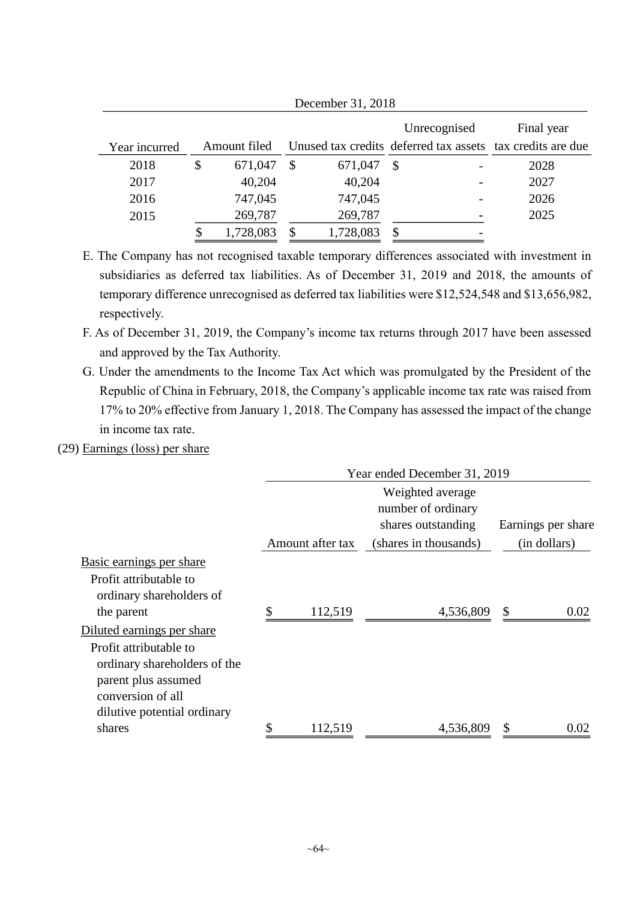|               | December 31, 2018 |              |    |           |               |                                                            |  |  |  |
|---------------|-------------------|--------------|----|-----------|---------------|------------------------------------------------------------|--|--|--|
|               |                   |              |    |           | Unrecognised  | Final year                                                 |  |  |  |
| Year incurred |                   | Amount filed |    |           |               | Unused tax credits deferred tax assets tax credits are due |  |  |  |
| 2018          | \$                | 671,047      | \$ | 671,047   | $\mathcal{S}$ | 2028                                                       |  |  |  |
| 2017          |                   | 40,204       |    | 40,204    |               | 2027                                                       |  |  |  |
| 2016          |                   | 747,045      |    | 747,045   |               | 2026                                                       |  |  |  |
| 2015          |                   | 269,787      |    | 269,787   |               | 2025                                                       |  |  |  |
|               |                   | 1,728,083    |    | 1,728,083 |               |                                                            |  |  |  |

- E. The Company has not recognised taxable temporary differences associated with investment in subsidiaries as deferred tax liabilities. As of December 31, 2019 and 2018, the amounts of temporary difference unrecognised as deferred tax liabilities were \$12,524,548 and \$13,656,982, respectively.
- F. As of December 31, 2019, the Company's income tax returns through 2017 have been assessed and approved by the Tax Authority.
- G. Under the amendments to the Income Tax Act which was promulgated by the President of the Republic of China in February, 2018, the Company's applicable income tax rate was raised from 17% to 20% effective from January 1, 2018. The Company has assessed the impact of the change in income tax rate.

(29) Earnings (loss) per share

|                                                                                                                                   | Year ended December 31, 2019 |                  |                                                              |    |                    |  |  |  |
|-----------------------------------------------------------------------------------------------------------------------------------|------------------------------|------------------|--------------------------------------------------------------|----|--------------------|--|--|--|
|                                                                                                                                   |                              |                  | Weighted average<br>number of ordinary<br>shares outstanding |    | Earnings per share |  |  |  |
|                                                                                                                                   |                              | Amount after tax | (shares in thousands)                                        |    | (in dollars)       |  |  |  |
| Basic earnings per share                                                                                                          |                              |                  |                                                              |    |                    |  |  |  |
| Profit attributable to<br>ordinary shareholders of                                                                                |                              |                  |                                                              |    |                    |  |  |  |
| the parent                                                                                                                        | \$                           | 112,519          | 4,536,809                                                    | \$ | 0.02               |  |  |  |
| Diluted earnings per share                                                                                                        |                              |                  |                                                              |    |                    |  |  |  |
| Profit attributable to<br>ordinary shareholders of the<br>parent plus assumed<br>conversion of all<br>dilutive potential ordinary |                              |                  |                                                              |    |                    |  |  |  |
| shares                                                                                                                            |                              | 112,519          | 4,536,809                                                    | S  | 0.02               |  |  |  |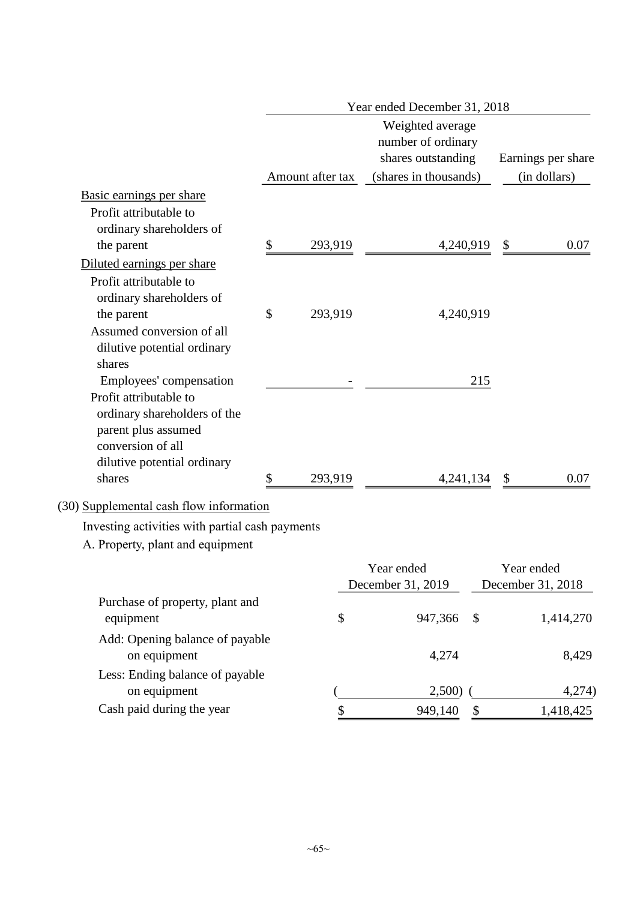|                                                                                                                                | Year ended December 31, 2018 |                  |                                                              |                           |            |                    |
|--------------------------------------------------------------------------------------------------------------------------------|------------------------------|------------------|--------------------------------------------------------------|---------------------------|------------|--------------------|
|                                                                                                                                |                              |                  | Weighted average<br>number of ordinary<br>shares outstanding |                           |            | Earnings per share |
|                                                                                                                                |                              | Amount after tax | (shares in thousands)                                        |                           |            | (in dollars)       |
| Basic earnings per share                                                                                                       |                              |                  |                                                              |                           |            |                    |
| Profit attributable to<br>ordinary shareholders of<br>the parent                                                               | \$                           | 293,919          | 4,240,919                                                    |                           | \$         | 0.07               |
| Diluted earnings per share                                                                                                     |                              |                  |                                                              |                           |            |                    |
| Profit attributable to<br>ordinary shareholders of<br>the parent                                                               | \$                           | 293,919          | 4,240,919                                                    |                           |            |                    |
| Assumed conversion of all<br>dilutive potential ordinary<br>shares                                                             |                              |                  |                                                              |                           |            |                    |
| Employees' compensation                                                                                                        |                              |                  |                                                              | 215                       |            |                    |
| Profit attributable to<br>ordinary shareholders of the<br>parent plus assumed<br>conversion of all                             |                              |                  |                                                              |                           |            |                    |
| dilutive potential ordinary<br>shares                                                                                          | \$                           | 293,919          | 4, 241, 134                                                  |                           | \$         | 0.07               |
| (30) Supplemental cash flow information<br>Investing activities with partial cash payments<br>A. Property, plant and equipment |                              |                  |                                                              |                           |            |                    |
|                                                                                                                                |                              |                  | Year ended<br>December 31, 2019                              |                           | Year ended | December 31, 2018  |
| Purchase of property, plant and<br>equipment                                                                                   |                              | \$               | 947,366                                                      | $\boldsymbol{\mathsf{S}}$ |            | 1,414,270          |
| Add: Opening balance of payable<br>on equipment                                                                                |                              |                  | 4,274                                                        |                           |            | 8,429              |
| Less: Ending balance of payable<br>on equipment                                                                                |                              |                  | 2,500)                                                       |                           |            | 4,274)             |
| Cash paid during the year                                                                                                      |                              |                  | 949,140                                                      | \$                        |            | 1,418,425          |
|                                                                                                                                |                              |                  |                                                              |                           |            |                    |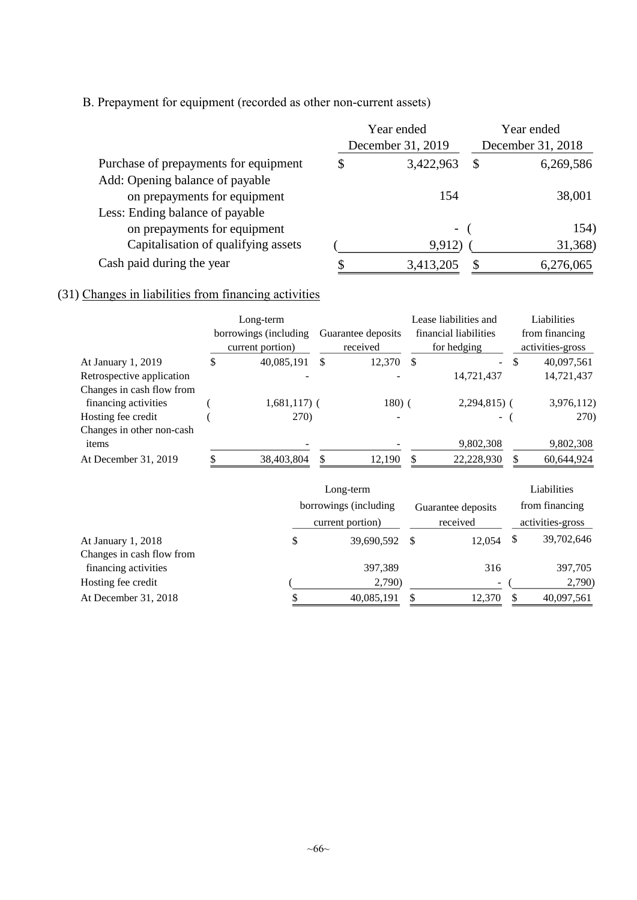## B. Prepayment for equipment (recorded as other non-current assets)

|                                                                 | Year ended<br>December 31, 2019 |            | Year ended<br>December 31, 2018 |
|-----------------------------------------------------------------|---------------------------------|------------|---------------------------------|
| Purchase of prepayments for equipment                           | \$                              | 3,422,963  | \$<br>6,269,586                 |
| Add: Opening balance of payable<br>on prepayments for equipment |                                 | 154        | 38,001                          |
| Less: Ending balance of payable                                 |                                 |            |                                 |
| on prepayments for equipment                                    |                                 | $\sim$ $-$ | 154)                            |
| Capitalisation of qualifying assets                             |                                 | 9,912)     | 31,368)                         |
| Cash paid during the year                                       |                                 | 3,413,205  | 6,276,065                       |

## (31) Changes in liabilities from financing activities

|                                    | Long-term<br>borrowings (including<br>current portion) | Guarantee deposits<br>received |     | Lease liabilities and<br>financial liabilities<br>for hedging |    | Liabilities<br>from financing<br>activities-gross |
|------------------------------------|--------------------------------------------------------|--------------------------------|-----|---------------------------------------------------------------|----|---------------------------------------------------|
| At January 1, 2019                 | \$<br>40,085,191                                       | \$<br>12,370                   | -\$ |                                                               | \$ | 40,097,561                                        |
| Retrospective application          |                                                        |                                |     | 14,721,437                                                    |    | 14,721,437                                        |
| Changes in cash flow from          |                                                        |                                |     |                                                               |    |                                                   |
| financing activities               | $1,681,117$ ) (                                        | $180)$ (                       |     | $2,294,815$ (                                                 |    | 3,976,112)                                        |
| Hosting fee credit                 | 270)                                                   |                                |     |                                                               |    | 270)                                              |
| Changes in other non-cash<br>items |                                                        |                                |     | 9,802,308                                                     |    | 9,802,308                                         |
| At December 31, 2019               | 38,403,804                                             | \$<br>12,190                   |     | 22,228,930                                                    | S. | 60,644,924                                        |
|                                    |                                                        | Long-term                      |     |                                                               |    | Liabilities                                       |
|                                    |                                                        | borrowings (including          |     | Guarantee deposits                                            |    | from financing                                    |
|                                    |                                                        | current portion)               |     | received                                                      |    | activities-gross                                  |
| At January 1, 2018                 | \$                                                     | 39,690,592                     | \$. | 12,054                                                        | \$ | 39,702,646                                        |
| Changes in cash flow from          |                                                        |                                |     |                                                               |    |                                                   |
| financing activities               |                                                        | 397,389                        |     | 316                                                           |    | 397,705                                           |
| Hosting fee credit                 |                                                        | 2,790)                         |     |                                                               |    | 2,790)                                            |
| At December 31, 2018               |                                                        | 40,085,191                     |     | 12,370                                                        |    | 40,097,561                                        |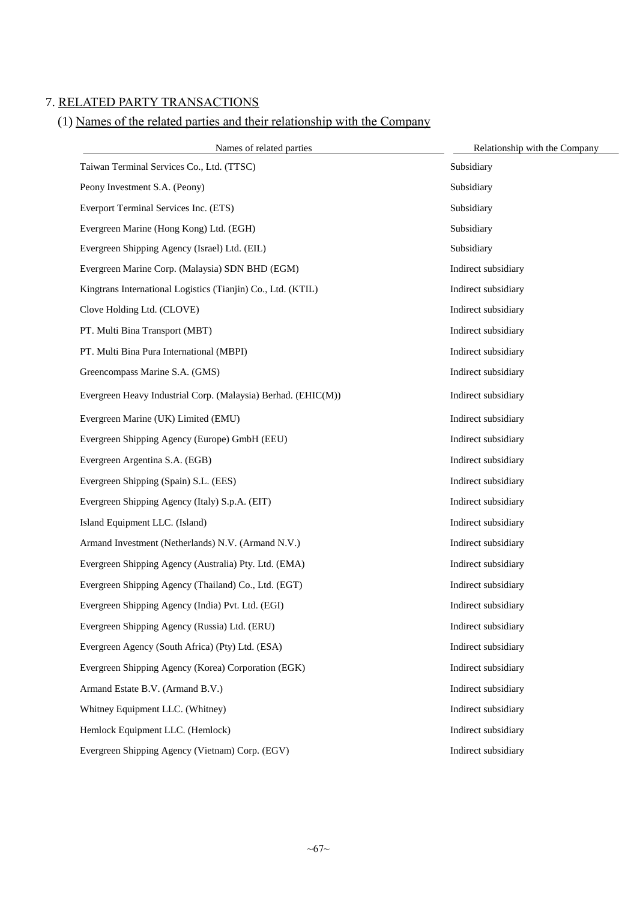## 7. RELATED PARTY TRANSACTIONS

# (1) Names of the related parties and their relationship with the Company

| Names of related parties                                      | Relationship with the Company |
|---------------------------------------------------------------|-------------------------------|
| Taiwan Terminal Services Co., Ltd. (TTSC)                     | Subsidiary                    |
| Peony Investment S.A. (Peony)                                 | Subsidiary                    |
| Everport Terminal Services Inc. (ETS)                         | Subsidiary                    |
| Evergreen Marine (Hong Kong) Ltd. (EGH)                       | Subsidiary                    |
| Evergreen Shipping Agency (Israel) Ltd. (EIL)                 | Subsidiary                    |
| Evergreen Marine Corp. (Malaysia) SDN BHD (EGM)               | Indirect subsidiary           |
| Kingtrans International Logistics (Tianjin) Co., Ltd. (KTIL)  | Indirect subsidiary           |
| Clove Holding Ltd. (CLOVE)                                    | Indirect subsidiary           |
| PT. Multi Bina Transport (MBT)                                | Indirect subsidiary           |
| PT. Multi Bina Pura International (MBPI)                      | Indirect subsidiary           |
| Greencompass Marine S.A. (GMS)                                | Indirect subsidiary           |
| Evergreen Heavy Industrial Corp. (Malaysia) Berhad. (EHIC(M)) | Indirect subsidiary           |
| Evergreen Marine (UK) Limited (EMU)                           | Indirect subsidiary           |
| Evergreen Shipping Agency (Europe) GmbH (EEU)                 | Indirect subsidiary           |
| Evergreen Argentina S.A. (EGB)                                | Indirect subsidiary           |
| Evergreen Shipping (Spain) S.L. (EES)                         | Indirect subsidiary           |
| Evergreen Shipping Agency (Italy) S.p.A. (EIT)                | Indirect subsidiary           |
| Island Equipment LLC. (Island)                                | Indirect subsidiary           |
| Armand Investment (Netherlands) N.V. (Armand N.V.)            | Indirect subsidiary           |
| Evergreen Shipping Agency (Australia) Pty. Ltd. (EMA)         | Indirect subsidiary           |
| Evergreen Shipping Agency (Thailand) Co., Ltd. (EGT)          | Indirect subsidiary           |
| Evergreen Shipping Agency (India) Pvt. Ltd. (EGI)             | Indirect subsidiary           |
| Evergreen Shipping Agency (Russia) Ltd. (ERU)                 | Indirect subsidiary           |
| Evergreen Agency (South Africa) (Pty) Ltd. (ESA)              | Indirect subsidiary           |
| Evergreen Shipping Agency (Korea) Corporation (EGK)           | Indirect subsidiary           |
| Armand Estate B.V. (Armand B.V.)                              | Indirect subsidiary           |
| Whitney Equipment LLC. (Whitney)                              | Indirect subsidiary           |
| Hemlock Equipment LLC. (Hemlock)                              | Indirect subsidiary           |
| Evergreen Shipping Agency (Vietnam) Corp. (EGV)               | Indirect subsidiary           |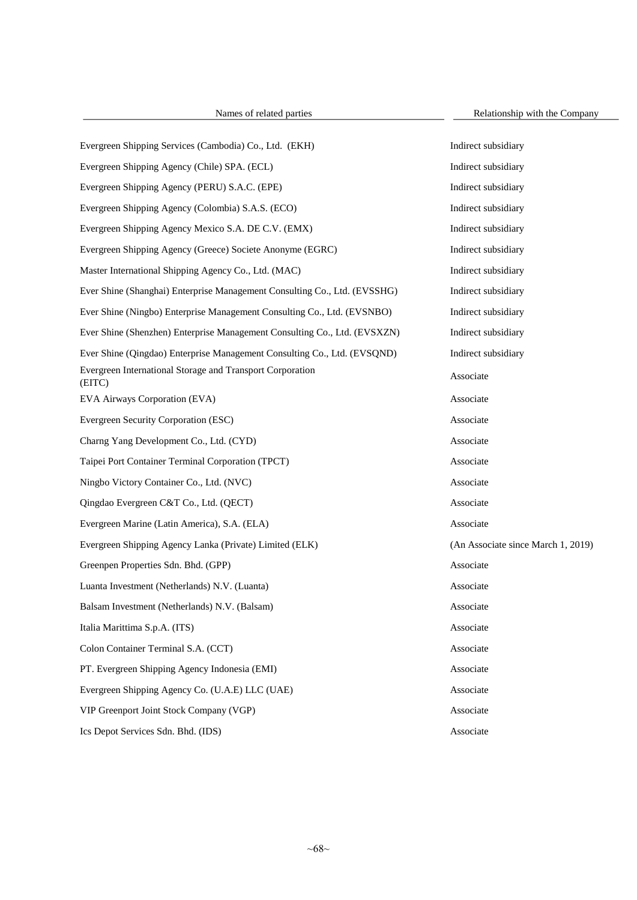| Names of related parties                                                  | Relationship with the Company      |
|---------------------------------------------------------------------------|------------------------------------|
| Evergreen Shipping Services (Cambodia) Co., Ltd. (EKH)                    | Indirect subsidiary                |
| Evergreen Shipping Agency (Chile) SPA. (ECL)                              | Indirect subsidiary                |
| Evergreen Shipping Agency (PERU) S.A.C. (EPE)                             | Indirect subsidiary                |
| Evergreen Shipping Agency (Colombia) S.A.S. (ECO)                         | Indirect subsidiary                |
| Evergreen Shipping Agency Mexico S.A. DE C.V. (EMX)                       | Indirect subsidiary                |
| Evergreen Shipping Agency (Greece) Societe Anonyme (EGRC)                 | Indirect subsidiary                |
| Master International Shipping Agency Co., Ltd. (MAC)                      | Indirect subsidiary                |
| Ever Shine (Shanghai) Enterprise Management Consulting Co., Ltd. (EVSSHG) | Indirect subsidiary                |
| Ever Shine (Ningbo) Enterprise Management Consulting Co., Ltd. (EVSNBO)   | Indirect subsidiary                |
| Ever Shine (Shenzhen) Enterprise Management Consulting Co., Ltd. (EVSXZN) | Indirect subsidiary                |
| Ever Shine (Qingdao) Enterprise Management Consulting Co., Ltd. (EVSQND)  | Indirect subsidiary                |
| Evergreen International Storage and Transport Corporation<br>(EITC)       | Associate                          |
| EVA Airways Corporation (EVA)                                             | Associate                          |
| Evergreen Security Corporation (ESC)                                      | Associate                          |
| Charng Yang Development Co., Ltd. (CYD)                                   | Associate                          |
| Taipei Port Container Terminal Corporation (TPCT)                         | Associate                          |
| Ningbo Victory Container Co., Ltd. (NVC)                                  | Associate                          |
| Qingdao Evergreen C&T Co., Ltd. (QECT)                                    | Associate                          |
| Evergreen Marine (Latin America), S.A. (ELA)                              | Associate                          |
| Evergreen Shipping Agency Lanka (Private) Limited (ELK)                   | (An Associate since March 1, 2019) |
| Greenpen Properties Sdn. Bhd. (GPP)                                       | Associate                          |
| Luanta Investment (Netherlands) N.V. (Luanta)                             | Associate                          |
| Balsam Investment (Netherlands) N.V. (Balsam)                             | Associate                          |
| Italia Marittima S.p.A. (ITS)                                             | Associate                          |
| Colon Container Terminal S.A. (CCT)                                       | Associate                          |
| PT. Evergreen Shipping Agency Indonesia (EMI)                             | Associate                          |
| Evergreen Shipping Agency Co. (U.A.E) LLC (UAE)                           | Associate                          |
| VIP Greenport Joint Stock Company (VGP)                                   | Associate                          |
| Ics Depot Services Sdn. Bhd. (IDS)                                        | Associate                          |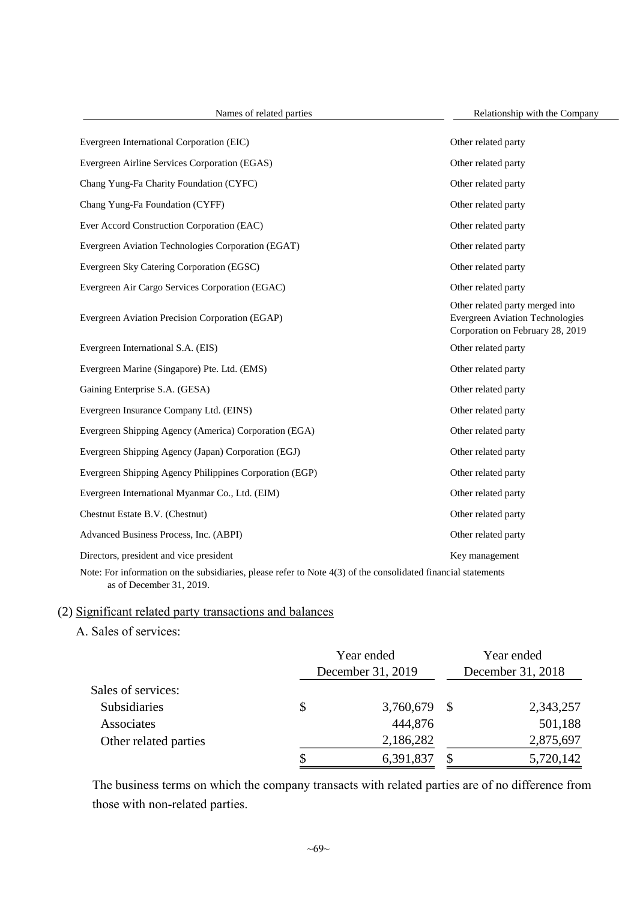| Names of related parties                                                                                      | Relationship with the Company                                                                                 |
|---------------------------------------------------------------------------------------------------------------|---------------------------------------------------------------------------------------------------------------|
| Evergreen International Corporation (EIC)                                                                     | Other related party                                                                                           |
| Evergreen Airline Services Corporation (EGAS)                                                                 | Other related party                                                                                           |
| Chang Yung-Fa Charity Foundation (CYFC)                                                                       | Other related party                                                                                           |
| Chang Yung-Fa Foundation (CYFF)                                                                               | Other related party                                                                                           |
| Ever Accord Construction Corporation (EAC)                                                                    | Other related party                                                                                           |
| Evergreen Aviation Technologies Corporation (EGAT)                                                            | Other related party                                                                                           |
| Evergreen Sky Catering Corporation (EGSC)                                                                     | Other related party                                                                                           |
| Evergreen Air Cargo Services Corporation (EGAC)                                                               | Other related party                                                                                           |
| Evergreen Aviation Precision Corporation (EGAP)                                                               | Other related party merged into<br><b>Evergreen Aviation Technologies</b><br>Corporation on February 28, 2019 |
| Evergreen International S.A. (EIS)                                                                            | Other related party                                                                                           |
| Evergreen Marine (Singapore) Pte. Ltd. (EMS)                                                                  | Other related party                                                                                           |
| Gaining Enterprise S.A. (GESA)                                                                                | Other related party                                                                                           |
| Evergreen Insurance Company Ltd. (EINS)                                                                       | Other related party                                                                                           |
| Evergreen Shipping Agency (America) Corporation (EGA)                                                         | Other related party                                                                                           |
| Evergreen Shipping Agency (Japan) Corporation (EGJ)                                                           | Other related party                                                                                           |
| Evergreen Shipping Agency Philippines Corporation (EGP)                                                       | Other related party                                                                                           |
| Evergreen International Myanmar Co., Ltd. (EIM)                                                               | Other related party                                                                                           |
| Chestnut Estate B.V. (Chestnut)                                                                               | Other related party                                                                                           |
| Advanced Business Process, Inc. (ABPI)                                                                        | Other related party                                                                                           |
| Directors, president and vice president                                                                       | Key management                                                                                                |
| Note: For information on the subsidiaries, please refer to Note 4(3) of the consolidated financial statements |                                                                                                               |

as of December 31, 2019.

(2) Significant related party transactions and balances

A. Sales of services:

|                       |    | Year ended<br>December 31, 2019 |  | Year ended<br>December 31, 2018 |  |
|-----------------------|----|---------------------------------|--|---------------------------------|--|
|                       |    |                                 |  |                                 |  |
| Sales of services:    |    |                                 |  |                                 |  |
| Subsidiaries          | \$ | $3,760,679$ \$                  |  | 2,343,257                       |  |
| Associates            |    | 444,876                         |  | 501,188                         |  |
| Other related parties |    | 2,186,282                       |  | 2,875,697                       |  |
|                       | \$ | 6,391,837                       |  | 5,720,142                       |  |

The business terms on which the company transacts with related parties are of no difference from those with non-related parties.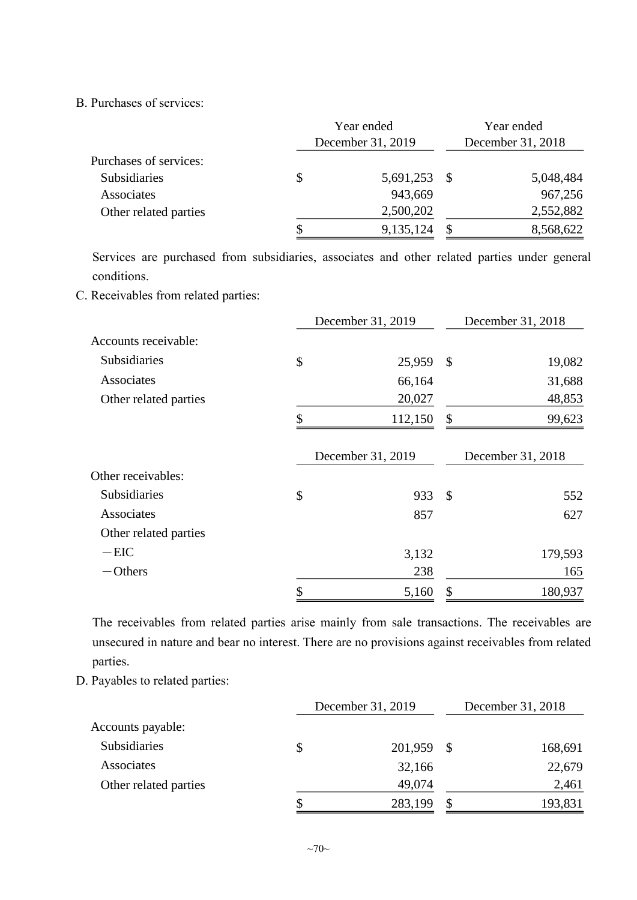B. Purchases of services:

|                        |    | Year ended<br>December 31, 2019 |  | Year ended        |  |  |
|------------------------|----|---------------------------------|--|-------------------|--|--|
|                        |    |                                 |  | December 31, 2018 |  |  |
| Purchases of services: |    |                                 |  |                   |  |  |
| Subsidiaries           | \$ | 5,691,253 \$                    |  | 5,048,484         |  |  |
| Associates             |    | 943,669                         |  | 967,256           |  |  |
| Other related parties  |    | 2,500,202                       |  | 2,552,882         |  |  |
|                        |    | 9,135,124                       |  | 8,568,622         |  |  |

Services are purchased from subsidiaries, associates and other related parties under general conditions.

C. Receivables from related parties:

|                       | December 31, 2019 |               | December 31, 2018 |
|-----------------------|-------------------|---------------|-------------------|
| Accounts receivable:  |                   |               |                   |
| Subsidiaries          | \$<br>25,959      | $\mathcal{S}$ | 19,082            |
| Associates            | 66,164            |               | 31,688            |
| Other related parties | 20,027            |               | 48,853            |
|                       | \$<br>112,150     | \$            | 99,623            |
|                       | December 31, 2019 |               | December 31, 2018 |
| Other receivables:    |                   |               |                   |
| Subsidiaries          | \$<br>933         | $\mathcal{S}$ | 552               |
| Associates            | 857               |               | 627               |
| Other related parties |                   |               |                   |
| $-EIC$                | 3,132             |               | 179,593           |
| $-$ Others            | 238               |               | 165               |
|                       | \$<br>5,160       | \$            | 180,937           |

The receivables from related parties arise mainly from sale transactions. The receivables are unsecured in nature and bear no interest. There are no provisions against receivables from related parties.

D. Payables to related parties:

|                       | December 31, 2019 | December 31, 2018 |         |  |
|-----------------------|-------------------|-------------------|---------|--|
| Accounts payable:     |                   |                   |         |  |
| Subsidiaries          | \$<br>201,959 \$  |                   | 168,691 |  |
| Associates            | 32,166            |                   | 22,679  |  |
| Other related parties | 49,074            |                   | 2,461   |  |
|                       | 283,199           | \$                | 193,831 |  |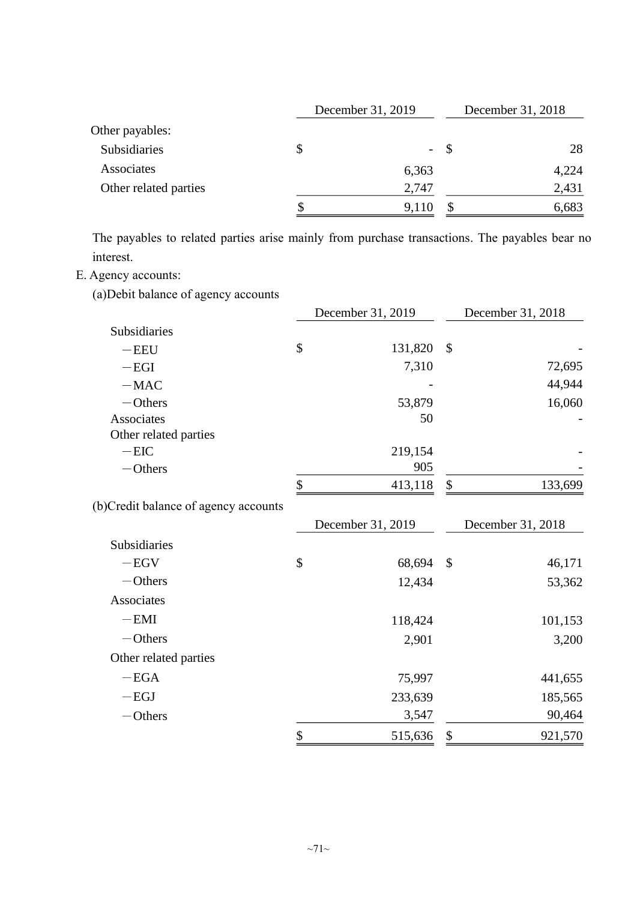|                       | December 31, 2019              | December 31, 2018 |       |
|-----------------------|--------------------------------|-------------------|-------|
| Other payables:       |                                |                   |       |
| Subsidiaries          | \$<br>$\overline{\phantom{0}}$ | - \$              | 28    |
| Associates            | 6,363                          |                   | 4,224 |
| Other related parties | 2,747                          |                   | 2,431 |
|                       | 9,110                          | \$                | 6,683 |

The payables to related parties arise mainly from purchase transactions. The payables bear no interest.

E. Agency accounts:

(a)Debit balance of agency accounts

|                                      | December 31, 2019 | December 31, 2018 |
|--------------------------------------|-------------------|-------------------|
| Subsidiaries                         |                   |                   |
| $-EEU$                               | \$<br>131,820     | \$                |
| $-EGI$                               | 7,310             | 72,695            |
| $-MAC$                               |                   | 44,944            |
| $-$ Others                           | 53,879            | 16,060            |
| Associates                           | 50                |                   |
| Other related parties                |                   |                   |
| $-EIC$                               | 219,154           |                   |
| $-Others$                            | 905               |                   |
|                                      | \$<br>413,118     | \$<br>133,699     |
| (b)Credit balance of agency accounts |                   |                   |
|                                      | December 31, 2019 | December 31, 2018 |
| Subsidiaries                         |                   |                   |
| $-EGV$                               | \$<br>68,694      | \$<br>46,171      |
| $-$ Others                           | 12,434            | 53,362            |
| Associates                           |                   |                   |
| $-EMI$                               | 118,424           | 101,153           |
| $-$ Others                           | 2,901             | 3,200             |
| Other related parties                |                   |                   |
| $-EGA$                               | 75,997            | 441,655           |
| $-EGJ$                               | 233,639           | 185,565           |
| $-$ Others                           | 3,547             | 90,464            |
|                                      | \$<br>515,636     | \$<br>921,570     |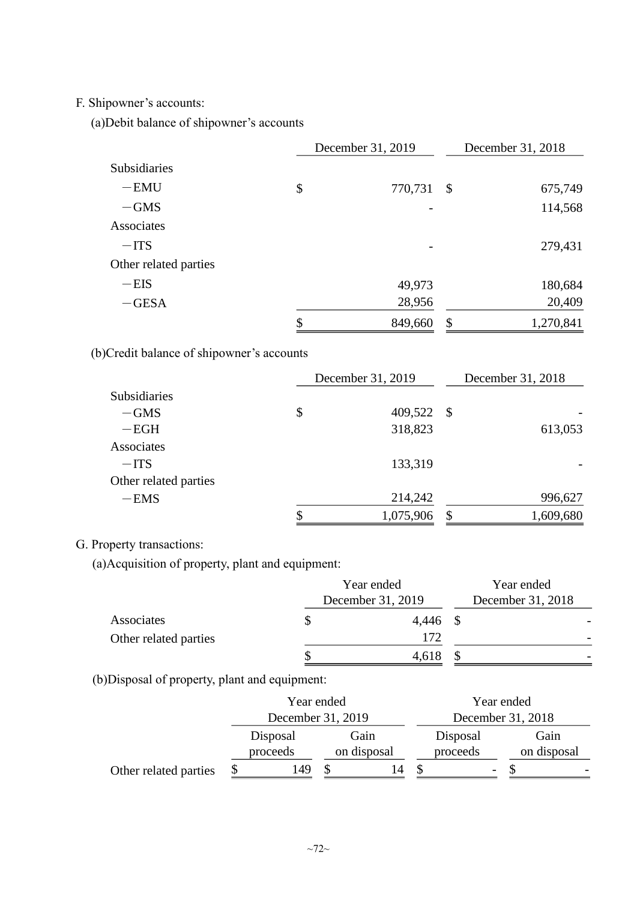### F. Shipowner's accounts:

(a)Debit balance of shipowner's accounts

|                       | December 31, 2019 |                           | December 31, 2018 |  |
|-----------------------|-------------------|---------------------------|-------------------|--|
| Subsidiaries          |                   |                           |                   |  |
| $-EMU$                | \$<br>770,731     | $\boldsymbol{\mathsf{S}}$ | 675,749           |  |
| $-GMS$                |                   |                           | 114,568           |  |
| Associates            |                   |                           |                   |  |
| $-\text{ITS}$         |                   |                           | 279,431           |  |
| Other related parties |                   |                           |                   |  |
| $-EIS$                | 49,973            |                           | 180,684           |  |
| $-GESA$               | 28,956            |                           | 20,409            |  |
|                       | \$<br>849,660     | \$                        | 1,270,841         |  |

### (b)Credit balance of shipowner's accounts

|                       | December 31, 2019 |           | December 31, 2018 |           |
|-----------------------|-------------------|-----------|-------------------|-----------|
| <b>Subsidiaries</b>   |                   |           |                   |           |
| $-GMS$                | \$                | 409,522   | -S                |           |
| $-EGH$                |                   | 318,823   |                   | 613,053   |
| Associates            |                   |           |                   |           |
| $-\text{ITS}$         |                   | 133,319   |                   |           |
| Other related parties |                   |           |                   |           |
| $-EMS$                |                   | 214,242   |                   | 996,627   |
|                       |                   | 1,075,906 | \$                | 1,609,680 |

### G. Property transactions:

(a)Acquisition of property, plant and equipment:

|                       | Year ended        |  | Year ended        |  |
|-----------------------|-------------------|--|-------------------|--|
|                       | December 31, 2019 |  | December 31, 2018 |  |
| Associates            | 4.446             |  |                   |  |
| Other related parties | 172               |  |                   |  |
|                       | 4.618             |  |                   |  |

(b)Disposal of property, plant and equipment:

|                       |                      | Year ended          | Year ended           |                     |  |
|-----------------------|----------------------|---------------------|----------------------|---------------------|--|
|                       |                      | December 31, 2019   |                      | December 31, 2018   |  |
|                       | Disposal<br>proceeds | Gain<br>on disposal | Disposal<br>proceeds | Gain<br>on disposal |  |
| Other related parties | 149<br>\$            |                     |                      |                     |  |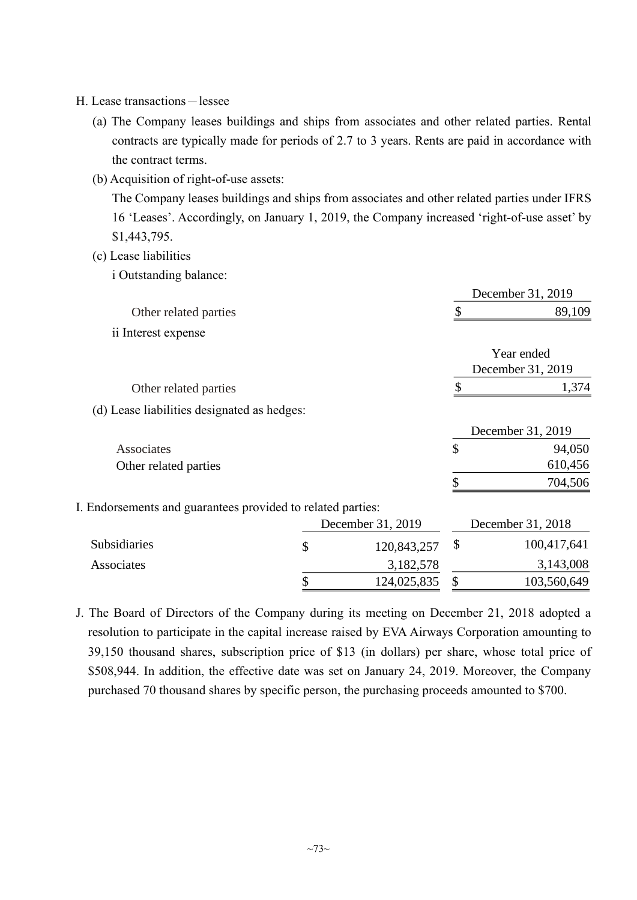### H. Lease transactions-lessee

- (a) The Company leases buildings and ships from associates and other related parties. Rental contracts are typically made for periods of 2.7 to 3 years. Rents are paid in accordance with the contract terms.
- (b) Acquisition of right-of-use assets:

The Company leases buildings and ships from associates and other related parties under IFRS 16 'Leases'. Accordingly, on January 1, 2019, the Company increased 'right-of-use asset' by \$1,443,795.

(c) Lease liabilities

i Outstanding balance:

|                                                             |                   | December 31, 2019 |
|-------------------------------------------------------------|-------------------|-------------------|
| Other related parties                                       |                   | 89,109            |
| ii Interest expense                                         |                   |                   |
|                                                             |                   | Year ended        |
|                                                             |                   | December 31, 2019 |
| Other related parties                                       |                   | 1,374             |
| (d) Lease liabilities designated as hedges:                 |                   |                   |
|                                                             |                   | December 31, 2019 |
| Associates                                                  |                   | \$<br>94,050      |
| Other related parties                                       |                   | 610,456           |
|                                                             |                   | 704,506           |
| I. Endorsements and guarantees provided to related parties: |                   |                   |
|                                                             | December 31, 2019 | December 31, 2018 |
| Subsidiaries                                                | \$<br>120,843,257 | \$<br>100,417,641 |
| Associates                                                  | 3,182,578         | 3,143,008         |
|                                                             | 124,025,835       | 103,560,649       |

J. The Board of Directors of the Company during its meeting on December 21, 2018 adopted a resolution to participate in the capital increase raised by EVA Airways Corporation amounting to 39,150 thousand shares, subscription price of \$13 (in dollars) per share, whose total price of \$508,944. In addition, the effective date was set on January 24, 2019. Moreover, the Company purchased 70 thousand shares by specific person, the purchasing proceeds amounted to \$700.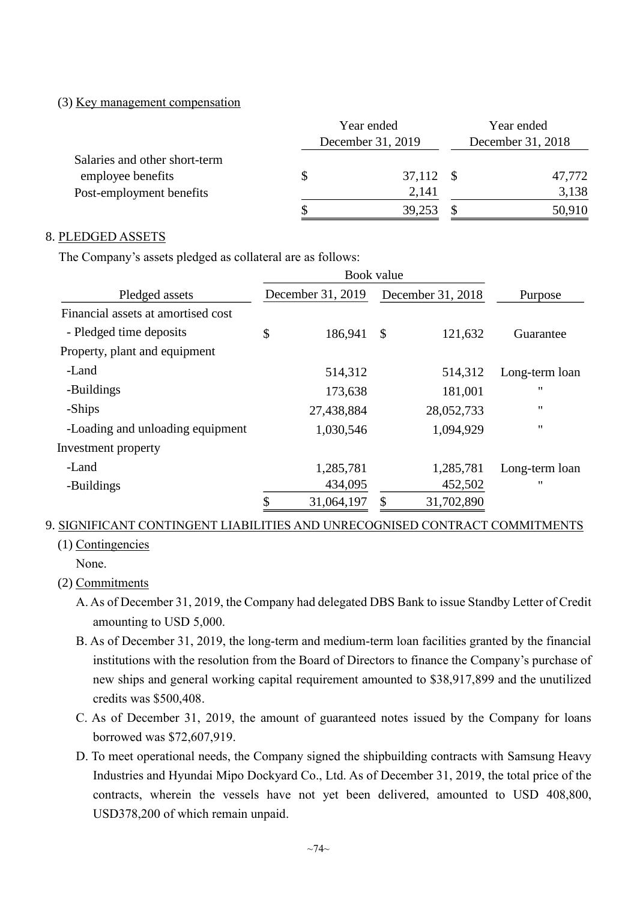### (3) Key management compensation

|                               |   | Year ended        |  | Year ended        |
|-------------------------------|---|-------------------|--|-------------------|
|                               |   | December 31, 2019 |  | December 31, 2018 |
| Salaries and other short-term |   |                   |  |                   |
| employee benefits             | S | 37,112 \$         |  | 47,772            |
| Post-employment benefits      |   | 2,141             |  | 3,138             |
|                               |   | 39,253            |  | 50,910            |

## 8. PLEDGED ASSETS

The Company's assets pledged as collateral are as follows:

|                                    |    | Book value        |                   |            |                |  |
|------------------------------------|----|-------------------|-------------------|------------|----------------|--|
| Pledged assets                     |    | December 31, 2019 | December 31, 2018 |            | Purpose        |  |
| Financial assets at amortised cost |    |                   |                   |            |                |  |
| - Pledged time deposits            | \$ | 186,941           | \$                | 121,632    | Guarantee      |  |
| Property, plant and equipment      |    |                   |                   |            |                |  |
| -Land                              |    | 514,312           |                   | 514,312    | Long-term loan |  |
| -Buildings                         |    | 173,638           |                   | 181,001    | $^{\dagger}$   |  |
| -Ships                             |    | 27,438,884        |                   | 28,052,733 | "              |  |
| -Loading and unloading equipment   |    | 1,030,546         |                   | 1,094,929  | $^{\dagger}$   |  |
| Investment property                |    |                   |                   |            |                |  |
| -Land                              |    | 1,285,781         |                   | 1,285,781  | Long-term loan |  |
| -Buildings                         |    | 434,095           |                   | 452,502    | $^{\prime}$    |  |
|                                    | \$ | 31,064,197        | \$                | 31,702,890 |                |  |

# 9. SIGNIFICANT CONTINGENT LIABILITIES AND UNRECOGNISED CONTRACT COMMITMENTS

### (1) Contingencies

None.

### (2) Commitments

- A. As of December 31, 2019, the Company had delegated DBS Bank to issue Standby Letter of Credit amounting to USD 5,000.
- B. As of December 31, 2019, the long-term and medium-term loan facilities granted by the financial institutions with the resolution from the Board of Directors to finance the Company's purchase of new ships and general working capital requirement amounted to \$38,917,899 and the unutilized credits was \$500,408.
- C. As of December 31, 2019, the amount of guaranteed notes issued by the Company for loans borrowed was \$72,607,919.
- D. To meet operational needs, the Company signed the shipbuilding contracts with Samsung Heavy Industries and Hyundai Mipo Dockyard Co., Ltd. As of December 31, 2019, the total price of the contracts, wherein the vessels have not yet been delivered, amounted to USD 408,800, USD378,200 of which remain unpaid.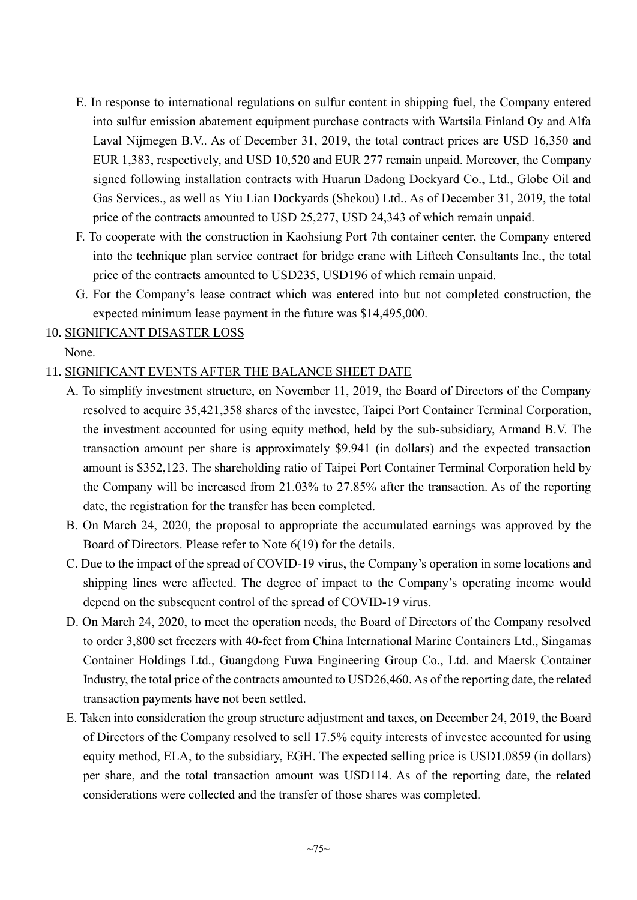- E. In response to international regulations on sulfur content in shipping fuel, the Company entered into sulfur emission abatement equipment purchase contracts with Wartsila Finland Oy and Alfa Laval Nijmegen B.V.. As of December 31, 2019, the total contract prices are USD 16,350 and EUR 1,383, respectively, and USD 10,520 and EUR 277 remain unpaid. Moreover, the Company signed following installation contracts with Huarun Dadong Dockyard Co., Ltd., Globe Oil and Gas Services., as well as Yiu Lian Dockyards (Shekou) Ltd.. As of December 31, 2019, the total price of the contracts amounted to USD 25,277, USD 24,343 of which remain unpaid.
- F. To cooperate with the construction in Kaohsiung Port 7th container center, the Company entered into the technique plan service contract for bridge crane with Liftech Consultants Inc., the total price of the contracts amounted to USD235, USD196 of which remain unpaid.
- G. For the Company's lease contract which was entered into but not completed construction, the expected minimum lease payment in the future was \$14,495,000.
- 10. SIGNIFICANT DISASTER LOSS

None.

- 11. SIGNIFICANT EVENTS AFTER THE BALANCE SHEET DATE
	- A. To simplify investment structure, on November 11, 2019, the Board of Directors of the Company resolved to acquire 35,421,358 shares of the investee, Taipei Port Container Terminal Corporation, the investment accounted for using equity method, held by the sub-subsidiary, Armand B.V. The transaction amount per share is approximately \$9.941 (in dollars) and the expected transaction amount is \$352,123. The shareholding ratio of Taipei Port Container Terminal Corporation held by the Company will be increased from 21.03% to 27.85% after the transaction. As of the reporting date, the registration for the transfer has been completed.
	- B. On March 24, 2020, the proposal to appropriate the accumulated earnings was approved by the Board of Directors. Please refer to Note 6(19) for the details.
	- C. Due to the impact of the spread of COVID-19 virus, the Company's operation in some locations and shipping lines were affected. The degree of impact to the Company's operating income would depend on the subsequent control of the spread of COVID-19 virus.
	- D. On March 24, 2020, to meet the operation needs, the Board of Directors of the Company resolved to order 3,800 set freezers with 40-feet from China International Marine Containers Ltd., Singamas Container Holdings Ltd., Guangdong Fuwa Engineering Group Co., Ltd. and Maersk Container Industry, the total price of the contracts amounted to USD26,460. As of the reporting date, the related transaction payments have not been settled.
	- E. Taken into consideration the group structure adjustment and taxes, on December 24, 2019, the Board of Directors of the Company resolved to sell 17.5% equity interests of investee accounted for using equity method, ELA, to the subsidiary, EGH. The expected selling price is USD1.0859 (in dollars) per share, and the total transaction amount was USD114. As of the reporting date, the related considerations were collected and the transfer of those shares was completed.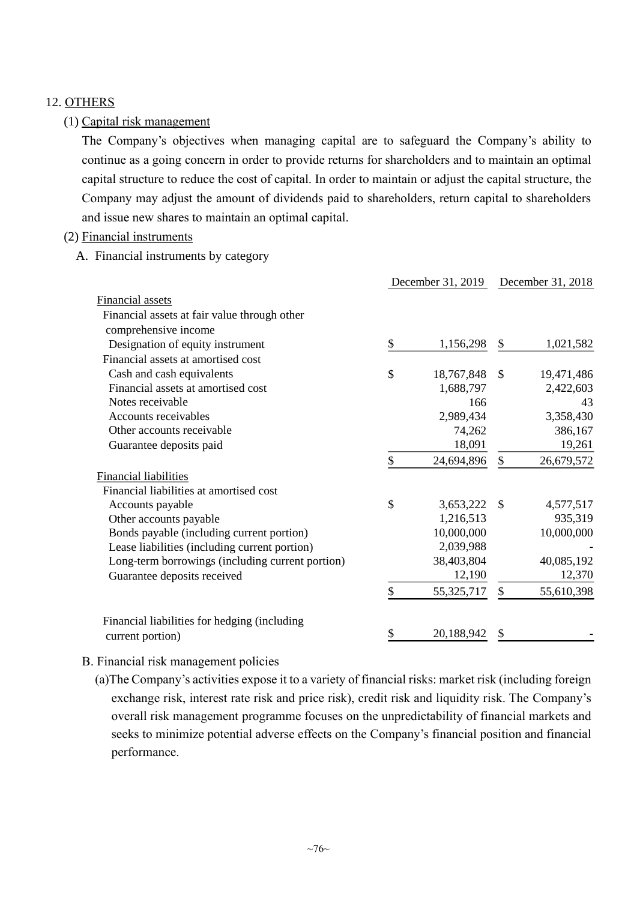### 12. OTHERS

### (1) Capital risk management

The Company's objectives when managing capital are to safeguard the Company's ability to continue as a going concern in order to provide returns for shareholders and to maintain an optimal capital structure to reduce the cost of capital. In order to maintain or adjust the capital structure, the Company may adjust the amount of dividends paid to shareholders, return capital to shareholders and issue new shares to maintain an optimal capital.

### (2) Financial instruments

A. Financial instruments by category

|                                                  | December 31, 2019 |            |               | December 31, 2018 |
|--------------------------------------------------|-------------------|------------|---------------|-------------------|
| <b>Financial assets</b>                          |                   |            |               |                   |
| Financial assets at fair value through other     |                   |            |               |                   |
| comprehensive income                             |                   |            |               |                   |
| Designation of equity instrument                 | \$                | 1,156,298  | \$            | 1,021,582         |
| Financial assets at amortised cost               |                   |            |               |                   |
| Cash and cash equivalents                        | \$                | 18,767,848 | $\mathcal{S}$ | 19,471,486        |
| Financial assets at amortised cost               |                   | 1,688,797  |               | 2,422,603         |
| Notes receivable                                 |                   | 166        |               | 43                |
| Accounts receivables                             |                   | 2,989,434  |               | 3,358,430         |
| Other accounts receivable                        |                   | 74,262     |               | 386,167           |
| Guarantee deposits paid                          |                   | 18,091     |               | 19,261            |
|                                                  | \$                | 24,694,896 | $\mathcal{S}$ | 26,679,572        |
| <b>Financial liabilities</b>                     |                   |            |               |                   |
| Financial liabilities at amortised cost          |                   |            |               |                   |
| Accounts payable                                 | \$                | 3,653,222  | $\mathbb{S}$  | 4,577,517         |
| Other accounts payable                           |                   | 1,216,513  |               | 935,319           |
| Bonds payable (including current portion)        |                   | 10,000,000 |               | 10,000,000        |
| Lease liabilities (including current portion)    |                   | 2,039,988  |               |                   |
| Long-term borrowings (including current portion) |                   | 38,403,804 |               | 40,085,192        |
| Guarantee deposits received                      |                   | 12,190     |               | 12,370            |
|                                                  | \$                | 55,325,717 | \$            | 55,610,398        |
| Financial liabilities for hedging (including     |                   |            |               |                   |
| current portion)                                 | \$                | 20,188,942 |               |                   |

### B. Financial risk management policies

(a)The Company's activities expose it to a variety of financial risks: market risk (including foreign exchange risk, interest rate risk and price risk), credit risk and liquidity risk. The Company's overall risk management programme focuses on the unpredictability of financial markets and seeks to minimize potential adverse effects on the Company's financial position and financial performance.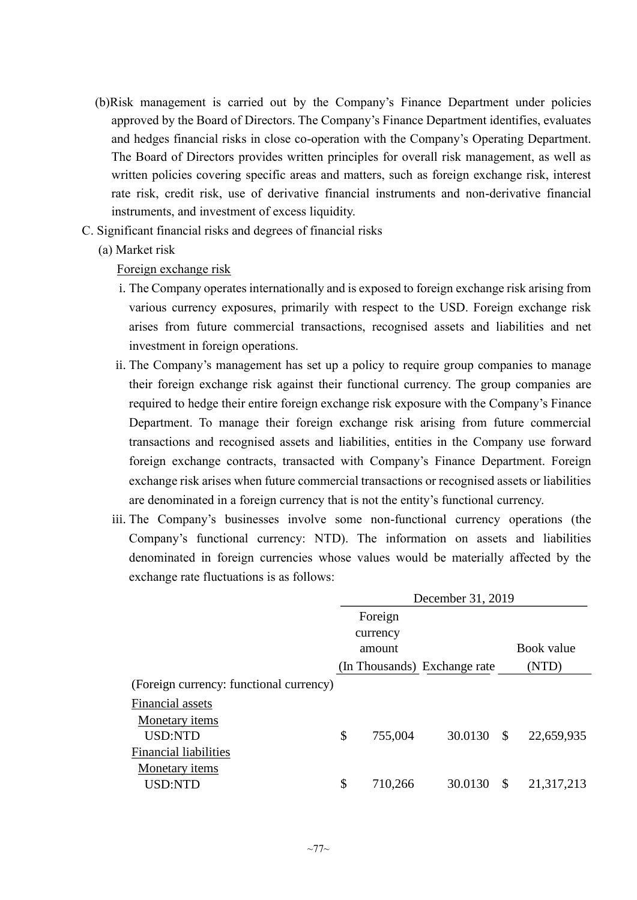- (b)Risk management is carried out by the Company's Finance Department under policies approved by the Board of Directors. The Company's Finance Department identifies, evaluates and hedges financial risks in close co-operation with the Company's Operating Department. The Board of Directors provides written principles for overall risk management, as well as written policies covering specific areas and matters, such as foreign exchange risk, interest rate risk, credit risk, use of derivative financial instruments and non-derivative financial instruments, and investment of excess liquidity.
- C. Significant financial risks and degrees of financial risks
	- (a) Market risk

Foreign exchange risk

- i. The Company operates internationally and is exposed to foreign exchange risk arising from various currency exposures, primarily with respect to the USD. Foreign exchange risk arises from future commercial transactions, recognised assets and liabilities and net investment in foreign operations.
- ii. The Company's management has set up a policy to require group companies to manage their foreign exchange risk against their functional currency. The group companies are required to hedge their entire foreign exchange risk exposure with the Company's Finance Department. To manage their foreign exchange risk arising from future commercial transactions and recognised assets and liabilities, entities in the Company use forward foreign exchange contracts, transacted with Company's Finance Department. Foreign exchange risk arises when future commercial transactions or recognised assets or liabilities are denominated in a foreign currency that is not the entity's functional currency.
- iii. The Company's businesses involve some non-functional currency operations (the Company's functional currency: NTD). The information on assets and liabilities denominated in foreign currencies whose values would be materially affected by the exchange rate fluctuations is as follows:

|                                         | December 31, 2019 |                              |         |              |            |  |  |
|-----------------------------------------|-------------------|------------------------------|---------|--------------|------------|--|--|
|                                         |                   | Foreign                      |         |              |            |  |  |
|                                         |                   | currency                     |         |              |            |  |  |
|                                         |                   | amount                       |         | Book value   |            |  |  |
|                                         |                   | (In Thousands) Exchange rate | (NTD)   |              |            |  |  |
| (Foreign currency: functional currency) |                   |                              |         |              |            |  |  |
| Financial assets                        |                   |                              |         |              |            |  |  |
| Monetary <i>items</i>                   |                   |                              |         |              |            |  |  |
| <b>USD:NTD</b>                          | \$                | 755,004                      | 30.0130 | $\mathbb{S}$ | 22,659,935 |  |  |
| <b>Financial liabilities</b>            |                   |                              |         |              |            |  |  |
| Monetary <i>items</i>                   |                   |                              |         |              |            |  |  |
| <b>USD:NTD</b>                          | \$                | 710,266                      | 30.0130 | S            | 21,317,213 |  |  |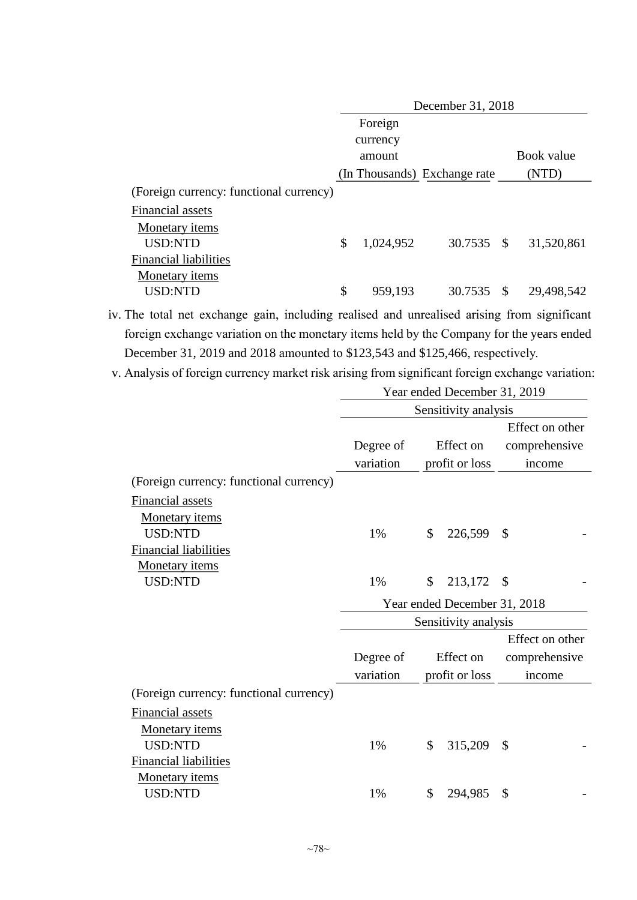|                                         | December 31, 2018 |                              |            |       |            |  |  |  |
|-----------------------------------------|-------------------|------------------------------|------------|-------|------------|--|--|--|
|                                         |                   | Foreign                      |            |       |            |  |  |  |
|                                         |                   | currency                     |            |       |            |  |  |  |
|                                         |                   | amount                       | Book value |       |            |  |  |  |
|                                         |                   | (In Thousands) Exchange rate |            | (NTD) |            |  |  |  |
| (Foreign currency: functional currency) |                   |                              |            |       |            |  |  |  |
| Financial assets                        |                   |                              |            |       |            |  |  |  |
| Monetary items                          |                   |                              |            |       |            |  |  |  |
| USD:NTD                                 | \$                | 1,024,952                    | 30.7535 \$ |       | 31,520,861 |  |  |  |
| <b>Financial liabilities</b>            |                   |                              |            |       |            |  |  |  |
| Monetary <i>items</i>                   |                   |                              |            |       |            |  |  |  |
| USD:NTD                                 | \$                | 959,193                      | 30.7535    |       | 29,498,542 |  |  |  |

iv. The total net exchange gain, including realised and unrealised arising from significant foreign exchange variation on the monetary items held by the Company for the years ended December 31, 2019 and 2018 amounted to \$123,543 and \$125,466, respectively.

v. Analysis of foreign currency market risk arising from significant foreign exchange variation:

|                                         | Year ended December 31, 2019 |                              |                 |  |  |  |
|-----------------------------------------|------------------------------|------------------------------|-----------------|--|--|--|
|                                         | Sensitivity analysis         |                              |                 |  |  |  |
|                                         |                              |                              | Effect on other |  |  |  |
|                                         | Degree of                    | <b>Effect</b> on             | comprehensive   |  |  |  |
|                                         | variation                    | profit or loss               | income          |  |  |  |
| (Foreign currency: functional currency) |                              |                              |                 |  |  |  |
| Financial assets                        |                              |                              |                 |  |  |  |
| <b>Monetary</b> items                   |                              |                              |                 |  |  |  |
| <b>USD:NTD</b>                          | 1%                           | 226,599<br>\$                | \$              |  |  |  |
| <b>Financial liabilities</b>            |                              |                              |                 |  |  |  |
| <b>Monetary items</b>                   |                              |                              |                 |  |  |  |
| <b>USD:NTD</b>                          | 1%                           | \$<br>213,172                | $\mathcal{S}$   |  |  |  |
|                                         |                              | Year ended December 31, 2018 |                 |  |  |  |
|                                         |                              | Sensitivity analysis         |                 |  |  |  |
|                                         |                              |                              | Effect on other |  |  |  |
|                                         | Degree of                    | <b>Effect</b> on             | comprehensive   |  |  |  |
|                                         | variation                    | profit or loss               | income          |  |  |  |
| (Foreign currency: functional currency) |                              |                              |                 |  |  |  |
| Financial assets                        |                              |                              |                 |  |  |  |
| <b>Monetary</b> items                   |                              |                              |                 |  |  |  |
| <b>USD:NTD</b>                          | 1%                           | 315,209<br>\$                | \$              |  |  |  |
| <b>Financial liabilities</b>            |                              |                              |                 |  |  |  |
| Monetary <i>items</i>                   |                              |                              |                 |  |  |  |
| <b>USD:NTD</b>                          | 1%                           | \$<br>294,985                | \$              |  |  |  |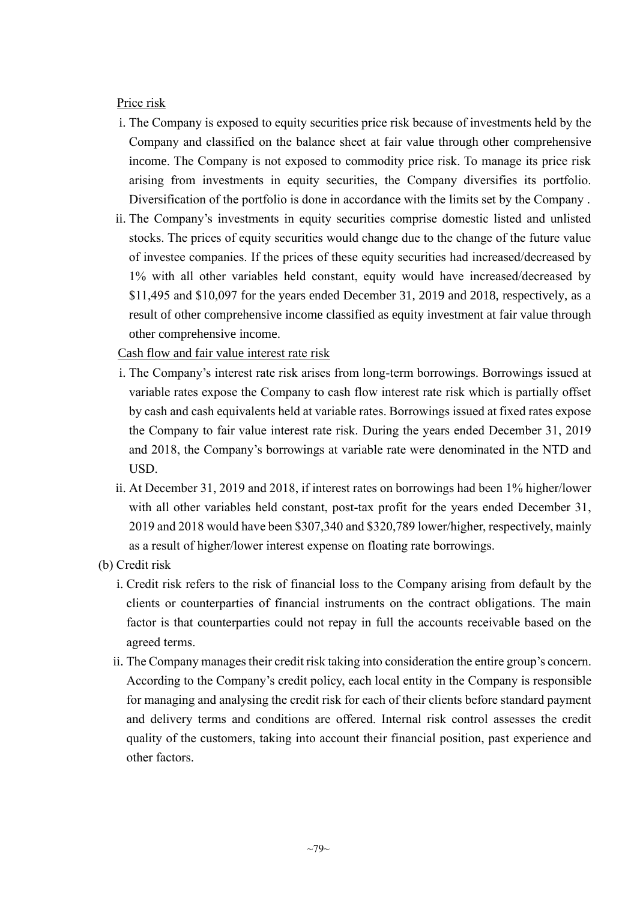### Price risk

- i. The Company is exposed to equity securities price risk because of investments held by the Company and classified on the balance sheet at fair value through other comprehensive income. The Company is not exposed to commodity price risk. To manage its price risk arising from investments in equity securities, the Company diversifies its portfolio. Diversification of the portfolio is done in accordance with the limits set by the Company .
- ii. The Company's investments in equity securities comprise domestic listed and unlisted stocks. The prices of equity securities would change due to the change of the future value of investee companies. If the prices of these equity securities had increased/decreased by 1% with all other variables held constant, equity would have increased/decreased by \$11,495 and \$10,097 for the years ended December 31, 2019 and 2018, respectively, as a result of other comprehensive income classified as equity investment at fair value through other comprehensive income.

Cash flow and fair value interest rate risk

- i. The Company's interest rate risk arises from long-term borrowings. Borrowings issued at variable rates expose the Company to cash flow interest rate risk which is partially offset by cash and cash equivalents held at variable rates. Borrowings issued at fixed rates expose the Company to fair value interest rate risk. During the years ended December 31, 2019 and 2018, the Company's borrowings at variable rate were denominated in the NTD and USD.
- ii. At December 31, 2019 and 2018, if interest rates on borrowings had been 1% higher/lower with all other variables held constant, post-tax profit for the years ended December 31, 2019 and 2018 would have been \$307,340 and \$320,789 lower/higher, respectively, mainly as a result of higher/lower interest expense on floating rate borrowings.
- (b) Credit risk
	- i. Credit risk refers to the risk of financial loss to the Company arising from default by the clients or counterparties of financial instruments on the contract obligations. The main factor is that counterparties could not repay in full the accounts receivable based on the agreed terms.
	- ii. The Company manages their credit risk taking into consideration the entire group's concern. According to the Company's credit policy, each local entity in the Company is responsible for managing and analysing the credit risk for each of their clients before standard payment and delivery terms and conditions are offered. Internal risk control assesses the credit quality of the customers, taking into account their financial position, past experience and other factors.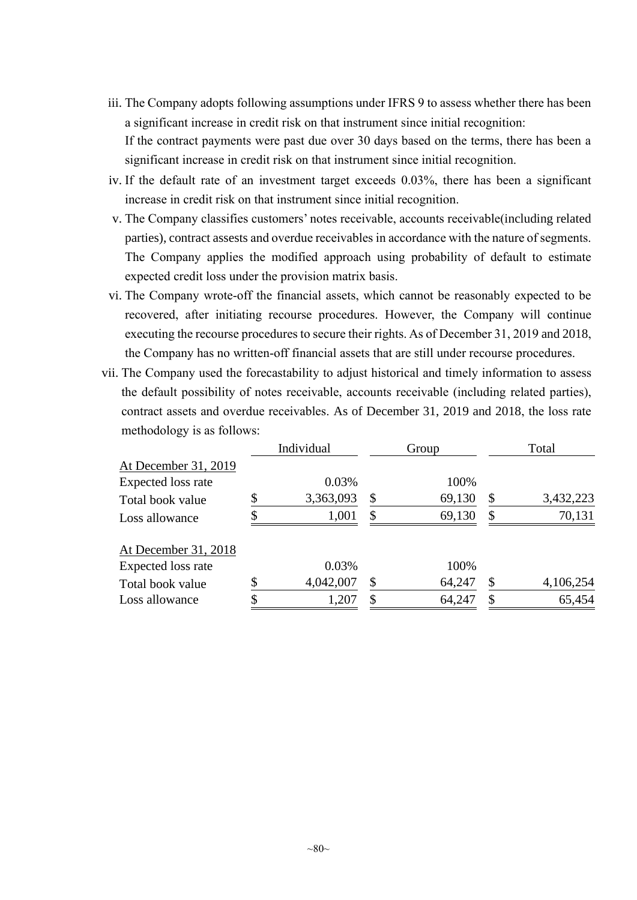iii. The Company adopts following assumptions under IFRS 9 to assess whether there has been a significant increase in credit risk on that instrument since initial recognition:

If the contract payments were past due over 30 days based on the terms, there has been a significant increase in credit risk on that instrument since initial recognition.

- iv. If the default rate of an investment target exceeds 0.03%, there has been a significant increase in credit risk on that instrument since initial recognition.
- v. The Company classifies customers' notes receivable, accounts receivable(including related parties), contract assests and overdue receivables in accordance with the nature of segments. The Company applies the modified approach using probability of default to estimate expected credit loss under the provision matrix basis.
- vi. The Company wrote-off the financial assets, which cannot be reasonably expected to be recovered, after initiating recourse procedures. However, the Company will continue executing the recourse procedures to secure their rights. As of December 31, 2019 and 2018, the Company has no written-off financial assets that are still under recourse procedures.
- vii. The Company used the forecastability to adjust historical and timely information to assess the default possibility of notes receivable, accounts receivable (including related parties), contract assets and overdue receivables. As of December 31, 2019 and 2018, the loss rate methodology is as follows:

|                      | Individual |           | Group        |                           | Total     |
|----------------------|------------|-----------|--------------|---------------------------|-----------|
| At December 31, 2019 |            |           |              |                           |           |
| Expected loss rate   |            | 0.03%     | 100%         |                           |           |
| Total book value     | \$         | 3,363,093 | \$<br>69,130 | $\boldsymbol{\mathsf{S}}$ | 3,432,223 |
| Loss allowance       |            | 1,001     | \$<br>69,130 | \$                        | 70,131    |
| At December 31, 2018 |            |           |              |                           |           |
| Expected loss rate   |            | 0.03%     | 100%         |                           |           |
| Total book value     |            | 4,042,007 | \$<br>64,247 | \$                        | 4,106,254 |
| Loss allowance       | \$         | 1,207     | \$<br>64,247 | \$                        | 65,454    |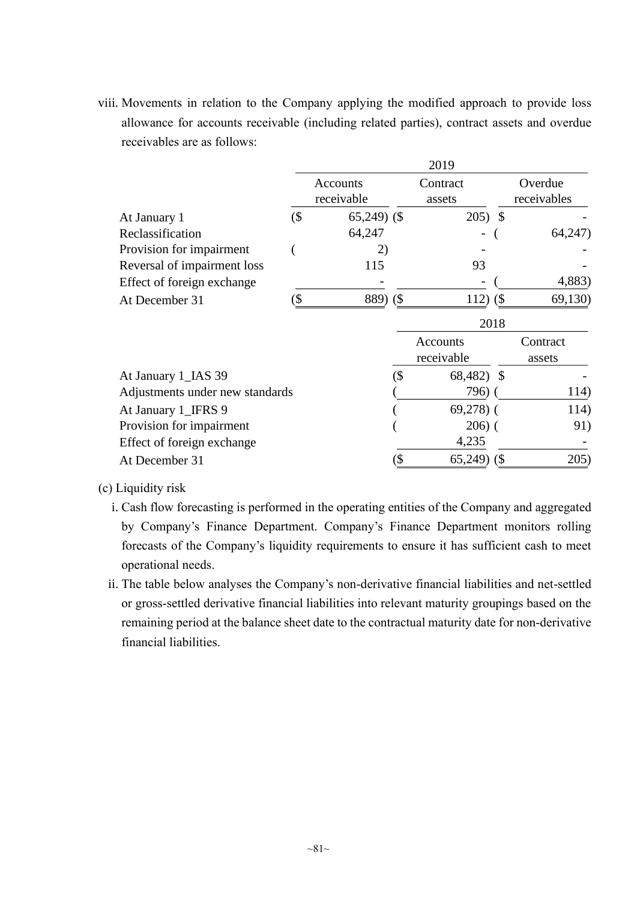viii. Movements in relation to the Company applying the modified approach to provide loss allowance for accounts receivable (including related parties), contract assets and overdue receivables are as follows:

|                                 |        |                        | 2019                   |   |                        |
|---------------------------------|--------|------------------------|------------------------|---|------------------------|
|                                 |        | Accounts<br>receivable | Contract<br>assets     |   | Overdue<br>receivables |
| At January 1                    | $($ \$ | $65,249$ (\$)          | $205)$ \$              |   |                        |
| Reclassification                |        | 64,247                 |                        |   | 64,247                 |
| Provision for impairment        |        | (2)                    |                        |   |                        |
| Reversal of impairment loss     |        | 115                    | 93                     |   |                        |
| Effect of foreign exchange      |        |                        |                        |   | 4,883)                 |
| At December 31                  | (\$    | 889) (\$               | $112)$ (\$)            |   | 69,130)                |
|                                 |        |                        | 2018                   |   |                        |
|                                 |        |                        | Accounts<br>receivable |   | Contract<br>assets     |
| At January 1_IAS 39             |        | $($ \$                 | 68,482) \$             |   |                        |
| Adjustments under new standards |        |                        | 796) (                 |   | 114)                   |
| At January 1_IFRS 9             |        |                        | $69,278$ ) (           |   | 114)                   |
| Provision for impairment        |        |                        | $206)$ (               |   | 91)                    |
| Effect of foreign exchange      |        |                        | 4,235                  |   |                        |
| At December 31                  |        | (\$                    | 65,249)                | ( | 205)                   |

### (c) Liquidity risk

- i. Cash flow forecasting is performed in the operating entities of the Company and aggregated by Company's Finance Department. Company's Finance Department monitors rolling forecasts of the Company's liquidity requirements to ensure it has sufficient cash to meet operational needs.
- ii. The table below analyses the Company's non-derivative financial liabilities and net-settled or gross-settled derivative financial liabilities into relevant maturity groupings based on the remaining period at the balance sheet date to the contractual maturity date for non-derivative financial liabilities.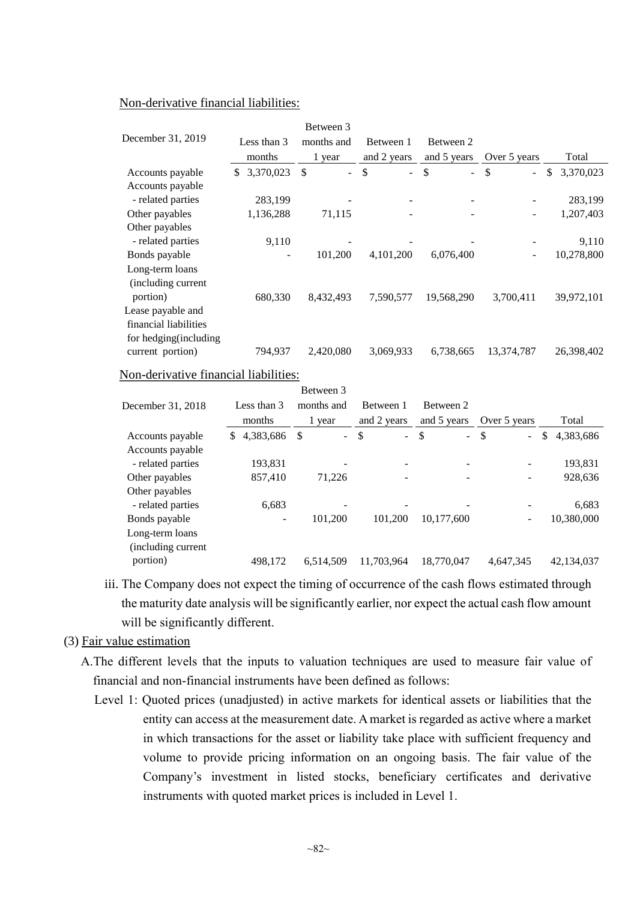|                        |                 | Between 3     |                     |                                            |                                 |                 |
|------------------------|-----------------|---------------|---------------------|--------------------------------------------|---------------------------------|-----------------|
| December 31, 2019      | Less than 3     | months and    | Between 1           | Between 2                                  |                                 |                 |
|                        | months          | 1 year        | and 2 years         | and 5 years                                | Over 5 years                    | Total           |
| Accounts payable       | 3,370,023<br>\$ | -\$<br>$\sim$ | $\mathcal{S}$<br>÷. | $\mathcal{S}$<br>$\mathbb{R}^{\mathbb{Z}}$ | $\mathcal{S}$<br>$\overline{a}$ | 3,370,023<br>\$ |
| Accounts payable       |                 |               |                     |                                            |                                 |                 |
| - related parties      | 283,199         |               | -                   |                                            | $\overline{\phantom{a}}$        | 283,199         |
| Other payables         | 1,136,288       | 71,115        |                     |                                            | ۰                               | 1,207,403       |
| Other payables         |                 |               |                     |                                            |                                 |                 |
| - related parties      | 9,110           |               |                     |                                            |                                 | 9,110           |
| Bonds payable          | -               | 101,200       | 4, 101, 200         | 6,076,400                                  | ۰                               | 10,278,800      |
| Long-term loans        |                 |               |                     |                                            |                                 |                 |
| (including current     |                 |               |                     |                                            |                                 |                 |
| portion)               | 680,330         | 8,432,493     | 7,590,577           | 19,568,290                                 | 3,700,411                       | 39,972,101      |
| Lease payable and      |                 |               |                     |                                            |                                 |                 |
| financial liabilities  |                 |               |                     |                                            |                                 |                 |
| for hedging (including |                 |               |                     |                                            |                                 |                 |
| current portion)       | 794,937         | 2,420,080     | 3,069,933           | 6,738,665                                  | 13,374,787                      | 26,398,402      |
|                        |                 |               |                     |                                            |                                 |                 |

### Non-derivative financial liabilities:

### Non-derivative financial liabilities:

|                    |                          | Between 3                   |                          |                           |                          |                |
|--------------------|--------------------------|-----------------------------|--------------------------|---------------------------|--------------------------|----------------|
| December 31, 2018  | Less than 3              | months and                  | Between 1                | Between 2                 |                          |                |
|                    | months                   | 1 year                      | and 2 years              | and 5 years               | Over 5 years             | Total          |
| Accounts payable   | 4,383,686<br>S           | <sup>\$</sup><br>$\omega$ . | $-$ \$<br>\$             | $\mathbf{L}^{\text{max}}$ | \$<br>$\blacksquare$     | 4,383,686<br>S |
| Accounts payable   |                          |                             |                          |                           |                          |                |
| - related parties  | 193,831                  |                             | -                        |                           | $\overline{\phantom{a}}$ | 193,831        |
| Other payables     | 857,410                  | 71,226                      | $\overline{\phantom{0}}$ |                           | $\overline{\phantom{0}}$ | 928,636        |
| Other payables     |                          |                             |                          |                           |                          |                |
| - related parties  | 6.683                    |                             |                          |                           |                          | 6,683          |
| Bonds payable      | $\overline{\phantom{a}}$ | 101,200                     | 101,200                  | 10,177,600                | $\overline{\phantom{a}}$ | 10,380,000     |
| Long-term loans    |                          |                             |                          |                           |                          |                |
| (including current |                          |                             |                          |                           |                          |                |
| portion)           | 498.172                  | 6.514.509                   | 11.703.964               | 18,770,047                | 4,647,345                | 42,134,037     |

iii. The Company does not expect the timing of occurrence of the cash flows estimated through the maturity date analysis will be significantly earlier, nor expect the actual cash flow amount will be significantly different.

### (3) Fair value estimation

- A.The different levels that the inputs to valuation techniques are used to measure fair value of financial and non-financial instruments have been defined as follows:
	- Level 1: Quoted prices (unadjusted) in active markets for identical assets or liabilities that the entity can access at the measurement date. A market is regarded as active where a market in which transactions for the asset or liability take place with sufficient frequency and volume to provide pricing information on an ongoing basis. The fair value of the Company's investment in listed stocks, beneficiary certificates and derivative instruments with quoted market prices is included in Level 1.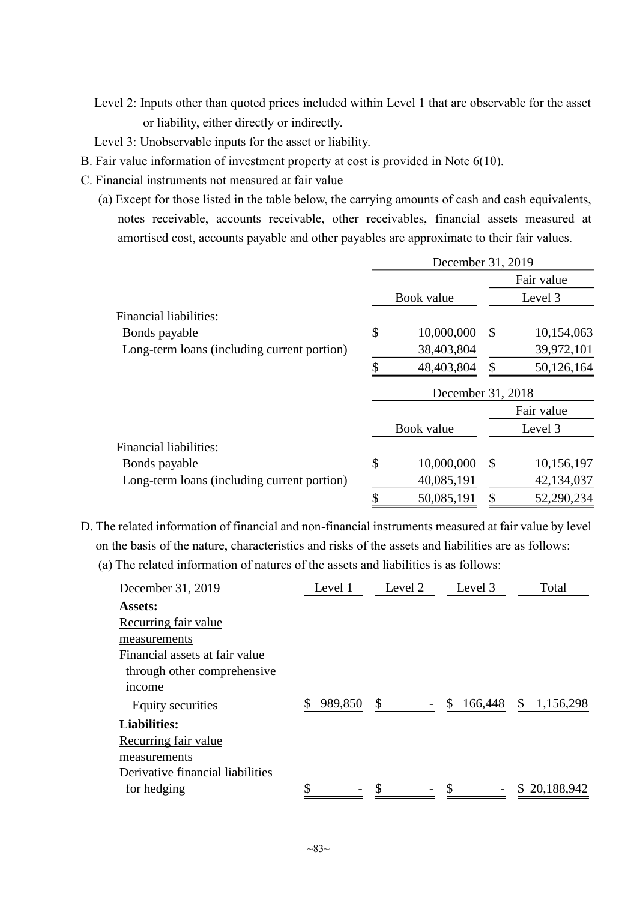Level 2: Inputs other than quoted prices included within Level 1 that are observable for the asset or liability, either directly or indirectly.

Level 3: Unobservable inputs for the asset or liability.

- B. Fair value information of investment property at cost is provided in Note 6(10).
- C. Financial instruments not measured at fair value
	- (a) Except for those listed in the table below, the carrying amounts of cash and cash equivalents, notes receivable, accounts receivable, other receivables, financial assets measured at amortised cost, accounts payable and other payables are approximate to their fair values.

|                                             | December 31, 2019 |                   |               |            |  |  |
|---------------------------------------------|-------------------|-------------------|---------------|------------|--|--|
|                                             |                   |                   |               | Fair value |  |  |
|                                             |                   | Book value        |               | Level 3    |  |  |
| <b>Financial liabilities:</b>               |                   |                   |               |            |  |  |
| Bonds payable                               | \$                | 10,000,000        | \$            | 10,154,063 |  |  |
| Long-term loans (including current portion) |                   | 38,403,804        |               | 39,972,101 |  |  |
|                                             | Φ                 | 48,403,804        | \$            | 50,126,164 |  |  |
|                                             |                   | December 31, 2018 |               |            |  |  |
|                                             |                   |                   |               | Fair value |  |  |
|                                             |                   | Book value        |               | Level 3    |  |  |
| <b>Financial liabilities:</b>               |                   |                   |               |            |  |  |
| Bonds payable                               | \$                | 10,000,000        | $\mathcal{S}$ | 10,156,197 |  |  |
| Long-term loans (including current portion) |                   | 40,085,191        |               | 42,134,037 |  |  |
|                                             | \$                | 50,085,191        | \$            | 52,290,234 |  |  |

D. The related information of financial and non-financial instruments measured at fair value by level on the basis of the nature, characteristics and risks of the assets and liabilities are as follows:

(a) The related information of natures of the assets and liabilities is as follows:

| December 31, 2019                | Level 1 | Level 2 | Level 3       | Total           |
|----------------------------------|---------|---------|---------------|-----------------|
| <b>Assets:</b>                   |         |         |               |                 |
| Recurring fair value             |         |         |               |                 |
| measurements                     |         |         |               |                 |
| Financial assets at fair value   |         |         |               |                 |
| through other comprehensive      |         |         |               |                 |
| income                           |         |         |               |                 |
| Equity securities                | 989,850 | \$      | \$<br>166,448 | \$<br>1,156,298 |
| <b>Liabilities:</b>              |         |         |               |                 |
| Recurring fair value             |         |         |               |                 |
| measurements                     |         |         |               |                 |
| Derivative financial liabilities |         |         |               |                 |
| for hedging                      | \$      |         |               | \$20,188,942    |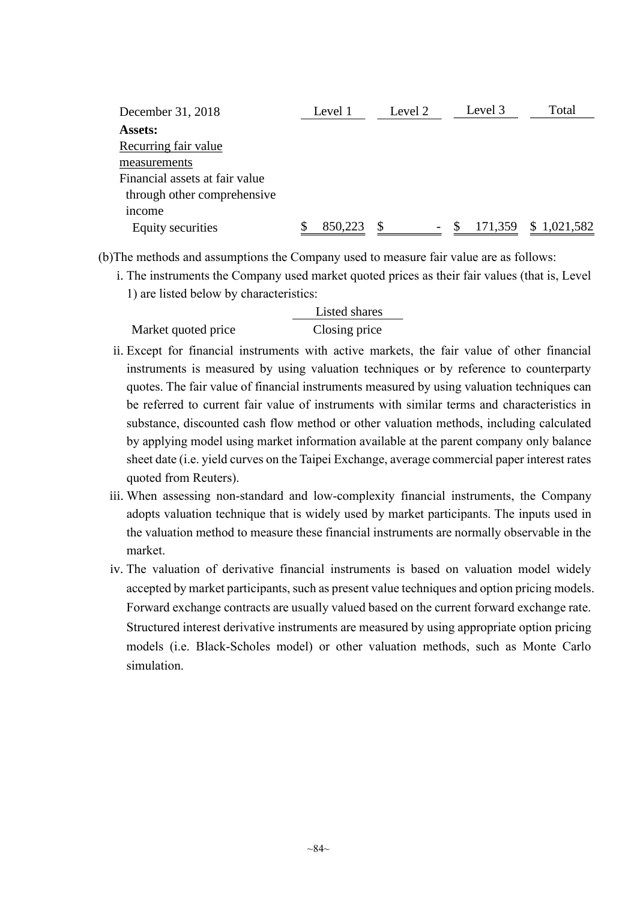| December 31, 2018              | Level 1 | Level 2 |   | Level 3 | Total       |
|--------------------------------|---------|---------|---|---------|-------------|
| <b>Assets:</b>                 |         |         |   |         |             |
| Recurring fair value           |         |         |   |         |             |
| measurements                   |         |         |   |         |             |
| Financial assets at fair value |         |         |   |         |             |
| through other comprehensive    |         |         |   |         |             |
| income                         |         |         |   |         |             |
| Equity securities              | 850,223 | S       | - | 171,359 | \$1,021,582 |

(b)The methods and assumptions the Company used to measure fair value are as follows:

i. The instruments the Company used market quoted prices as their fair values (that is, Level 1) are listed below by characteristics:

|                     | Listed shares |
|---------------------|---------------|
| Market quoted price | Closing price |

- ii. Except for financial instruments with active markets, the fair value of other financial instruments is measured by using valuation techniques or by reference to counterparty quotes. The fair value of financial instruments measured by using valuation techniques can be referred to current fair value of instruments with similar terms and characteristics in substance, discounted cash flow method or other valuation methods, including calculated by applying model using market information available at the parent company only balance sheet date (i.e. yield curves on the Taipei Exchange, average commercial paper interest rates quoted from Reuters).
- iii. When assessing non-standard and low-complexity financial instruments, the Company adopts valuation technique that is widely used by market participants. The inputs used in the valuation method to measure these financial instruments are normally observable in the market.
- iv. The valuation of derivative financial instruments is based on valuation model widely accepted by market participants, such as present value techniques and option pricing models. Forward exchange contracts are usually valued based on the current forward exchange rate. Structured interest derivative instruments are measured by using appropriate option pricing models (i.e. Black-Scholes model) or other valuation methods, such as Monte Carlo simulation.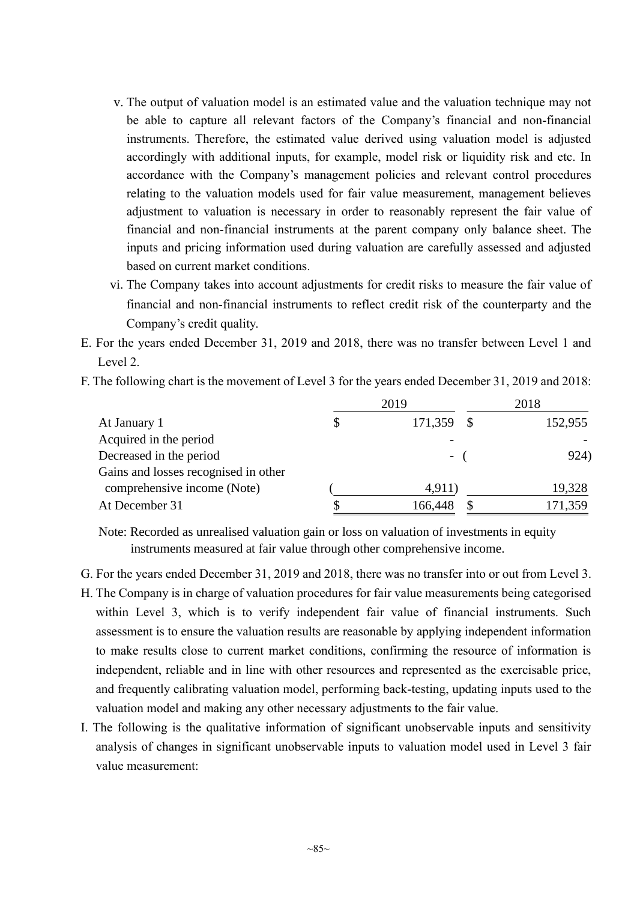- v. The output of valuation model is an estimated value and the valuation technique may not be able to capture all relevant factors of the Company's financial and non-financial instruments. Therefore, the estimated value derived using valuation model is adjusted accordingly with additional inputs, for example, model risk or liquidity risk and etc. In accordance with the Company's management policies and relevant control procedures relating to the valuation models used for fair value measurement, management believes adjustment to valuation is necessary in order to reasonably represent the fair value of financial and non-financial instruments at the parent company only balance sheet. The inputs and pricing information used during valuation are carefully assessed and adjusted based on current market conditions.
- vi. The Company takes into account adjustments for credit risks to measure the fair value of financial and non-financial instruments to reflect credit risk of the counterparty and the Company's credit quality.
- E. For the years ended December 31, 2019 and 2018, there was no transfer between Level 1 and Level 2.
- F. The following chart is the movement of Level 3 for the years ended December 31, 2019 and 2018:

|                                      |   | 2019    | 2018    |  |  |
|--------------------------------------|---|---------|---------|--|--|
| At January 1                         | S | 171,359 | 152,955 |  |  |
| Acquired in the period               |   |         |         |  |  |
| Decreased in the period              |   | $\sim$  | 924)    |  |  |
| Gains and losses recognised in other |   |         |         |  |  |
| comprehensive income (Note)          |   | 4,911)  | 19,328  |  |  |
| At December 31                       |   | 166,448 | 171,359 |  |  |

Note: Recorded as unrealised valuation gain or loss on valuation of investments in equity instruments measured at fair value through other comprehensive income.

- G. For the years ended December 31, 2019 and 2018, there was no transfer into or out from Level 3.
- H. The Company is in charge of valuation procedures for fair value measurements being categorised within Level 3, which is to verify independent fair value of financial instruments. Such assessment is to ensure the valuation results are reasonable by applying independent information to make results close to current market conditions, confirming the resource of information is independent, reliable and in line with other resources and represented as the exercisable price, and frequently calibrating valuation model, performing back-testing, updating inputs used to the valuation model and making any other necessary adjustments to the fair value.
- I. The following is the qualitative information of significant unobservable inputs and sensitivity analysis of changes in significant unobservable inputs to valuation model used in Level 3 fair value measurement: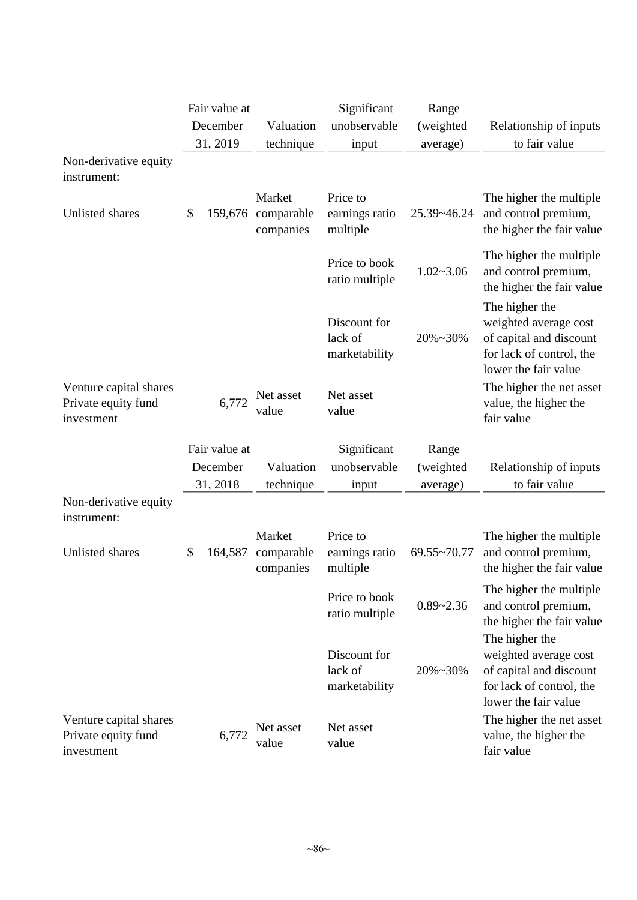|                                                             | Fair value at |                                   | Significant                              | Range           |                                                                                                                        |
|-------------------------------------------------------------|---------------|-----------------------------------|------------------------------------------|-----------------|------------------------------------------------------------------------------------------------------------------------|
|                                                             | December      | Valuation                         | unobservable                             | (weighted       | Relationship of inputs                                                                                                 |
|                                                             | 31, 2019      | technique                         | input                                    | average)        | to fair value                                                                                                          |
| Non-derivative equity<br>instrument:                        |               |                                   |                                          |                 |                                                                                                                        |
| Unlisted shares                                             | \$<br>159,676 | Market<br>comparable<br>companies | Price to<br>earnings ratio<br>multiple   | 25.39~46.24     | The higher the multiple<br>and control premium,<br>the higher the fair value                                           |
|                                                             |               |                                   | Price to book<br>ratio multiple          | $1.02 - 3.06$   | The higher the multiple<br>and control premium,<br>the higher the fair value                                           |
|                                                             |               |                                   | Discount for<br>lack of<br>marketability | $20\% - 30\%$   | The higher the<br>weighted average cost<br>of capital and discount<br>for lack of control, the<br>lower the fair value |
| Venture capital shares<br>Private equity fund<br>investment | 6,772         | Net asset<br>value                | Net asset<br>value                       |                 | The higher the net asset<br>value, the higher the<br>fair value                                                        |
|                                                             | Fair value at |                                   | Significant                              | Range           |                                                                                                                        |
|                                                             | December      | Valuation                         | unobservable                             | (weighted       | Relationship of inputs                                                                                                 |
|                                                             | 31, 2018      | technique                         | input                                    | average)        | to fair value                                                                                                          |
| Non-derivative equity<br>instrument:                        |               |                                   |                                          |                 |                                                                                                                        |
| Unlisted shares                                             | \$<br>164,587 | Market<br>comparable<br>companies | Price to<br>earnings ratio<br>multiple   | $69.55 - 70.77$ | The higher the multiple<br>and control premium,<br>the higher the fair value                                           |
|                                                             |               |                                   | Price to book<br>ratio multiple          | $0.89 - 2.36$   | The higher the multiple<br>and control premium,<br>the higher the fair value                                           |
|                                                             |               |                                   | Discount for<br>lack of<br>marketability | $20\% - 30\%$   | The higher the<br>weighted average cost<br>of capital and discount<br>for lack of control, the<br>lower the fair value |
| Venture capital shares<br>Private equity fund               | 6,772         | Net asset                         | Net asset                                |                 | The higher the net asset<br>value, the higher the                                                                      |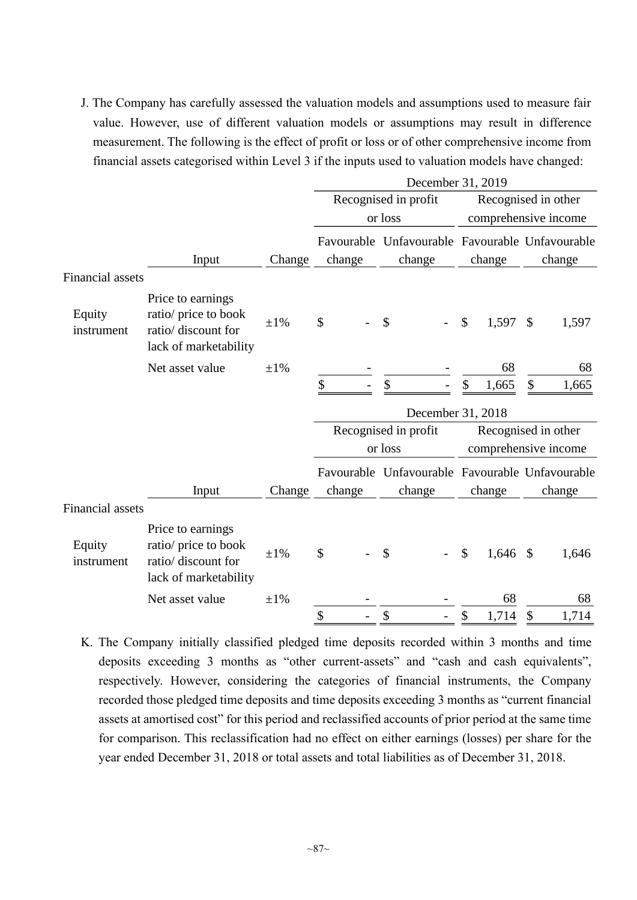J. The Company has carefully assessed the valuation models and assumptions used to measure fair value. However, use of different valuation models or assumptions may result in difference measurement. The following is the effect of profit or loss or of other comprehensive income from financial assets categorised within Level 3 if the inputs used to valuation models have changed:

|                         |                                                                                          |           | December 31, 2019 |                                                 |                      |                        |  |  |  |  |  |
|-------------------------|------------------------------------------------------------------------------------------|-----------|-------------------|-------------------------------------------------|----------------------|------------------------|--|--|--|--|--|
|                         |                                                                                          |           |                   | Recognised in profit                            |                      | Recognised in other    |  |  |  |  |  |
|                         |                                                                                          |           |                   | or loss                                         | comprehensive income |                        |  |  |  |  |  |
|                         |                                                                                          |           |                   | Favourable Unfavourable Favourable Unfavourable |                      |                        |  |  |  |  |  |
|                         | Input<br>Change                                                                          |           | change            | change                                          | change               | change                 |  |  |  |  |  |
| <b>Financial</b> assets |                                                                                          |           |                   |                                                 |                      |                        |  |  |  |  |  |
| Equity<br>instrument    | Price to earnings<br>ratio/ price to book<br>ratio/discount for<br>lack of marketability | $\pm1\%$  | \$                | \$                                              | \$<br>1,597          | \$<br>1,597            |  |  |  |  |  |
|                         | Net asset value                                                                          | $\pm 1\%$ |                   |                                                 | 68                   | 68                     |  |  |  |  |  |
|                         |                                                                                          |           | \$                | \$                                              | \$<br>1,665          | \$<br>1,665            |  |  |  |  |  |
|                         |                                                                                          |           |                   |                                                 | December 31, 2018    |                        |  |  |  |  |  |
|                         |                                                                                          |           |                   |                                                 |                      |                        |  |  |  |  |  |
|                         |                                                                                          |           |                   | Recognised in profit                            |                      | Recognised in other    |  |  |  |  |  |
|                         |                                                                                          |           |                   | or loss                                         |                      | comprehensive income   |  |  |  |  |  |
|                         |                                                                                          |           |                   | Favourable Unfavourable Favourable Unfavourable |                      |                        |  |  |  |  |  |
|                         | Input                                                                                    | Change    | change            | change                                          | change               | change                 |  |  |  |  |  |
| <b>Financial</b> assets |                                                                                          |           |                   |                                                 |                      |                        |  |  |  |  |  |
| Equity<br>instrument    | Price to earnings<br>ratio/ price to book<br>ratio/discount for<br>lack of marketability | $\pm 1\%$ | \$                | \$                                              | \$<br>1,646          | $\mathcal{S}$<br>1,646 |  |  |  |  |  |
|                         | Net asset value                                                                          | $\pm 1\%$ |                   |                                                 | 68                   | 68                     |  |  |  |  |  |

K. The Company initially classified pledged time deposits recorded within 3 months and time deposits exceeding 3 months as "other current-assets" and "cash and cash equivalents", respectively. However, considering the categories of financial instruments, the Company recorded those pledged time deposits and time deposits exceeding 3 months as "current financial assets at amortised cost" for this period and reclassified accounts of prior period at the same time for comparison. This reclassification had no effect on either earnings (losses) per share for the year ended December 31, 2018 or total assets and total liabilities as of December 31, 2018.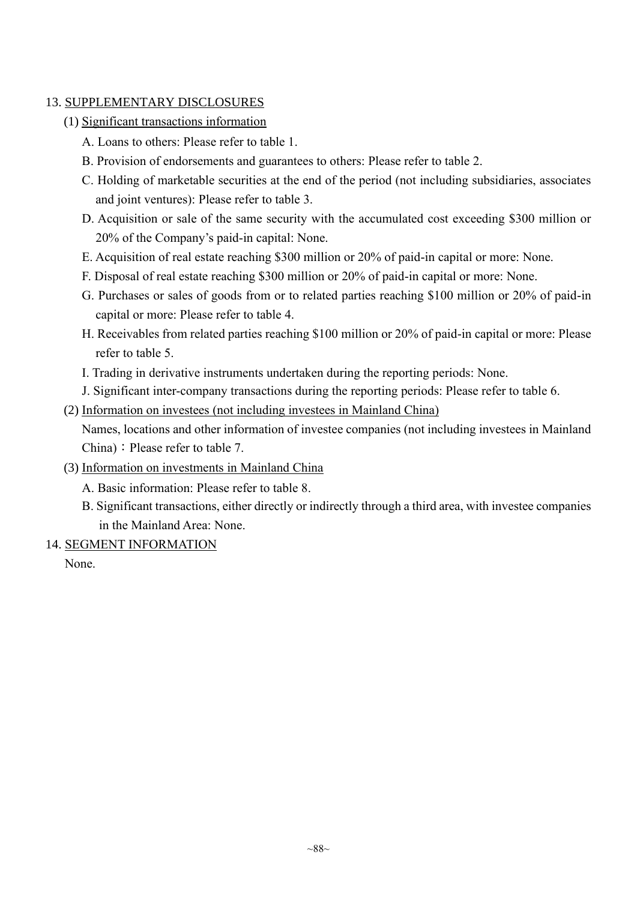## 13. SUPPLEMENTARY DISCLOSURES

- (1) Significant transactions information
	- A. Loans to others: Please refer to table 1.
	- B. Provision of endorsements and guarantees to others: Please refer to table 2.
	- C. Holding of marketable securities at the end of the period (not including subsidiaries, associates and joint ventures): Please refer to table 3.
	- D. Acquisition or sale of the same security with the accumulated cost exceeding \$300 million or 20% of the Company's paid-in capital: None.
	- E. Acquisition of real estate reaching \$300 million or 20% of paid-in capital or more: None.
	- F. Disposal of real estate reaching \$300 million or 20% of paid-in capital or more: None.
	- G. Purchases or sales of goods from or to related parties reaching \$100 million or 20% of paid-in capital or more: Please refer to table 4.
	- H. Receivables from related parties reaching \$100 million or 20% of paid-in capital or more: Please refer to table 5.
	- I. Trading in derivative instruments undertaken during the reporting periods: None.
	- J. Significant inter-company transactions during the reporting periods: Please refer to table 6.
- (2) Information on investees (not including investees in Mainland China) Names, locations and other information of investee companies (not including investees in Mainland China): Please refer to table 7.
- (3) Information on investments in Mainland China
	- A. Basic information: Please refer to table 8.
	- B. Significant transactions, either directly or indirectly through a third area, with investee companies in the Mainland Area: None.
- 14. SEGMENT INFORMATION

None.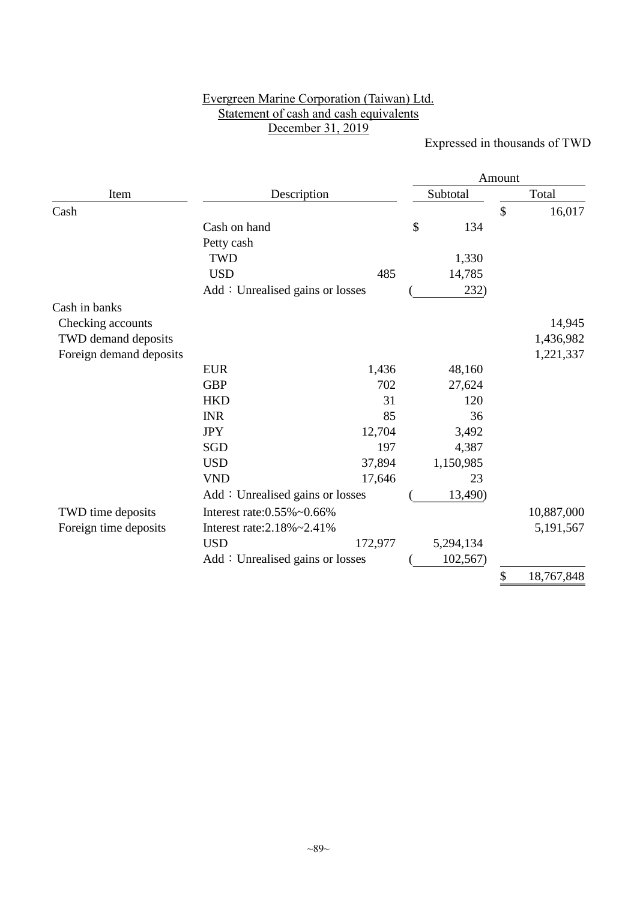## Evergreen Marine Corporation (Taiwan) Ltd. Statement of cash and cash equivalents December 31, 2019

|                         |                                    | Amount  |    |           |        |            |  |  |
|-------------------------|------------------------------------|---------|----|-----------|--------|------------|--|--|
| Item                    | Description                        |         |    |           |        |            |  |  |
| Cash                    |                                    |         |    | \$        | 16,017 |            |  |  |
|                         | Cash on hand                       |         | \$ | 134       |        |            |  |  |
|                         | Petty cash                         |         |    |           |        |            |  |  |
|                         | <b>TWD</b>                         |         |    | 1,330     |        |            |  |  |
|                         | <b>USD</b>                         | 485     |    | 14,785    |        |            |  |  |
|                         | Add: Unrealised gains or losses    |         |    | 232)      |        |            |  |  |
| Cash in banks           |                                    |         |    |           |        |            |  |  |
| Checking accounts       |                                    |         |    |           |        | 14,945     |  |  |
| TWD demand deposits     |                                    |         |    |           |        | 1,436,982  |  |  |
| Foreign demand deposits |                                    |         |    |           |        | 1,221,337  |  |  |
|                         | <b>EUR</b>                         | 1,436   |    | 48,160    |        |            |  |  |
|                         | <b>GBP</b>                         | 702     |    | 27,624    |        |            |  |  |
|                         | <b>HKD</b>                         | 31      |    | 120       |        |            |  |  |
|                         | <b>INR</b>                         | 85      |    | 36        |        |            |  |  |
|                         | <b>JPY</b>                         | 12,704  |    | 3,492     |        |            |  |  |
|                         | <b>SGD</b>                         | 197     |    | 4,387     |        |            |  |  |
|                         | <b>USD</b>                         | 37,894  |    | 1,150,985 |        |            |  |  |
|                         | <b>VND</b>                         | 17,646  |    | 23        |        |            |  |  |
|                         | Add: Unrealised gains or losses    |         |    | 13,490)   |        |            |  |  |
| TWD time deposits       | Interest rate: $0.55\%$ ~ $0.66\%$ |         |    |           |        | 10,887,000 |  |  |
| Foreign time deposits   | Interest rate: $2.18\%$ ~ $2.41\%$ |         |    |           |        | 5,191,567  |  |  |
|                         | <b>USD</b>                         | 172,977 |    | 5,294,134 |        |            |  |  |
|                         | Add: Unrealised gains or losses    |         |    | 102,567)  |        |            |  |  |
|                         |                                    |         |    |           | \$     | 18,767,848 |  |  |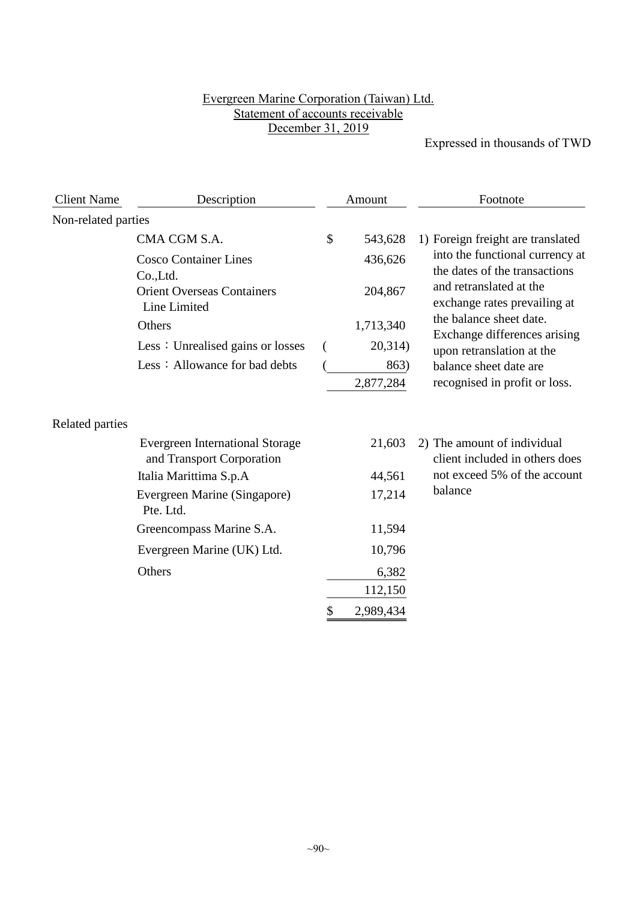## Evergreen Marine Corporation (Taiwan) Ltd. Statement of accounts receivable December 31, 2019

| <b>Client Name</b>  | Description                                                         |           | Amount    | Footnote                                                         |  |  |  |
|---------------------|---------------------------------------------------------------------|-----------|-----------|------------------------------------------------------------------|--|--|--|
| Non-related parties |                                                                     |           |           |                                                                  |  |  |  |
|                     | CMA CGM S.A.                                                        | \$        | 543,628   | 1) Foreign freight are translated                                |  |  |  |
|                     | <b>Cosco Container Lines</b><br>Co.,Ltd.                            |           | 436,626   | into the functional currency at<br>the dates of the transactions |  |  |  |
|                     | <b>Orient Overseas Containers</b><br>Line Limited                   |           | 204,867   | and retranslated at the<br>exchange rates prevailing at          |  |  |  |
|                     | Others                                                              | 1,713,340 |           | the balance sheet date.                                          |  |  |  |
|                     | Less: Unrealised gains or losses                                    |           | 20,314)   | Exchange differences arising<br>upon retranslation at the        |  |  |  |
|                     | Less: Allowance for bad debts                                       |           | 863)      | balance sheet date are                                           |  |  |  |
|                     |                                                                     |           | 2,877,284 | recognised in profit or loss.                                    |  |  |  |
| Related parties     |                                                                     |           |           |                                                                  |  |  |  |
|                     | <b>Evergreen International Storage</b><br>and Transport Corporation |           | 21,603    | 2) The amount of individual<br>client included in others does    |  |  |  |
|                     | Italia Marittima S.p.A                                              |           | 44,561    | not exceed 5% of the account                                     |  |  |  |
|                     | Evergreen Marine (Singapore)<br>Pte. Ltd.                           |           | 17,214    | balance                                                          |  |  |  |
|                     | Greencompass Marine S.A.                                            |           | 11,594    |                                                                  |  |  |  |
|                     | Evergreen Marine (UK) Ltd.                                          |           | 10,796    |                                                                  |  |  |  |
|                     | Others                                                              |           | 6,382     |                                                                  |  |  |  |
|                     |                                                                     |           | 112,150   |                                                                  |  |  |  |
|                     |                                                                     | \$        | 2,989,434 |                                                                  |  |  |  |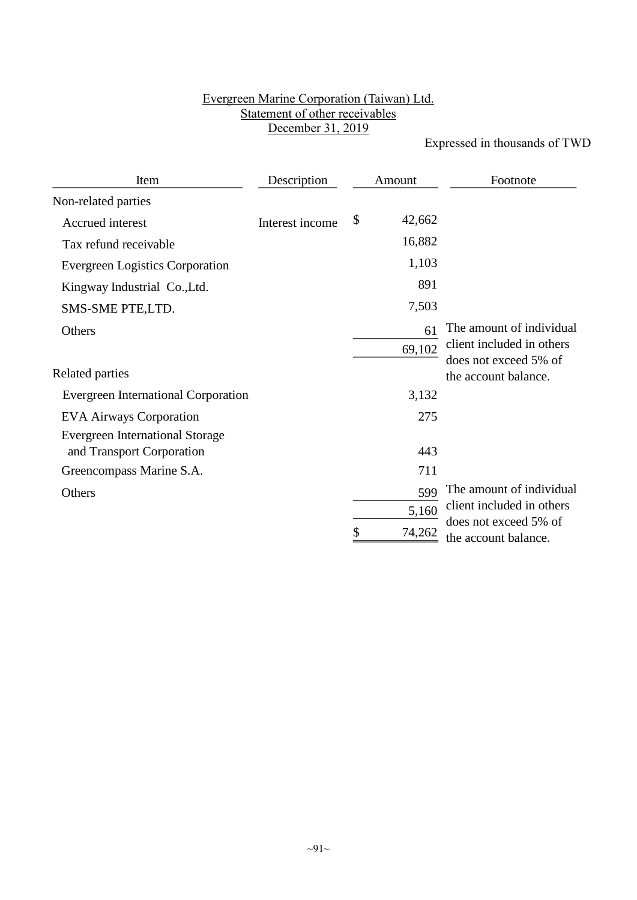## Evergreen Marine Corporation (Taiwan) Ltd. **Statement of other receivables** December 31, 2019

| Item                                                                | Description     | Amount       | Footnote                                              |
|---------------------------------------------------------------------|-----------------|--------------|-------------------------------------------------------|
| Non-related parties                                                 |                 |              |                                                       |
| Accrued interest                                                    | Interest income | \$<br>42,662 |                                                       |
| Tax refund receivable                                               |                 | 16,882       |                                                       |
| <b>Evergreen Logistics Corporation</b>                              |                 | 1,103        |                                                       |
| Kingway Industrial Co., Ltd.                                        |                 | 891          |                                                       |
| SMS-SME PTE,LTD.                                                    |                 | 7,503        |                                                       |
| Others                                                              |                 | 61           | The amount of individual                              |
|                                                                     |                 | 69,102       | client included in others<br>does not exceed 5% of    |
| Related parties                                                     |                 |              | the account balance.                                  |
| <b>Evergreen International Corporation</b>                          |                 | 3,132        |                                                       |
| <b>EVA Airways Corporation</b>                                      |                 | 275          |                                                       |
| <b>Evergreen International Storage</b><br>and Transport Corporation |                 | 443          |                                                       |
| Greencompass Marine S.A.                                            |                 | 711          |                                                       |
| Others                                                              |                 | 599<br>5,160 | The amount of individual<br>client included in others |
|                                                                     |                 | \$<br>74,262 | does not exceed 5% of<br>the account balance.         |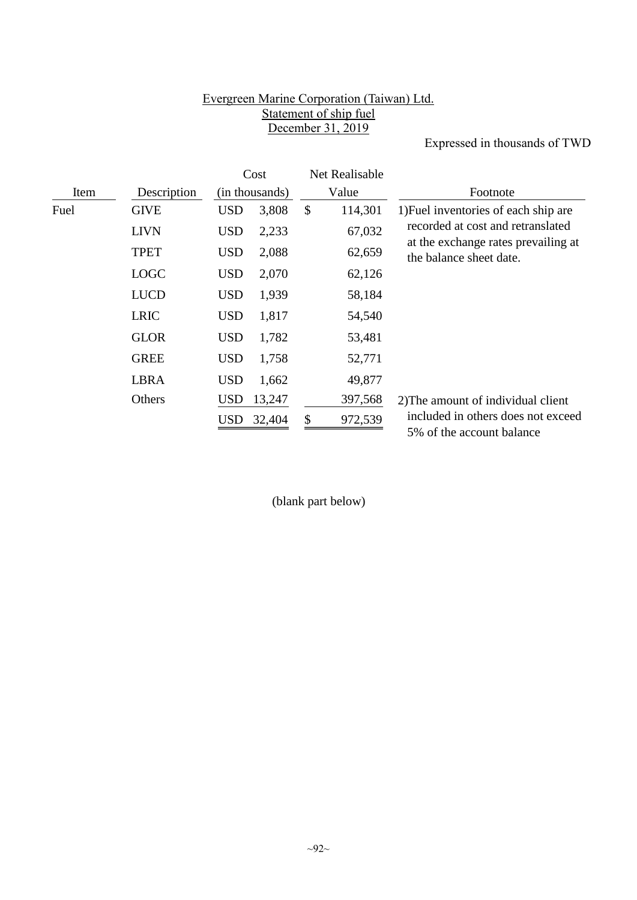# Evergreen Marine Corporation (Taiwan) Ltd. Statement of ship fuel December 31, 2019

Expressed in thousands of TWD

|             |             |            | Cost           |        | Net Realisable |                                                                 |  |  |  |  |
|-------------|-------------|------------|----------------|--------|----------------|-----------------------------------------------------------------|--|--|--|--|
| Item        | Description |            | (in thousands) |        | Value          | Footnote                                                        |  |  |  |  |
| Fuel        | <b>GIVE</b> | <b>USD</b> | 3,808          | \$     | 114,301        | 1) Fuel inventories of each ship are                            |  |  |  |  |
|             | <b>LIVN</b> | <b>USD</b> | 2,233          |        | 67,032         | recorded at cost and retranslated                               |  |  |  |  |
|             | <b>TPET</b> | <b>USD</b> | 2,088          |        | 62,659         | at the exchange rates prevailing at<br>the balance sheet date.  |  |  |  |  |
|             | <b>LOGC</b> | <b>USD</b> | 2,070          |        | 62,126         |                                                                 |  |  |  |  |
| <b>LUCD</b> | <b>USD</b>  | 1,939      |                | 58,184 |                |                                                                 |  |  |  |  |
|             | <b>LRIC</b> | <b>USD</b> | 1,817          |        | 54,540         |                                                                 |  |  |  |  |
|             | <b>GLOR</b> | <b>USD</b> | 1,782          |        | 53,481         |                                                                 |  |  |  |  |
|             | <b>GREE</b> | <b>USD</b> | 1,758          |        | 52,771         |                                                                 |  |  |  |  |
|             | <b>LBRA</b> | <b>USD</b> | 1,662          |        | 49,877         |                                                                 |  |  |  |  |
|             | Others      | <b>USD</b> | 13,247         |        | 397,568        | 2) The amount of individual client                              |  |  |  |  |
|             |             | USD.       | 32,404         | \$     | 972,539        | included in others does not exceed<br>5% of the account balance |  |  |  |  |

(blank part below)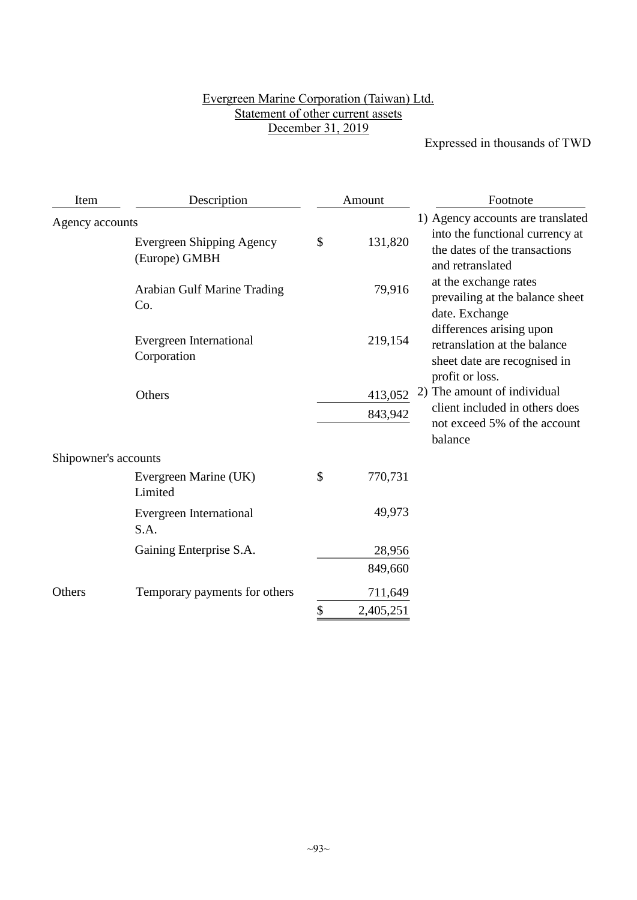## Evergreen Marine Corporation (Taiwan) Ltd. **Statement of other current assets** December 31, 2019

| Item                 | Description                                       | Amount          | Footnote                                                                                                                  |
|----------------------|---------------------------------------------------|-----------------|---------------------------------------------------------------------------------------------------------------------------|
| Agency accounts      | <b>Evergreen Shipping Agency</b><br>(Europe) GMBH | \$<br>131,820   | 1) Agency accounts are translated<br>into the functional currency at<br>the dates of the transactions<br>and retranslated |
|                      | Arabian Gulf Marine Trading<br>Co.                | 79,916          | at the exchange rates<br>prevailing at the balance sheet<br>date. Exchange                                                |
|                      | Evergreen International<br>Corporation            | 219,154         | differences arising upon<br>retranslation at the balance<br>sheet date are recognised in<br>profit or loss.               |
|                      | Others                                            | 413,052         | 2) The amount of individual                                                                                               |
|                      |                                                   | 843,942         | client included in others does<br>not exceed 5% of the account<br>balance                                                 |
| Shipowner's accounts |                                                   |                 |                                                                                                                           |
|                      | Evergreen Marine (UK)<br>Limited                  | \$<br>770,731   |                                                                                                                           |
|                      | Evergreen International<br>S.A.                   | 49,973          |                                                                                                                           |
|                      | Gaining Enterprise S.A.                           | 28,956          |                                                                                                                           |
|                      |                                                   | 849,660         |                                                                                                                           |
| Others               | Temporary payments for others                     | 711,649         |                                                                                                                           |
|                      |                                                   | \$<br>2,405,251 |                                                                                                                           |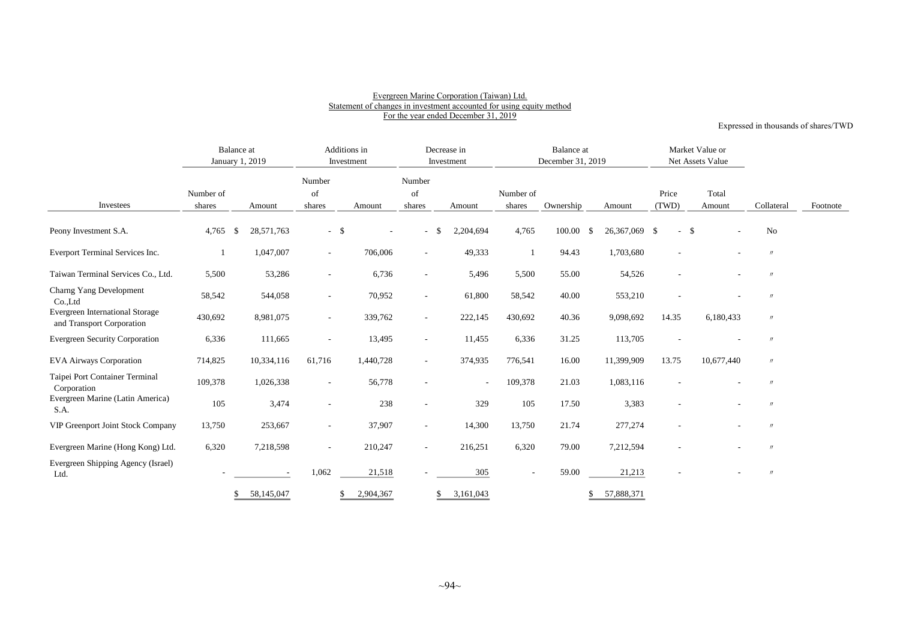### Evergreen Marine Corporation (Taiwan) Ltd. Statement of changes in investment accounted for using equity method For the year ended December 31, 2019

Expressed in thousands of shares/TWD

|                                                                     |                     | Balance at<br>January 1, 2019 | Additions in             | Investment |                        | Decrease in<br>Investment |                     | Balance at<br>December 31, 2019 |               |                          | Market Value or<br>Net Assets Value |                |          |
|---------------------------------------------------------------------|---------------------|-------------------------------|--------------------------|------------|------------------------|---------------------------|---------------------|---------------------------------|---------------|--------------------------|-------------------------------------|----------------|----------|
| Investees                                                           | Number of<br>shares | Amount                        | Number<br>of<br>shares   | Amount     | Number<br>of<br>shares | Amount                    | Number of<br>shares | Ownership                       | Amount        | Price<br>(TWD)           | Total<br>Amount                     | Collateral     | Footnote |
| Peony Investment S.A.                                               | 4,765               | 28,571,763<br>- \$            | $-$ \$                   |            | -\$                    | 2,204,694                 | 4,765               | 100.00<br>-\$                   | 26,367,069 \$ | $-5$                     |                                     | No             |          |
| Everport Terminal Services Inc.                                     |                     | 1,047,007                     | $\sim$                   | 706,006    | $\sim$                 | 49,333                    |                     | 94.43                           | 1,703,680     |                          |                                     | $\prime\prime$ |          |
| Taiwan Terminal Services Co., Ltd.                                  | 5,500               | 53,286                        | $\overline{\phantom{a}}$ | 6,736      | $\sim$                 | 5,496                     | 5,500               | 55.00                           | 54,526        | $\overline{\phantom{a}}$ |                                     | $\prime\prime$ |          |
| Charng Yang Development<br>Co.,Ltd                                  | 58,542              | 544,058                       | $\overline{\phantom{a}}$ | 70,952     | $\sim$                 | 61,800                    | 58,542              | 40.00                           | 553,210       |                          |                                     | $\prime\prime$ |          |
| <b>Evergreen International Storage</b><br>and Transport Corporation | 430,692             | 8,981,075                     | $\sim$                   | 339,762    | $\sim$                 | 222,145                   | 430,692             | 40.36                           | 9,098,692     | 14.35                    | 6,180,433                           | $\prime\prime$ |          |
| <b>Evergreen Security Corporation</b>                               | 6,336               | 111,665                       | $\sim$                   | 13,495     | $\sim$                 | 11,455                    | 6,336               | 31.25                           | 113,705       |                          |                                     | $\prime\prime$ |          |
| <b>EVA Airways Corporation</b>                                      | 714,825             | 10,334,116                    | 61,716                   | 1,440,728  | $\sim$                 | 374,935                   | 776,541             | 16.00                           | 11,399,909    | 13.75                    | 10,677,440                          | $\prime\prime$ |          |
| Taipei Port Container Terminal<br>Corporation                       | 109,378             | 1,026,338                     | $\sim$                   | 56,778     |                        | $\sim$                    | 109,378             | 21.03                           | 1,083,116     |                          |                                     | $\prime$       |          |
| Evergreen Marine (Latin America)<br>S.A.                            | 105                 | 3,474                         | $\sim$                   | 238        | $\sim$                 | 329                       | 105                 | 17.50                           | 3,383         |                          |                                     | $\prime\prime$ |          |
| VIP Greenport Joint Stock Company                                   | 13,750              | 253,667                       | $\overline{\phantom{a}}$ | 37,907     | $\sim$                 | 14,300                    | 13,750              | 21.74                           | 277,274       | $\overline{\phantom{a}}$ |                                     | $\prime\prime$ |          |
| Evergreen Marine (Hong Kong) Ltd.                                   | 6,320               | 7,218,598                     | $\overline{\phantom{a}}$ | 210,247    | $\sim$                 | 216,251                   | 6,320               | 79.00                           | 7,212,594     |                          |                                     | $\prime\prime$ |          |
| Evergreen Shipping Agency (Israel)<br>Ltd.                          |                     |                               | 1,062                    | 21,518     |                        | 305                       |                     | 59.00                           | 21,213        |                          |                                     | $\prime\prime$ |          |
|                                                                     |                     | 58,145,047<br>\$              | \$                       | 2,904,367  |                        | 3,161,043<br>\$           |                     | \$                              | 57,888,371    |                          |                                     |                |          |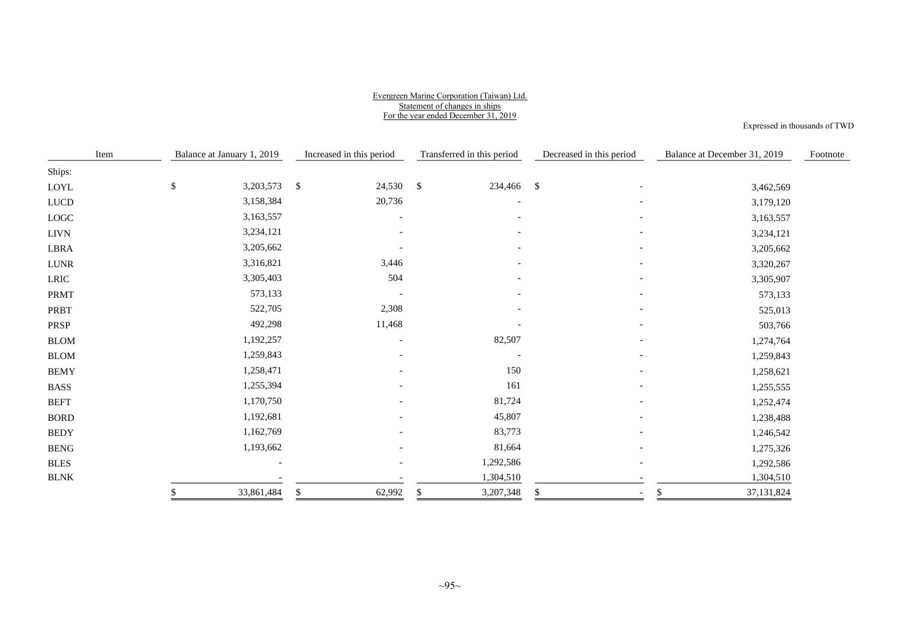### Evergreen Marine Corporation (Taiwan) Ltd. Statement of changes in ships For the year ended December 31, 2019

|                       | Item | Balance at January 1, 2019 | Increased in this period | Transferred in this period              | Decreased in this period | Balance at December 31, 2019 | Footnote |
|-----------------------|------|----------------------------|--------------------------|-----------------------------------------|--------------------------|------------------------------|----------|
| Ships:                |      |                            |                          |                                         |                          |                              |          |
| LOYL                  | \$   | 3,203,573                  | $\mathbb{S}$<br>24,530   | $\boldsymbol{\mathsf{S}}$<br>234,466 \$ | $\overline{\phantom{a}}$ | 3,462,569                    |          |
| ${\rm LUCD}$          |      | 3,158,384                  | 20,736                   | $\blacksquare$                          |                          | 3,179,120                    |          |
| $_{\mathrm{LOGC}}$    |      | 3,163,557                  | $\overline{\phantom{a}}$ | $\overline{\phantom{a}}$                | $\overline{\phantom{a}}$ | 3,163,557                    |          |
| <b>LIVN</b>           |      | 3,234,121                  |                          |                                         |                          | 3,234,121                    |          |
| LBRA                  |      | 3,205,662                  | $\overline{\phantom{a}}$ |                                         | $\overline{\phantom{a}}$ | 3,205,662                    |          |
| ${\rm LUNR}$          |      | 3,316,821                  | 3,446                    | $\overline{\phantom{0}}$                | $\overline{\phantom{a}}$ | 3,320,267                    |          |
| <b>LRIC</b>           |      | 3,305,403                  | 504                      |                                         |                          | 3,305,907                    |          |
| PRMT                  |      | 573,133                    | $\overline{\phantom{a}}$ |                                         |                          | 573,133                      |          |
| PRBT                  |      | 522,705                    | 2,308                    | $\overline{\phantom{a}}$                | $\overline{\phantom{a}}$ | 525,013                      |          |
| PRSP                  |      | 492,298                    | 11,468                   |                                         |                          | 503,766                      |          |
| <b>BLOM</b>           |      | 1,192,257                  | $\overline{\phantom{a}}$ | 82,507                                  | $\overline{\phantom{a}}$ | 1,274,764                    |          |
| <b>BLOM</b>           |      | 1,259,843                  | $\overline{\phantom{a}}$ | $\overline{\phantom{m}}$                | $\overline{\phantom{a}}$ | 1,259,843                    |          |
| $\operatorname{BEMY}$ |      | 1,258,471                  | $\overline{\phantom{a}}$ | 150                                     | $\overline{\phantom{a}}$ | 1,258,621                    |          |
| <b>BASS</b>           |      | 1,255,394                  | $\blacksquare$           | 161                                     | $\overline{\phantom{a}}$ | 1,255,555                    |          |
| <b>BEFT</b>           |      | 1,170,750                  | $\overline{\phantom{a}}$ | 81,724                                  | $\overline{\phantom{a}}$ | 1,252,474                    |          |
| <b>BORD</b>           |      | 1,192,681                  |                          | 45,807                                  |                          | 1,238,488                    |          |
| <b>BEDY</b>           |      | 1,162,769                  | $\overline{\phantom{a}}$ | 83,773                                  | $\overline{\phantom{a}}$ | 1,246,542                    |          |
| <b>BENG</b>           |      | 1,193,662                  | $\overline{\phantom{a}}$ | 81,664                                  |                          | 1,275,326                    |          |
| <b>BLES</b>           |      |                            | $\overline{\phantom{0}}$ | 1,292,586                               |                          | 1,292,586                    |          |
| <b>BLNK</b>           |      |                            |                          | 1,304,510                               |                          | 1,304,510                    |          |
|                       |      | 33,861,484                 | \$<br>62,992             | \$<br>3,207,348                         | $\mathcal{S}$            | \$<br>37, 131, 824           |          |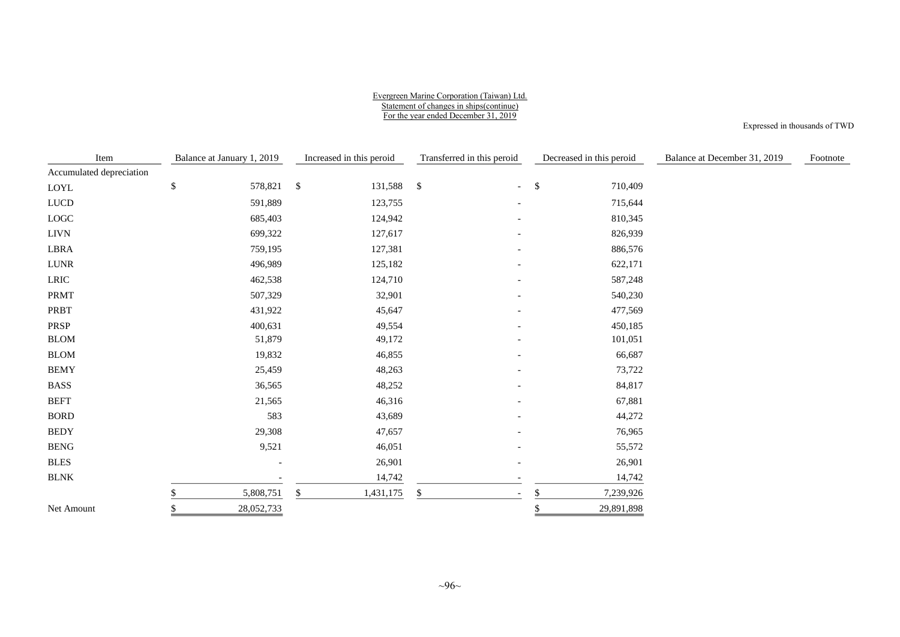#### Evergreen Marine Corporation (Taiwan) Ltd. Statement of changes in ships(continue) For the year ended December 31, 2019

| Item                     |               | Balance at January 1, 2019 | Increased in this peroid | Transferred in this peroid                | Decreased in this peroid             | Balance at December 31, 2019 | Footnote |
|--------------------------|---------------|----------------------------|--------------------------|-------------------------------------------|--------------------------------------|------------------------------|----------|
| Accumulated depreciation |               |                            |                          |                                           |                                      |                              |          |
| LOYL                     | $\$$          | 578,821                    | $\mathbb{S}$<br>131,588  | $\mathcal{S}$<br>$\overline{\phantom{a}}$ | $\boldsymbol{\mathsf{S}}$<br>710,409 |                              |          |
| ${\rm LUCD}$             |               | 591,889                    | 123,755                  | $\overline{\phantom{a}}$                  | 715,644                              |                              |          |
| $_{\mathrm{LOGC}}$       |               | 685,403                    | 124,942                  |                                           | 810,345                              |                              |          |
| <b>LIVN</b>              |               | 699,322                    | 127,617                  | $\blacksquare$                            | 826,939                              |                              |          |
| LBRA                     |               | 759,195                    | 127,381                  | $\overline{\phantom{a}}$                  | 886,576                              |                              |          |
| ${\rm LUNR}$             |               | 496,989                    | 125,182                  | $\overline{\phantom{a}}$                  | 622,171                              |                              |          |
| LRIC                     |               | 462,538                    | 124,710                  | $\overline{\phantom{a}}$                  | 587,248                              |                              |          |
| PRMT                     |               | 507,329                    | 32,901                   | $\overline{\phantom{a}}$                  | 540,230                              |                              |          |
| PRBT                     |               | 431,922                    | 45,647                   | $\blacksquare$                            | 477,569                              |                              |          |
| PRSP                     |               | 400,631                    | 49,554                   | $\overline{\phantom{a}}$                  | 450,185                              |                              |          |
| <b>BLOM</b>              |               | 51,879                     | 49,172                   | $\overline{\phantom{a}}$                  | 101,051                              |                              |          |
| $\operatorname{BLOM}$    |               | 19,832                     | 46,855                   | $\overline{\phantom{a}}$                  | 66,687                               |                              |          |
| <b>BEMY</b>              |               | 25,459                     | 48,263                   | $\overline{\phantom{a}}$                  | 73,722                               |                              |          |
| <b>BASS</b>              |               | 36,565                     | 48,252                   | $\overline{\phantom{a}}$                  | 84,817                               |                              |          |
| <b>BEFT</b>              |               | 21,565                     | 46,316                   | $\overline{\phantom{a}}$                  | 67,881                               |                              |          |
| <b>BORD</b>              |               | 583                        | 43,689                   | $\overline{\phantom{a}}$                  | 44,272                               |                              |          |
| <b>BEDY</b>              |               | 29,308                     | 47,657                   | $\overline{\phantom{a}}$                  | 76,965                               |                              |          |
| <b>BENG</b>              |               | 9,521                      | 46,051                   | $\overline{\phantom{a}}$                  | 55,572                               |                              |          |
| <b>BLES</b>              |               |                            | 26,901                   | $\overline{a}$                            | 26,901                               |                              |          |
| <b>BLNK</b>              |               |                            | 14,742                   |                                           | 14,742                               |                              |          |
|                          | <sup>\$</sup> | 5,808,751                  | $\$\,$<br>1,431,175      | $\mathbb{S}$<br>$\overline{\phantom{a}}$  | \$<br>7,239,926                      |                              |          |
| Net Amount               | \$            | 28,052,733                 |                          |                                           | \$<br>29,891,898                     |                              |          |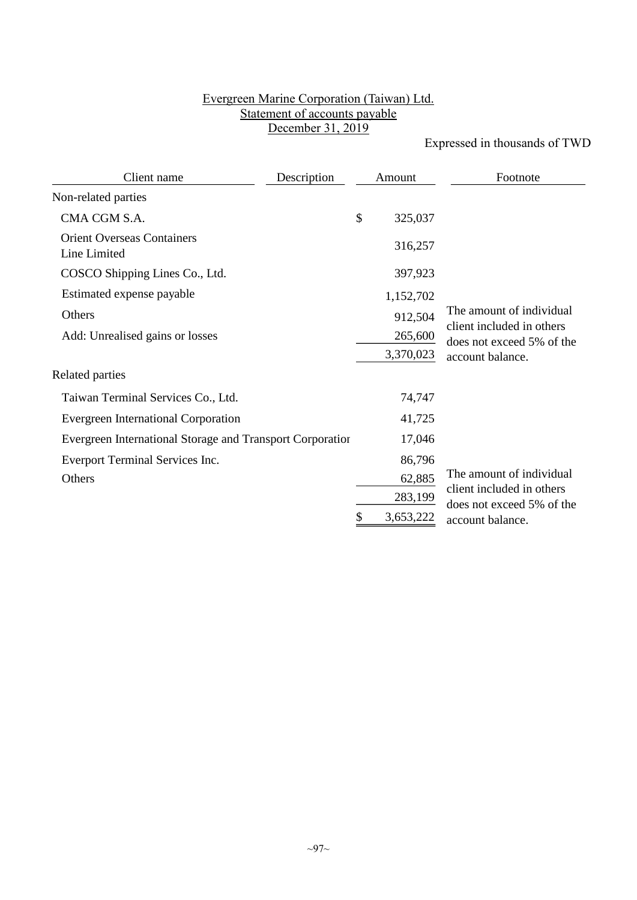## Evergreen Marine Corporation (Taiwan) Ltd. Statement of accounts payable December 31, 2019

| Client name                                               | Description | Amount          | Footnote                                               |
|-----------------------------------------------------------|-------------|-----------------|--------------------------------------------------------|
| Non-related parties                                       |             |                 |                                                        |
| CMA CGM S.A.                                              |             | \$<br>325,037   |                                                        |
| <b>Orient Overseas Containers</b><br>Line Limited         |             | 316,257         |                                                        |
| COSCO Shipping Lines Co., Ltd.                            |             | 397,923         |                                                        |
| Estimated expense payable                                 |             | 1,152,702       |                                                        |
| Others                                                    |             | 912,504         | The amount of individual                               |
| Add: Unrealised gains or losses                           |             | 265,600         | client included in others<br>does not exceed 5% of the |
|                                                           |             | 3,370,023       | account balance.                                       |
| Related parties                                           |             |                 |                                                        |
| Taiwan Terminal Services Co., Ltd.                        |             | 74,747          |                                                        |
| <b>Evergreen International Corporation</b>                |             | 41,725          |                                                        |
| Evergreen International Storage and Transport Corporation |             | 17,046          |                                                        |
| Everport Terminal Services Inc.                           |             | 86,796          |                                                        |
| Others                                                    |             | 62,885          | The amount of individual                               |
|                                                           |             | 283,199         | client included in others<br>does not exceed 5% of the |
|                                                           |             | \$<br>3,653,222 | account balance.                                       |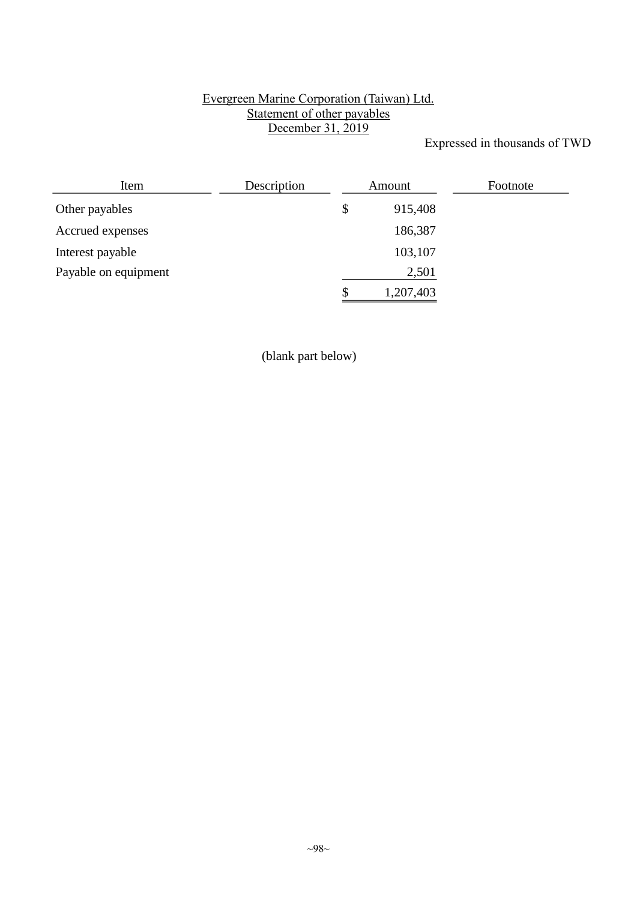# Evergreen Marine Corporation (Taiwan) Ltd. **Statement of other payables** December 31, 2019

Expressed in thousands of TWD

| Item                 | Description | Amount          | Footnote |
|----------------------|-------------|-----------------|----------|
| Other payables       |             | \$<br>915,408   |          |
| Accrued expenses     |             | 186,387         |          |
| Interest payable     |             | 103,107         |          |
| Payable on equipment |             | 2,501           |          |
|                      |             | \$<br>1,207,403 |          |

(blank part below)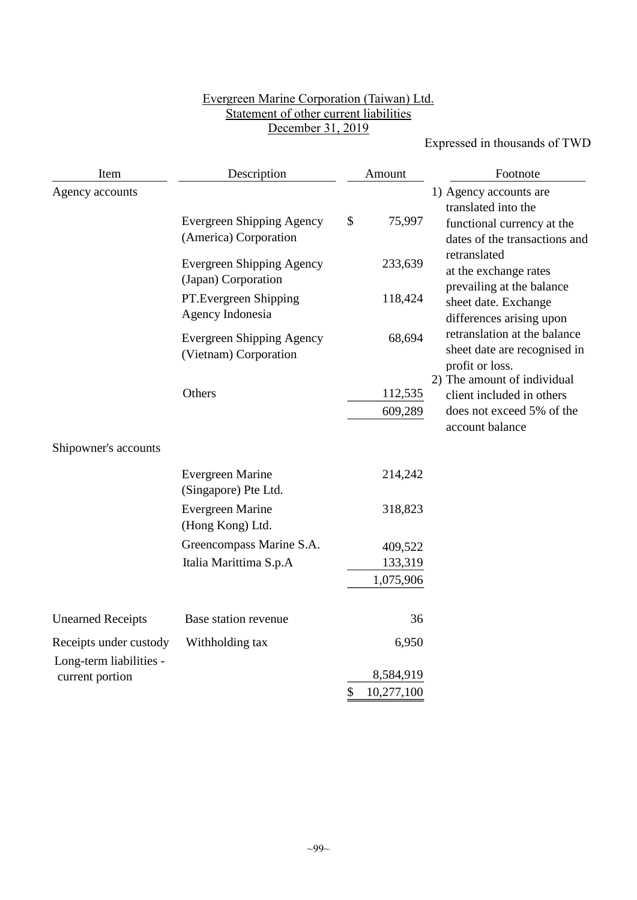## Evergreen Marine Corporation (Taiwan) Ltd. **Statement of other current liabilities** December 31, 2019

| Item                                       | Description                                               | Amount |            | Footnote                                                                           |
|--------------------------------------------|-----------------------------------------------------------|--------|------------|------------------------------------------------------------------------------------|
| Agency accounts                            |                                                           |        |            | 1) Agency accounts are                                                             |
|                                            | <b>Evergreen Shipping Agency</b><br>(America) Corporation | \$     | 75,997     | translated into the<br>functional currency at the<br>dates of the transactions and |
|                                            | <b>Evergreen Shipping Agency</b><br>(Japan) Corporation   |        | 233,639    | retranslated<br>at the exchange rates<br>prevailing at the balance                 |
|                                            | PT.Evergreen Shipping<br>Agency Indonesia                 |        | 118,424    | sheet date. Exchange<br>differences arising upon                                   |
|                                            | <b>Evergreen Shipping Agency</b><br>(Vietnam) Corporation |        | 68,694     | retranslation at the balance<br>sheet date are recognised in<br>profit or loss.    |
|                                            |                                                           |        |            | 2) The amount of individual                                                        |
|                                            | Others                                                    |        | 112,535    | client included in others                                                          |
|                                            |                                                           |        | 609,289    | does not exceed 5% of the<br>account balance                                       |
| Shipowner's accounts                       |                                                           |        |            |                                                                                    |
|                                            | <b>Evergreen Marine</b><br>(Singapore) Pte Ltd.           |        | 214,242    |                                                                                    |
|                                            | Evergreen Marine<br>(Hong Kong) Ltd.                      |        | 318,823    |                                                                                    |
|                                            | Greencompass Marine S.A.                                  |        | 409,522    |                                                                                    |
|                                            | Italia Marittima S.p.A                                    |        | 133,319    |                                                                                    |
|                                            |                                                           |        | 1,075,906  |                                                                                    |
| <b>Unearned Receipts</b>                   | Base station revenue                                      |        | 36         |                                                                                    |
| Receipts under custody                     | Withholding tax                                           |        | 6,950      |                                                                                    |
| Long-term liabilities -<br>current portion |                                                           |        | 8,584,919  |                                                                                    |
|                                            |                                                           | \$     | 10,277,100 |                                                                                    |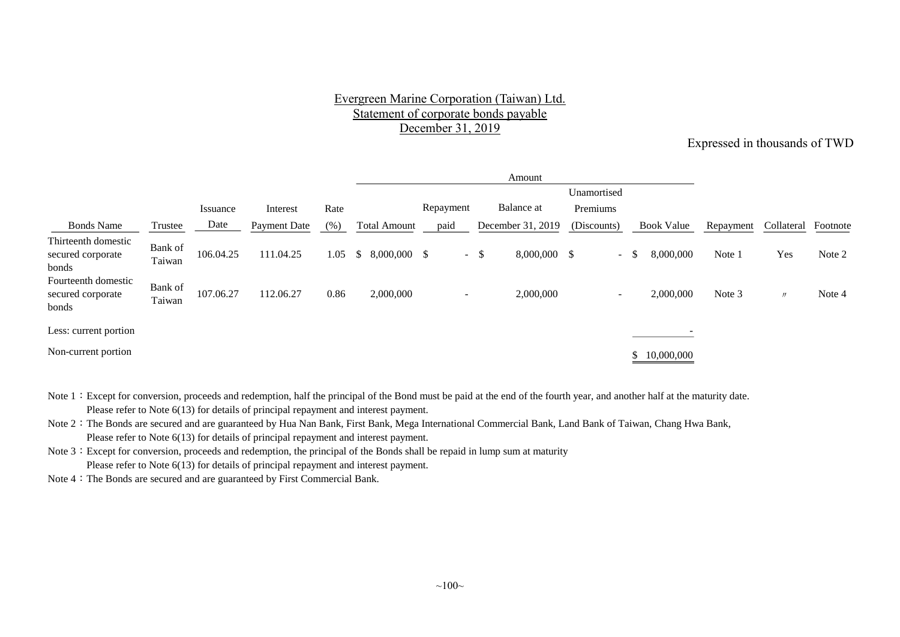### Evergreen Marine Corporation (Taiwan) Ltd. Statement of corporate bonds payable December 31, 2019

|                                                   |                   |           |              |      |                     |                          | Amount            |              |                |                   |           |                |          |
|---------------------------------------------------|-------------------|-----------|--------------|------|---------------------|--------------------------|-------------------|--------------|----------------|-------------------|-----------|----------------|----------|
|                                                   |                   |           |              |      |                     |                          |                   |              | Unamortised    |                   |           |                |          |
|                                                   |                   | Issuance  | Interest     | Rate |                     | Repayment                | Balance at        |              | Premiums       |                   |           |                |          |
| <b>Bonds Name</b>                                 | Trustee           | Date      | Payment Date | (% ) | <b>Total Amount</b> | paid                     | December 31, 2019 |              | (Discounts)    | <b>Book Value</b> | Repayment | Collateral     | Footnote |
| Thirteenth domestic<br>secured corporate<br>bonds | Bank of<br>Taiwan | 106.04.25 | 111.04.25    | 1.05 | $$8,000,000$ \$     |                          | $-$ \$            | 8,000,000 \$ | $\overline{a}$ | 8,000,000<br>ъ    | Note 1    | Yes            | Note 2   |
| Fourteenth domestic<br>secured corporate<br>bonds | Bank of<br>Taiwan | 107.06.27 | 112.06.27    | 0.86 | 2,000,000           | $\overline{\phantom{0}}$ |                   | 2,000,000    | -              | 2,000,000         | Note 3    | $\prime\prime$ | Note 4   |
| Less: current portion                             |                   |           |              |      |                     |                          |                   |              |                |                   |           |                |          |
| Non-current portion                               |                   |           |              |      |                     |                          |                   |              |                | 10,000,000        |           |                |          |

- Note 1: Except for conversion, proceeds and redemption, half the principal of the Bond must be paid at the end of the fourth year, and another half at the maturity date. Please refer to Note 6(13) for details of principal repayment and interest payment.
- Note 2: The Bonds are secured and are guaranteed by Hua Nan Bank, First Bank, Mega International Commercial Bank, Land Bank of Taiwan, Chang Hwa Bank, Please refer to Note  $6(13)$  for details of principal repayment and interest payment.
- Note 3: Except for conversion, proceeds and redemption, the principal of the Bonds shall be repaid in lump sum at maturity Please refer to Note  $6(13)$  for details of principal repayment and interest payment.
- Note 4: The Bonds are secured and are guaranteed by First Commercial Bank.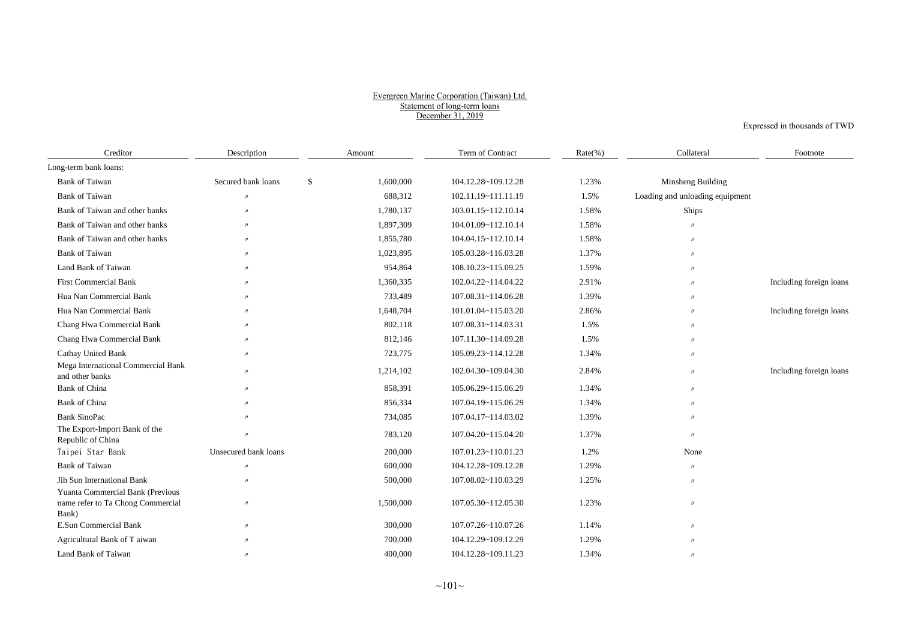### Evergreen Marine Corporation (Taiwan) Ltd. Statement of long-term loans December 31, 2019

| Creditor                                                       | Description          |               | Amount    | Term of Contract    | $Rate(\%)$ | Collateral                      | Footnote                |
|----------------------------------------------------------------|----------------------|---------------|-----------|---------------------|------------|---------------------------------|-------------------------|
| Long-term bank loans:                                          |                      |               |           |                     |            |                                 |                         |
| <b>Bank of Taiwan</b>                                          | Secured bank loans   | $\mathcal{S}$ | 1,600,000 | 104.12.28~109.12.28 | 1.23%      | Minsheng Building               |                         |
| <b>Bank of Taiwan</b>                                          |                      |               | 688,312   | 102.11.19~111.11.19 | 1.5%       | Loading and unloading equipment |                         |
| Bank of Taiwan and other banks                                 | $^{\prime\prime}$    |               | 1,780,137 | 103.01.15~112.10.14 | 1.58%      | Ships                           |                         |
| Bank of Taiwan and other banks                                 | $^{\prime\prime}$    |               | 1,897,309 | 104.01.09~112.10.14 | 1.58%      |                                 |                         |
| Bank of Taiwan and other banks                                 | $^{\prime\prime}$    |               | 1,855,780 | 104.04.15~112.10.14 | 1.58%      |                                 |                         |
| <b>Bank of Taiwan</b>                                          | $^{\prime\prime}$    |               | 1,023,895 | 105.03.28~116.03.28 | 1.37%      |                                 |                         |
| Land Bank of Taiwan                                            | $^{\prime\prime}$    |               | 954,864   | 108.10.23~115.09.25 | 1.59%      |                                 |                         |
| <b>First Commercial Bank</b>                                   | $^{\prime\prime}$    |               | 1,360,335 | 102.04.22~114.04.22 | 2.91%      | $^{\prime\prime}$               | Including foreign loans |
| Hua Nan Commercial Bank                                        | $^{\prime\prime}$    |               | 733,489   | 107.08.31~114.06.28 | 1.39%      | $^{\prime\prime}$               |                         |
| Hua Nan Commercial Bank                                        | $^{\prime\prime}$    |               | 1,648,704 | 101.01.04~115.03.20 | 2.86%      | $^{\prime\prime}$               | Including foreign loans |
| Chang Hwa Commercial Bank                                      | $^{\prime\prime}$    |               | 802,118   | 107.08.31~114.03.31 | 1.5%       | $^{\prime\prime}$               |                         |
| Chang Hwa Commercial Bank                                      | $^{\prime\prime}$    |               | 812,146   | 107.11.30~114.09.28 | 1.5%       | $^{\prime\prime}$               |                         |
| Cathay United Bank                                             | $^{\prime\prime}$    |               | 723,775   | 105.09.23~114.12.28 | 1.34%      | $^{\prime\prime}$               |                         |
| Mega International Commercial Bank<br>and other banks          | $^{\prime\prime}$    |               | 1,214,102 | 102.04.30~109.04.30 | 2.84%      | $^{\prime\prime}$               | Including foreign loans |
| <b>Bank</b> of China                                           | $^{\prime\prime}$    |               | 858,391   | 105.06.29~115.06.29 | 1.34%      | $^{\prime\prime}$               |                         |
| Bank of China                                                  | $^{\prime\prime}$    |               | 856,334   | 107.04.19~115.06.29 | 1.34%      | $^{\prime\prime}$               |                         |
| <b>Bank SinoPac</b>                                            | $^{\prime\prime}$    |               | 734,085   | 107.04.17~114.03.02 | 1.39%      | $^{\prime\prime}$               |                         |
| The Export-Import Bank of the<br>Republic of China             | $^{\prime\prime}$    |               | 783,120   | 107.04.20~115.04.20 | 1.37%      | $^{\prime\prime}$               |                         |
| Taipei Star Bank                                               | Unsecured bank loans |               | 200,000   | 107.01.23~110.01.23 | 1.2%       | None                            |                         |
| <b>Bank of Taiwan</b>                                          | $^{\prime\prime}$    |               | 600,000   | 104.12.28~109.12.28 | 1.29%      | $^{\prime\prime}$               |                         |
| Jih Sun International Bank<br>Yuanta Commercial Bank (Previous | $^{\prime\prime}$    |               | 500,000   | 107.08.02~110.03.29 | 1.25%      | $^{\prime\prime}$               |                         |
| name refer to Ta Chong Commercial<br>Bank)                     | $^{\prime\prime}$    |               | 1,500,000 | 107.05.30~112.05.30 | 1.23%      | $^{\prime\prime}$               |                         |
| E.Sun Commercial Bank                                          | $^{\prime\prime}$    |               | 300,000   | 107.07.26~110.07.26 | 1.14%      | $^{\prime\prime}$               |                         |
| Agricultural Bank of T aiwan                                   | $^{\prime\prime}$    |               | 700,000   | 104.12.29~109.12.29 | 1.29%      | $^{\prime\prime}$               |                         |
| Land Bank of Taiwan                                            | $^{\prime\prime}$    |               | 400,000   | 104.12.28~109.11.23 | 1.34%      | $^{\prime\prime}$               |                         |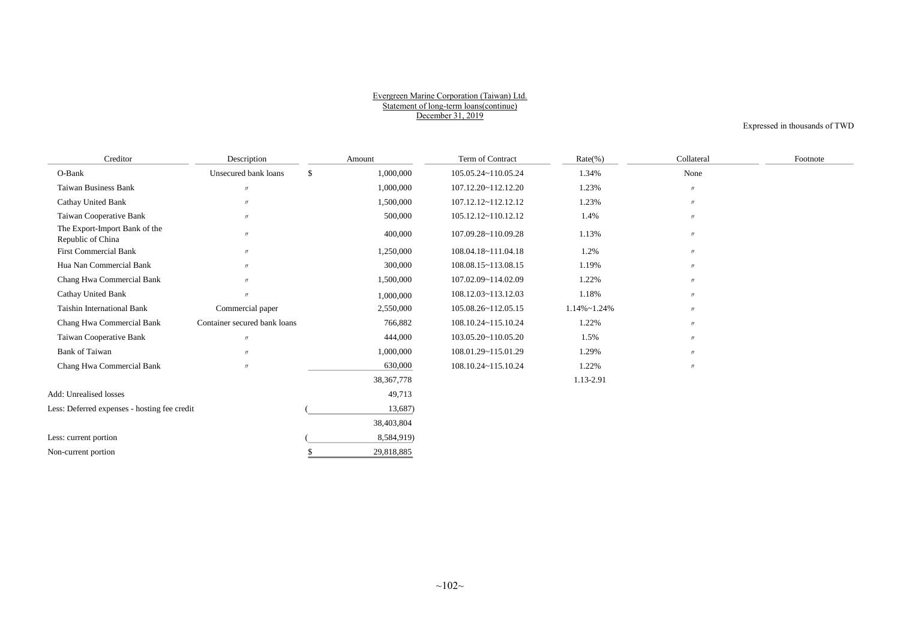### Evergreen Marine Corporation (Taiwan) Ltd. Statement of long-term loans(continue) December 31, 2019

| Creditor                                           | Description                  |              | Amount       | Term of Contract    | $Rate(\% )$          | Collateral        | Footnote |
|----------------------------------------------------|------------------------------|--------------|--------------|---------------------|----------------------|-------------------|----------|
| O-Bank                                             | Unsecured bank loans         | $\mathbb{S}$ | 1,000,000    | 105.05.24~110.05.24 | 1.34%                | None              |          |
| <b>Taiwan Business Bank</b>                        | $^{\prime\prime}$            |              | 1,000,000    | 107.12.20~112.12.20 | 1.23%                | $\prime$          |          |
| Cathay United Bank                                 | $\prime$                     |              | 1,500,000    | 107.12.12~112.12.12 | 1.23%                | $\prime$          |          |
| Taiwan Cooperative Bank                            | $^{\prime\prime}$            |              | 500,000      | 105.12.12~110.12.12 | 1.4%                 | $^{\prime\prime}$ |          |
| The Export-Import Bank of the<br>Republic of China | $^{\prime\prime}$            |              | 400,000      | 107.09.28~110.09.28 | 1.13%                | $^{\prime\prime}$ |          |
| <b>First Commercial Bank</b>                       | $^{\prime\prime}$            |              | 1,250,000    | 108.04.18~111.04.18 | 1.2%                 | $^{\prime\prime}$ |          |
| Hua Nan Commercial Bank                            | $^{\prime\prime}$            |              | 300,000      | 108.08.15~113.08.15 | 1.19%                | $^{\prime\prime}$ |          |
| Chang Hwa Commercial Bank                          | $^{\prime\prime}$            |              | 1,500,000    | 107.02.09~114.02.09 | 1.22%                | $^{\prime\prime}$ |          |
| Cathay United Bank                                 | $^{\prime\prime}$            |              | 1,000,000    | 108.12.03~113.12.03 | 1.18%                | $^{\prime\prime}$ |          |
| <b>Taishin International Bank</b>                  | Commercial paper             |              | 2,550,000    | 105.08.26~112.05.15 | $1.14\% \sim 1.24\%$ | $^{\prime\prime}$ |          |
| Chang Hwa Commercial Bank                          | Container secured bank loans |              | 766,882      | 108.10.24~115.10.24 | 1.22%                | $^{\prime\prime}$ |          |
| Taiwan Cooperative Bank                            | $\prime$                     |              | 444,000      | 103.05.20~110.05.20 | 1.5%                 | $^{\prime\prime}$ |          |
| <b>Bank of Taiwan</b>                              | $\prime$                     |              | 1,000,000    | 108.01.29~115.01.29 | 1.29%                | $^{\prime\prime}$ |          |
| Chang Hwa Commercial Bank                          | $^{\prime\prime}$            |              | 630,000      | 108.10.24~115.10.24 | 1.22%                | $^{\prime\prime}$ |          |
|                                                    |                              |              | 38, 367, 778 |                     | 1.13-2.91            |                   |          |
| Add: Unrealised losses                             |                              |              | 49,713       |                     |                      |                   |          |
| Less: Deferred expenses - hosting fee credit       |                              |              | 13,687)      |                     |                      |                   |          |
|                                                    |                              |              | 38,403,804   |                     |                      |                   |          |
| Less: current portion                              |                              |              | 8,584,919)   |                     |                      |                   |          |
| Non-current portion                                |                              |              | 29,818,885   |                     |                      |                   |          |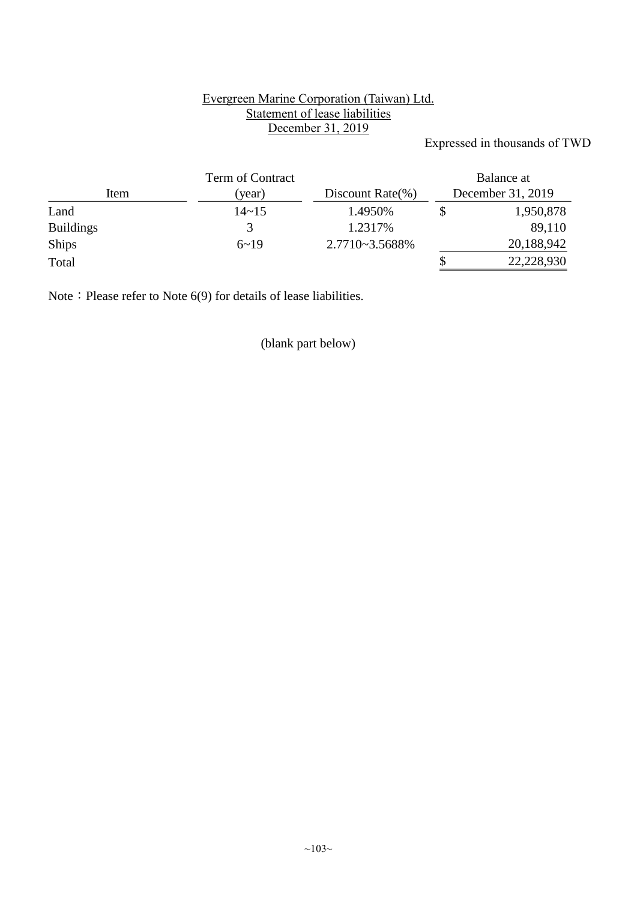# Evergreen Marine Corporation (Taiwan) Ltd. Statement of lease liabilities December 31, 2019

Expressed in thousands of TWD

|                  | Term of Contract | Balance at           |                   |  |  |  |  |
|------------------|------------------|----------------------|-------------------|--|--|--|--|
| Item             | (year)           | Discount Rate $(\%)$ | December 31, 2019 |  |  |  |  |
| Land             | 14~15            | 1.4950%              | 1,950,878         |  |  |  |  |
| <b>Buildings</b> |                  | 1.2317%              | 89,110            |  |  |  |  |
| <b>Ships</b>     | $6 - 19$         | 2.7710~3.5688%       | 20,188,942        |  |  |  |  |
| Total            |                  |                      | \$<br>22,228,930  |  |  |  |  |

Note: Please refer to Note  $6(9)$  for details of lease liabilities.

(blank part below)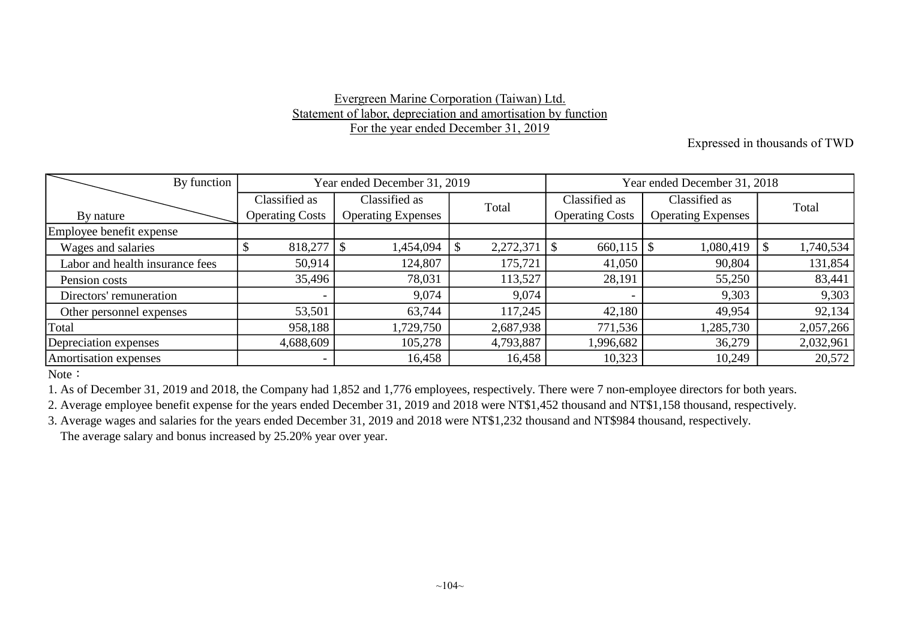### Evergreen Marine Corporation (Taiwan) Ltd. Statement of labor, depreciation and amortisation by function For the year ended December 31, 2019

Expressed in thousands of TWD

| By function                     |                        | Year ended December 31, 2019 |           |                        | Year ended December 31, 2018 |           |
|---------------------------------|------------------------|------------------------------|-----------|------------------------|------------------------------|-----------|
|                                 | Classified as          | Classified as                | Total     | Classified as          | Classified as                | Total     |
| By nature                       | <b>Operating Costs</b> | <b>Operating Expenses</b>    |           | <b>Operating Costs</b> | <b>Operating Expenses</b>    |           |
| Employee benefit expense        |                        |                              |           |                        |                              |           |
| Wages and salaries              | 818,277                | 1,454,094<br>- S             | 2,272,371 | $660,115$ \\$          | 1,080,419                    | 1,740,534 |
| Labor and health insurance fees | 50,914                 | 124,807                      | 175,721   | 41,050                 | 90,804                       | 131,854   |
| Pension costs                   | 35,496                 | 78,031                       | 113,527   | 28,191                 | 55,250                       | 83,441    |
| Directors' remuneration         |                        | 9,074                        | 9,074     |                        | 9,303                        | 9,303     |
| Other personnel expenses        | 53,501                 | 63,744                       | 117,245   | 42,180                 | 49,954                       | 92,134    |
| Total                           | 958,188                | 1,729,750                    | 2,687,938 | 771,536                | 1,285,730                    | 2,057,266 |
| Depreciation expenses           | 4,688,609              | 105,278                      | 4,793,887 | 1,996,682              | 36,279                       | 2,032,961 |
| Amortisation expenses           |                        | 16,458                       | 16,458    | 10,323                 | 10,249                       | 20,572    |

Note:

1. As of December 31, 2019 and 2018, the Company had 1,852 and 1,776 employees, respectively. There were 7 non-employee directors for both years.

2. Average employee benefit expense for the years ended December 31, 2019 and 2018 were NT\$1,452 thousand and NT\$1,158 thousand, respectively.

3. Average wages and salaries for the years ended December 31, 2019 and 2018 were NT\$1,232 thousand and NT\$984 thousand, respectively.

The average salary and bonus increased by 25.20% year over year.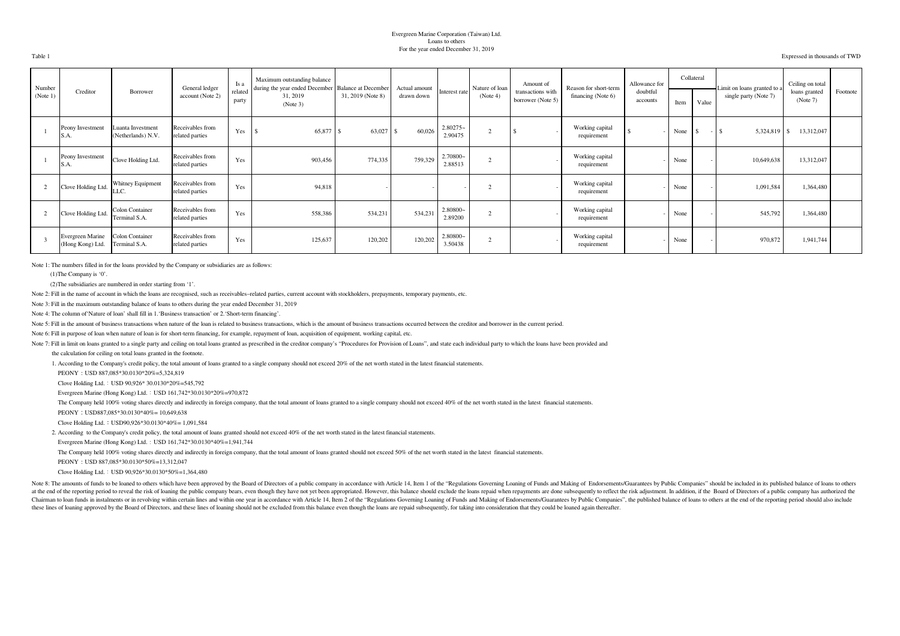#### Evergreen Marine Corporation (Taiwan) Ltd.Loans to othersFor the year ended December 31, 2019

Expressed in thousands of TWD

| Number   |                                      |                                         | General ledger                      | Is a             | Maximum outstanding balance<br>during the year ended December Balance at December |                   | Actual amount           |                        | Nature of loan | Amount of                              | Reason for short-term<br>financing (Note $6$ ) | Allowance for        |      | Collateral | Limit on loans granted to a | Ceiling on total          |          |
|----------|--------------------------------------|-----------------------------------------|-------------------------------------|------------------|-----------------------------------------------------------------------------------|-------------------|-------------------------|------------------------|----------------|----------------------------------------|------------------------------------------------|----------------------|------|------------|-----------------------------|---------------------------|----------|
| (Note 1) | Creditor                             | Borrower                                | account (Note 2)                    | related<br>party | 31, 2019<br>(Note 3)                                                              | 31, 2019 (Note 8) | drawn down              | Interest rate          | (Note 4)       | transactions with<br>borrower (Note 5) |                                                | doubtful<br>accounts | Item | Value      | single party (Note 7)       | loans granted<br>(Note 7) | Footnote |
|          | Peony Investment<br>S.A.             | Luanta Investment<br>(Netherlands) N.V. | Receivables from<br>related parties | Yes              | 65,877 \$                                                                         | 63,027            | 60,026<br><sup>\$</sup> | $2.80275-$<br>2.90475  | $\overline{2}$ |                                        | Working capital<br>requirement                 | l s                  | None | -S         | 5,324,819                   | 13,312,047                |          |
|          | Peony Investment<br>S.A.             | Clove Holding Ltd.                      | Receivables from<br>related parties | Yes              | 903,456                                                                           | 774,335           | 759,329                 | 2.70800~<br>2.88513    |                |                                        | Working capital<br>requirement                 |                      | None |            | 10,649,638                  | 13,312,047                |          |
|          | Clove Holding Ltd.                   | Whitney Equipment<br>LLC.               | Receivables from<br>related parties | Yes              | 94,818                                                                            |                   |                         |                        |                |                                        | Working capital<br>requirement                 |                      | None |            | 1,091,584                   | 1,364,480                 |          |
|          | Clove Holding Ltd.                   | Colon Container<br>Terminal S.A.        | Receivables from<br>related parties | Yes              | 558,386                                                                           | 534,231           | 534,231                 | $2.80800 -$<br>2.89200 | $\sim$         |                                        | Working capital<br>requirement                 |                      | None |            | 545,792                     | 1,364,480                 |          |
|          | Evergreen Marine<br>(Hong Kong) Ltd. | <b>Colon Container</b><br>Terminal S.A. | Receivables from<br>related parties | Yes              | 125,637                                                                           | 120,202           | 120,202                 | $2.80800 -$<br>3.50438 |                |                                        | Working capital<br>requirement                 |                      | None |            | 970,872                     | 1,941,744                 |          |

Note 1: The numbers filled in for the loans provided by the Company or subsidiaries are as follows:

(1)The Company is '0'.

(2)The subsidiaries are numbered in order starting from '1'.

Note 2: Fill in the name of account in which the loans are recognised, such as receivables–related parties, current account with stockholders, prepayments, temporary payments, etc.

Note 3: Fill in the maximum outstanding balance of loans to others during the year ended December 31, 2019

Note 4: The column of'Nature of loan' shall fill in 1.'Business transaction' or 2.'Short-term financing'.

Note 5: Fill in the amount of business transactions when nature of the loan is related to business transactions, which is the amount of business transactions occurred between the creditor and borrower in the current period

Note 6: Fill in purpose of loan when nature of loan is for short-term financing, for example, repayment of loan, acquisition of equipment, working capital, etc.

Note 7: Fill in limit on loans granted to a single party and ceiling on total loans granted as prescribed in the creditor company's "Procedures for Provision of Loans", and state each individual party to which the loans ha

the calculation for ceiling on total loans granted in the footnote.

1. According to the Company's credit policy, the total amount of loans granted to a single company should not exceed 20% of the net worth stated in the latest financial statements.

PEONY:USD 887,085\*30.0130\*20%=5,324,819

Clove Holding Ltd.:USD 90,926\* 30.0130\*20%=545,792

Evergreen Marine (Hong Kong) Ltd. USD 161,742\*30.0130\*20%=970,872

The Company held 100% voting shares directly and indirectly in foreign company, that the total amount of loans granted to a single company should not exceed 40% of the net worth stated in the latest financial statements.

PEONY:USD887,085\*30.0130\*40%= 10,649,638

Clove Holding Ltd.:USD90,926\*30.0130\*40%= 1,091,584

2. According to the Company's credit policy, the total amount of loans granted should not exceed 40% of the net worth stated in the latest financial statements.

Evergreen Marine (Hong Kong) Ltd.:USD 161,742\*30.0130\*40%=1,941,744

The Company held 100% voting shares directly and indirectly in foreign company, that the total amount of loans granted should not exceed 50% of the net worth stated in the latest financial statements.

PEONY:USD 887,085\*30.0130\*50%=13,312,047

Clove Holding Ltd.:USD 90,926\*30.0130\*50%=1,364,480

Note 8: The amounts of funds to be loaned to others which have been approved by the Board of Directors of a public company in accordance with Article 14, Item 1 of the "Regulations Governing Loaning of Funds and Making of at the end of the reporting period to reveal the risk of loaning the public company bears, even though they have not yet been appropriated. However, this balance should exclude the loans repaid when repayments are done sub Chairman to loan funds in instalments or in revolving within certain lines and within one year in accordance with Article 14, Item 2 of the "Regulations Governing Loaning of Funds and Making of Endorsements/Guarantees by P these lines of loaning approved by the Board of Directors, and these lines of loaning should not be excluded from this balance even though the loans are repaid subsequently, for taking into consideration that they could be

Table 1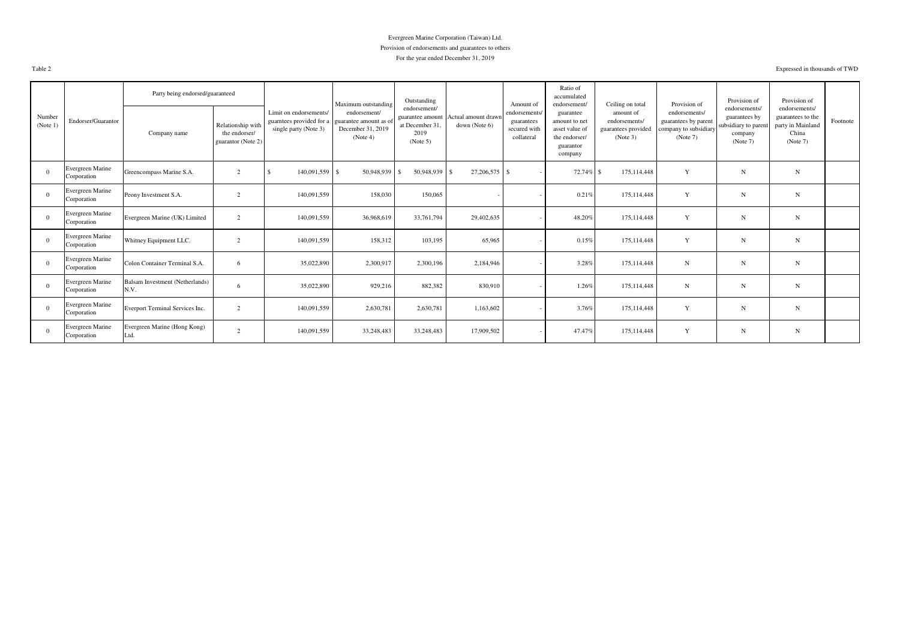### Evergreen Marine Corporation (Taiwan) Ltd.

### Provision of endorsements and guarantees to others

### For the year ended December 31, 2019

Expressed in thousands of TWD

|                    |                                 | Party being endorsed/guaranteed         |                                                          |                                                                             | Maximum outstanding                                                    | Outstanding                                                             |                                      | Amount of                                                | Ratio of<br>accumulated<br>endorsement/                                               | Ceiling on total                                              | Provision of                                                               | Provision of                                                                  | Provision of                                                                 |          |
|--------------------|---------------------------------|-----------------------------------------|----------------------------------------------------------|-----------------------------------------------------------------------------|------------------------------------------------------------------------|-------------------------------------------------------------------------|--------------------------------------|----------------------------------------------------------|---------------------------------------------------------------------------------------|---------------------------------------------------------------|----------------------------------------------------------------------------|-------------------------------------------------------------------------------|------------------------------------------------------------------------------|----------|
| Number<br>(Note 1) | Endorser/Guarantor              | Company name                            | Relationship with<br>the endorser/<br>guarantor (Note 2) | Limit on endorsements/<br>guarntees provided for a<br>single party (Note 3) | endorsement/<br>guarantee amount as o<br>December 31, 2019<br>(Note 4) | endorsement/<br>guarantee amount<br>at December 31.<br>2019<br>(Note 5) | Actual amount drawn<br>down (Note 6) | endorsements<br>guarantees<br>secured with<br>collateral | guarantee<br>amount to net<br>asset value of<br>the endorser/<br>guarantor<br>company | amount of<br>endorsements/<br>guarantees provided<br>(Note 3) | endorsements/<br>guarantees by parent<br>company to subsidiary<br>(Note 7) | endorsements/<br>guarantees by<br>subsidiary to parent<br>company<br>(Note 7) | endorsements/<br>guarantees to the<br>party in Mainland<br>China<br>(Note 7) | Footnote |
| $\Omega$           | Evergreen Marine<br>Corporation | Greencompass Marine S.A.                | $\overline{2}$                                           | 140,091,559<br>Ŝ.                                                           | 50,948,939                                                             | 50,948,939 \$<br>l S                                                    | 27,206,575 \$                        |                                                          | 72.749                                                                                | 175,114,448                                                   | Y                                                                          | $_{\rm N}$                                                                    | $_{\rm N}$                                                                   |          |
| $\Omega$           | Evergreen Marine<br>Corporation | Peony Investment S.A.                   | $\overline{2}$                                           | 140,091,559                                                                 | 158,030                                                                | 150,065                                                                 |                                      |                                                          | 0.219                                                                                 | 175, 114, 448                                                 | Y                                                                          | N                                                                             | $\mathbf N$                                                                  |          |
| $\Omega$           | Evergreen Marine<br>Corporation | Evergreen Marine (UK) Limited           | $\overline{2}$                                           | 140,091,559                                                                 | 36,968,619                                                             | 33,761,794                                                              | 29,402,635                           |                                                          | 48.20%                                                                                | 175, 114, 448                                                 | Y                                                                          | N                                                                             | $\mathbf N$                                                                  |          |
| $\Omega$           | Evergreen Marine<br>Corporation | Whitney Equipment LLC.                  | $\overline{2}$                                           | 140,091,559                                                                 | 158,312                                                                | 103,195                                                                 | 65,965                               |                                                          | 0.159                                                                                 | 175,114,448                                                   | Y                                                                          | N                                                                             | $_{\rm N}$                                                                   |          |
| $\Omega$           | Evergreen Marine<br>Corporation | Colon Container Terminal S.A.           | 6                                                        | 35,022,890                                                                  | 2,300,917                                                              | 2,300,196                                                               | 2,184,946                            |                                                          | 3.28%                                                                                 | 175, 114, 448                                                 | $_{\rm N}$                                                                 | $_{\rm N}$                                                                    | $\mathbf N$                                                                  |          |
| $\Omega$           | Evergreen Marine<br>Corporation | Balsam Investment (Netherlands)<br>N.V. | 6                                                        | 35,022,890                                                                  | 929,216                                                                | 882,382                                                                 | 830,910                              |                                                          | 1.269                                                                                 | 175,114,448                                                   | $_{\rm N}$                                                                 | N                                                                             | $_{\rm N}$                                                                   |          |
| $\Omega$           | Evergreen Marine<br>Corporation | Everport Terminal Services Inc.         | $\overline{2}$                                           | 140,091,559                                                                 | 2,630,781                                                              | 2,630,781                                                               | 1,163,602                            |                                                          | 3.769                                                                                 | 175, 114, 448                                                 | Y                                                                          | N                                                                             | $\mathbf N$                                                                  |          |
| $\Omega$           | Evergreen Marine<br>Corporation | Evergreen Marine (Hong Kong)<br>Ltd.    | $\overline{c}$                                           | 140,091,559                                                                 | 33,248,483                                                             | 33,248,483                                                              | 17,909,502                           |                                                          | 47.47%                                                                                | 175,114,448                                                   | Y                                                                          | N                                                                             | $\mathbf N$                                                                  |          |

Table 2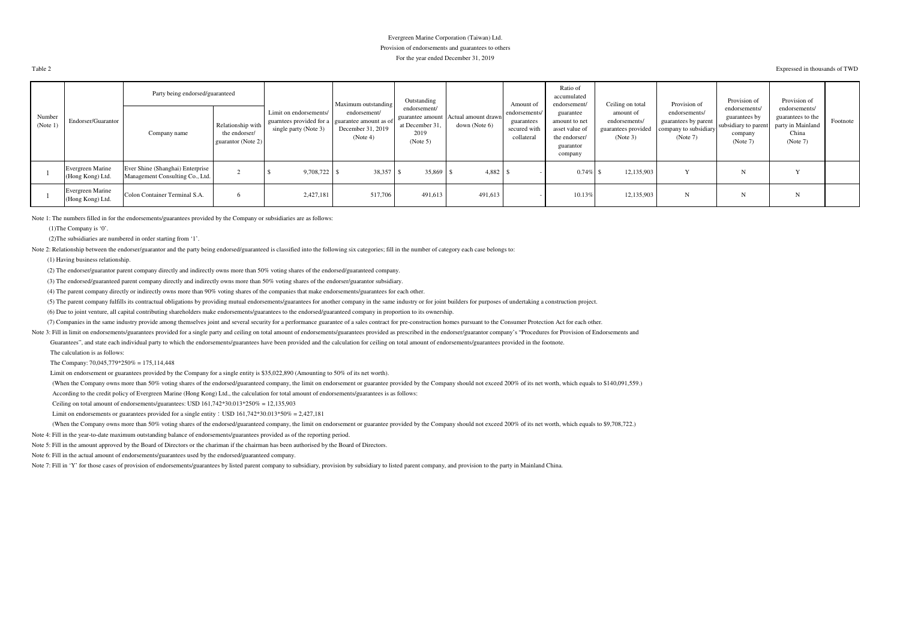#### Evergreen Marine Corporation (Taiwan) Ltd. Provision of endorsements and guarantees to others

#### For the year ended December 31, 2019

Table 2

|  | Expressed in thousands of TWD<br>$\mathbf{A}$ . The contract of the contract of the contract of the contract of the contract of the contract of the contract of the contract of the contract of the contract of the contract of the contract of the contract of th |
|--|--------------------------------------------------------------------------------------------------------------------------------------------------------------------------------------------------------------------------------------------------------------------|
|--|--------------------------------------------------------------------------------------------------------------------------------------------------------------------------------------------------------------------------------------------------------------------|

| Number<br>(Note 1) | Endorser/Guarantor                   | Party being endorsed/guaranteed                                     |                                                          |                                                                                                     | Maximum outstanding                           | Outstanding                                         |                                                         | Amount of                                                 | Ratio of<br>accumulated<br>endorsement/                                               | Ceiling on total                                              | Provision of                                                               | Provision of                                                                  | Provision of                                                                 |          |
|--------------------|--------------------------------------|---------------------------------------------------------------------|----------------------------------------------------------|-----------------------------------------------------------------------------------------------------|-----------------------------------------------|-----------------------------------------------------|---------------------------------------------------------|-----------------------------------------------------------|---------------------------------------------------------------------------------------|---------------------------------------------------------------|----------------------------------------------------------------------------|-------------------------------------------------------------------------------|------------------------------------------------------------------------------|----------|
|                    |                                      | Company name                                                        | Relationship with<br>the endorser/<br>guarantor (Note 2) | Limit on endorsements/<br>guarantees provided for a guarantee amount as of<br>single party (Note 3) | endorsement/<br>December 31, 2019<br>(Note 4) | endorsement/<br>at December 31,<br>2019<br>(Note 5) | guarantee amount Actual amount drawn<br>$down$ (Note 6) | endorsements/<br>guarantees<br>secured with<br>collateral | guarantee<br>amount to net<br>asset value of<br>the endorser/<br>guarantor<br>company | amount of<br>endorsements/<br>guarantees provided<br>(Note 3) | endorsements/<br>guarantees by parent<br>company to subsidiary<br>(Note 7) | endorsements/<br>guarantees by<br>subsidiary to parent<br>company<br>(Note 7) | endorsements/<br>guarantees to the<br>party in Mainland<br>China<br>(Note 7) | Footnote |
|                    | Evergreen Marine<br>(Hong Kong) Ltd. | Ever Shine (Shanghai) Enterprise<br>Management Consulting Co., Ltd. |                                                          | 9,708,722                                                                                           |                                               | 35,869                                              | 4,882 \$                                                |                                                           | $0.74\%$ \$                                                                           | 12,135,903                                                    |                                                                            | IN                                                                            |                                                                              |          |
|                    | Evergreen Marine<br>(Hong Kong) Ltd. | Colon Container Terminal S.A.                                       |                                                          | 2,427,181                                                                                           | 517,706                                       | 491,613                                             | 491,613                                                 |                                                           | 10.13%                                                                                | 12,135,903                                                    | N                                                                          | - IN                                                                          | N                                                                            |          |

Note 1: The numbers filled in for the endorsements/guarantees provided by the Company or subsidiaries are as follows:

(1)The Company is '0'.

(2)The subsidiaries are numbered in order starting from '1'.

Note 2: Relationship between the endorser/guarantor and the party being endorsed/guaranteed is classified into the following six categories; fill in the number of category each case belongs to:

(1) Having business relationship.

(2) The endorser/guarantor parent company directly and indirectly owns more than 50% voting shares of the endorsed/guaranteed company.

(3) The endorsed/guaranteed parent company directly and indirectly owns more than 50% voting shares of the endorser/guarantor subsidiary.

(4) The parent company directly or indirectly owns more than 90% voting shares of the companies that make endorsements/guarantees for each other.

(5) The parent company fulfills its contractual obligations by providing mutual endorsements/guarantees for another company in the same industry or for joint builders for purposes of undertaking a construction project.

(6) Due to joint venture, all capital contributing shareholders make endorsements/guarantees to the endorsed/guaranteed company in proportion to its ownership.

(7) Companies in the same industry provide among themselves joint and several security for a performance guarantee of a sales contract for pre-construction homes pursuant to the Consumer Protection Act for each other.

Note 3: Fill in limit on endorsements/guarantees provided for a single party and ceiling on total amount of endorsements/guarantees provided as prescribed in the endorser/guarantor company's "Procedures for Provision of En

Guarantees", and state each individual party to which the endorsements/guarantees have been provided and the calculation for ceiling on total amount of endorsements/guarantees provided in the footnote.

The calculation is as follows:

The Company: 70,045,779\*250% = 175,114,448

Limit on endorsement or guarantees provided by the Company for a single entity is \$35,022,890 (Amounting to 50% of its net worth).

(When the Company owns more than 50% voting shares of the endorsed/guaranteed company, the limit on endorsement or guarantee provided by the Company should not exceed 200% of its net worth, which equals to \$140,091,559.)

According to the credit policy of Evergreen Marine (Hong Kong) Ltd., the calculation for total amount of endorsements/guarantees is as follows:

Ceiling on total amount of endorsements/guarantees: USD 161,742\*30.013\*250% = 12,135,903

Limit on endorsements or guarantees provided for a single entity  $\cdot$  USD 161,742\*30.013\*50% = 2,427,181

(When the Company owns more than 50% voting shares of the endorsed/guaranteed company, the limit on endorsement or guarantee provided by the Company should not exceed 200% of its net worth, which equals to \$9,708,722.)

Note 4: Fill in the year-to-date maximum outstanding balance of endorsements/guarantees provided as of the reporting period.

Note 5: Fill in the amount approved by the Board of Directors or the chariman if the chairman has been authorised by the Board of Directors.

Note 6: Fill in the actual amount of endorsements/guarantees used by the endorsed/guaranteed company.

Note 7: Fill in 'Y' for those cases of provision of endorsements/guarantees by listed parent company to subsidiary, provision by subsidiary to listed parent company, and provision to the party in Mainland China.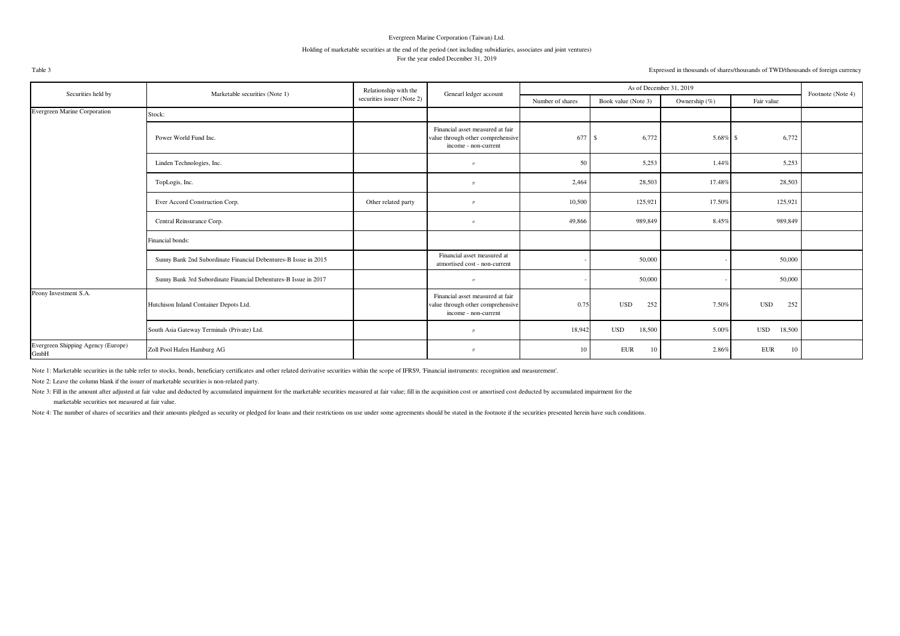#### Evergreen Marine Corporation (Taiwan) Ltd.

#### Holding of marketable securities at the end of the period (not including subsidiaries, associates and joint ventures)For the year ended December 31, 2019

Expressed in thousands of shares/thousands of TWD/thousands of foreign currency

| Securities held by                         | Marketable securities (Note 1)                                  | Relationship with the<br>securities issuer (Note 2) | Genearl ledger account                                                                        |                  | Footnote (Note 4)    |               |                      |  |
|--------------------------------------------|-----------------------------------------------------------------|-----------------------------------------------------|-----------------------------------------------------------------------------------------------|------------------|----------------------|---------------|----------------------|--|
|                                            |                                                                 |                                                     |                                                                                               | Number of shares | Book value (Note 3)  | Ownership (%) | Fair value           |  |
| Evergreen Marine Corporation<br>Stock:     |                                                                 |                                                     |                                                                                               |                  |                      |               |                      |  |
|                                            | Power World Fund Inc.                                           |                                                     | Financial asset measured at fair<br>value through other comprehensive<br>income - non-current | 677              | 6,772<br>ΙS          | 5.68% \$      | 6,772                |  |
|                                            | Linden Technologies, Inc.                                       |                                                     | $\mathbf{u}$                                                                                  | 50               | 5,253                | 1.44%         | 5,253                |  |
|                                            | TopLogis, Inc.                                                  |                                                     | $^{\prime\prime}$                                                                             | 2,464            | 28,503               | 17.48%        | 28,503               |  |
|                                            | Ever Accord Construction Corp.                                  | Other related party                                 | $^{\prime\prime}$                                                                             | 10,500           | 125,921              | 17.50%        | 125,921              |  |
|                                            | Central Reinsurance Corp.                                       |                                                     | $^{\prime\prime}$                                                                             | 49,866           | 989,849              | 8.45%         | 989,849              |  |
|                                            | Financial bonds:                                                |                                                     |                                                                                               |                  |                      |               |                      |  |
|                                            | Sunny Bank 2nd Subordinate Financial Debentures-B Issue in 2015 |                                                     | Financial asset measured at<br>atmortised cost - non-current                                  |                  | 50,000               |               | 50,000               |  |
|                                            | Sunny Bank 3rd Subordinate Financial Debentures-B Issue in 2017 |                                                     | $\mathbf{u}$                                                                                  |                  | 50,000               |               | 50,000               |  |
| Peony Investment S.A.                      | Hutchison Inland Container Depots Ltd.                          |                                                     | Financial asset measured at fair<br>value through other comprehensive<br>income - non-current | 0.75             | <b>USD</b><br>252    | 7.50%         | <b>USD</b><br>252    |  |
|                                            | South Asia Gateway Terminals (Private) Ltd.                     |                                                     | $\mathbf{u}$                                                                                  | 18,942           | <b>USD</b><br>18,500 | 5.00%         | <b>USD</b><br>18,500 |  |
| Evergreen Shipping Agency (Europe)<br>GmbH | Zoll Pool Hafen Hamburg AG                                      |                                                     | $^{\prime\prime}$                                                                             | 10               | <b>EUR</b><br>10     | 2.86%         | <b>EUR</b><br>10     |  |

Note 1: Marketable securities in the table refer to stocks, bonds, beneficiary certificates and other related derivative securities within the scope of IFRS9, 'Financial instruments: recognition and measurement'.

Note 2: Leave the column blank if the issuer of marketable securities is non-related party.

Note 3: Fill in the amount after adjusted at fair value and deducted by accumulated impairment for the marketable securities measured at fair value; fill in the acquisition cost or amortised cost deducted by accumulated im

marketable securities not measured at fair value.

Note 4: The number of shares of securities and their amounts pledged as security or pledged for loans and their restrictions on use under some agreements should be stated in the footnote if the securities presented herein

Table 3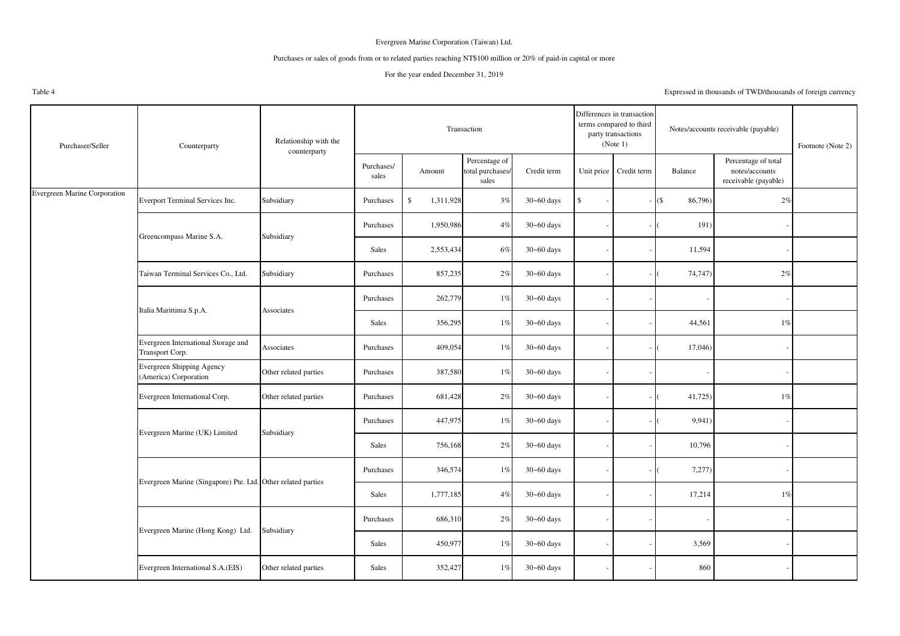# Evergreen Marine Corporation (Taiwan) Ltd.

# Purchases or sales of goods from or to related parties reaching NT\$100 million or 20% of paid-in capital or more

# For the year ended December 31, 2019

Expressed in thousands of TWD/thousands of foreign currency

| Purchaser/Seller<br>Evergreen Marine Corporation | Counterparty                                                 | Relationship with the<br>counterparty |                     |                 | Transaction                                |                | Differences in transaction<br>terms compared to third<br>party transactions<br>(Note 1) |                        |                    | Notes/accounts receivable (payable)                           | Footnote (Note 2) |
|--------------------------------------------------|--------------------------------------------------------------|---------------------------------------|---------------------|-----------------|--------------------------------------------|----------------|-----------------------------------------------------------------------------------------|------------------------|--------------------|---------------------------------------------------------------|-------------------|
|                                                  |                                                              |                                       | Purchases/<br>sales | Amount          | Percentage of<br>total purchases/<br>sales | Credit term    |                                                                                         | Unit price Credit term | Balance            | Percentage of total<br>notes/accounts<br>receivable (payable) |                   |
|                                                  | Everport Terminal Services Inc.                              | Subsidiary                            | Purchases           | \$<br>1,311,928 | 3%                                         | $30 - 60$ days | \$                                                                                      |                        | $-$ (\$<br>86,796) | 2%                                                            |                   |
|                                                  | Greencompass Marine S.A.                                     | Subsidiary                            | Purchases           | 1,950,986       | 4%                                         | $30 - 60$ days |                                                                                         |                        | 191)               |                                                               |                   |
|                                                  |                                                              |                                       | Sales               | 2,553,434       | 6%                                         | $30 - 60$ days |                                                                                         |                        | 11,594             |                                                               |                   |
|                                                  | Taiwan Terminal Services Co., Ltd.                           | Subsidiary                            | Purchases           | 857,235         | 2%                                         | $30 - 60$ days |                                                                                         |                        | 74,747)            | 2%                                                            |                   |
|                                                  | Italia Marittima S.p.A.                                      | Associates                            | Purchases           | 262,779         | 1%                                         | $30 - 60$ days |                                                                                         |                        |                    |                                                               |                   |
|                                                  |                                                              |                                       | Sales               | 356,295         | 1%                                         | $30 - 60$ days |                                                                                         |                        | 44,561             | $1\%$                                                         |                   |
|                                                  | Evergreen International Storage and<br>Transport Corp.       | Associates                            | Purchases           | 409,054         | 1%                                         | $30 - 60$ days |                                                                                         |                        | 17,046)            |                                                               |                   |
|                                                  | <b>Evergreen Shipping Agency</b><br>(America) Corporation    | Other related parties                 | Purchases           | 387,580         | 1%                                         | $30 - 60$ days |                                                                                         |                        |                    |                                                               |                   |
|                                                  | Evergreen International Corp.                                | Other related parties                 | Purchases           | 681,428         | $2\%$                                      | $30 - 60$ days |                                                                                         |                        | 41,725)            | 1%                                                            |                   |
|                                                  | Evergreen Marine (UK) Limited                                | Subsidiary                            | Purchases           | 447,975         | 1%                                         | $30 - 60$ days |                                                                                         |                        | 9,941)             |                                                               |                   |
|                                                  |                                                              |                                       | <b>Sales</b>        | 756,168         | 2%                                         | $30 - 60$ days |                                                                                         |                        | 10,796             |                                                               |                   |
|                                                  | Evergreen Marine (Singapore) Pte. Ltd. Other related parties |                                       | Purchases           | 346,574         | 1%                                         | $30 - 60$ days |                                                                                         |                        | 7,277              |                                                               |                   |
|                                                  |                                                              |                                       | <b>Sales</b>        | 1,777,185       | 4%                                         | $30 - 60$ days |                                                                                         |                        | 17,214             | 1%                                                            |                   |
|                                                  |                                                              |                                       | Purchases           | 686,310         | 2%                                         | $30 - 60$ days |                                                                                         |                        |                    |                                                               |                   |
|                                                  | Evergreen Marine (Hong Kong) Ltd.                            | Subsidiary                            | Sales               | 450,977         | $1\%$                                      | $30 - 60$ days |                                                                                         |                        | 3,569              |                                                               |                   |
|                                                  | Evergreen International S.A.(EIS)                            | Other related parties                 | Sales               | 352,427         | $1\%$                                      | $30 - 60$ days |                                                                                         |                        | 860                |                                                               |                   |

Table 4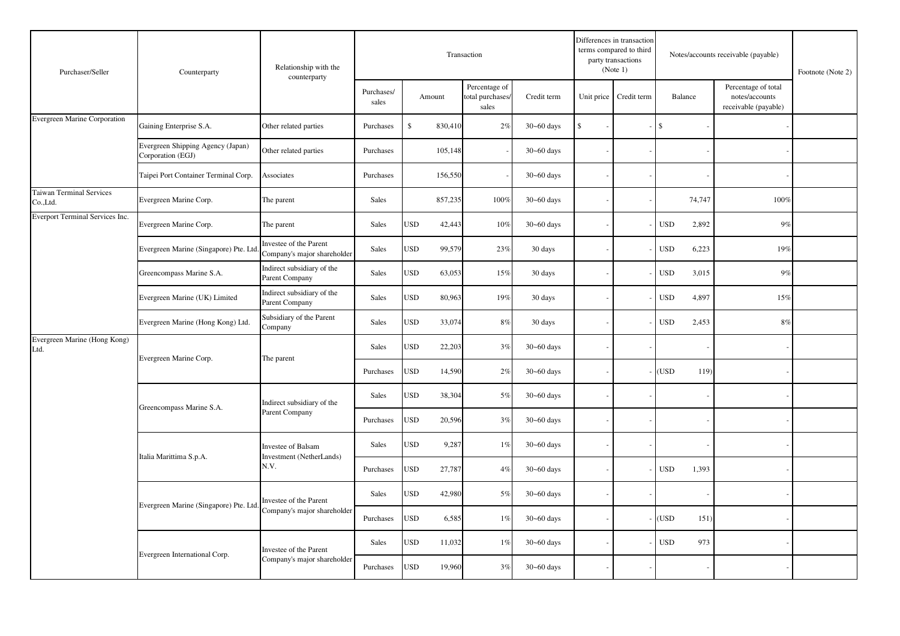| Purchaser/Seller                            | Counterparty                                           | Relationship with the<br>counterparty                 |                     |            | Transaction |                                            |                           | Differences in transaction<br>terms compared to third<br>party transactions<br>(Note 1) |                        |              |         | Notes/accounts receivable (payable)                           | Footnote (Note 2) |
|---------------------------------------------|--------------------------------------------------------|-------------------------------------------------------|---------------------|------------|-------------|--------------------------------------------|---------------------------|-----------------------------------------------------------------------------------------|------------------------|--------------|---------|---------------------------------------------------------------|-------------------|
|                                             |                                                        |                                                       | Purchases/<br>sales | Amount     |             | Percentage of<br>total purchases/<br>sales | Credit term               |                                                                                         | Unit price Credit term |              | Balance | Percentage of total<br>notes/accounts<br>receivable (payable) |                   |
| Evergreen Marine Corporation                | Gaining Enterprise S.A.                                | Other related parties                                 | Purchases           | s.         | 830,410     | 2%                                         | $30 - 60$ days            | \$                                                                                      |                        | $\mathbb{S}$ |         |                                                               |                   |
|                                             | Evergreen Shipping Agency (Japan)<br>Corporation (EGJ) | Other related parties                                 | Purchases           |            | 105,148     |                                            | $30\mbox{--}60~\rm{days}$ |                                                                                         |                        |              |         |                                                               |                   |
|                                             | Taipei Port Container Terminal Corp.                   | Associates                                            | Purchases           |            | 156,550     |                                            | $30 - 60$ days            |                                                                                         |                        |              |         |                                                               |                   |
| <b>Taiwan Terminal Services</b><br>Co.,Ltd. | Evergreen Marine Corp.                                 | The parent                                            | <b>Sales</b>        |            | 857,235     | 100%                                       | $30 - 60$ days            |                                                                                         |                        |              | 74,747  | 100%                                                          |                   |
| Everport Terminal Services Inc.             | Evergreen Marine Corp.                                 | The parent                                            | <b>Sales</b>        | <b>USD</b> | 42,443      | 10%                                        | $30 - 60$ days            |                                                                                         |                        | <b>USD</b>   | 2,892   | 9%                                                            |                   |
|                                             | Evergreen Marine (Singapore) Pte. Ltd                  | Investee of the Parent<br>Company's major shareholder | Sales               | <b>USD</b> | 99,579      | 23%                                        | 30 days                   |                                                                                         |                        | <b>USD</b>   | 6,223   | 19%                                                           |                   |
|                                             | Greencompass Marine S.A.                               | Indirect subsidiary of the<br>Parent Company          | Sales               | <b>USD</b> | 63,053      | 15%                                        | 30 days                   |                                                                                         |                        | <b>USD</b>   | 3,015   | 9%                                                            |                   |
|                                             | Evergreen Marine (UK) Limited                          | Indirect subsidiary of the<br>Parent Company          | <b>Sales</b>        | <b>USD</b> | 80,963      | 19%                                        | 30 days                   |                                                                                         |                        | <b>USD</b>   | 4,897   | 15%                                                           |                   |
|                                             | Evergreen Marine (Hong Kong) Ltd.                      | Subsidiary of the Parent<br>Company                   | Sales               | <b>USD</b> | 33,074      | 8%                                         | 30 days                   |                                                                                         |                        | <b>USD</b>   | 2,453   | 8%                                                            |                   |
| Evergreen Marine (Hong Kong)<br>Ltd.        | Evergreen Marine Corp.                                 |                                                       | Sales               | <b>USD</b> | 22,203      | 3%                                         | $30 - 60$ days            |                                                                                         |                        |              |         |                                                               |                   |
|                                             |                                                        | The parent                                            | Purchases           | USD        | 14,590      | 2%                                         | $30 - 60$ days            |                                                                                         |                        | (USD)        | 119)    |                                                               |                   |
|                                             |                                                        | Indirect subsidiary of the                            | Sales               | <b>USD</b> | 38,304      | 5%                                         | $30 - 60$ days            |                                                                                         |                        |              |         |                                                               |                   |
|                                             | Greencompass Marine S.A.                               | Parent Company                                        | Purchases           | <b>USD</b> | 20,596      | 3%                                         | $30 - 60$ days            |                                                                                         |                        |              |         |                                                               |                   |
|                                             |                                                        | Investee of Balsam<br><b>Investment</b> (NetherLands) | Sales               | <b>USD</b> | 9,287       | 1%                                         | $30 - 60$ days            |                                                                                         |                        |              |         |                                                               |                   |
|                                             | Italia Marittima S.p.A.                                | N.V.                                                  | Purchases           | <b>USD</b> | 27,787      | $4\%$                                      | $30 - 60$ days            |                                                                                         |                        | <b>USD</b>   | 1,393   |                                                               |                   |
|                                             |                                                        | Investee of the Parent                                | <b>Sales</b>        | <b>USD</b> | 42,980      | $5\%$                                      | $30 - 60$ days            |                                                                                         |                        |              |         |                                                               |                   |
|                                             | Evergreen Marine (Singapore) Pte. Ltc                  | Company's major shareholder                           | Purchases           | <b>USD</b> | 6,585       | 1%                                         | $30 - 60$ days            |                                                                                         |                        | (USD         | 151)    |                                                               |                   |
|                                             |                                                        | Investee of the Parent                                | Sales               | <b>USD</b> | 11,032      | 1%                                         | $30 - 60$ days            |                                                                                         |                        | $_{\rm USD}$ | 973     |                                                               |                   |
|                                             | Evergreen International Corp.                          | Company's major shareholder                           | Purchases           | <b>USD</b> | 19,960      | 3%                                         | $30 - 60$ days            |                                                                                         |                        |              |         |                                                               |                   |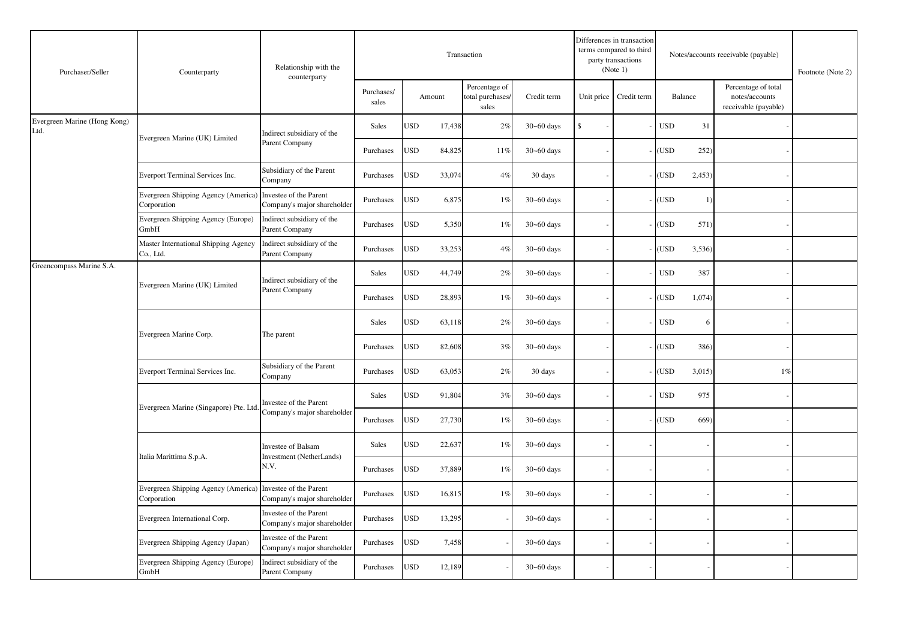| Purchaser/Seller                     | Counterparty                                                              | Relationship with the<br>counterparty                 |                                           |            |        | Transaction                               |                | Differences in transaction<br>terms compared to third<br>party transactions<br>(Note 1) |                        |            |         | Notes/accounts receivable (payable)                           | Footnote (Note 2) |
|--------------------------------------|---------------------------------------------------------------------------|-------------------------------------------------------|-------------------------------------------|------------|--------|-------------------------------------------|----------------|-----------------------------------------------------------------------------------------|------------------------|------------|---------|---------------------------------------------------------------|-------------------|
|                                      |                                                                           |                                                       | Purchases/<br>sales                       | Amount     |        | Percentage of<br>otal purchases/<br>sales | Credit term    |                                                                                         | Unit price Credit term |            | Balance | Percentage of total<br>notes/accounts<br>receivable (payable) |                   |
| Evergreen Marine (Hong Kong)<br>Ltd. | Evergreen Marine (UK) Limited                                             | Indirect subsidiary of the                            | <b>Sales</b>                              | <b>USD</b> | 17,438 | 2%                                        | $30 - 60$ days | \$                                                                                      |                        | <b>USD</b> | 31      |                                                               |                   |
|                                      |                                                                           | Parent Company                                        | Purchases                                 | USD        | 84,825 | 11%                                       | $30 - 60$ days |                                                                                         |                        | (USD       | 252)    |                                                               |                   |
|                                      | Everport Terminal Services Inc.                                           | Subsidiary of the Parent<br>Company                   | Purchases                                 | <b>USD</b> | 33,074 | $4\%$                                     | 30 days        |                                                                                         |                        | (USD       | 2,453)  |                                                               |                   |
|                                      | Evergreen Shipping Agency (America) Investee of the Parent<br>Corporation | Company's major shareholder                           | Purchases                                 | <b>USD</b> | 6,875  | $1\%$                                     | $30 - 60$ days |                                                                                         |                        | (USD)      | 1)      |                                                               |                   |
|                                      | Evergreen Shipping Agency (Europe)<br>GmbH                                | Indirect subsidiary of the<br>Parent Company          | Purchases                                 | <b>USD</b> | 5,350  | 1%                                        | $30 - 60$ days |                                                                                         |                        | (USD)      | 571)    |                                                               |                   |
|                                      | Master International Shipping Agency<br>Co., Ltd.                         | Indirect subsidiary of the<br>Parent Company          | Purchases                                 | <b>USD</b> | 33,253 | 4%                                        | $30 - 60$ days |                                                                                         |                        | (USD)      | 3,536   |                                                               |                   |
| Greencompass Marine S.A.             |                                                                           | Indirect subsidiary of the                            | Sales                                     | <b>USD</b> | 44,749 | $2\%$                                     | $30 - 60$ days |                                                                                         |                        | <b>USD</b> | 387     |                                                               |                   |
|                                      | Evergreen Marine (UK) Limited<br>Evergreen Marine Corp.                   | Parent Company                                        | Purchases                                 | USD        | 28,893 | 1%                                        | $30 - 60$ days |                                                                                         |                        | (USD       | 1,074   |                                                               |                   |
|                                      |                                                                           | The parent                                            | Sales                                     | <b>USD</b> | 63,118 | 2%                                        | $30 - 60$ days |                                                                                         |                        | <b>USD</b> | 6       |                                                               |                   |
|                                      |                                                                           |                                                       | Purchases                                 | <b>USD</b> | 82,608 | $3\%$                                     | $30 - 60$ days |                                                                                         |                        | (USD)      | 386)    |                                                               |                   |
|                                      | Everport Terminal Services Inc.                                           | Subsidiary of the Parent<br>Company                   | Purchases                                 | <b>USD</b> | 63,053 | 2%                                        | 30 days        |                                                                                         |                        | (USD       | 3,015   | 1%                                                            |                   |
|                                      | Evergreen Marine (Singapore) Pte. Ltd.                                    | Investee of the Parent                                | Sales                                     | <b>USD</b> | 91,804 | 3%                                        | $30 - 60$ days |                                                                                         |                        | <b>USD</b> | 975     |                                                               |                   |
|                                      |                                                                           | Company's major shareholder                           | Purchases                                 | <b>USD</b> | 27,730 | $1\%$                                     | $30 - 60$ days |                                                                                         |                        | (USD)      | 669)    |                                                               |                   |
|                                      | Italia Marittima S.p.A.                                                   | Investee of Balsam<br>Investment (NetherLands)        | Sales                                     | USD        | 22,637 | 1%                                        | $30 - 60$ days |                                                                                         |                        |            |         |                                                               |                   |
|                                      |                                                                           | N.V.                                                  | Purchases                                 | <b>USD</b> | 37,889 | $1\%$                                     | $30 - 60$ days |                                                                                         |                        |            |         |                                                               |                   |
|                                      | Evergreen Shipping Agency (America) Investee of the Parent<br>Corporation | Company's major shareholder                           | Purchases                                 | <b>USD</b> | 16,815 | $1\%$                                     | $30 - 60$ days |                                                                                         |                        |            |         |                                                               |                   |
|                                      | Evergreen International Corp.                                             | Investee of the Parent<br>Company's major shareholder | Purchases                                 | <b>USD</b> | 13,295 |                                           | $30 - 60$ days |                                                                                         |                        |            |         |                                                               |                   |
|                                      | Evergreen Shipping Agency (Japan)                                         | Investee of the Parent<br>Company's major shareholder | Purchases                                 | <b>USD</b> | 7,458  |                                           | $30 - 60$ days |                                                                                         |                        |            |         |                                                               |                   |
|                                      | Evergreen Shipping Agency (Europe)<br>GmbH                                | Indirect subsidiary of the<br>Parent Company          | $\ensuremath{\mathsf{P} \text{urchases}}$ | <b>USD</b> | 12,189 |                                           | $30 - 60$ days |                                                                                         |                        |            |         |                                                               |                   |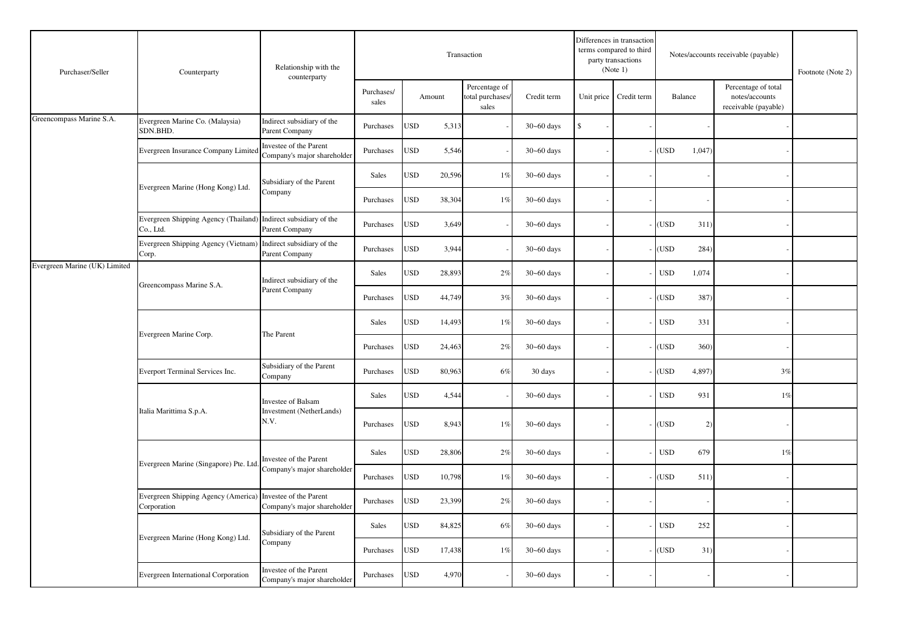| Purchaser/Seller              | Counterparty                                                                 | Relationship with the<br>counterparty                 |                     |               | Transaction                                |                | Differences in transaction<br>terms compared to third<br>party transactions<br>(Note 1) |                        |                     | Notes/accounts receivable (payable)                           | Footnote (Note 2) |
|-------------------------------|------------------------------------------------------------------------------|-------------------------------------------------------|---------------------|---------------|--------------------------------------------|----------------|-----------------------------------------------------------------------------------------|------------------------|---------------------|---------------------------------------------------------------|-------------------|
|                               |                                                                              |                                                       | Purchases/<br>sales | Amount        | Percentage of<br>total purchases/<br>sales | Credit term    |                                                                                         | Unit price Credit term | Balance             | Percentage of total<br>notes/accounts<br>receivable (payable) |                   |
| Greencompass Marine S.A.      | Evergreen Marine Co. (Malaysia)<br>SDN.BHD.                                  | Indirect subsidiary of the<br>Parent Company          | Purchases           | USD           | 5,313                                      | $30 - 60$ days | \$                                                                                      |                        |                     |                                                               |                   |
|                               | Evergreen Insurance Company Limited                                          | Investee of the Parent<br>Company's major shareholder | Purchases           | JSD           | 5,546                                      | $30 - 60$ days |                                                                                         |                        | 1,047<br>(USD)      |                                                               |                   |
|                               | Evergreen Marine (Hong Kong) Ltd.                                            | Subsidiary of the Parent                              | <b>Sales</b>        | USD<br>20,596 | 1%                                         | $30 - 60$ days |                                                                                         |                        |                     |                                                               |                   |
|                               |                                                                              | Company                                               | Purchases           | JSD<br>38,304 | 1%                                         | $30 - 60$ days |                                                                                         |                        |                     |                                                               |                   |
|                               | Evergreen Shipping Agency (Thailand) Indirect subsidiary of the<br>Co., Ltd. | Parent Company                                        | Purchases           | USD<br>3,649  |                                            | $30 - 60$ days |                                                                                         |                        | (USD)<br>311)       |                                                               |                   |
|                               | Evergreen Shipping Agency (Vietnam) Indirect subsidiary of the<br>Corp.      | Parent Company                                        | Purchases           | USD           | 3,944                                      | $30 - 60$ days |                                                                                         |                        | (USD)<br>284)       |                                                               |                   |
| Evergreen Marine (UK) Limited | Greencompass Marine S.A.                                                     | Indirect subsidiary of the                            | <b>Sales</b>        | USD<br>28,893 | 2%                                         | $30 - 60$ days |                                                                                         |                        | <b>USD</b><br>1,074 |                                                               |                   |
|                               |                                                                              | Parent Company                                        | Purchases           | USD<br>44,749 | 3%                                         | $30 - 60$ days |                                                                                         |                        | (USD)<br>387)       |                                                               |                   |
|                               | Evergreen Marine Corp.                                                       | The Parent                                            | Sales               | USD<br>14,493 | 1%                                         | $30 - 60$ days |                                                                                         |                        | <b>USD</b><br>331   |                                                               |                   |
|                               |                                                                              |                                                       | Purchases           | USD<br>24,463 | 2%                                         | $30 - 60$ days |                                                                                         |                        | (USD<br>360)        |                                                               |                   |
|                               | Everport Terminal Services Inc.                                              | Subsidiary of the Parent<br>Company                   | Purchases           | USD<br>80,963 | 6%                                         | 30 days        |                                                                                         |                        | (USD<br>4,897)      | 3%                                                            |                   |
|                               |                                                                              | <b>Investee of Balsam</b>                             | Sales               | USD           | 4,544                                      | $30 - 60$ days |                                                                                         |                        | <b>USD</b><br>931   | 1%                                                            |                   |
|                               | Italia Marittima S.p.A.                                                      | Investment (NetherLands)<br>N.V.                      | Purchases           | USD           | 8,943<br>$1\%$                             | $30 - 60$ days |                                                                                         |                        | (USD<br>2)          |                                                               |                   |
|                               | Evergreen Marine (Singapore) Pte. Ltd.                                       | Investee of the Parent                                | <b>Sales</b>        | USD<br>28,806 | 2%                                         | $30 - 60$ days |                                                                                         |                        | <b>USD</b><br>679   | 1%                                                            |                   |
|                               |                                                                              | Company's major shareholder                           | Purchases           | USD<br>10,798 | 1%                                         | $30 - 60$ days |                                                                                         |                        | (USD<br>511)        |                                                               |                   |
|                               | Evergreen Shipping Agency (America) Investee of the Parent<br>Corporation    | Company's major shareholder                           | Purchases           | USD<br>23,399 | $2\%$                                      | $30 - 60$ days |                                                                                         |                        |                     |                                                               |                   |
|                               |                                                                              | Subsidiary of the Parent<br>Company                   | <b>Sales</b>        | USD<br>84,825 | 6%                                         | $30 - 60$ days |                                                                                         |                        | <b>USD</b><br>252   |                                                               |                   |
|                               | Evergreen Marine (Hong Kong) Ltd.                                            |                                                       | Purchases           | USD<br>17,438 | 1%                                         | $30 - 60$ days |                                                                                         |                        | (USD<br>31)         |                                                               |                   |
|                               | Evergreen International Corporation                                          | Investee of the Parent<br>Company's major shareholder | Purchases           | USD           | 4,970                                      | $30 - 60$ days |                                                                                         |                        |                     |                                                               |                   |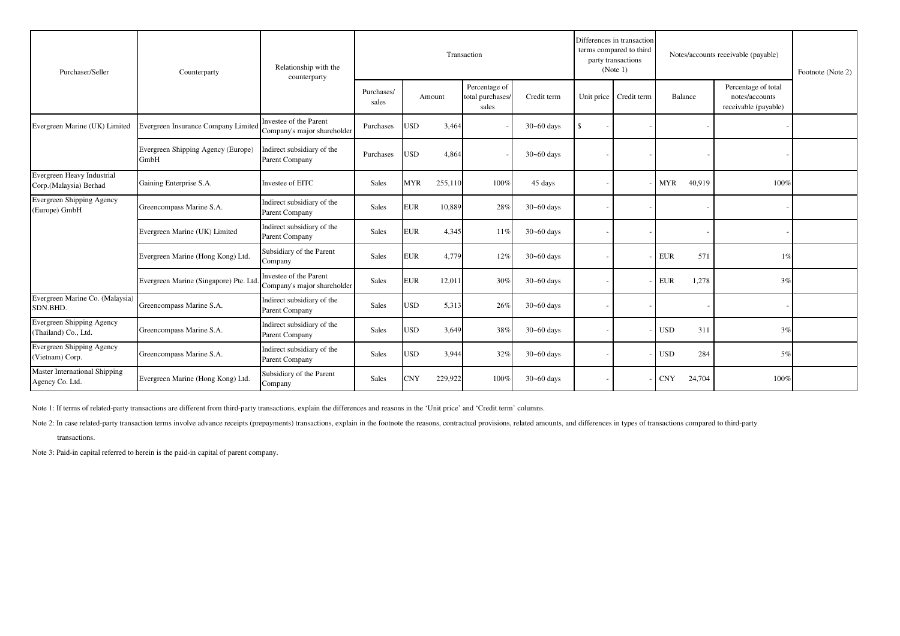| Purchaser/Seller                                         | Counterparty                               | Relationship with the<br>counterparty                 | Transaction         |            |         |                                            |                |   | Differences in transaction<br>terms compared to third<br>party transactions<br>(Note 1) | Notes/accounts receivable (payable) |         |                                                               | Footnote (Note 2) |
|----------------------------------------------------------|--------------------------------------------|-------------------------------------------------------|---------------------|------------|---------|--------------------------------------------|----------------|---|-----------------------------------------------------------------------------------------|-------------------------------------|---------|---------------------------------------------------------------|-------------------|
|                                                          |                                            |                                                       | Purchases/<br>sales |            | Amount  | Percentage of<br>total purchases/<br>sales | Credit term    |   | Unit price Credit term                                                                  |                                     | Balance | Percentage of total<br>notes/accounts<br>receivable (payable) |                   |
| Evergreen Marine (UK) Limited                            | Evergreen Insurance Company Limited        | Investee of the Parent<br>Company's major shareholder | Purchases           | USD        | 3,464   |                                            | $30 - 60$ days | S |                                                                                         |                                     |         |                                                               |                   |
|                                                          | Evergreen Shipping Agency (Europe)<br>GmbH | Indirect subsidiary of the<br>Parent Company          | Purchases           | <b>USD</b> | 4,864   |                                            | $30 - 60$ days |   |                                                                                         |                                     |         |                                                               |                   |
| Evergreen Heavy Industrial<br>Corp.(Malaysia) Berhad     | Gaining Enterprise S.A.                    | Investee of EITC                                      | Sales               | <b>MYR</b> | 255,110 | 100%                                       | 45 days        |   |                                                                                         | MYR                                 | 40,919  | 100%                                                          |                   |
| Evergreen Shipping Agency<br>(Europe) GmbH               | Greencompass Marine S.A.                   | Indirect subsidiary of the<br>Parent Company          | <b>Sales</b>        | <b>EUR</b> | 10,889  | 28%                                        | $30 - 60$ days |   |                                                                                         |                                     |         |                                                               |                   |
|                                                          | Evergreen Marine (UK) Limited              | Indirect subsidiary of the<br>Parent Company          | Sales               | <b>EUR</b> | 4,345   | 11%                                        | $30 - 60$ days |   |                                                                                         |                                     |         |                                                               |                   |
|                                                          | Evergreen Marine (Hong Kong) Ltd.          | Subsidiary of the Parent<br>Company                   | Sales               | <b>EUR</b> | 4,779   | 12%                                        | $30 - 60$ days |   |                                                                                         | <b>EUR</b>                          | 571     | 1%                                                            |                   |
|                                                          | Evergreen Marine (Singapore) Pte. Ltd      | Investee of the Parent<br>Company's major shareholder | Sales               | EUR        | 12,011  | 30%                                        | $30 - 60$ days |   |                                                                                         | <b>EUR</b>                          | 1,278   | 3%                                                            |                   |
| Evergreen Marine Co. (Malaysia)<br>SDN.BHD.              | Greencompass Marine S.A.                   | Indirect subsidiary of the<br>Parent Company          | Sales               | <b>USD</b> | 5,313   | 26%                                        | $30 - 60$ days |   |                                                                                         |                                     |         |                                                               |                   |
| <b>Evergreen Shipping Agency</b><br>(Thailand) Co., Ltd. | Greencompass Marine S.A.                   | Indirect subsidiary of the<br>Parent Company          | Sales               | USD        | 3,649   | 38%                                        | $30 - 60$ days |   |                                                                                         | <b>USD</b>                          | 311     | 3%                                                            |                   |
| <b>Evergreen Shipping Agency</b><br>(Vietnam) Corp.      | Greencompass Marine S.A.                   | Indirect subsidiary of the<br>Parent Company          | Sales               | <b>USD</b> | 3,944   | 32%                                        | $30 - 60$ days |   |                                                                                         | <b>USD</b>                          | 284     | 5%                                                            |                   |
| <b>Master International Shipping</b><br>Agency Co. Ltd.  | Evergreen Marine (Hong Kong) Ltd.          | Subsidiary of the Parent<br>Company                   | Sales               | <b>CNY</b> | 229,922 | 100%                                       | $30 - 60$ days |   |                                                                                         | <b>CNY</b>                          | 24,704  | 100%                                                          |                   |

Note 1: If terms of related-party transactions are different from third-party transactions, explain the differences and reasons in the 'Unit price' and 'Credit term' columns.

Note 2: In case related-party transaction terms involve advance receipts (prepayments) transactions, explain in the footnote the reasons, contractual provisions, related amounts, and differences in types of transactions co

transactions.

Note 3: Paid-in capital referred to herein is the paid-in capital of parent company.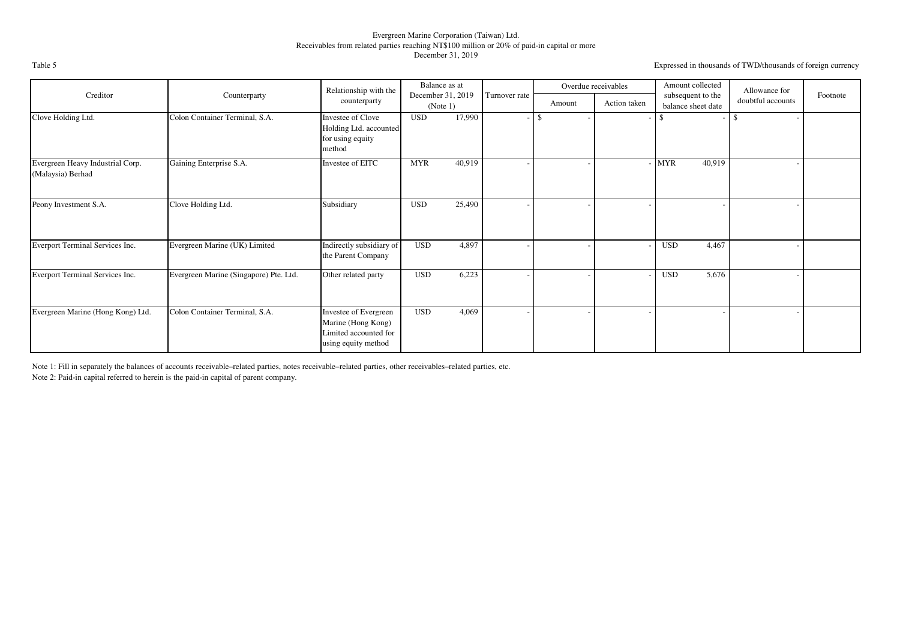## Evergreen Marine Corporation (Taiwan) Ltd. Receivables from related parties reaching NT\$100 million or 20% of paid-in capital or moreDecember 31, 2019

Table 5

Expressed in thousands of TWD/thousands of foreign currency

|                                                       |                                        | Relationship with the                                                                       | Balance as at                 |               |        | Overdue receivables | Amount collected                        | Allowance for     |          |
|-------------------------------------------------------|----------------------------------------|---------------------------------------------------------------------------------------------|-------------------------------|---------------|--------|---------------------|-----------------------------------------|-------------------|----------|
| Creditor                                              | Counterparty                           | counterparty                                                                                | December 31, 2019<br>(Note 1) | Turnover rate | Amount | Action taken        | subsequent to the<br>balance sheet date | doubtful accounts | Footnote |
| Clove Holding Ltd.                                    | Colon Container Terminal, S.A.         | Investee of Clove<br>Holding Ltd. accounted<br>for using equity<br>method                   | <b>USD</b><br>17,990          |               | \$     |                     | \$                                      | -S                |          |
| Evergreen Heavy Industrial Corp.<br>(Malaysia) Berhad | Gaining Enterprise S.A.                | Investee of EITC                                                                            | <b>MYR</b><br>40,919          |               |        |                     | <b>MYR</b><br>40,919                    |                   |          |
| Peony Investment S.A.                                 | Clove Holding Ltd.                     | Subsidiary                                                                                  | 25,490<br><b>USD</b>          |               |        |                     |                                         |                   |          |
| Everport Terminal Services Inc.                       | Evergreen Marine (UK) Limited          | Indirectly subsidiary of<br>the Parent Company                                              | <b>USD</b><br>4,897           |               |        |                     | 4,467<br><b>USD</b>                     |                   |          |
| Everport Terminal Services Inc.                       | Evergreen Marine (Singapore) Pte. Ltd. | Other related party                                                                         | <b>USD</b><br>6,223           |               |        |                     | 5,676<br><b>USD</b>                     |                   |          |
| Evergreen Marine (Hong Kong) Ltd.                     | Colon Container Terminal, S.A.         | Investee of Evergreen<br>Marine (Hong Kong)<br>Limited accounted for<br>using equity method | <b>USD</b><br>4,069           |               |        |                     |                                         |                   |          |

Note 1: Fill in separately the balances of accounts receivable–related parties, notes receivable–related parties, other receivables–related parties, etc.

Note 2: Paid-in capital referred to herein is the paid-in capital of parent company.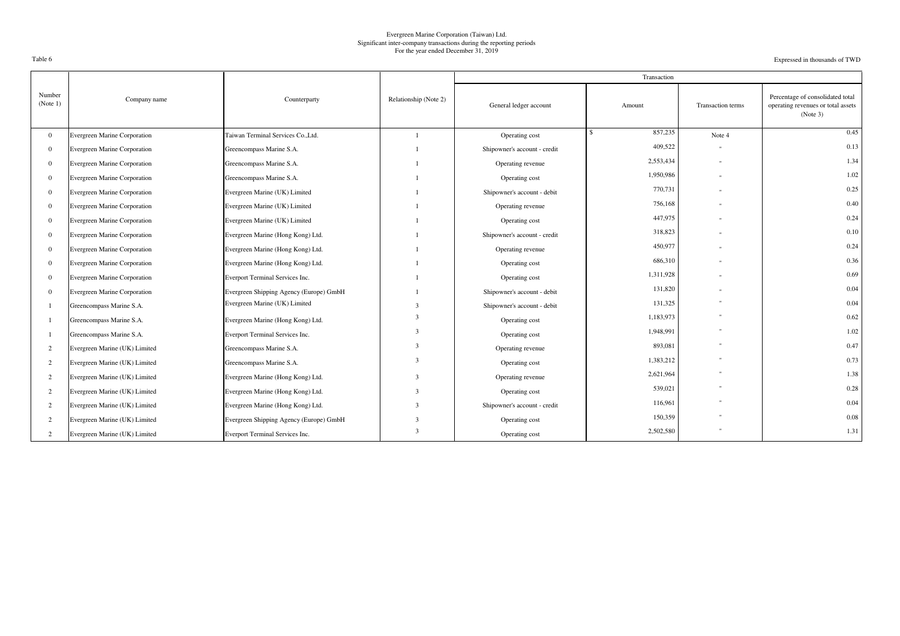# Evergreen Marine Corporation (Taiwan) Ltd. Significant inter-company transactions during the reporting periods For the year ended December 31, 2019

Table 6

Expressed in thousands of TWD

|                    |                                     |                                         |                         |                              | Transaction    |                   |                                                                                    |
|--------------------|-------------------------------------|-----------------------------------------|-------------------------|------------------------------|----------------|-------------------|------------------------------------------------------------------------------------|
| Number<br>(Note 1) | Company name                        | Counterparty                            | Relationship (Note 2)   | General ledger account       | Amount         | Transaction terms | Percentage of consolidated total<br>operating revenues or total assets<br>(Note 3) |
| $\mathbf{0}$       | <b>Evergreen Marine Corporation</b> | Taiwan Terminal Services Co., Ltd.      |                         | Operating cost               | 857,235<br>\$. | Note 4            | 0.45                                                                               |
| $\overline{0}$     | <b>Evergreen Marine Corporation</b> | Greencompass Marine S.A.                |                         | Shipowner's account - credit | 409,522        |                   | 0.13                                                                               |
| $\overline{0}$     | <b>Evergreen Marine Corporation</b> | Greencompass Marine S.A.                |                         | Operating revenue            | 2,553,434      |                   | 1.34                                                                               |
| $\overline{0}$     | <b>Evergreen Marine Corporation</b> | Greencompass Marine S.A.                |                         | Operating cost               | 1,950,986      |                   | 1.02                                                                               |
| $\overline{0}$     | <b>Evergreen Marine Corporation</b> | Evergreen Marine (UK) Limited           |                         | Shipowner's account - debit  | 770,731        |                   | 0.25                                                                               |
| $\overline{0}$     | <b>Evergreen Marine Corporation</b> | Evergreen Marine (UK) Limited           |                         | Operating revenue            | 756,168        |                   | 0.40                                                                               |
| $\overline{0}$     | <b>Evergreen Marine Corporation</b> | Evergreen Marine (UK) Limited           |                         | Operating cost               | 447,975        |                   | 0.24                                                                               |
| $\mathbf{0}$       | <b>Evergreen Marine Corporation</b> | Evergreen Marine (Hong Kong) Ltd.       |                         | Shipowner's account - credit | 318,823        |                   | 0.10                                                                               |
| $\overline{0}$     | <b>Evergreen Marine Corporation</b> | Evergreen Marine (Hong Kong) Ltd.       |                         | Operating revenue            | 450,977        |                   | 0.24                                                                               |
| $\overline{0}$     | <b>Evergreen Marine Corporation</b> | Evergreen Marine (Hong Kong) Ltd.       |                         | Operating cost               | 686,310        |                   | 0.36                                                                               |
| $\overline{0}$     | <b>Evergreen Marine Corporation</b> | Everport Terminal Services Inc.         |                         | Operating cost               | 1,311,928      |                   | 0.69                                                                               |
| $\overline{0}$     | <b>Evergreen Marine Corporation</b> | Evergreen Shipping Agency (Europe) GmbH |                         | Shipowner's account - debit  | 131,820        |                   | 0.04                                                                               |
|                    | Greencompass Marine S.A.            | Evergreen Marine (UK) Limited           | 3                       | Shipowner's account - debit  | 131,325        |                   | 0.04                                                                               |
|                    | Greencompass Marine S.A.            | Evergreen Marine (Hong Kong) Ltd.       | $\overline{3}$          | Operating cost               | 1,183,973      |                   | 0.62                                                                               |
|                    | Greencompass Marine S.A.            | Everport Terminal Services Inc.         | 3                       | Operating cost               | 1,948,991      |                   | 1.02                                                                               |
| 2                  | Evergreen Marine (UK) Limited       | Greencompass Marine S.A.                | $\overline{\mathbf{3}}$ | Operating revenue            | 893,081        |                   | 0.47                                                                               |
| 2                  | Evergreen Marine (UK) Limited       | Greencompass Marine S.A.                | 3                       | Operating cost               | 1,383,212      |                   | 0.73                                                                               |
| 2                  | Evergreen Marine (UK) Limited       | Evergreen Marine (Hong Kong) Ltd.       | 3                       | Operating revenue            | 2,621,964      |                   | 1.38                                                                               |
| 2                  | Evergreen Marine (UK) Limited       | Evergreen Marine (Hong Kong) Ltd.       | $\overline{3}$          | Operating cost               | 539,021        |                   | 0.28                                                                               |
| 2                  | Evergreen Marine (UK) Limited       | Evergreen Marine (Hong Kong) Ltd.       | 3                       | Shipowner's account - credit | 116,961        |                   | 0.04                                                                               |
| 2                  | Evergreen Marine (UK) Limited       | Evergreen Shipping Agency (Europe) GmbH | 3                       | Operating cost               | 150,359        |                   | 0.08                                                                               |
| 2                  | Evergreen Marine (UK) Limited       | Everport Terminal Services Inc.         | 3                       | Operating cost               | 2,502,580      |                   | 1.31                                                                               |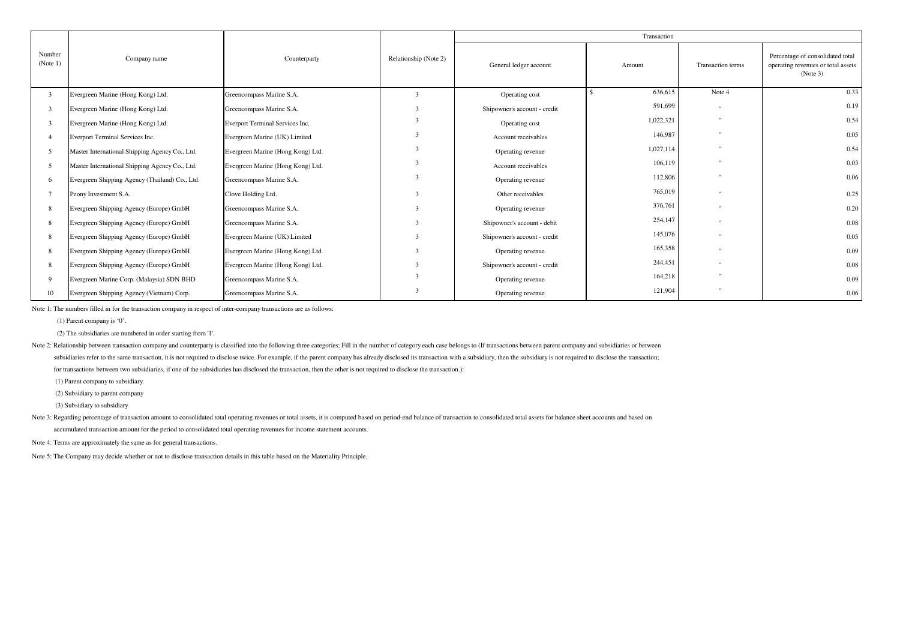|                    |                                                |                                   |                         |                              | Transaction   |                   |                                                                                    |
|--------------------|------------------------------------------------|-----------------------------------|-------------------------|------------------------------|---------------|-------------------|------------------------------------------------------------------------------------|
| Number<br>(Note 1) | Company name                                   | Counterparty                      | Relationship (Note 2)   | General ledger account       | Amount        | Transaction terms | Percentage of consolidated total<br>operating revenues or total assets<br>(Note 3) |
| 3                  | Evergreen Marine (Hong Kong) Ltd.              | Greencompass Marine S.A.          | $\overline{\mathbf{3}}$ | Operating cost               | 636,615<br>£. | Note 4            | 0.33                                                                               |
| 3                  | Evergreen Marine (Hong Kong) Ltd.              | Greencompass Marine S.A.          | 3                       | Shipowner's account - credit | 591,699       | $\mathbf{H}$      | 0.19                                                                               |
| 3                  | Evergreen Marine (Hong Kong) Ltd.              | Everport Terminal Services Inc.   | $\overline{3}$          | Operating cost               | 1,022,321     | $^{\prime\prime}$ | 0.54                                                                               |
| $\overline{4}$     | Everport Terminal Services Inc.                | Evergreen Marine (UK) Limited     | $\overline{3}$          | Account receivables          | 146,987       | $\mathbf{H}$      | 0.05                                                                               |
| 5                  | Master International Shipping Agency Co., Ltd. | Evergreen Marine (Hong Kong) Ltd. | $\overline{3}$          | Operating revenue            | 1,027,114     | $^{\prime\prime}$ | 0.54                                                                               |
| 5                  | Master International Shipping Agency Co., Ltd. | Evergreen Marine (Hong Kong) Ltd. | $\overline{3}$          | Account receivables          | 106,119       | $\mathbf{H}$      | 0.03                                                                               |
| 6                  | Evergreen Shipping Agency (Thailand) Co., Ltd. | Greencompass Marine S.A.          | $\mathbf{a}$            | Operating revenue            | 112,806       | $\mathbf{H}$      | 0.06                                                                               |
| $\overline{7}$     | Peony Investment S.A.                          | Clove Holding Ltd.                | $\mathbf{3}$            | Other receivables            | 765,019       | $\mathbf{H}$      | 0.25                                                                               |
| 8                  | Evergreen Shipping Agency (Europe) GmbH        | Greencompass Marine S.A.          | $\mathcal{R}$           | Operating revenue            | 376,761       | $^{\prime\prime}$ | 0.20                                                                               |
| 8                  | Evergreen Shipping Agency (Europe) GmbH        | Greencompass Marine S.A.          | $\mathcal{R}$           | Shipowner's account - debit  | 254,147       | $\mathbf{H}$      | 0.08                                                                               |
| 8                  | Evergreen Shipping Agency (Europe) GmbH        | Evergreen Marine (UK) Limited     | 3                       | Shipowner's account - credit | 145,076       | $\mathbf{H}$      | 0.05                                                                               |
| 8                  | Evergreen Shipping Agency (Europe) GmbH        | Evergreen Marine (Hong Kong) Ltd. | $\mathcal{R}$           | Operating revenue            | 165,358       | $\mathbf{u}$      | 0.09                                                                               |
| 8                  | Evergreen Shipping Agency (Europe) GmbH        | Evergreen Marine (Hong Kong) Ltd. | 3                       | Shipowner's account - credit | 244,451       | $\mathbf{H}$      | 0.08                                                                               |
| 9                  | Evergreen Marine Corp. (Malaysia) SDN BHD      | Greencompass Marine S.A.          | 3                       | Operating revenue            | 164,218       |                   | 0.09                                                                               |
| 10                 | Evergreen Shipping Agency (Vietnam) Corp.      | Greencompass Marine S.A.          |                         | Operating revenue            | 121,904       | $\mathbf{H}$      | 0.06                                                                               |

Note 1: The numbers filled in for the transaction company in respect of inter-company transactions are as follows:

(1) Parent company is '0'.

(2) The subsidiaries are numbered in order starting from '1'.

Note 2: Relationship between transaction company and counterparty is classified into the following three categories; Fill in the number of category each case belongs to (If transactions between parent company and subsidiar subsidiaries refer to the same transaction, it is not required to disclose twice. For example, if the parent company has already disclosed its transaction with a subsidiary, then the subsidiary is not required to disclose for transactions between two subsidiaries, if one of the subsidiaries has disclosed the transaction, then the other is not required to disclose the transaction.):

(1) Parent company to subsidiary.

(2) Subsidiary to parent company

(3) Subsidiary to subsidiary

Note 3: Regarding percentage of transaction amount to consolidated total operating revenues or total assets, it is computed based on period-end balance of transaction to consolidated total assets for balance sheet accounts

accumulated transaction amount for the period to consolidated total operating revenues for income statement accounts.

Note 4: Terms are approximately the same as for general transactions.

Note 5: The Company may decide whether or not to disclose transaction details in this table based on the Materiality Principle.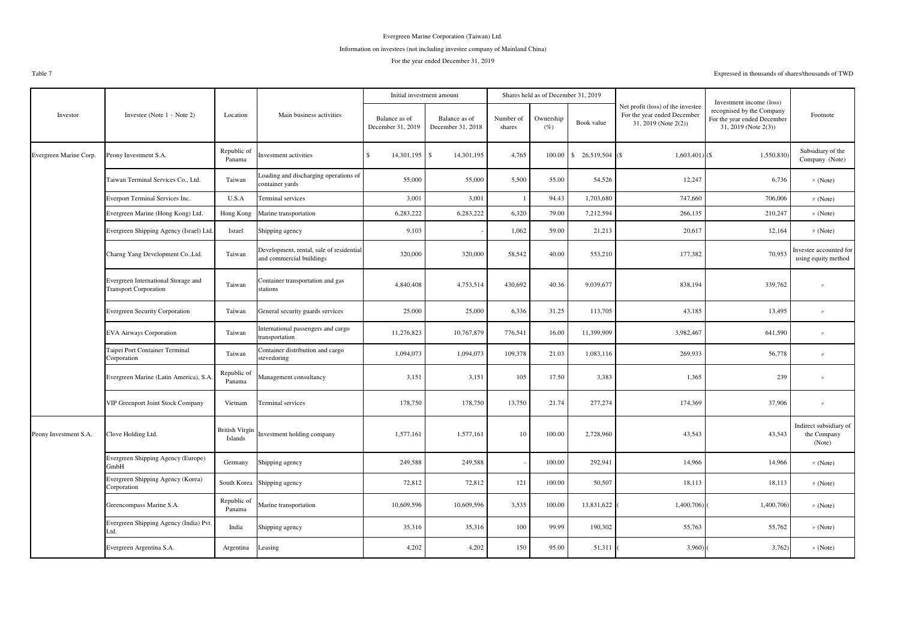#### Evergreen Marine Corporation (Taiwan) Ltd.

#### Information on investees (not including investee company of Mainland China)

## For the year ended December 31, 2019

Table 7

### Expressed in thousands of shares/thousands of TWD

|                        |                                                                     |                                  |                                                                      |                                    | Initial investment amount          |                     | Shares held as of December 31, 2019 |                    |                                                                                          | Investment income (loss)                                                         |                                                 |
|------------------------|---------------------------------------------------------------------|----------------------------------|----------------------------------------------------------------------|------------------------------------|------------------------------------|---------------------|-------------------------------------|--------------------|------------------------------------------------------------------------------------------|----------------------------------------------------------------------------------|-------------------------------------------------|
| Investor               | Investee (Note $1 \cdot$ Note 2)                                    | Location                         | Main business activities                                             | Balance as of<br>December 31, 2019 | Balance as of<br>December 31, 2018 | Number of<br>shares | Ownership<br>$(\%)$                 | Book value         | Net profit (loss) of the investee<br>For the year ended December<br>31, 2019 (Note 2(2)) | recognised by the Company<br>For the year ended December<br>31, 2019 (Note 2(3)) | Footnote                                        |
| Evergreen Marine Corp. | Peony Investment S.A.                                               | Republic of<br>Panama            | Investment activities                                                | $\mathbf{s}$<br>14,301,195         | $\mathcal{S}$<br>14,301,195        | 4,765               | 100.00                              | $$26,519,504$ (\$) | $1,603,401$ (\$)                                                                         | 1,550,830)                                                                       | Subsidiary of the<br>Company (Note)             |
|                        | Taiwan Terminal Services Co., Ltd.                                  | Taiwan                           | oading and discharging operations of<br>container yards              | 55,000                             | 55,000                             | 5.500               | 55.00                               | 54,526             | 12,247                                                                                   | 6,736                                                                            | $\prime\prime$ (Note)                           |
|                        | <b>Everport Terminal Services Inc.</b>                              | U.S.A                            | Terminal services                                                    | 3,001                              | 3,001                              |                     | 94.43                               | 1,703,680          | 747,660                                                                                  | 706,006                                                                          | $\eta$ (Note)                                   |
|                        | Evergreen Marine (Hong Kong) Ltd.                                   | Hong Kong                        | Marine transportation                                                | 6,283,222                          | 6,283,222                          | 6,320               | 79.00                               | 7,212,594          | 266,135                                                                                  | 210,247                                                                          | $\prime\prime$ (Note)                           |
|                        | Evergreen Shipping Agency (Israel) Ltd.                             | Israel                           | Shipping agency                                                      | 9,103                              |                                    | 1,062               | 59.00                               | 21,213             | 20,617                                                                                   | 12,164                                                                           | $\pi$ (Note)                                    |
|                        | Charng Yang Development Co., Ltd.                                   | Taiwan                           | Development, rental, sale of residential<br>and commercial buildings | 320,000                            | 320,000                            | 58,542              | 40.00                               | 553,210            | 177,382                                                                                  | 70,953                                                                           | Investee accounted for<br>using equity method   |
|                        | Evergreen International Storage and<br><b>Transport Corporation</b> | Taiwan                           | Container transportation and gas<br>stations                         | 4,840,408                          | 4,753,514                          | 430,692             | 40.36                               | 9,039,677          | 838,194                                                                                  | 339,762                                                                          |                                                 |
|                        | <b>Evergreen Security Corporation</b>                               | Taiwan                           | General security guards services                                     | 25,000                             | 25,000                             | 6,336               | 31.25                               | 113,705            | 43,185                                                                                   | 13,495                                                                           | $^{\prime\prime}$                               |
|                        | <b>EVA Airways Corporation</b>                                      | Taiwan                           | International passengers and cargo<br>transportation                 | 11,276,823                         | 10,767,879                         | 776,541             | 16.00                               | 11,399,909         | 3,982,467                                                                                | 641,590                                                                          |                                                 |
|                        | Taipei Port Container Terminal<br>Corporation                       | Taiwan                           | Container distribution and cargo<br>stevedoring                      | 1,094,073                          | 1,094,073                          | 109,378             | 21.03                               | 1,083,116          | 269,933                                                                                  | 56,778                                                                           | $^{\prime\prime}$                               |
|                        | Evergreen Marine (Latin America), S.A.                              | Republic of<br>Panama            | Management consultancy                                               | 3,151                              | 3,151                              | 105                 | 17.50                               | 3,383              | 1,365                                                                                    | 239                                                                              |                                                 |
|                        | VIP Greenport Joint Stock Company                                   | Vietnam                          | Terminal services                                                    | 178,750                            | 178,750                            | 13,750              | 21.74                               | 277,274            | 174,369                                                                                  | 37,906                                                                           |                                                 |
| Peony Investment S.A.  | Clove Holding Ltd.                                                  | <b>British Virgin</b><br>Islands | Investment holding company                                           | 1,577,161                          | 1,577,161                          | 10                  | 100.00                              | 2,728,960          | 43,543                                                                                   | 43,543                                                                           | Indirect subsidiary of<br>the Company<br>(Note) |
|                        | Evergreen Shipping Agency (Europe)<br>GmbH                          | Germany                          | Shipping agency                                                      | 249,588                            | 249,588                            |                     | 100.00                              | 292,941            | 14,966                                                                                   | 14,966                                                                           | $\prime\prime$ (Note)                           |
|                        | Evergreen Shipping Agency (Korea)<br>Corporation                    | South Korea                      | Shipping agency                                                      | 72,812                             | 72,812                             | 121                 | 100.00                              | 50,507             | 18,113                                                                                   | 18,113                                                                           | $\eta$ (Note)                                   |
|                        | Greencompass Marine S.A.                                            | Republic of<br>Panama            | Marine transportation                                                | 10,609,596                         | 10,609,596                         | 3,535               | 100.00                              | 13,831,622         | 1,400,706)                                                                               | 1,400,706)                                                                       | $\prime\prime$ (Note)                           |
|                        | Evergreen Shipping Agency (India) Pvt.<br>Ltd.                      | India                            | Shipping agency                                                      | 35,316                             | 35,316                             | 100                 | 99.99                               | 190,302            | 55,763                                                                                   | 55,762                                                                           | $\eta$ (Note)                                   |
|                        | Evergreen Argentina S.A.                                            | Argentina                        | easing                                                               | 4,202                              | 4,202                              | 150                 | 95.00                               | 51,311             | 3,960                                                                                    | 3,762)                                                                           | $\prime\prime$ (Note)                           |
|                        |                                                                     |                                  |                                                                      |                                    |                                    |                     |                                     |                    |                                                                                          |                                                                                  |                                                 |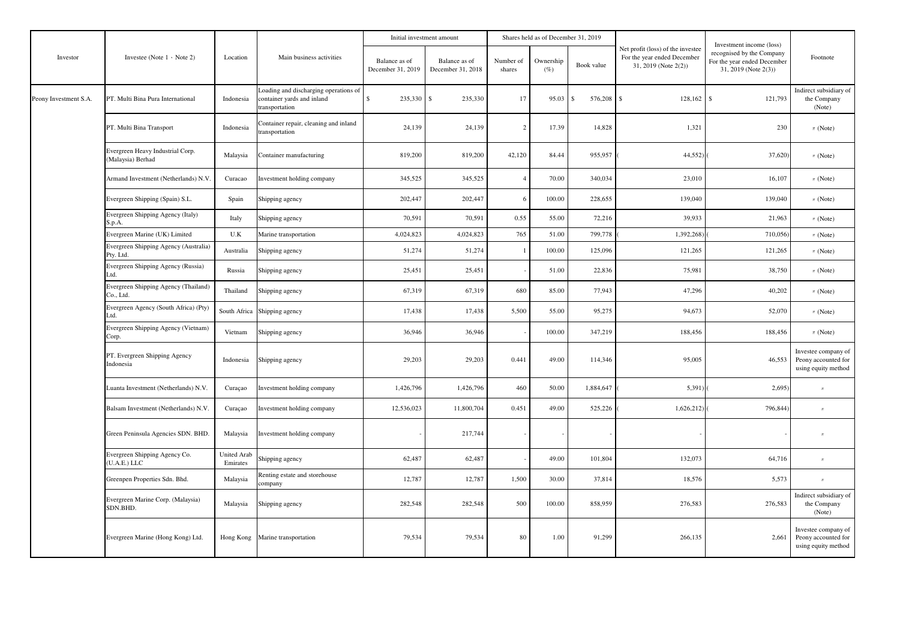|                       |                                                       |                                |                                                                                       | Initial investment amount          |                                    |                     | Shares held as of December 31, 2019 |               |                                                                                          | Investment income (loss)                                                         |                                                                   |
|-----------------------|-------------------------------------------------------|--------------------------------|---------------------------------------------------------------------------------------|------------------------------------|------------------------------------|---------------------|-------------------------------------|---------------|------------------------------------------------------------------------------------------|----------------------------------------------------------------------------------|-------------------------------------------------------------------|
| Investor              | Investee (Note $1 \cdot$ Note 2)                      | Location                       | Main business activities                                                              | Balance as of<br>December 31, 2019 | Balance as of<br>December 31, 2018 | Number of<br>shares | Ownership<br>$(\%)$                 | Book value    | Net profit (loss) of the investee<br>For the year ended December<br>31, 2019 (Note 2(2)) | recognised by the Company<br>For the year ended December<br>31, 2019 (Note 2(3)) | Footnote                                                          |
| Peony Investment S.A. | PT. Multi Bina Pura International                     | Indonesia                      | Loading and discharging operations of<br>container yards and inland<br>transportation | $\mathbb{S}$<br>235,330            | 235,330<br>-S                      | 17                  | 95.03                               | 576,208<br>-S | $\mathcal{S}$<br>128,162                                                                 | 121,793<br><b>S</b>                                                              | Indirect subsidiary of<br>the Company<br>(Note)                   |
|                       | PT. Multi Bina Transport                              | Indonesia                      | Container repair, cleaning and inland<br>ransportation                                | 24,139                             | 24,139                             | $\overline{c}$      | 17.39                               | 14,828        | 1,321                                                                                    | 230                                                                              | $\text{W}$ (Note)                                                 |
|                       | Evergreen Heavy Industrial Corp.<br>(Malaysia) Berhad | Malaysia                       | Container manufacturing                                                               | 819,200                            | 819,200                            | 42,120              | 84.44                               | 955,957       | 44,552)                                                                                  | 37,620)                                                                          | $\prime\prime$ (Note)                                             |
|                       | Armand Investment (Netherlands) N.V.                  | Curacao                        | Investment holding company                                                            | 345,525                            | 345,525                            | $\overline{4}$      | 70.00                               | 340,034       | 23,010                                                                                   | 16,107                                                                           | $\prime\prime$ (Note)                                             |
|                       | Evergreen Shipping (Spain) S.L.                       | Spain                          | Shipping agency                                                                       | 202,447                            | 202,447                            | -6                  | 100.00                              | 228,655       | 139,040                                                                                  | 139,040                                                                          | $\prime\prime$ (Note)                                             |
|                       | Evergreen Shipping Agency (Italy)<br>S.p.A.           | Italy                          | Shipping agency                                                                       | 70,591                             | 70,591                             | 0.55                | 55.00                               | 72,216        | 39,933                                                                                   | 21,963                                                                           | $\text{W}$ (Note)                                                 |
|                       | Evergreen Marine (UK) Limited                         | U.K                            | Marine transportation                                                                 | 4,024,823                          | 4,024,823                          | 765                 | 51.00                               | 799,778       | 1,392,268                                                                                | 710,056                                                                          | $\prime\prime$ (Note)                                             |
|                       | Evergreen Shipping Agency (Australia)<br>Pty. Ltd.    | Australia                      | Shipping agency                                                                       | 51,274                             | 51,274                             |                     | 100.00                              | 125,096       | 121,265                                                                                  | 121,265                                                                          | $\text{W}$ (Note)                                                 |
|                       | Evergreen Shipping Agency (Russia)<br>Ltd.            | Russia                         | Shipping agency                                                                       | 25,451                             | 25,451                             |                     | 51.00                               | 22,836        | 75,981                                                                                   | 38,750                                                                           | $\prime\prime$ (Note)                                             |
|                       | Evergreen Shipping Agency (Thailand)<br>Co., Ltd.     | Thailand                       | Shipping agency                                                                       | 67,319                             | 67,319                             | 680                 | 85.00                               | 77,943        | 47,296                                                                                   | 40,202                                                                           | $\text{W}$ (Note)                                                 |
|                       | Evergreen Agency (South Africa) (Pty)<br>Ltd.         | South Africa                   | Shipping agency                                                                       | 17,438                             | 17,438                             | 5,500               | 55.00                               | 95.275        | 94,673                                                                                   | 52,070                                                                           | $\text{W}$ (Note)                                                 |
|                       | Evergreen Shipping Agency (Vietnam)<br>Corp.          | Vietnam                        | Shipping agency                                                                       | 36,946                             | 36,946                             |                     | 100.00                              | 347,219       | 188,456                                                                                  | 188,456                                                                          | $\prime\prime$ (Note)                                             |
|                       | PT. Evergreen Shipping Agency<br>Indonesia            | Indonesia                      | Shipping agency                                                                       | 29,203                             | 29,203                             | 0.441               | 49.00                               | 114,346       | 95,005                                                                                   | 46,553                                                                           | Investee company of<br>Peony accounted for<br>using equity method |
|                       | Luanta Investment (Netherlands) N.V.                  | Curaçao                        | Investment holding company                                                            | 1,426,796                          | 1,426,796                          | 460                 | 50.00                               | 1,884,647     | 5,391)                                                                                   | 2,695                                                                            |                                                                   |
|                       | Balsam Investment (Netherlands) N.V.                  | Curaçao                        | Investment holding company                                                            | 12,536,023                         | 11,800,704                         | 0.451               | 49.00                               | 525,226       | 1,626,212)                                                                               | 796,844)                                                                         | $^{\prime\prime}$                                                 |
|                       | Green Peninsula Agencies SDN. BHD.                    | Malaysia                       | Investment holding company                                                            |                                    | 217,744                            |                     |                                     |               |                                                                                          |                                                                                  |                                                                   |
|                       | Evergreen Shipping Agency Co.<br>(U.A.E.) LLC         | <b>United Arab</b><br>Emirates | Shipping agency                                                                       | 62,487                             | 62,487                             |                     | 49.00                               | 101,804       | 132,073                                                                                  | 64,716                                                                           |                                                                   |
|                       | Greenpen Properties Sdn. Bhd.                         | Malaysia                       | Renting estate and storehouse<br>company                                              | 12,787                             | 12,787                             | 1,500               | 30.00                               | 37,814        | 18,576                                                                                   | 5,573                                                                            | $^{\prime\prime}$                                                 |
|                       | Evergreen Marine Corp. (Malaysia)<br>SDN.BHD.         | Malaysia                       | Shipping agency                                                                       | 282,548                            | 282,548                            | 500                 | 100.00                              | 858,959       | 276,583                                                                                  | 276,583                                                                          | Indirect subsidiary of<br>the Company<br>(Note)                   |
|                       | Evergreen Marine (Hong Kong) Ltd.                     | Hong Kong                      | Marine transportation                                                                 | 79,534                             | 79,534                             | 80                  | 1.00                                | 91,299        | 266,135                                                                                  | 2,661                                                                            | Investee company of<br>Peony accounted for<br>using equity method |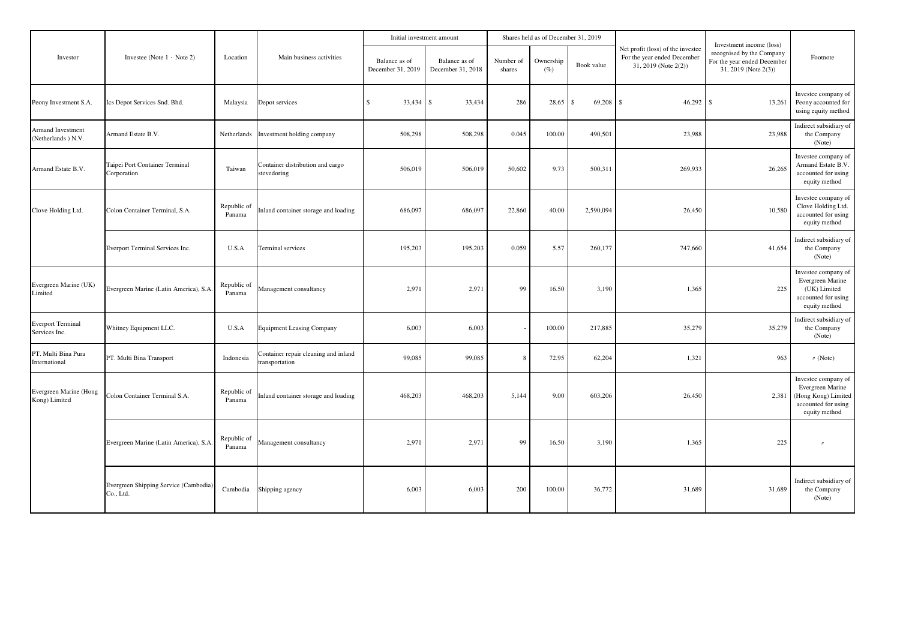|                                                |                                                    |                       |                                                        | Initial investment amount          |                                    |                     | Shares held as of December 31, 2019 |              |                                                                                          |                                                                                                                   |                                                                                                        |
|------------------------------------------------|----------------------------------------------------|-----------------------|--------------------------------------------------------|------------------------------------|------------------------------------|---------------------|-------------------------------------|--------------|------------------------------------------------------------------------------------------|-------------------------------------------------------------------------------------------------------------------|--------------------------------------------------------------------------------------------------------|
| Investor                                       | Investee (Note $1 \cdot$ Note 2)                   | Location              | Main business activities                               | Balance as of<br>December 31, 2019 | Balance as of<br>December 31, 2018 | Number of<br>shares | Ownership<br>(%)                    | Book value   | Net profit (loss) of the investee<br>For the year ended December<br>31, 2019 (Note 2(2)) | Investment income (loss)<br>recognised by the Company<br>For the year ended December<br>$31, 2019$ (Note $2(3)$ ) | Footnote                                                                                               |
| Peony Investment S.A.                          | Ics Depot Services Snd. Bhd.                       | Malaysia              | Depot services                                         | S<br>33,434                        | 33,434<br>\$.                      | 286                 | 28.65                               | 69,208<br>\$ | 46,292<br>-\$                                                                            | 13,261<br>l \$                                                                                                    | Investee company of<br>Peony accounted for<br>using equity method                                      |
| <b>Armand Investment</b><br>(Netherlands) N.V. | Armand Estate B.V.                                 | Netherlands           | nvestment holding company                              | 508,298                            | 508,298                            | 0.045               | 100.00                              | 490.501      | 23,988                                                                                   | 23,988                                                                                                            | Indirect subsidiary of<br>the Company<br>(Note)                                                        |
| Armand Estate B.V.                             | Taipei Port Container Terminal<br>Corporation      | Taiwan                | Container distribution and cargo<br>stevedoring        | 506,019                            | 506,019                            | 50,602              | 9.73                                | 500,311      | 269,933                                                                                  | 26,265                                                                                                            | Investee company of<br>Armand Estate B.V.<br>accounted for using<br>equity method                      |
| Clove Holding Ltd.                             | Colon Container Terminal, S.A.                     | Republic of<br>Panama | Inland container storage and loading                   | 686,097                            | 686,097                            | 22,860              | 40.00                               | 2,590,094    | 26,450                                                                                   | 10,580                                                                                                            | Investee company of<br>Clove Holding Ltd.<br>accounted for using<br>equity method                      |
|                                                | Everport Terminal Services Inc.                    | U.S.A                 | Terminal services                                      | 195,203                            | 195,203                            | 0.059               | 5.57                                | 260,177      | 747,660                                                                                  | 41,654                                                                                                            | Indirect subsidiary of<br>the Company<br>(Note)                                                        |
| Evergreen Marine (UK)<br>Limited               | Evergreen Marine (Latin America), S.A.             | Republic of<br>Panama | Management consultancy                                 | 2,971                              | 2,971                              | 99                  | 16.50                               | 3,190        | 1,365                                                                                    | 225                                                                                                               | Investee company of<br>Evergreen Marine<br>(UK) Limited<br>accounted for using<br>equity method        |
| <b>Everport Terminal</b><br>Services Inc.      | Whitney Equipment LLC.                             | U.S.A                 | <b>Equipment Leasing Company</b>                       | 6,003                              | 6,003                              |                     | 100.00                              | 217,885      | 35,279                                                                                   | 35,279                                                                                                            | Indirect subsidiary of<br>the Company<br>(Note)                                                        |
| PT. Multi Bina Pura<br>International           | PT. Multi Bina Transport                           | Indonesia             | Container repair cleaning and inland<br>transportation | 99,085                             | 99,085                             | 8                   | 72.95                               | 62,204       | 1,321                                                                                    | 963                                                                                                               | $\pi$ (Note)                                                                                           |
| Evergreen Marine (Hong<br>Kong) Limited        | Colon Container Terminal S.A.                      | Republic of<br>Panama | nland container storage and loading                    | 468,203                            | 468,203                            | 5,144               | 9.00                                | 603,206      | 26,450                                                                                   | 2,381                                                                                                             | Investee company of<br>Evergreen Marine<br>(Hong Kong) Limited<br>accounted for using<br>equity method |
|                                                | Evergreen Marine (Latin America), S.A.             | Republic of<br>Panama | Management consultancy                                 | 2,971                              | 2,971                              | 99                  | 16.50                               | 3,190        | 1,365                                                                                    | 225                                                                                                               |                                                                                                        |
|                                                | Evergreen Shipping Service (Cambodia)<br>Co., Ltd. | Cambodia              | Shipping agency                                        | 6,003                              | 6,003                              | 200                 | 100.00                              | 36,772       | 31,689                                                                                   | 31,689                                                                                                            | Indirect subsidiary of<br>the Company<br>(Note)                                                        |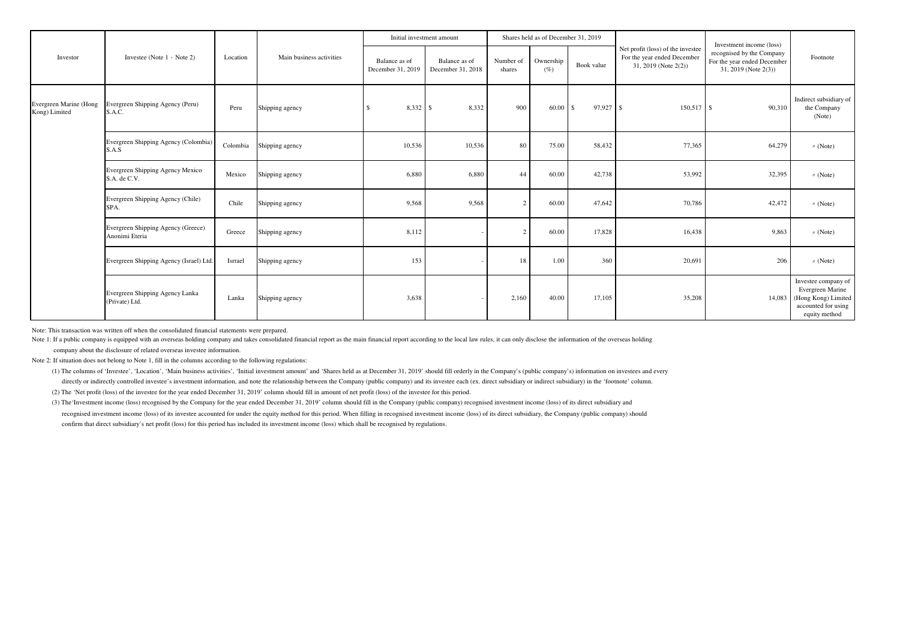| Investor                                |                                                      |          |                          | Initial investment amount          |                                    |                     | Shares held as of December 31, 2019 |             |                                                                                          | Investment income (loss)                                                              |                                                                                                               |
|-----------------------------------------|------------------------------------------------------|----------|--------------------------|------------------------------------|------------------------------------|---------------------|-------------------------------------|-------------|------------------------------------------------------------------------------------------|---------------------------------------------------------------------------------------|---------------------------------------------------------------------------------------------------------------|
|                                         | Investee (Note $1 \cdot$ Note 2)                     | Location | Main business activities | Balance as of<br>December 31, 2019 | Balance as of<br>December 31, 2018 | Number of<br>shares | Ownership<br>(%                     | Book value  | Net profit (loss) of the investee<br>For the year ended December<br>31, 2019 (Note 2(2)) | recognised by the Company<br>For the year ended December<br>$31, 2019$ (Note $2(3)$ ) | Footnote                                                                                                      |
| Evergreen Marine (Hong<br>Kong) Limited | Evergreen Shipping Agency (Peru)<br>S.A.C.           | Peru     | Shipping agency          | $8,332$ \$<br><sup>\$</sup>        | 8,332                              | 900                 | $60.00$ \$                          | $97,927$ \$ | 150,517 \$                                                                               | 90,310                                                                                | Indirect subsidiary of<br>the Company<br>(Note)                                                               |
|                                         | Evergreen Shipping Agency (Colombia)<br>S.A.S        | Colombia | Shipping agency          | 10,536                             | 10,536                             | 80                  | 75.00                               | 58,432      | 77,365                                                                                   | 64,279                                                                                | $\pi$ (Note)                                                                                                  |
|                                         | Evergreen Shipping Agency Mexico<br>S.A. de C.V.     | Mexico   | Shipping agency          | 6,880                              | 6,880                              | 44                  | 60.00                               | 42,738      | 53,992                                                                                   | 32,395                                                                                | $\pi$ (Note)                                                                                                  |
|                                         | Evergreen Shipping Agency (Chile)<br>SPA.            | Chile    | Shipping agency          | 9,568                              | 9,568                              |                     | 60.00                               | 47.642      | 70,786                                                                                   | 42,472                                                                                | $\pi$ (Note)                                                                                                  |
|                                         | Evergreen Shipping Agency (Greece)<br>Anonimi Eteria | Greece   | Shipping agency          | 8,112                              |                                    |                     | 60.00                               | 17,828      | 16,438                                                                                   | 9,863                                                                                 | $\pi$ (Note)                                                                                                  |
|                                         | Evergreen Shipping Agency (Israel) Ltd.              | Isrrael  | Shipping agency          | 153                                |                                    | 18                  | 1.00                                | 360         | 20,691                                                                                   | 206                                                                                   | $\pi$ (Note)                                                                                                  |
|                                         | Evergreen Shipping Agency Lanka<br>(Private) Ltd.    | Lanka    | Shipping agency          | 3,638                              |                                    | 2,160               | 40.00                               | 17,105      | 35,208                                                                                   |                                                                                       | Investee company of<br>Evergreen Marine<br>14,083 (Hong Kong) Limited<br>accounted for using<br>equity method |

Note: This transaction was written off when the consolidated financial statements were prepared.

Note 1: If a public company is equipped with an overseas holding company and takes consolidated financial report as the main financial report according to the local law rules, it can only disclose the information of the ov

company about the disclosure of related overseas investee information.

Note 2: If situation does not belong to Note 1, fill in the columns according to the following regulations:

(1) The columns of 'Investee', 'Location', 'Main business activities', 'Initial investment amount' and 'Shares held as at December 31, 2019' should fill orderly in the Company's (public company's) information on investees directly or indirectly controlled investee's investment information, and note the relationship between the Company (public company) and its investee each (ex. direct subsidiary or indirect subsidiary) in the 'footnote' col (2) The 'Net profit (loss) of the investee for the year ended December 31, 2019' column should fill in amount of net profit (loss) of the investee for this period.

 (3) The'Investment income (loss) recognised by the Company for the year ended December 31, 2019' column should fill in the Company (public company) recognised investment income (loss) of its direct subsidiary andrecognised investment income (loss) of its investee accounted for under the equity method for this period. When filling in recognised investment income (loss) of its direct subsidiary, the Company (public company) should confirm that direct subsidiary's net profit (loss) for this period has included its investment income (loss) which shall be recognised by regulations.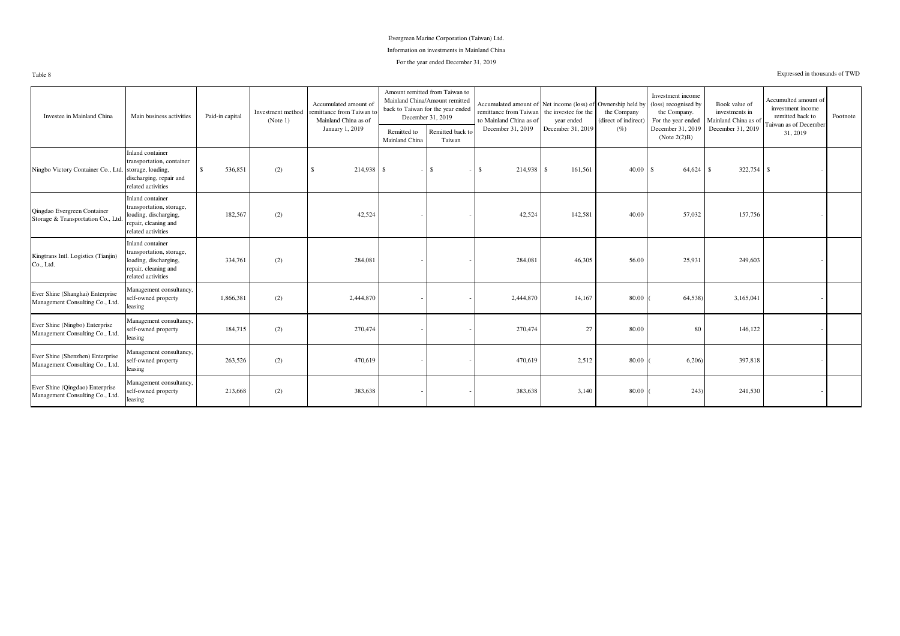#### Evergreen Marine Corporation (Taiwan) Ltd.

## Information on investments in Mainland China

## For the year ended December 31, 2019

Table 8

| Expressed in thousands of TWD |  |  |  |  |  |  |
|-------------------------------|--|--|--|--|--|--|
|-------------------------------|--|--|--|--|--|--|

| Investee in Mainland China                                               | Main business activities                                                                                            | Paid-in capital         | Investment method<br>(Note 1) | Accumulated amount of<br>remittance from Taiwan to<br>Mainland China as of<br>January 1, 2019 | Amount remitted from Taiwan to<br>Mainland China/Amount remitted<br>back to Taiwan for the year ended<br>December 31, 2019<br>Remitted back to |               | Accumulated amount of Net income (loss) of Ownership held by<br>remittance from Taiwan the investee for the<br>to Mainland China as of<br>December 31, 2019 | year ended<br>December 31, 2019 | the Company<br>(direct of indirect)<br>(%) | Investment income<br>(loss) recognised by<br>the Company.<br>For the year ended<br>December 31, 2019 | Book value of<br>investments in<br>Mainland China as of<br>December 31, 2019 | Accumulted amount of<br>investment income<br>remitted back to<br>Taiwan as of December | Footnote |
|--------------------------------------------------------------------------|---------------------------------------------------------------------------------------------------------------------|-------------------------|-------------------------------|-----------------------------------------------------------------------------------------------|------------------------------------------------------------------------------------------------------------------------------------------------|---------------|-------------------------------------------------------------------------------------------------------------------------------------------------------------|---------------------------------|--------------------------------------------|------------------------------------------------------------------------------------------------------|------------------------------------------------------------------------------|----------------------------------------------------------------------------------------|----------|
|                                                                          |                                                                                                                     |                         |                               |                                                                                               | Remitted to<br>Mainland China                                                                                                                  | Taiwan        |                                                                                                                                                             |                                 |                                            | (Note $2(2)B$ )                                                                                      |                                                                              | 31, 2019                                                                               |          |
| Ningbo Victory Container Co., Ltd. storage, loading,                     | <b>Inland</b> container<br>transportation, container<br>discharging, repair and<br>related activities               | $\mathbb{S}$<br>536,851 | (2)                           | $\mathbb{S}$<br>214,938                                                                       | \$.                                                                                                                                            | <sup>\$</sup> | 214,938<br>l S                                                                                                                                              | 161,561<br>l \$                 | 40.00                                      | $64.624$ \$<br>ΙS                                                                                    | 322,754 \$                                                                   |                                                                                        |          |
| <b>Oingdao</b> Evergreen Container<br>Storage & Transportation Co., Ltd. | Inland container<br>transportation, storage,<br>loading, discharging,<br>repair, cleaning and<br>related activities | 182,567                 | (2)                           | 42,524                                                                                        |                                                                                                                                                |               | 42,524                                                                                                                                                      | 142,581                         | 40.00                                      | 57,032                                                                                               | 157,756                                                                      |                                                                                        |          |
| Kingtrans Intl. Logistics (Tianjin)<br>Co., Ltd.                         | Inland container<br>transportation, storage,<br>loading, discharging,<br>repair, cleaning and<br>related activities | 334,761                 | (2)                           | 284,081                                                                                       |                                                                                                                                                |               | 284,081                                                                                                                                                     | 46,305                          | 56.00                                      | 25,931                                                                                               | 249,603                                                                      |                                                                                        |          |
| Ever Shine (Shanghai) Enterprise<br>Management Consulting Co., Ltd.      | Management consultancy,<br>self-owned property<br>leasing                                                           | 1,866,381               | (2)                           | 2,444,870                                                                                     |                                                                                                                                                |               | 2,444,870                                                                                                                                                   | 14,167                          | 80.00                                      | 64,538)                                                                                              | 3,165,041                                                                    |                                                                                        |          |
| Ever Shine (Ningbo) Enterprise<br>Management Consulting Co., Ltd.        | Management consultancy,<br>self-owned property<br>leasing                                                           | 184,715                 | (2)                           | 270,474                                                                                       |                                                                                                                                                |               | 270,474                                                                                                                                                     | 27                              | 80.00                                      | 80                                                                                                   | 146,122                                                                      |                                                                                        |          |
| Ever Shine (Shenzhen) Enterprise<br>Management Consulting Co., Ltd.      | Management consultancy,<br>self-owned property<br>leasing                                                           | 263,526                 | (2)                           | 470,619                                                                                       |                                                                                                                                                |               | 470,619                                                                                                                                                     | 2,512                           | 80.00                                      | 6,206                                                                                                | 397,818                                                                      |                                                                                        |          |
| Ever Shine (Qingdao) Enterprise<br>Management Consulting Co., Ltd.       | Management consultancy.<br>self-owned property<br>leasing                                                           | 213,668                 | (2)                           | 383,638                                                                                       |                                                                                                                                                |               | 383,638                                                                                                                                                     | 3,140                           | 80.00                                      | 243)                                                                                                 | 241,530                                                                      |                                                                                        |          |